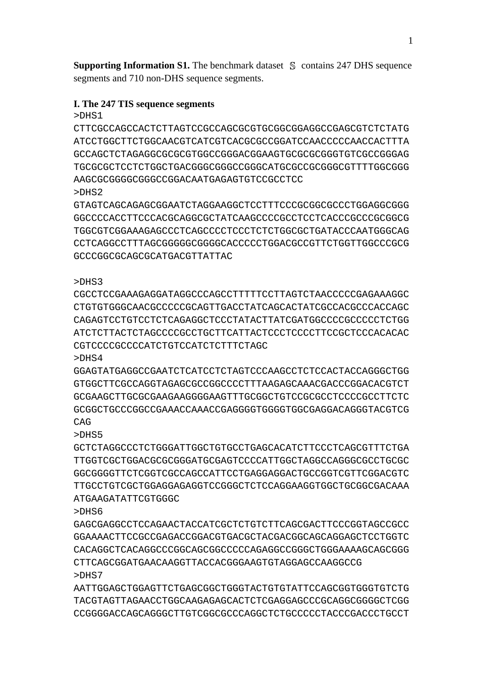**Supporting Information S1.** The benchmark dataset S contains 247 DHS sequence segments and 710 non-DHS sequence segments.

## **I. The 247 TIS sequence segments**

>DHS1

CTTCGCCAGCCACTCTTAGTCCGCCAGCGCGTGCGGCGGAGGCCGAGCGTCTCTATG ATCCTGGCTTCTGGCAACGTCATCGTCACGCGCCGGATCCAACCCCCAACCACTTTA GCCAGCTCTAGAGGCGCGCGTGGCCGGGACGGAAGTGCGCGCGGGTGTCGCCGGGAG TGCGCGCTCCTCTGGCTGACGGGCGGGCCGGGCATGCGCCGCGGGCGTTTTGGCGGG AAGCGCGGGGCGGGCCGGACAATGAGAGTGTCCGCCTCC >DHS2

GTAGTCAGCAGAGCGGAATCTAGGAAGGCTCCTTTCCCGCGGCGCCCTGGAGGCGGG GGCCCCACCTTCCCACGCAGGCGCTATCAAGCCCCGCCTCCTCACCCGCCCGCGGCG TGGCGTCGGAAAGAGCCCTCAGCCCCTCCCTCTCTGGCGCTGATACCCAATGGGCAG CCTCAGGCCTTTAGCGGGGGCGGGGCACCCCCTGGACGCCGTTCTGGTTGGCCCGCG GCCCGGCGCAGCGCATGACGTTATTAC

## >DHS3

CGCCTCCGAAAGAGGATAGGCCCAGCCTTTTTCCTTAGTCTAACCCCCGAGAAAGGC CTGTGTGGGCAACGCCCCCGCAGTTGACCTATCAGCACTATCGCCACGCCCACCAGC CAGAGTCCTGTCCTCTCAGAGGCTCCCTATACTTATCGATGGCCCCGCCCCCTCTGG ATCTCTTACTCTAGCCCCGCCTGCTTCATTACTCCCTCCCCTTCCGCTCCCACACAC CGTCCCCGCCCCATCTGTCCATCTCTTTCTAGC

>DHS4

GGAGTATGAGGCCGAATCTCATCCTCTAGTCCCAAGCCTCTCCACTACCAGGGCTGG GTGGCTTCGCCAGGTAGAGCGCCGGCCCCTTTAAGAGCAAACGACCCGGACACGTCT GCGAAGCTTGCGCGAAGAAGGGGAAGTTTGCGGCTGTCCGCGCCTCCCCGCCTTCTC GCGGCTGCCCGGCCGAAACCAAACCGAGGGGTGGGGTGGCGAGGACAGGGTACGTCG CAG

>DHS5

GCTCTAGGCCCTCTGGGATTGGCTGTGCCTGAGCACATCTTCCCTCAGCGTTTCTGA TTGGTCGCTGGACGCGCGGGATGCGAGTCCCCATTGGCTAGGCCAGGGCGCCTGCGC GGCGGGGTTCTCGGTCGCCAGCCATTCCTGAGGAGGACTGCCGGTCGTTCGGACGTC TTGCCTGTCGCTGGAGGAGAGGTCCGGGCTCTCCAGGAAGGTGGCTGCGGCGACAAA ATGAAGATATTCGTGGGC

>DHS6

GAGCGAGGCCTCCAGAACTACCATCGCTCTGTCTTCAGCGACTTCCCGGTAGCCGCC GGAAAACTTCCGCCGAGACCGGACGTGACGCTACGACGGCAGCAGGAGCTCCTGGTC CACAGGCTCACAGGCCCGGCAGCGGCCCCCAGAGGCCGGGCTGGGAAAAGCAGCGGG CTTCAGCGGATGAACAAGGTTACCACGGGAAGTGTAGGAGCCAAGGCCG >DHS7

AATTGGAGCTGGAGTTCTGAGCGGCTGGGTACTGTGTATTCCAGCGGTGGGTGTCTG TACGTAGTTAGAACCTGGCAAGAGAGCACTCTCGAGGAGCCCGCAGGCGGGGCTCGG CCGGGGACCAGCAGGGCTTGTCGGCGCCCAGGCTCTGCCCCCTACCCGACCCTGCCT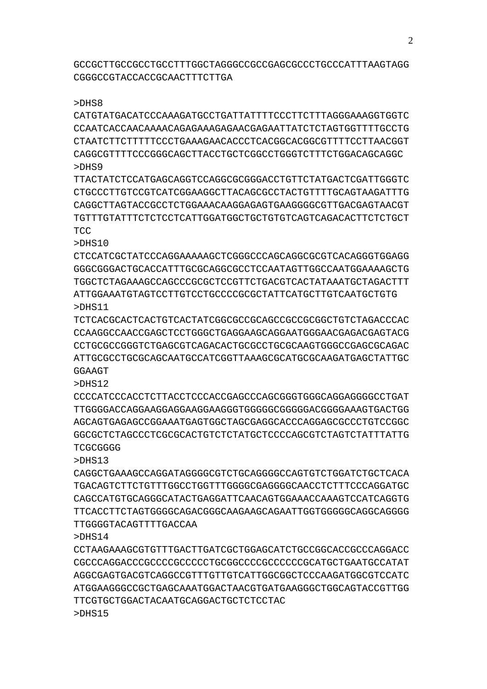GCCGCTTGCCGCCTGCCTTTGGCTAGGGCCGCCGAGCGCCCTGCCCATTTAAGTAGG CGGGCCGTACCACCGCAACTTTCTTGA

#### >DHS8

CATGTATGACATCCCAAAGATGCCTGATTATTTTCCCTTCTTTAGGGAAAGGTGGTC CCAATCACCAACAAAACAGAGAAAGAGAACGAGAATTATCTCTAGTGGTTTTGCCTG CTAATCTTCTTTTTCCCTGAAAGAACACCCTCACGGCACGGCGTTTTCCTTAACGGT CAGGCGTTTTCCCGGGCAGCTTACCTGCTCGGCCTGGGTCTTTCTGGACAGCAGGC >DHS9

TTACTATCTCCATGAGCAGGTCCAGGCGCGGGACCTGTTCTATGACTCGATTGGGTC CTGCCCTTGTCCGTCATCGGAAGGCTTACAGCGCCTACTGTTTTGCAGTAAGATTTG CAGGCTTAGTACCGCCTCTGGAAACAAGGAGAGTGAAGGGGCGTTGACGAGTAACGT TGTTTGTATTTCTCTCCTCATTGGATGGCTGCTGTGTCAGTCAGACACTTCTCTGCT **TCC** 

>DHS10

CTCCATCGCTATCCCAGGAAAAAGCTCGGGCCCAGCAGGCGCGTCACAGGGTGGAGG GGGCGGGACTGCACCATTTGCGCAGGCGCCTCCAATAGTTGGCCAATGGAAAAGCTG TGGCTCTAGAAAGCCAGCCCGCGCTCCGTTCTGACGTCACTATAAATGCTAGACTTT ATTGGAAATGTAGTCCTTGTCCTGCCCCGCGCTATTCATGCTTGTCAATGCTGTG >DHS11

TCTCACGCACTCACTGTCACTATCGGCGCCGCAGCCGCCGCGGCTGTCTAGACCCAC CCAAGGCCAACCGAGCTCCTGGGCTGAGGAAGCAGGAATGGGAACGAGACGAGTACG CCTGCGCCGGGTCTGAGCGTCAGACACTGCGCCTGCGCAAGTGGGCCGAGCGCAGAC ATTGCGCCTGCGCAGCAATGCCATCGGTTAAAGCGCATGCGCAAGATGAGCTATTGC GGAAGT

>DHS12

CCCCATCCCACCTCTTACCTCCCACCGAGCCCAGCGGGTGGGCAGGAGGGGCCTGAT TTGGGGACCAGGAAGGAGGAAGGAAGGGTGGGGGCGGGGGACGGGGAAAGTGACTGG AGCAGTGAGAGCCGGAAATGAGTGGCTAGCGAGGCACCCAGGAGCGCCCTGTCCGGC GGCGCTCTAGCCCTCGCGCACTGTCTCTATGCTCCCCAGCGTCTAGTCTATTTATTG **TCGCGGGG** 

>DHS13

CAGGCTGAAAGCCAGGATAGGGGCGTCTGCAGGGGCCAGTGTCTGGATCTGCTCACA TGACAGTCTTCTGTTTGGCCTGGTTTGGGGCGAGGGGCAACCTCTTTCCCAGGATGC CAGCCATGTGCAGGGCATACTGAGGATTCAACAGTGGAAACCAAAGTCCATCAGGTG TTCACCTTCTAGTGGGGCAGACGGGCAAGAAGCAGAATTGGTGGGGGCAGGCAGGGG TTGGGGTACAGTTTTGACCAA

>DHS14

CCTAAGAAAGCGTGTTTGACTTGATCGCTGGAGCATCTGCCGGCACCGCCCAGGACC CGCCCAGGACCCGCCCCGCCCCCTGCGGCCCCGCCCCCCGCATGCTGAATGCCATAT AGGCGAGTGACGTCAGGCCGTTTGTTGTCATTGGCGGCTCCCAAGATGGCGTCCATC ATGGAAGGGCCGCTGAGCAAATGGACTAACGTGATGAAGGGCTGGCAGTACCGTTGG TTCGTGCTGGACTACAATGCAGGACTGCTCTCCTAC >DHS15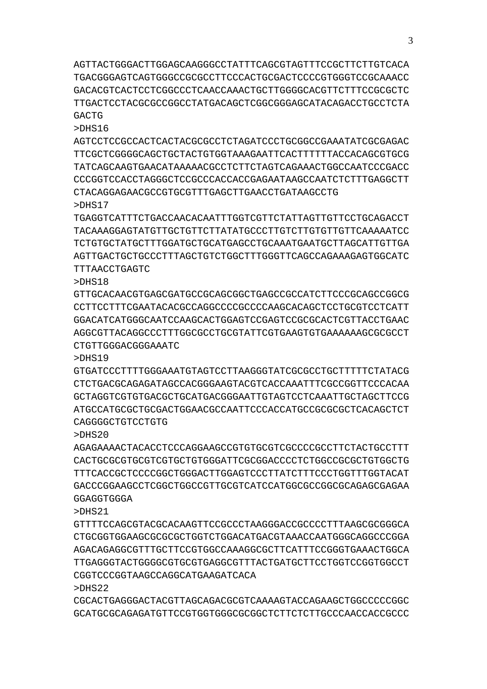AGTTACTGGGACTTGGAGCAAGGGCCTATTTCAGCGTAGTTTCCGCTTCTTGTCACA TGACGGGAGTCAGTGGGCCGCGCCTTCCCACTGCGACTCCCCGTGGGTCCGCAAACC GACACGTCACTCCTCGGCCCTCAACCAAACTGCTTGGGGCACGTTCTTTCCGCGCTC TTGACTCCTACGCGCCGGCCTATGACAGCTCGGCGGGAGCATACAGACCTGCCTCTA GACTG

>DHS16

AGTCCTCCGCCACTCACTACGCGCCTCTAGATCCCTGCGGCCGAAATATCGCGAGAC TTCGCTCGGGGCAGCTGCTACTGTGGTAAAGAATTCACTTTTTTACCACAGCGTGCG TATCAGCAAGTGAACATAAAAACGCCTCTTCTAGTCAGAAACTGGCCAATCCCGACC CCCGGTCCACCTAGGGCTCCGCCCACCACCGAGAATAAGCCAATCTCTTTGAGGCTT CTACAGGAGAACGCCGTGCGTTTGAGCTTGAACCTGATAAGCCTG >DHS17

TGAGGTCATTTCTGACCAACACAATTTGGTCGTTCTATTAGTTGTTCCTGCAGACCT TACAAAGGAGTATGTTGCTGTTCTTATATGCCCTTGTCTTGTGTTGTTCAAAAATCC TCTGTGCTATGCTTTGGATGCTGCATGAGCCTGCAAATGAATGCTTAGCATTGTTGA AGTTGACTGCTGCCCTTTAGCTGTCTGGCTTTGGGTTCAGCCAGAAAGAGTGGCATC TTTAACCTGAGTC

>DHS18

GTTGCACAACGTGAGCGATGCCGCAGCGGCTGAGCCGCCATCTTCCCGCAGCCGGCG CCTTCCTTTCGAATACACGCCAGGCCCCGCCCCAAGCACAGCTCCTGCGTCCTCATT GGACATCATGGGCAATCCAAGCACTGGAGTCCGAGTCCGCGCACTCGTTACCTGAAC AGGCGTTACAGGCCCTTTGGCGCCTGCGTATTCGTGAAGTGTGAAAAAAGCGCGCCT CTGTTGGGACGGGAAATC

>DHS19

GTGATCCCTTTTGGGAAATGTAGTCCTTAAGGGTATCGCGCCTGCTTTTTCTATACG CTCTGACGCAGAGATAGCCACGGGAAGTACGTCACCAAATTTCGCCGGTTCCCACAA GCTAGGTCGTGTGACGCTGCATGACGGGAATTGTAGTCCTCAAATTGCTAGCTTCCG ATGCCATGCGCTGCGACTGGAACGCCAATTCCCACCATGCCGCGCGCTCACAGCTCT CAGGGGCTGTCCTGTG

>DHS20

AGAGAAAACTACACCTCCCAGGAAGCCGTGTGCGTCGCCCCGCCTTCTACTGCCTTT CACTGCGCGTGCGTCGTGCTGTGGGATTCGCGGACCCCTCTGGCCGCGCTGTGGCTG TTTCACCGCTCCCCGGCTGGGACTTGGAGTCCCTTATCTTTCCCTGGTTTGGTACAT GACCCGGAAGCCTCGGCTGGCCGTTGCGTCATCCATGGCGCCGGCGCAGAGCGAGAA GGAGGTGGGA

>DHS21

GTTTTCCAGCGTACGCACAAGTTCCGCCCTAAGGGACCGCCCCTTTAAGCGCGGGCA CTGCGGTGGAAGCGCGCGCTGGTCTGGACATGACGTAAACCAATGGGCAGGCCCGGA AGACAGAGGCGTTTGCTTCCGTGGCCAAAGGCGCTTCATTTCCGGGTGAAACTGGCA TTGAGGGTACTGGGGCGTGCGTGAGGCGTTTACTGATGCTTCCTGGTCCGGTGGCCT CGGTCCCGGTAAGCCAGGCATGAAGATCACA

>DHS22

CGCACTGAGGGACTACGTTAGCAGACGCGTCAAAAGTACCAGAAGCTGGCCCCCGGC GCATGCGCAGAGATGTTCCGTGGTGGGCGCGGCTCTTCTCTTGCCCAACCACCGCCC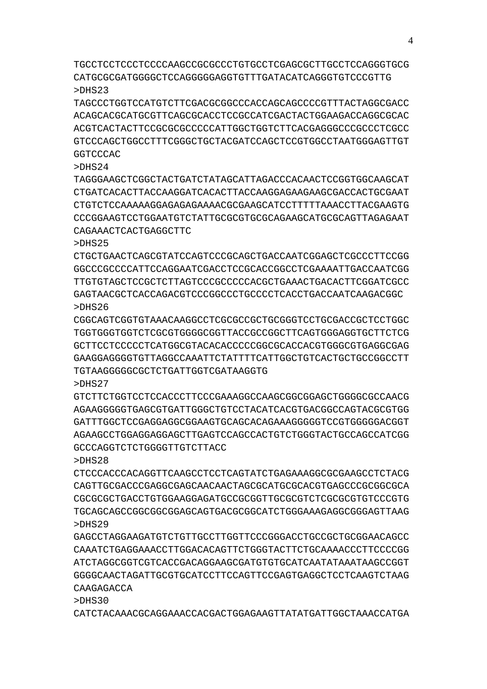TGCCTCCTCCCTCCCCAAGCCGCGCCCTGTGCCTCGAGCGCTTGCCTCCAGGGTGCG CATGCGCGATGGGGCTCCAGGGGGAGGTGTTTGATACATCAGGGTGTCCCGTTG >DHS23

TAGCCCTGGTCCATGTCTTCGACGCGGCCCACCAGCAGCCCCGTTTACTAGGCGACC ACAGCACGCATGCGTTCAGCGCACCTCCGCCATCGACTACTGGAAGACCAGGCGCAC ACGTCACTACTTCCGCGCGCCCCCATTGGCTGGTCTTCACGAGGGCCCGCCCTCGCC GTCCCAGCTGGCCTTTCGGGCTGCTACGATCCAGCTCCGTGGCCTAATGGGAGTTGT **GGTCCCAC** 

## >DHS24

TAGGGAAGCTCGGCTACTGATCTATAGCATTAGACCCACAACTCCGGTGGCAAGCAT CTGATCACACTTACCAAGGATCACACTTACCAAGGAGAAGAAGCGACCACTGCGAAT CTGTCTCCAAAAAGGAGAGAGAAAACGCGAAGCATCCTTTTTAAACCTTACGAAGTG CCCGGAAGTCCTGGAATGTCTATTGCGCGTGCGCAGAAGCATGCGCAGTTAGAGAAT CAGAAACTCACTGAGGCTTC

## >DHS25

CTGCTGAACTCAGCGTATCCAGTCCCGCAGCTGACCAATCGGAGCTCGCCCTTCCGG GGCCCGCCCCATTCCAGGAATCGACCTCCGCACCGGCCTCGAAAATTGACCAATCGG TTGTGTAGCTCCGCTCTTAGTCCCGCCCCCACGCTGAAACTGACACTTCGGATCGCC GAGTAACGCTCACCAGACGTCCCGGCCCTGCCCCTCACCTGACCAATCAAGACGGC >DHS26

CGGCAGTCGGTGTAAACAAGGCCTCGCGCCGCTGCGGGTCCTGCGACCGCTCCTGGC TGGTGGGTGGTCTCGCGTGGGGCGGTTACCGCCGGCTTCAGTGGGAGGTGCTTCTCG GCTTCCTCCCCCTCATGGCGTACACACCCCCGGCGCACCACGTGGGCGTGAGGCGAG GAAGGAGGGGTGTTAGGCCAAATTCTATTTTCATTGGCTGTCACTGCTGCCGGCCTT TGTAAGGGGGCGCTCTGATTGGTCGATAAGGTG

## >DHS27

GTCTTCTGGTCCTCCACCCTTCCCGAAAGGCCAAGCGGCGGAGCTGGGGCGCCAACG AGAAGGGGGTGAGCGTGATTGGGCTGTCCTACATCACGTGACGGCCAGTACGCGTGG GATTTGGCTCCGAGGAGGCGGAAGTGCAGCACAGAAAGGGGGTCCGTGGGGGACGGT AGAAGCCTGGAGGAGGAGCTTGAGTCCAGCCACTGTCTGGGTACTGCCAGCCATCGG GCCCAGGTCTCTGGGGTTGTCTTACC

## >DHS28

CTCCCACCCACAGGTTCAAGCCTCCTCAGTATCTGAGAAAGGCGCGAAGCCTCTACG CAGTTGCGACCCGAGGCGAGCAACAACTAGCGCATGCGCACGTGAGCCCGCGGCGCA CGCGCGCTGACCTGTGGAAGGAGATGCCGCGGTTGCGCGTCTCGCGCGTGTCCCGTG TGCAGCAGCCGGCGGCGGAGCAGTGACGCGGCATCTGGGAAAGAGGCGGGAGTTAAG >DHS29

GAGCCTAGGAAGATGTCTGTTGCCTTGGTTCCCGGGACCTGCCGCTGCGGAACAGCC CAAATCTGAGGAAACCTTGGACACAGTTCTGGGTACTTCTGCAAAACCCTTCCCCGG ATCTAGGCGGTCGTCACCGACAGGAAGCGATGTGTGCATCAATATAAATAAGCCGGT GGGGCAACTAGATTGCGTGCATCCTTCCAGTTCCGAGTGAGGCTCCTCAAGTCTAAG CAAGAGACCA

>DHS30

CATCTACAAACGCAGGAAACCACGACTGGAGAAGTTATATGATTGGCTAAACCATGA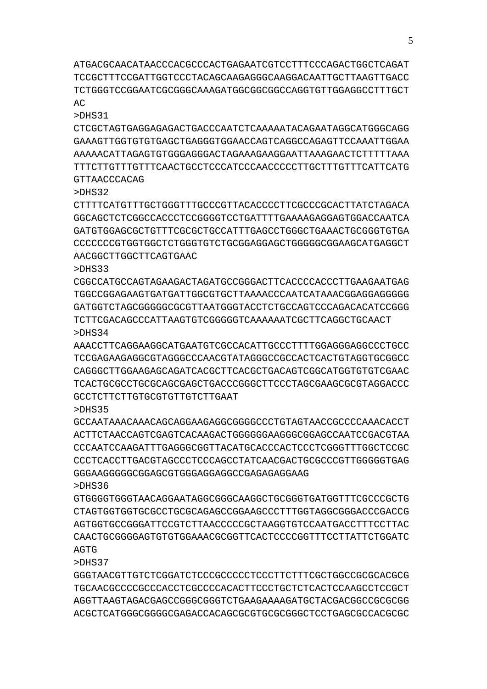ATGACGCAACATAACCCACGCCCACTGAGAATCGTCCTTTCCCAGACTGGCTCAGAT TCCGCTTTCCGATTGGTCCCTACAGCAAGAGGGCAAGGACAATTGCTTAAGTTGACC TCTGGGTCCGGAATCGCGGGCAAAGATGGCGGCGGCCAGGTGTTGGAGGCCTTTGCT AC

>DHS31

CTCGCTAGTGAGGAGAGACTGACCCAATCTCAAAAATACAGAATAGGCATGGGCAGG GAAAGTTGGTGTGTGAGCTGAGGGTGGAACCAGTCAGGCCAGAGTTCCAAATTGGAA AAAAACATTAGAGTGTGGGAGGGACTAGAAAGAAGGAATTAAAGAACTCTTTTTAAA TTTCTTGTTTGTTTCAACTGCCTCCCATCCCAACCCCCTTGCTTTGTTTCATTCATG GTTAACCCACAG

>DHS32

CTTTTCATGTTTGCTGGGTTTGCCCGTTACACCCCTTCGCCCGCACTTATCTAGACA GGCAGCTCTCGGCCACCCTCCGGGGTCCTGATTTTGAAAAGAGGAGTGGACCAATCA GATGTGGAGCGCTGTTTCGCGCTGCCATTTGAGCCTGGGCTGAAACTGCGGGTGTGA CCCCCCCGTGGTGGCTCTGGGTGTCTGCGGAGGAGCTGGGGGCGGAAGCATGAGGCT AACGGCTTGGCTTCAGTGAAC

>DHS33

CGGCCATGCCAGTAGAAGACTAGATGCCGGGACTTCACCCCACCCTTGAAGAATGAG TGGCCGGAGAAGTGATGATTGGCGTGCTTAAAACCCAATCATAAACGGAGGAGGGGG GATGGTCTAGCGGGGGCGCGTTAATGGGTACCTCTGCCAGTCCCAGACACATCCGGG TCTTCGACAGCCCATTAAGTGTCGGGGGTCAAAAAATCGCTTCAGGCTGCAACT >DHS34

AAACCTTCAGGAAGGCATGAATGTCGCCACATTGCCCTTTTGGAGGGAGGCCCTGCC TCCGAGAAGAGGCGTAGGGCCCAACGTATAGGGCCGCCACTCACTGTAGGTGCGGCC CAGGGCTTGGAAGAGCAGATCACGCTTCACGCTGACAGTCGGCATGGTGTGTCGAAC TCACTGCGCCTGCGCAGCGAGCTGACCCGGGCTTCCCTAGCGAAGCGCGTAGGACCC GCCTCTTCTTGTGCGTGTTGTCTTGAAT

>DHS35

GCCAATAAACAAACAGCAGGAAGAGGCGGGGCCCTGTAGTAACCGCCCCAAACACCT ACTTCTAACCAGTCGAGTCACAAGACTGGGGGGAAGGGCGGAGCCAATCCGACGTAA CCCAATCCAAGATTTGAGGGCGGTTACATGCACCCACTCCCTCGGGTTTGGCTCCGC CCCTCACCTTGACGTAGCCCTCCCAGCCTATCAACGACTGCGCCCGTTGGGGGTGAG

GGGAAGGGGGCGGAGCGTGGGAGGAGGCCGAGAGAGGAAG >DHS36 GTGGGGTGGGTAACAGGAATAGGCGGGCAAGGCTGCGGGTGATGGTTTCGCCCGCTG CTAGTGGTGGTGCGCCTGCGCAGAGCCGGAAGCCCTTTGGTAGGCGGGACCCGACCG

5

AGTGGTGCCGGGATTCCGTCTTAACCCCCGCTAAGGTGTCCAATGACCTTTCCTTAC CAACTGCGGGGAGTGTGTGGAAACGCGGTTCACTCCCCGGTTTCCTTATTCTGGATC AGTG

>DHS37

GGGTAACGTTGTCTCGGATCTCCCGCCCCCTCCCTTCTTTCGCTGGCCGCGCACGCG TGCAACGCCCCGCCCACCTCGCCCCACACTTCCCTGCTCTCACTCCAAGCCTCCGCT AGGTTAAGTAGACGAGCCGGGCGGGTCTGAAGAAAAGATGCTACGACGGCCGCGCGG ACGCTCATGGGCGGGGCGAGACCACAGCGCGTGCGCGGGCTCCTGAGCGCCACGCGC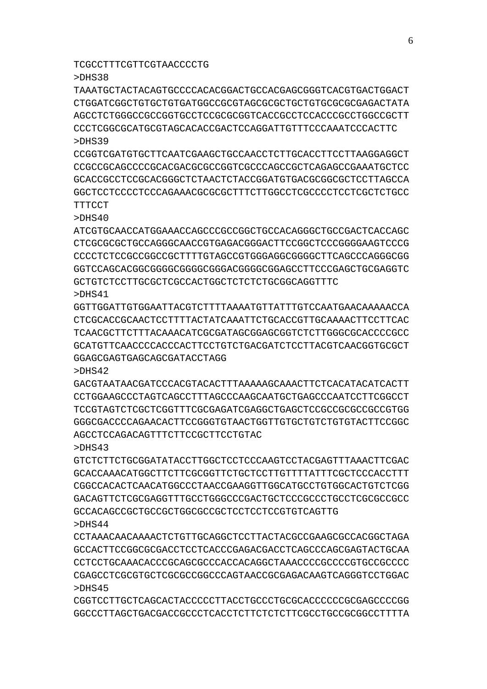TCGCCTTTCGTTCGTAACCCCTG

>DHS38

TAAATGCTACTACAGTGCCCCACACGGACTGCCACGAGCGGGTCACGTGACTGGACT CTGGATCGGCTGTGCTGTGATGGCCGCGTAGCGCGCTGCTGTGCGCGCGAGACTATA AGCCTCTGGGCCGCCGGTGCCTCCGCGCGGTCACCGCCTCCACCCGCCTGGCCGCTT CCCTCGGCGCATGCGTAGCACACCGACTCCAGGATTGTTTCCCAAATCCCACTTC >DHS39

CCGGTCGATGTGCTTCAATCGAAGCTGCCAACCTCTTGCACCTTCCTTAAGGAGGCT CCGCCGCAGCCCCGCACGACGCGCCGGTCGCCCAGCCGCTCAGAGCCGAAATGCTCC GCACCGCCTCCGCACGGGCTCTAACTCTACCGGATGTGACGCGGCGCTCCTTAGCCA GGCTCCTCCCCTCCCAGAAACGCGCGCTTTCTTGGCCTCGCCCCTCCTCGCTCTGCC **TTTCCT** 

>DHS40

ATCGTGCAACCATGGAAACCAGCCCGCCGGCTGCCACAGGGCTGCCGACTCACCAGC CTCGCGCGCTGCCAGGGCAACCGTGAGACGGGACTTCCGGCTCCCGGGGAAGTCCCG CCCCTCTCCGCCGGCCGCTTTTGTAGCCGTGGGAGGCGGGGCTTCAGCCCAGGGCGG GGTCCAGCACGGCGGGGCGGGGCGGGACGGGGCGGAGCCTTCCCGAGCTGCGAGGTC GCTGTCTCCTTGCGCTCGCCACTGGCTCTCTCTGCGGCAGGTTTC >DHS41

GGTTGGATTGTGGAATTACGTCTTTTAAAATGTTATTTGTCCAATGAACAAAAACCA CTCGCACCGCAACTCCTTTTACTATCAAATTCTGCACCGTTGCAAAACTTCCTTCAC TCAACGCTTCTTTACAAACATCGCGATAGCGGAGCGGTCTCTTGGGCGCACCCCGCC GCATGTTCAACCCCACCCACTTCCTGTCTGACGATCTCCTTACGTCAACGGTGCGCT GGAGCGAGTGAGCAGCGATACCTAGG

>DHS42

GACGTAATAACGATCCCACGTACACTTTAAAAAGCAAACTTCTCACATACATCACTT CCTGGAAGCCCTAGTCAGCCTTTAGCCCAAGCAATGCTGAGCCCAATCCTTCGGCCT TCCGTAGTCTCGCTCGGTTTCGCGAGATCGAGGCTGAGCTCCGCCGCGCCGCCGTGG GGGCGACCCCAGAACACTTCCGGGTGTAACTGGTTGTGCTGTCTGTGTACTTCCGGC AGCCTCCAGACAGTTTCTTCCGCTTCCTGTAC

>DHS43

GTCTCTTCTGCGGATATACCTTGGCTCCTCCCAAGTCCTACGAGTTTAAACTTCGAC GCACCAAACATGGCTTCTTCGCGGTTCTGCTCCTTGTTTTATTTCGCTCCCACCTTT CGGCCACACTCAACATGGCCCTAACCGAAGGTTGGCATGCCTGTGGCACTGTCTCGG GACAGTTCTCGCGAGGTTTGCCTGGGCCCGACTGCTCCCGCCCTGCCTCGCGCCGCC GCCACAGCCGCTGCCGCTGGCGCCGCTCCTCCTCCGTGTCAGTTG >DHS44

CCTAAACAACAAAACTCTGTTGCAGGCTCCTTACTACGCCGAAGCGCCACGGCTAGA GCCACTTCCGGCGCGACCTCCTCACCCGAGACGACCTCAGCCCAGCGAGTACTGCAA CCTCCTGCAAACACCCGCAGCGCCCACCACAGGCTAAACCCCGCCCCGTGCCGCCCC CGAGCCTCGCGTGCTCGCGCCGGCCCAGTAACCGCGAGACAAGTCAGGGTCCTGGAC >DHS45

CGGTCCTTGCTCAGCACTACCCCCTTACCTGCCCTGCGCACCCCCCGCGAGCCCCGG GGCCCTTAGCTGACGACCGCCCTCACCTCTTCTCTCTTCGCCTGCCGCGGCCTTTTA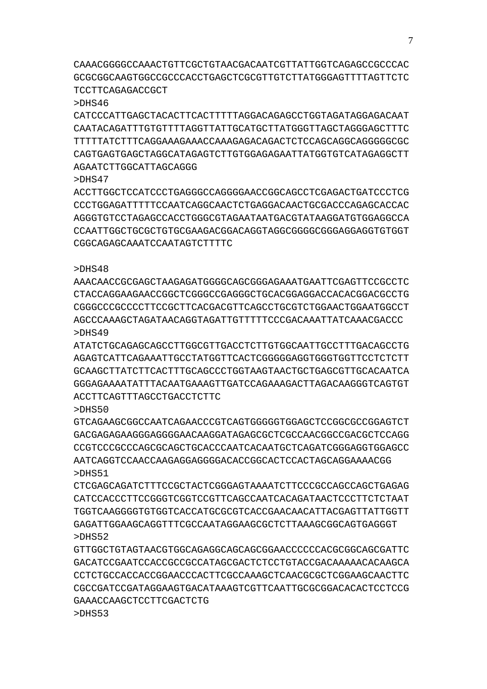CAAACGGGGCCAAACTGTTCGCTGTAACGACAATCGTTATTGGTCAGAGCCGCCCAC GCGCGGCAAGTGGCCGCCCACCTGAGCTCGCGTTGTCTTATGGGAGTTTTAGTTCTC TCCTTCAGAGACCGCT

#### >DHS46

CATCCCATTGAGCTACACTTCACTTTTTAGGACAGAGCCTGGTAGATAGGAGACAAT CAATACAGATTTGTGTTTTAGGTTATTGCATGCTTATGGGTTAGCTAGGGAGCTTTC TTTTTATCTTTCAGGAAAGAAACCAAAGAGACAGACTCTCCAGCAGGCAGGGGGCGC CAGTGAGTGAGCTAGGCATAGAGTCTTGTGGAGAGAATTATGGTGTCATAGAGGCTT AGAATCTTGGCATTAGCAGGG

>DHS47

ACCTTGGCTCCATCCCTGAGGGCCAGGGGAACCGGCAGCCTCGAGACTGATCCCTCG CCCTGGAGATTTTTCCAATCAGGCAACTCTGAGGACAACTGCGACCCAGAGCACCAC AGGGTGTCCTAGAGCCACCTGGGCGTAGAATAATGACGTATAAGGATGTGGAGGCCA CCAATTGGCTGCGCTGTGCGAAGACGGACAGGTAGGCGGGGCGGGAGGAGGTGTGGT CGGCAGAGCAAATCCAATAGTCTTTTC

## >DHS48

AAACAACCGCGAGCTAAGAGATGGGGCAGCGGGAGAAATGAATTCGAGTTCCGCCTC CTACCAGGAAGAACCGGCTCGGGCCGAGGGCTGCACGGAGGACCACACGGACGCCTG CGGGCCCGCCCCTTCCGCTTCACGACGTTCAGCCTGCGTCTGGAACTGGAATGGCCT AGCCCAAAGCTAGATAACAGGTAGATTGTTTTTCCCGACAAATTATCAAACGACCC >DHS49

ATATCTGCAGAGCAGCCTTGGCGTTGACCTCTTGTGGCAATTGCCTTTGACAGCCTG AGAGTCATTCAGAAATTGCCTATGGTTCACTCGGGGGAGGTGGGTGGTTCCTCTCTT GCAAGCTTATCTTCACTTTGCAGCCCTGGTAAGTAACTGCTGAGCGTTGCACAATCA GGGAGAAAATATTTACAATGAAAGTTGATCCAGAAAGACTTAGACAAGGGTCAGTGT ACCTTCAGTTTAGCCTGACCTCTTC

## $>$ DHS50

GTCAGAAGCGGCCAATCAGAACCCGTCAGTGGGGGTGGAGCTCCGGCGCCGGAGTCT GACGAGAGAAGGGAGGGGAACAAGGATAGAGCGCTCGCCAACGGCCGACGCTCCAGG CCGTCCCGCCCAGCGCAGCTGCACCCAATCACAATGCTCAGATCGGGAGGTGGAGCC AATCAGGTCCAACCAAGAGGAGGGGACACCGGCACTCCACTAGCAGGAAAACGG >DHS51

CTCGAGCAGATCTTTCCGCTACTCGGGAGTAAAATCTTCCCGCCAGCCAGCTGAGAG CATCCACCCTTCCGGGTCGGTCCGTTCAGCCAATCACAGATAACTCCCTTCTCTAAT TGGTCAAGGGGTGTGGTCACCATGCGCGTCACCGAACAACATTACGAGTTATTGGTT GAGATTGGAAGCAGGTTTCGCCAATAGGAAGCGCTCTTAAAGCGGCAGTGAGGGT >DHS52

GTTGGCTGTAGTAACGTGGCAGAGGCAGCAGCGGAACCCCCCACGCGGCAGCGATTC GACATCCGAATCCACCGCCGCCATAGCGACTCTCCTGTACCGACAAAAACACAAGCA CCTCTGCCACCACCGGAACCCACTTCGCCAAAGCTCAACGCGCTCGGAAGCAACTTC CGCCGATCCGATAGGAAGTGACATAAAGTCGTTCAATTGCGCGGACACACTCCTCCG GAAACCAAGCTCCTTCGACTCTG >DHS53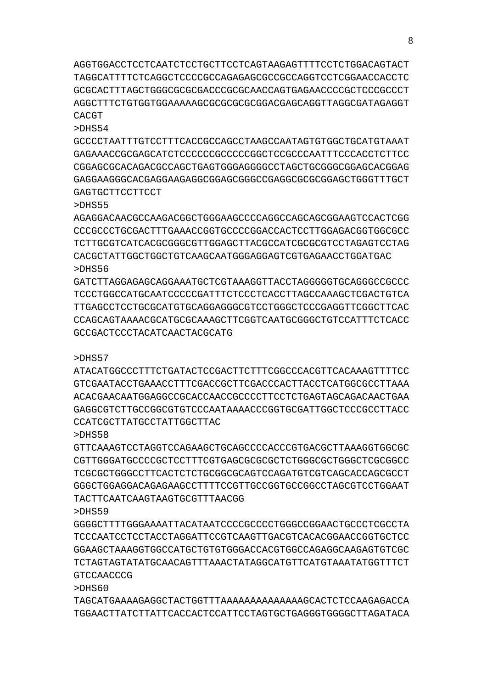AGGTGGACCTCCTCAATCTCCTGCTTCCTCAGTAAGAGTTTTCCTCTGGACAGTACT TAGGCATTTTCTCAGGCTCCCCGCCAGAGAGCGCCGCCAGGTCCTCGGAACCACCTC GCGCACTTTAGCTGGGCGCGCGACCCGCGCAACCAGTGAGAACCCCGCTCCCGCCCT AGGCTTTCTGTGGTGGAAAAAGCGCGCGCGCGGACGAGCAGGTTAGGCGATAGAGGT CACGT

>DHS54

GCCCCTAATTTGTCCTTTCACCGCCAGCCTAAGCCAATAGTGTGGCTGCATGTAAAT GAGAAACCGCGAGCATCTCCCCCCGCCCCCGGCTCCGCCCAATTTCCCACCTCTTCC CGGAGCGCACAGACGCCAGCTGAGTGGGAGGGGCCTAGCTGCGGGCGGAGCACGGAG GAGGAAGGGCACGAGGAAGAGGCGGAGCGGGCCGAGGCGCGCGGAGCTGGGTTTGCT GAGTGCTTCCTTCCT

>DHS55

AGAGGACAACGCCAAGACGGCTGGGAAGCCCCAGGCCAGCAGCGGAAGTCCACTCGG CCCGCCCTGCGACTTTGAAACCGGTGCCCCGGACCACTCCTTGGAGACGGTGGCGCC TCTTGCGTCATCACGCGGGCGTTGGAGCTTACGCCATCGCGCGTCCTAGAGTCCTAG CACGCTATTGGCTGGCTGTCAAGCAATGGGAGGAGTCGTGAGAACCTGGATGAC >DHS56

GATCTTAGGAGAGCAGGAAATGCTCGTAAAGGTTACCTAGGGGGTGCAGGGCCGCCC TCCCTGGCCATGCAATCCCCCGATTTCTCCCTCACCTTAGCCAAAGCTCGACTGTCA TTGAGCCTCCTGCGCATGTGCAGGAGGGCGTCCTGGGCTCCCGAGGTTCGGCTTCAC CCAGCAGTAAAACGCATGCGCAAAGCTTCGGTCAATGCGGGCTGTCCATTTCTCACC GCCGACTCCCTACATCAACTACGCATG

>DHS57

ATACATGGCCCTTTCTGATACTCCGACTTCTTTCGGCCCACGTTCACAAAGTTTTCC GTCGAATACCTGAAACCTTTCGACCGCTTCGACCCACTTACCTCATGGCGCCTTAAA ACACGAACAATGGAGGCCGCACCAACCGCCCCTTCCTCTGAGTAGCAGACAACTGAA GAGGCGTCTGTGCCGGCGTGTGTCCAATAAAACCCGGTGCGATTGGCTCCCGCCTTTACC CCATCGCTTATGCCTATTGGCTTAC

>DHS58

GTTCAAAGTCCTAGGTCCAGAAGCTGCAGCCCCACCCGTGACGCTTAAAGGTGGCGC CGTTGGGATGCCCCGCTCCTTTCGTGAGCGCGCGCTCTGGGCGCTGGGCTCGCGGCC TCGCGCTGGGCCTTCACTCTCTGCGGCGCAGTCCAGATGTCGTCAGCACCAGCGCCT GGGCTGGAGGACAGAGAAGCCTTTTCCGTTGCCGGTGCCGGCCTAGCGTCCTGGAAT TACTTCAATCAAGTAAGTGCGTTTAACGG

>DHS59

GGGGCTTTTGGGAAAATTACATAATCCCCGCCCCTGGGCCGGAACTGCCCTCGCCTA TCCCAATCCTCCTACCTAGGATTCCGTCAAGTTGACGTCACACGGAACCGGTGCTCC GGAAGCTAAAGGTGGCCATGCTGTGTGGGACCACGTGGCCAGAGGCAAGAGTGTCGC TCTAGTAGTATATGCAACAGTTTAAACTATAGGCATGTTCATGTAAATATGGTTTCT GTCCAACCCG

>DHS60

TAGCATGAAAAGAGGCTACTGGTTTAAAAAAAAAAAAAAGCACTCTCCAAGAGACCA TGGAACTTATCTTATTCACCACTCCATTCCTAGTGCTGAGGGTGGGGCTTAGATACA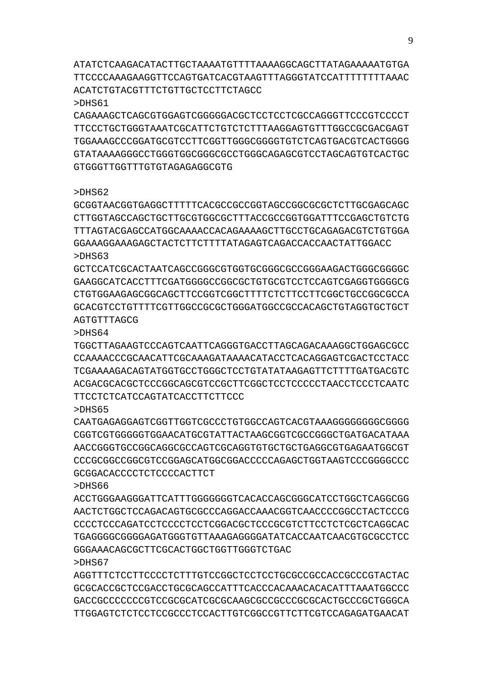ATATCTCAAGACATACTTGCTAAAATGTTTTAAAAGGCAGCTTATAGAAAAATGTGA TTCCCCAAAGAAGGTTCCAGTGATCACGTAAGTTTAGGGTATCCATTTTTTTTAAAC ACATCTGTACGTTTCTGTTGCTCCTTCTAGCC

>DHS61

CAGAAAGCTCAGCGTGGAGTCGGGGGACGCTCCTCCTCGCCAGGGTTCCCGTCCCCT TTCCCTGCTGGGTAAATCGCATTCTGTCTCTTTAAGGAGTGTTTGGCCGCGACGAGT TGGAAAGCCCGGATGCGTCCTTCGGTTGGGCGGGGTGTCTCAGTGACGTCACTGGGG GTATAAAAGGGCCTGGGTGGCGGGCGCCTGGGCAGAGCGTCCTAGCAGTGTCACTGC GTGGGTTGGTTTGTGTAGAGAGGCGTG

### >DHS62

GCGGTAACGGTGAGGCTTTTTCACGCCGCCGGTAGCCGGCGCGCTCTTGCGAGCAGC CTTGGTAGCCAGCTGCTTGCGTGGCGCTTTACCGCCGGTGGATTTCCGAGCTGTCTG TTTAGTACGAGCCATGGCAAAACCACAGAAAAGCTTGCCTGCAGAGACGTCTGTGGA GGAAAGGAAAGAGCTACTCTTCTTTTATAGAGTCAGACCACCAACTATTGGACC >DHS63

GCTCCATCGCACTAATCAGCCGGGCGTGGTGCGGGCGCCGGGAAGACTGGGCGGGGC GAAGGCATCACCTTTCGATGGGGCCGGCGCTGTGCGTCCTCCAGTCGAGGTGGGGCG CTGTGGAAGAGCGGCAGCTTCCGGTCGGCTTTTCTCTTCCTTCGGCTGCCGGCGCCA GCACGTCCTGTTTTCGTTGGCCGCGCTGGGATGGCCGCCACAGCTGTAGGTGCTGCT AGTGTTTAGCG

>DHS64

TGGCTTAGAAGTCCCAGTCAATTCAGGGTGACCTTAGCAGACAAAGGCTGGAGCGCC CCAAAACCCGCAACATTCGCAAAGATAAAACATACCTCACAGGAGTCGACTCCTACC TCGAAAAGACAGTATGGTGCCTGGGCTCCTGTATATAAGAGTTCTTTTGATGACGTC ACGACGCACGCTCCCGGCAGCGTCCGCTTCGGCTCCTCCCCCTAACCTCCCTCAATC TTCCTCTCATCCAGTATCACCTTCTTCCC

>DHS65

CAATGAGAGGAGTCGGTTGGTCGCCCTGTGGCCAGTCACGTAAAGGGGGGGGCGGGG CGGTCGTGGGGGTGGAACATGCGTATTACTAAGCGGTCGCCGGGCTGATGACATAAA AACCGGGTGCCGGCAGGCGCCAGTCGCAGGTGTGCTGCTGAGGCGTGAGAATGGCGT CCCGCGGCCGGCGTCCGGAGCATGGCGGACCCCCAGAGCTGGTAAGTCCCGGGGCCC GCGGACACCCCTCTCCCCACTTCT

>DHS66

ACCTGGGAAGGGATTCATTTGGGGGGGTCACACCAGCGGGCATCCTGGCTCAGGCGG AACTCTGGCTCCAGACAGTGCGCCCAGGACCAAACGGTCAACCCCGGCCTACTCCCG CCCCTCCCAGATCCTCCCCTCCTCGGACGCTCCCGCGTCTTCCTCTCGCTCAGGCAC TGAGGGGCGGGGAGATGGGTGTTAAAGAGGGGATATCACCAATCAACGTGCGCCTCC GGGAAACAGCGCTTCGCACTGGCTGGTTGGGTCTGAC >DHS67

AGGTTTCTCCTTCCCCTCTTTGTCCGGCTCCTCCTGCGCCGCCACCGCCCGTACTAC GCGCACCGCTCCGACCTGCGCAGCCATTTCACCCACAAACACACATTTAAATGGCCC GACCGCCCCCCCGTCCGCGCATCGCGCAAGCGCCGCCCGCGCACTGCCCGCTGGGCA TTGGAGTCTCTCCTCCGCCCTCCACTTGTCGGCCGTTCTTCGTCCAGAGATGAACAT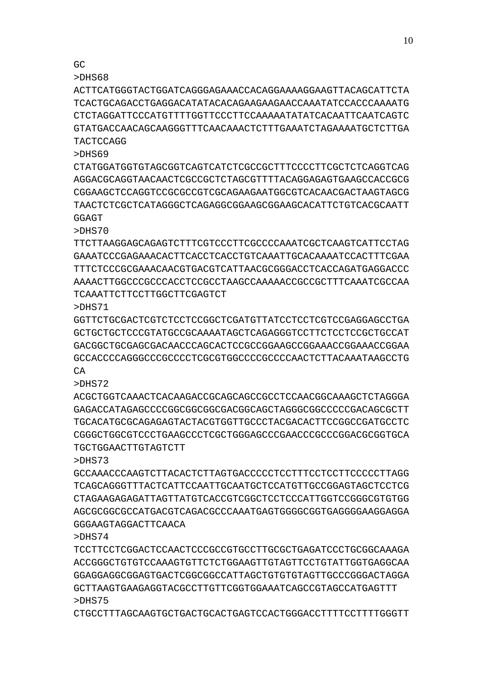CTGCCTTTAGCAAGTGCTGACTGCACTGAGTCCACTGGGACCTTTTCCTTTTGGGTT

>DHS74 TCCTTCCTCGGACTCCAACTCCCGCCGTGCCTTGCGCTGAGATCCCTGCGGCAAAGA ACCGGGCTGTGTCCAAAGTGTTCTCTGGAAGTTGTAGTTCCTGTATTGGTGAGGCAA GGAGGAGGCGGAGTGACTCGGCGGCCATTAGCTGTGTGTAGTTGCCCGGGACTAGGA GCTTAAGTGAAGAGGTACGCCTTGTTCGGTGGAAATCAGCCGTAGCCATGAGTTT >DHS75

>DHS73 GCCAAACCCAAGTCTTACACTCTTAGTGACCCCCTCCTTTCCTCCTTCCCCCTTAGG TCAGCAGGGTTTACTCATTCCAATTGCAATGCTCCATGTTGCCGGAGTAGCTCCTCG CTAGAAGAGAGATTAGTTATGTCACCGTCGGCTCCTCCCATTGGTCCGGGCGTGTGG AGCGCGGCGCCATGACGTCAGACGCCCAAATGAGTGGGGCGGTGAGGGGAAGGAGGA GGGAAGTAGGACTTCAACA

ACGCTGGTCAAACTCACAAGACCGCAGCAGCCGCCTCCAACGGCAAAGCTCTAGGGA GAGACCATAGAGCCCCGGCGGCGGCGACGGCAGCTAGGGCGGCCCCCGACAGCGCTT TGCACATGCGCAGAGAGTACTACGTGGTTGCCCTACGACACTTCCGGCCGATGCCTC CGGGCTGGCGTCCCTGAAGCCCTCGCTGGGAGCCCGAACCCGCCCGGACGCGGTGCA TGCTGGAACTTGTAGTCTT

>DHS71 GGTTCTGCGACTCGTCTCCTCCGGCTCGATGTTATCCTCCTCGTCCGAGGAGCCTGA GCTGCTGCTCCCGTATGCCGCAAAATAGCTCAGAGGGTCCTTCTCCTCCGCTGCCAT GACGGCTGCGAGCGACAACCCAGCACTCCGCCGGAAGCCGGAAACCGGAAACCGGAA GCCACCCCAGGGCCCGCCCCTCGCGTGGCCCCGCCCCAACTCTTACAAATAAGCCTG CA

>DHS70 TTCTTAAGGAGCAGAGTCTTTCGTCCCTTCGCCCCAAATCGCTCAAGTCATTCCTAG GAAATCCCGAGAAACACTTCACCTCACCTGTCAAATTGCACAAAATCCACTTTCGAA TTTCTCCCGCGAAACAACGTGACGTCATTAACGCGGGACCTCACCAGATGAGGACCC AAAACTTGGCCCGCCCACCTCCGCCTAAGCCAAAAACCGCCGCTTTCAAATCGCCAA TCAAATTCTTCCTTGGCTTCGAGTCT

>DHS69 CTATGGATGGTGTAGCGGTCAGTCATCTCGCCGCTTTCCCCTTCGCTCTCAGGTCAG AGGACGCAGGTAACAACTCGCCGCTCTAGCGTTTTACAGGAGAGTGAAGCCACCGCG CGGAAGCTCCAGGTCCGCGCCGTCGCAGAAGAATGGCGTCACAACGACTAAGTAGCG TAACTCTCGCTCATAGGGCTCAGAGGCGGAAGCGGAAGCACATTCTGTCACGCAATT **GGAGT** 

>DHS68 ACTTCATGGGTACTGGATCAGGGAGAAACCACAGGAAAAGGAAGTTACAGCATTCTA TCACTGCAGACCTGAGGACATATACACAGAAGAAGAACCAAATATCCACCCAAAATG CTCTAGGATTCCCATGTTTTGGTTCCCTTCCAAAAATATATCACAATTCAATCAGTC GTATGACCAACAGCAAGGGTTTCAACAAACTCTTTGAAATCTAGAAAATGCTCTTGA **TACTCCAGG** 

GC

>DHS72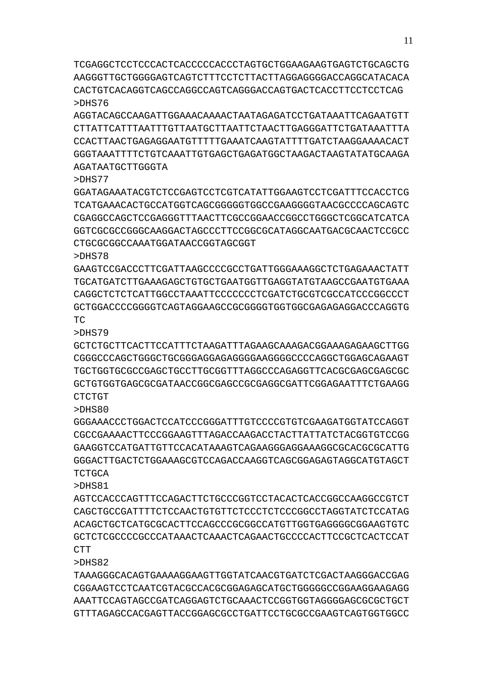TCGAGGCTCCTCCCACTCACCCCCACCCTAGTGCTGGAAGAAGTGAGTCTGCAGCTG AAGGGTTGCTGGGGAGTCAGTCTTTCCTCTTACTTAGGAGGGGACCAGGCATACACA CACTGTCACAGGTCAGCCAGGCCAGTCAGGGACCAGTGACTCACCTTCCTCCTCAG >DHS76

AGGTACAGCCAAGATTGGAAACAAAACTAATAGAGATCCTGATAAATTCAGAATGTT CTTATTCATTTAATTTGTTAATGCTTAATTCTAACTTGAGGGATTCTGATAAATTTA CCACTTAACTGAGAGGAATGTTTTTGAAATCAAGTATTTTGATCTAAGGAAAACACT GGGTAAATTTTCTGTCAAATTGTGAGCTGAGATGGCTAAGACTAAGTATATGCAAGA AGATAATGCTTGGGTA

## >DHS77

GGATAGAAATACGTCTCCGAGTCCTCGTCATATTGGAAGTCCTCGATTTCCACCTCG TCATGAAACACTGCCATGGTCAGCGGGGGTGGCCGAAGGGGTAACGCCCCAGCAGTC CGAGGCCAGCTCCGAGGGTTTAACTTCGCCGGAACCGGCCTGGGCTCGGCATCATCA GGTCGCGCCGGGCAAGGACTAGCCCTTCCGGCGCATAGGCAATGACGCAACTCCGCC CTGCGCGGCCAAATGGATAACCGGTAGCGGT

>DHS78

GAAGTCCGACCCTTCGATTAAGCCCCGCCTGATTGGGAAAGGCTCTGAGAAACTATT TGCATGATCTTGAAAGAGCTGTGCTGAATGGTTGAGGTATGTAAGCCGAATGTGAAA CAGGCTCTCTCATTGGCCTAAATTCCCCCCCTCGATCTGCGTCGCCATCCCGGCCCT GCTGGACCCCGGGGTCAGTAGGAAGCCGCGGGGTGGTGGCGAGAGAGGACCCAGGTG TC

## >DHS79

GCTCTGCTTCACTTCCATTTCTAAGATTTAGAAGCAAAGACGGAAAGAGAAGCTTGG CGGGCCCAGCTGGGCTGCGGGAGGAGAGGGGAAGGGGCCCCAGGCTGGAGCAGAAGT TGCTGGTGCGCCGAGCTGCCTTGCGGTTTAGGCCCAGAGGTTCACGCGAGCGAGCGC GCTGTGGTGAGCGCGATAACCGGCGAGCCGCGAGGCGATTCGGAGAATTTCTGAAGG CTCTGT

>DHS80

GGGAAACCCTGGACTCCATCCCGGGATTTGTCCCCGTGTCGAAGATGGTATCCAGGT CGCCGAAAACTTCCCGGAAGTTTAGACCAAGACCTACTTATTATCTACGGTGTCCGG GAAGGTCCATGATTGTTCCACATAAAGTCAGAAGGGAGGAAAGGCGCACGCGCATTG GGGACTTGACTCTGGAAAGCGTCCAGACCAAGGTCAGCGGAGAGTAGGCATGTAGCT TCTGCA

>DHS81

AGTCCACCCAGTTTCCAGACTTCTGCCCGGTCCTACACTCACCGGCCAAGGCCGTCT CAGCTGCCGATTTTCTCCAACTGTGTTCTCCCTCTCCCGGCCTAGGTATCTCCATAG ACAGCTGCTCATGCGCACTTCCAGCCCGCGGCCATGTTGGTGAGGGGCGGAAGTGTC GCTCTCGCCCCGCCCATAAACTCAAACTCAGAACTGCCCCACTTCCGCTCACTCCAT CTT

>DHS82

TAAAGGGCACAGTGAAAAGGAAGTTGGTATCAACGTGATCTCGACTAAGGGACCGAG CGGAAGTCCTCAATCGTACGCCACGCGGAGAGCATGCTGGGGGCCGGAAGGAAGAGG AAATTCCAGTAGCCGATCAGGAGTCTGCAAACTCCGGTGGTAGGGGAGCGCGCTGCT GTTTAGAGCCACGAGTTACCGGAGCGCCTGATTCCTGCGCCGAAGTCAGTGGTGGCC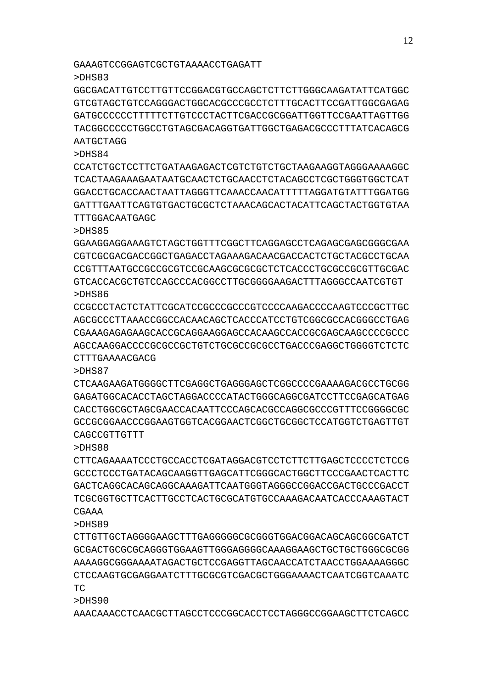AAACAAACCTCAACGCTTAGCCTCCCGGCACCTCCTAGGGCCGGAAGCTTCTCAGCC

>DHS90

>DHS89 CTTGTTGCTAGGGGAAGCTTTGAGGGGGCGCGGGTGGACGGACAGCAGCGGCGATCT GCGACTGCGCGCAGGGTGGAAGTTGGGAGGGGCAAAGGAAGCTGCTGCTGGGCGCGG AAAAGGCGGGAAAATAGACTGCTCCGAGGTTAGCAACCATCTAACCTGGAAAAGGGC CTCCAAGTGCGAGGAATCTTTGCGCGTCGACGCTGGGAAAACTCAATCGGTCAAATC TC

CTTCAGAAAATCCCTGCCACCTCGATAGGACGTCCTCTTCTTGAGCTCCCCTCTCCG GCCCTCCCTGATACAGCAAGGTTGAGCATTCGGGCACTGGCTTCCCGAACTCACTTC GACTCAGGCACAGCAGGCAAAGATTCAATGGGTAGGGCCGGACCGACTGCCCGACCT TCGCGGTGCTTCACTTGCCTCACTGCGCATGTGCCAAAGACAATCACCCAAAGTACT CGAAA

CAGCCGTTGTTT >DHS88

>DHS84

>DHS87 CTCAAGAAGATGGGGCTTCGAGGCTGAGGGAGCTCGGCCCCGAAAAGACGCCTGCGG GAGATGGCACACCTAGCTAGGACCCCATACTGGGCAGGCGATCCTTCCGAGCATGAG CACCTGGCGCTAGCGAACCACAATTCCCAGCACGCAGGCGCCCCCTTTTCCGGGGCGC GCCGCGGAACCCGGAAGTGGTCACGGAACTCGGCTGCGGCTCCATGGTCTGAGTTGT

>DHS86 CCGCCCTACTCTATTCGCATCCGCCCGCCCGTCCCCAAGACCCCAAGTCCCGCTTGC AGCGCCCTTAAACCGGCCACAACAGCTCACCCATCCTGTCGGCGCCACGGGCCTGAG CGAAAGAGAGAAGCACCGCAGGAAGGAGCCACAAGCCACCGCGAGCAAGCCCCGCCC AGCCAAGGACCCCGCGCCGCTGTCTGCGCCGCGCCTGACCCGAGGCTGGGGTCTCTC CTTTGAAAACGACG

>DHS85 GGAAGGAGGAAAGTCTAGCTGGTTTCGGCTTCAGGAGCCTCAGAGCGAGCGGGCGAA CGTCGCGACGACCGGCTGAGACCTAGAAAGACAACGACCACTCTGCTACGCCTGCAA CCGTTTAATGCCGCCGCGTCCGCAAGCGCGCGCTCTCACCCTGCGCCGCGTTGCGAC GTCACCACGCTGTCCAGCCCACGGCCTTGCGGGGAAGACTTTAGGGCCAATCGTGT

CCATCTGCTCCTTCTGATAAGAGACTCGTCTGTCTGCTAAGAAGGTAGGGAAAAGGC TCACTAAGAAAGAATAATGCAACTCTGCAACCTCTACAGCCTCGCTGGGTGGCTCAT GGACCTGCACCAACTAATTAGGGTTCAAACCAACATTTTTAGGATGTATTTGGATGG GATTTGAATTCAGTGTGACTGCGCTCTAAACAGCACTACATTCAGCTACTGGTGTAA TTTGGACAATGAGC

>DHS83 GGCGACATTGTCCTTGTTCCGGACGTGCCAGCTCTTCTTGGGCAAGATATTCATGGC GTCGTAGCTGTCCAGGGACTGGCACGCCCGCCTCTTTGCACTTCCGATTGGCGAGAG GATGCCCCCCTTTTTCTTGTCCCTACTTCGACCGCGGATTGGTTCCGAATTAGTTGG TACGGCCCCCTGGCCTGTAGCGACAGGTGATTGGCTGAGACGCCCTTTATCACAGCG **AATGCTAGG**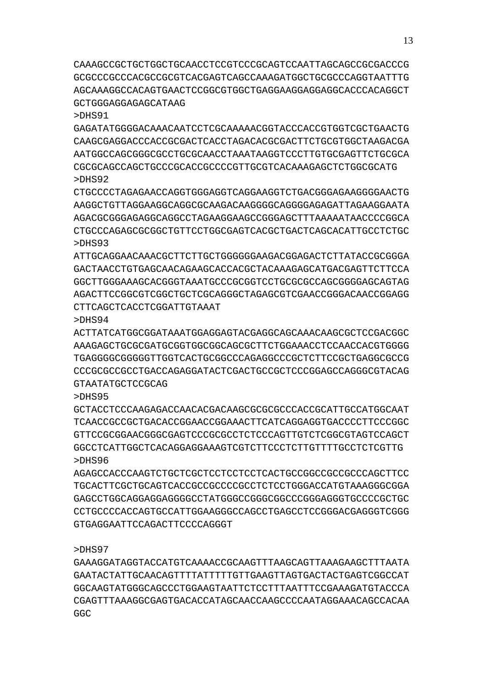CAAAGCCGCTGCTGGCTGCAACCTCCGTCCCGCAGTCCAATTAGCAGCCGCGACCCG GCGCCCGCCCACGCCGCGTCACGAGTCAGCCAAAGATGGCTGCGCCCAGGTAATTTG AGCAAAGGCCACAGTGAACTCCGGCGTGGCTGAGGAAGGAGGAGGCACCCACAGGCT GCTGGGAGGAGAGCATAAG

### >DHS91

GAGATATGGGGACAAACAATCCTCGCAAAAACGGTACCCACCGTGGTCGCTGAACTG CAAGCGAGGACCCACCGCGACTCACCTAGACACGCGACTTCTGCGTGGCTAAGACGA AATGGCCAGCGGGCGCCTGCGCAACCTAAATAAGGTCCCTTGTGCGAGTTCTGCGCA CGCGCAGCCAGCTGCCCGCACCGCCCCGTTGCGTCACAAAGAGCTCTGGCGCATG >DHS92

CTGCCCCTAGAGAACCAGGTGGGAGGTCAGGAAGGTCTGACGGGAGAAGGGGAACTG AAGGCTGTTAGGAAGGCAGGCGCAAGACAAGGGGCAGGGGAGAGATTAGAAGGAATA AGACGCGGGAGAGGCAGGCCTAGAAGGAAGCCGGGAGCTTTAAAAATAACCCCGGCA CTGCCCAGAGCGCGGCTGTTCCTGGCGAGTCACGCTGACTCAGCACATTGCCTCTGC >DHS93

ATTGCAGGAACAAACGCTTCTTGCTGGGGGGAAGACGGAGACTCTTATACCGCGGGA GACTAACCTGTGAGCAACAGAAGCACCACGCTACAAAGAGCATGACGAGTTCTTCCA GGCTTGGGAAAGCACGGGTAAATGCCCGCGGTCCTGCGCGCCAGCGGGGAGCAGTAG AGACTTCCGGCGTCGGCTGCTCGCAGGGCTAGAGCGTCGAACCGGGACAACCGGAGG CTTCAGCTCACCTCGGATTGTAAAT

>DHS94

ACTTATCATGGCGGATAAATGGAGGAGTACGAGGCAGCAAACAAGCGCTCCGACGGC AAAGAGCTGCGCGATGCGGTGGCGGCAGCGCTTCTGGAAACCTCCAACCACGTGGGG TGAGGGGCGGGGGTTGGTCACTGCGGCCCAGAGGCCCGCTCTTCCGCTGAGGCGCCG CCCGCGCCGCCTGACCAGAGGATACTCGACTGCCGCTCCCGGAGCCAGGGCGTACAG GTAATATGCTCCGCAG

## >DHS95

GCTACCTCCCAAGAGACCAACACGACAAGCGCGCGCCCACCGCATTGCCATGGCAAT TCAACCGCCGCTGACACCGGAACCGGAAACTTCATCAGGAGGTGACCCCTTCCCGGC GTTCCGCGGAACGGGCGAGTCCCGCGCCTCTCCCAGTTGTCTCGGCGTAGTCCAGCT GGCCTCATTGGCTCACAGGAGGAAAGTCGTCTTCCCTCTTGTTTTGCCTCTCGTTG >DHS96

AGAGCCACCCAAGTCTGCTCGCTCCTCCTCCTCACTGCCGGCCGCCGCCCAGCTTCC TGCACTTCGCTGCAGTCACCGCCGCCCCGCCTCTCCTGGGACCATGTAAAGGGCGGA GAGCCTGGCAGGAGGAGGGGCCTATGGGCCGGGCGGCCCGGGAGGGTGCCCCGCTGC CCTGCCCCACCAGTGCCATTGGAAGGGCCAGCCTGAGCCTCCGGGACGAGGGTCGGG GTGAGGAATTCCAGACTTCCCCAGGGT

>DHS97

GAAAGGATAGGTACCATGTCAAAACCGCAAGTTTAAGCAGTTAAAGAAGCTTTAATA GAATACTATTGCAACAGTTTTATTTTTGTTGAAGTTAGTGACTACTGAGTCGGCCAT GGCAAGTATGGGCAGCCCTGGAAGTAATTCTCCTTTAATTTCCGAAAGATGTACCCA CGAGTTTAAAGGCGAGTGACACCATAGCAACCAAGCCCCAATAGGAAACAGCCACAA GGC<sub>.</sub>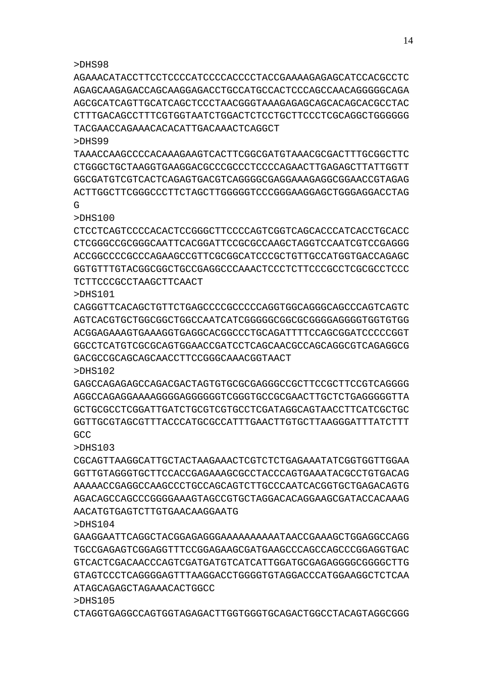## >DHS98

AGAAACATACCTTCCTCCCCATCCCCACCCCTACCGAAAAGAGAGCATCCACGCCTC AGAGCAAGAGACCAGCAAGGAGACCTGCCATGCCACTCCCAGCCAACAGGGGGCAGA AGCGCATCAGTTGCATCAGCTCCCTAACGGGTAAAGAGAGCAGCACAGCACGCCTAC CTTTGACAGCCTTTCGTGGTAATCTGGACTCTCCTGCTTCCCTCGCAGGCTGGGGGG TACGAACCAGAAACACACATTGACAAACTCAGGCT

#### >DHS99

TAAACCAAGCCCCACAAAGAAGTCACTTCGGCGATGTAAACGCGACTTTGCGGCTTC CTGGGCTGCTAAGGTGAAGGACGCCCGCCCTCCCCAGAACTTGAGAGCTTATTGGTT GGCGATGTCGTCACTCAGAGTGACGTCAGGGGCGAGGAAAGAGGCGGAACCGTAGAG ACTTGGCTTCGGGCCCTTCTAGCTTGGGGGTCCCGGGAAGGAGCTGGGAGGACCTAG  $\mathsf{G}$ 

>DHS100

CTCCTCAGTCCCCACACTCCGGGCTTCCCCAGTCGGTCAGCACCCATCACCTGCACC CTCGGGCCGCGGGCAATTCACGGATTCCGCGCCAAGCTAGGTCCAATCGTCCGAGGG ACCGGCCCCGCCCAGAAGCCGTTCGCGGCATCCCGCTGTTGCCATGGTGACCAGAGC GGTGTTTGTACGGCGGCTGCCGAGGCCCAAACTCCCTCTTCCCGCCTCGCGCCTCCC TCTTCCCGCCTAAGCTTCAACT

>DHS101

CAGGGTTCACAGCTGTTCTGAGCCCCGCCCCCAGGTGGCAGGGCAGCCCAGTCAGTC AGTCACGTGCTGGCGGCTGGCCAATCATCGGGGGCGGCGCGGGGAGGGGTGGTGTGG ACGGAGAAAGTGAAAGGTGAGGCACGGCCCTGCAGATTTTCCAGCGGATCCCCCGGT GGCCTCATGTCGCGCAGTGGAACCGATCCTCAGCAACGCCAGCAGGCGTCAGAGGCG GACGCCGCAGCAGCAACCTTCCGGGCAAACGGTAACT

>DHS102

GAGCCAGAGAGCCAGACGACTAGTGTGCGCGAGGGCCGCTTCCGCTTCCGTCAGGGG AGGCCAGAGGAAAAGGGGAGGGGGGTCGGGTGCCGCGAACTTGCTCTGAGGGGGTTA GCTGCGCCTCGGATTGATCTGCGTCGTGCCTCGATAGGAAGTAACTATCATCGTTGATCG GGTTGCGTAGCGTTTACCCATGCGCCATTTGAACTTGTGCTTAAGGGATTTATCTTT GCC

>DHS103

CGCAGTTAAGGCATTGCTACTAAGAAACTCGTCTCTGAGAAATATCGGTGGTTGGAA GGTTGTAGGGTGCTTCCACCGAGAAAGCGCCTACCCAGTGAAATACGCCTGTGACAG AAAAACCGAGGCCAAGCCCTGCCAGCAGTCTTGCCCAATCACGGTGCTGAGACAGTG AGACAGCCAGCCCGGGGAAAGTAGCCGTGCTAGGACACAGGAAGCGATACCACAAAG AACATGTGAGTCTTGTGAACAAGGAATG

>DHS104

GAAGGAATTCAGGCTACGGAGAGGGAAAAAAAAAATAACCGAAAGCTGGAGGCCAGG TGCCGAGAGTCGGAGGTTTCCGGAGAAGCGATGAAGCCCAGCCAGCCCGGAGGTGAC GTCACTCGACAACCCAGTCGATGATGTCATCATTGGATGCGAGAGGGGCGGGGCTTG GTAGTCCCTCAGGGGAGTTTAAGGACCTGGGGTGTAGGACCCATGGAAGGCTCTCAA ATAGCAGAGCTAGAAACACTGGCC

>DHS105

CTAGGTGAGGCCAGTGGTAGAGACTTGGTGGGTGCAGACTGGCCTACAGTAGGCGGG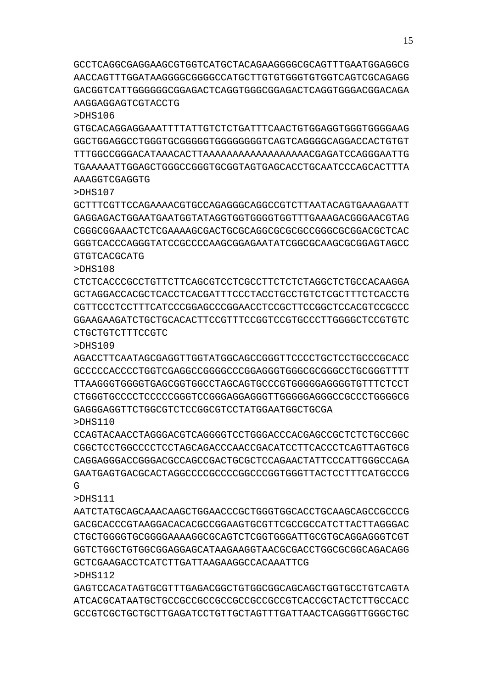GCCTCAGGCGAGGAAGCGTGGTCATGCTACAGAAGGGGCGCAGTTTGAATGGAGGCG AACCAGTTTGGATAAGGGGCGGGGCCATGCTTGTGTGGGTGTGGTCAGTCGCAGAGG GACGGTCATTGGGGGGCGGAGACTCAGGTGGGCGGAGACTCAGGTGGGACGGACAGA AAGGAGGAGTCGTACCTG

>DHS106

GTGCACAGGAGGAAATTTTATTGTCTCTGATTTCAACTGTGGAGGTGGGTGGGGAAG GGCTGGAGGCCTGGGTGCGGGGGTGGGGGGGGTCAGTCAGGGGCAGGACCACTGTGT TTTGGCCGGGACATAAACACTTAAAAAAAAAAAAAAAAAACGAGATCCAGGGAATTG TGAAAAATTGGAGCTGGGCCGGGTGCGGTAGTGAGCACCTGCAATCCCAGCACTTTA AAAGGTCGAGGTG

>DHS107

GCTTTCGTTCCAGAAAACGTGCCAGAGGGCAGGCCGTCTTAATACAGTGAAAGAATT GAGGAGACTGGAATGAATGGTATAGGTGGTGGGGTGGTTTGAAAGACGGGAACGTAG CGGGCGGAAACTCTCGAAAAGCGACTGCGCAGGCGCGCGCCGGGCGCGGACGCTCAC GGGTCACCCAGGGTATCCGCCCCAAGCGGAGAATATCGGCGCAAGCGCGGAGTAGCC GTGTCACGCATG

>DHS108

CTCTCACCCGCCTGTTCTTCAGCGTCCTCGCCTTCTCTCTAGGCTCTGCCACAAGGA GCTAGGACCACGCTCACCTCACGATTTCCCTACCTGCCTGTCTCGCTTTCTCACCTG CGTTCCCTCCTTTCATCCCGGAGCCCGGAACCTCCGCTTCCGGCTCCACGTCCGCCC GGAAGAAGATCTGCTGCACACTTCCGTTTCCGGTCCGTGCCCTTGGGGCTCCGTGTC CTGCTGTCTTTCCGTC

>DHS109

AGACCTTCAATAGCGAGGTTGGTATGGCAGCCGGGTTCCCCTGCTCCTGCCCGCACC GCCCCCACCCCTGGTCGAGGCCGGGGCCCGGAGGGTGGGCGCGGGCCTGCGGGTTTT TTAAGGGTGGGGTGAGCGGTGGCCTAGCAGTGCCCGTGGGGGAGGGGTGTTTCTCCT CTGGGTGCCCCTCCCCCGGGTCCGGGAGGAGGGTTGGGGGAGGGCCGCCCTGGGGCG GAGGGAGGTTCTGGCGTCTCCGGCGTCCTATGGAATGGTCCGA

>DHS110

CCAGTACAACCTAGGGACGTCAGGGGTCCTGGGACCCACGAGCCGCTCTCTGCCGGC CGGCTCCTGGCCCCTCCTAGCAGACCCAACCGACATCCTTCACCCTCAGTTAGTGCG CAGGAGGGACCGGGACGCCAGCCGACTGCGCTCCAGAACTATTCCCATTGGGCCAGA GAATGAGTGACGCACTAGGCCCCGCCCCGGCCCGGTGGGTTACTCCTTTCATGCCCG G

>DHS111

AATCTATGCAGCAAACAAGCTGGAACCCGCTGGGTGGCACCTGCAAGCAGCCGCCCG GACGCACCCGTAAGGACACACGCCGGAAGTGCGTTCGCCGCCATCTTACTTAGGGAC CTGCTGGGGTGCGGGGAAAAGGCGCAGTCTCGGTGGGATTGCGTGCAGGAGGGTCGT GGTCTGGCTGTGGCGGAGGAGCATAAGAAGGTAACGCGACCTGGCGCGGCAGACAGG GCTCGAAGACCTCATCTTGATTAAGAAGGCCACAAATTCG >DHS112

GAGTCCACATAGTGCGTTTGAGACGGCTGTGGCGGCAGCAGCTGGTGCCTGTCAGTA ATCACGCATAATGCTGCCGCCGCCGCCGCCGCCGCCGTCACCGCTACTCTTGCCACC GCCGTCGCTGCTGCTTGAGATCCTGTTGCTAGTTTGATTAACTCAGGGTTGGGCTGC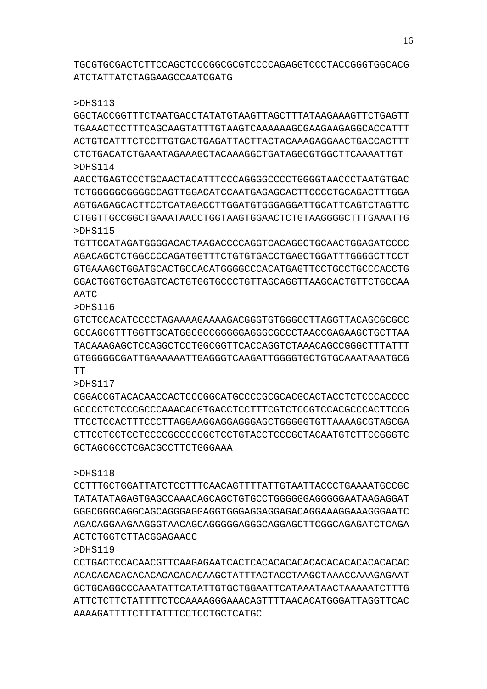TGCGTGCGACTCTTCCAGCTCCCGGCGCGTCCCCAGAGGTCCCTACCGGGTGGCACG ATCTATTATCTAGGAAGCCAATCGATG

>DHS113

GGCTACCGGTTTCTAATGACCTATATGTAAGTTAGCTTTATAAGAAAGTTCTGAGTT TGAAACTCCTTTCAGCAAGTATTTGTAAGTCAAAAAAGCGAAGAAGAGGCACCATTT ACTGTCATTTCTCCTTGTGACTGAGATTACTTACTACAAAGAGGAACTGACCACTTT CTCTGACATCTGAAATAGAAAGCTACAAAGGCTGATAGGCGTGGCTTCAAAATTGT >DHS114

AACCTGAGTCCCTGCAACTACATTTCCCAGGGGCCCCTGGGGTAACCCTAATGTGAC TCTGGGGGCGGGGCCAGTTGGACATCCAATGAGAGCACTTCCCCTGCAGACTTTGGA AGTGAGAGCACTTCCTCATAGACCTTGGATGTGGGAGGATTGCATTCAGTCTAGTTC CTGGTTGCCGGCTGAAATAACCTGGTAAGTGGAACTCTGTAAGGGGCTTTGAAATTG >DHS115

TGTTCCATAGATGGGGACACTAAGACCCCAGGTCACAGGCTGCAACTGGAGATCCCC AGACAGCTCTGGCCCCAGATGGTTTCTGTGTGACCTGAGCTGGATTTGGGGCTTCCT GTGAAAGCTGGATGCACTGCCACATGGGGCCCACATGAGTTCCTGCCTGCCCACCTG GGACTGGTGCTGAGTCACTGTGGTGCCCTGTTAGCAGGTTAAGCACTGTTCTGCCAA AATC

>DHS116

GTCTCCACATCCCCTAGAAAAGAAAAGACGGGTGTGGGCCTTAGGTTACAGCGCGCC GCCAGCGTTTGGTTGCATGGCGCCGGGGGAGGGCGCCCTAACCGAGAAGCTGCTTAA TACAAAGAGCTCCAGGCTCCTGGCGGTTCACCAGGTCTAAACAGCCGGGCTTTATTT GTGGGGGCGATTGAAAAAATTGAGGGTCAAGATTGGGGTGCTGTGCAAATAAATGCG TT

>DHS117

CGGACCGTACACAACCACTCCCGGCATGCCCCGCGCACGCACTACCTCTCCCACCCC GCCCCTCTCCCGCCCAAACACGTGACCTCCTTTCGTCTCCGTCCACGCCCACTTCCG TTCCTCCACTTTCCCTTAGGAAGGAGGAGGGAGCTGGGGGTGTTAAAAGCGTAGCGA CTTCCTCCTCCTCCCCGCCCCCGCTCCTGTACCTCCCGCTACAATGTCTTCCGGGTC GCTAGCGCCTCGACGCCTTCTGGGAAA

## >DHS118

CCTTTGCTGGATTATCTCCTTTCAACAGTTTTATTGTAATTACCCTGAAAATGCCGC TATATATAGAGTGAGCCAAACAGCAGCTGTGCCTGGGGGGAGGGGGAATAAGAGGAT GGGCGGGCAGGCAGCAGGGAGGAGGTGGGAGGAGGAGACAGGAAAGGAAAGGGAATC AGACAGGAAGAAGGGTAACAGCAGGGGGAGGGCAGGAGCTTCGGCAGAGATCTCAGA ACTCTGGTCTTACGGAGAACC

>DHS119

CCTGACTCCACAACGTTCAAGAGAATCACTCACACACACACACACACACACACACAC ACACACACACACACACACACACAAGCTATTTACTACCTAAGCTAAACCAAAGAGAAT GCTGCAGGCCCAAATATTCATATTGTGCTGGAATTCATAAATAACTAAAAATCTTTG ATTCTCTTCTATTTTCTCCAAAAGGGAAACAGTTTTAACACATGGGATTAGGTTCAC AAAAGATTTTCTTTATTTCCTCCTGCTCATGC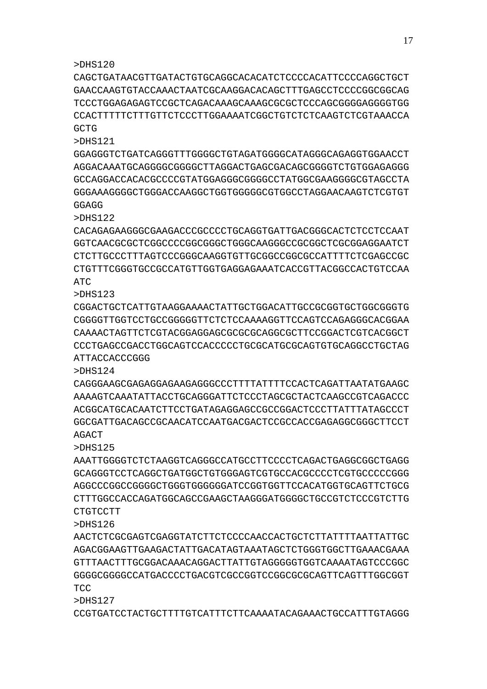### >DHS120

CAGCTGATAACGTTGATACTGTGCAGGCACACATCTCCCCACATTCCCCAGGCTGCT GAACCAAGTGTACCAAACTAATCGCAAGGACACAGCTTTGAGCCTCCCCGGCGGCAG TCCCTGGAGAGAGTCCGCTCAGACAAAGCAAAGCGCGCTCCCAGCGGGGAGGGGTGG CCACTTTTTCTTTGTTCTCCCTTGGAAAATCGGCTGTCTCTCAAGTCTCGTAAACCA GCTG

>DHS121

GGAGGGTCTGATCAGGGTTTGGGGCTGTAGATGGGGCATAGGGCAGAGGTGGAACCT AGGACAAATGCAGGGGCGGGGCTTAGGACTGAGCGACAGCGGGGTCTGTGGAGAGGG GCCAGGACCACACGCCCCGTATGGAGGGCGGGGCCTATGGCGAAGGGGCGTAGCCTA GGGAAAGGGGCTGGGACCAAGGCTGGTGGGGGCGTGGCCTAGGAACAAGTCTCGTGT GGAGG

>DHS122

CACAGAGAAGGGCGAAGACCCGCCCCTGCAGGTGATTGACGGGCACTCTCCTCCAAT GGTCAACGCGCTCGGCCCCGGCGGGCTGGGCAAGGGCCGCGGCTCGCGGAGGAATCT CTCTTGCCCTTTAGTCCCGGGCAAGGTGTTGCGGCCGGCGCCATTTTCTCGAGCCGC CTGTTTCGGGTGCCGCCATGTTGGTGAGGAGAAATCACCGTTACGGCCACTGTCCAA ATC

>DHS123

CGGACTGCTCATTGTAAGGAAAACTATTGCTGGACATTGCCGCGGTGCTGGCGGGTG CGGGGTTGGTCCTGCCGGGGGTTCTCTCCAAAAGGTTCCAGTCCAGAGGGCACGGAA CAAAACTAGTTCTCGTACGGAGGAGCGCGCGCAGGCGCTTCCGGACTCGTCACGGCT CCCTGAGCCGACCTGGCAGTCCACCCCCTGCGCATGCGCAGTGTGCAGGCCTGCTAG ATTACCACCCGGG

>DHS124

CAGGGAAGCGAGAGGAGAAGAGGGCCCTTTTATTTTCCACTCAGATTAATATGAAGC AAAAGTCAAATATTACCTGCAGGGATTCTCCCTAGCGCTACTCAAGCCGTCAGACCC ACGGCATGCACAATCTTCCTGATAGAGGAGCCGCCGGACTCCCTTATTTATAGCCCT GGCGATTGACAGCCGCAACATCCAATGACGACTCCGCCACCGAGAGGCGGGCTTCCT AGACT

>DHS125

AAATTGGGGTCTCTAAGGTCAGGGCCATGCCTTCCCCTCAGACTGAGGCGGCTGAGG GCAGGGTCCTCAGGCTGATGGCTGTGGGAGTCGTGCCACGCCCCTCGTGCCCCCGGG AGGCCCGGCCGGGGCTGGGTGGGGGGATCCGGTGGTTCCACATGGTGCAGTTCTGCG CTTTGGCCACCAGATGGCAGCCGAAGCTAAGGGATGGGGCTGCCGTCTCCCGTCTTG CTGTCCTT

>DHS126

AACTCTCGCGAGTCGAGGTATCTTCTCCCCAACCACTGCTCTTATTTTAATTATTGC AGACGGAAGTTGAAGACTATTGACATAGTAAATAGCTCTGGGTGGCTTGAAACGAAA GTTTAACTTTGCGGACAAACAGGACTTATTGTAGGGGGTGGTCAAAATAGTCCCGGC GGGGCGGGGCCATGACCCCTGACGTCGCCGGTCCGGCGCGCAGTTCAGTTTGGCGGT T<sub>CC</sub>

>DHS127

CCGTGATCCTACTGCTTTTGTCATTTCTTCAAAATACAGAAACTGCCATTTGTAGGG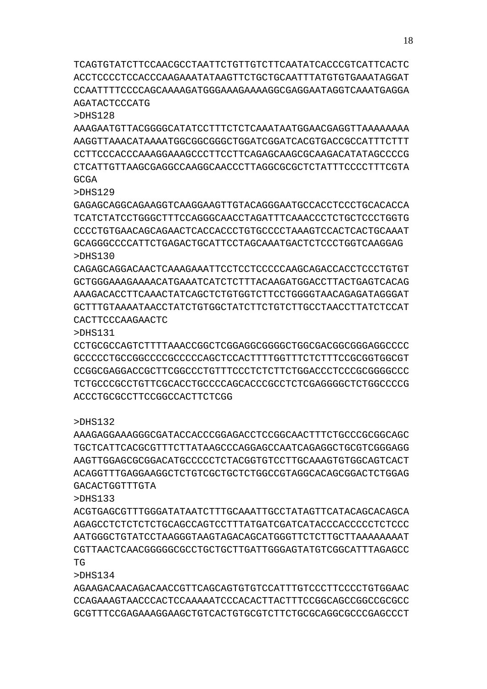TCAGTGTATCTTCCAACGCCTAATTCTGTTGTCTTCAATATCACCCGTCATTCACTC ACCTCCCCTCCACCCAAGAAATATAAGTTCTGCTGCAATTTATGTGTGAAATAGGAT CCAATTTTCCCCAGCAAAAGATGGGAAAGAAAAGGCGAGGAATAGGTCAAATGAGGA AGATACTCCCATG

>DHS128

AAAGAATGTTACGGGGCATATCCTTTCTCTCAAATAATGGAACGAGGTTAAAAAAAA AAGGTTAAACATAAAATGGCGGCGGGCTGGATCGGATCACGTGACCGCCATTTCTTT CCTTCCCACCCAAAGGAAAGCCCTTCCTTCAGAGCAAGCGCAAGACATATAGCCCCG CTCATTGTTAAGCGAGGCCAAGGCAACCCTTAGGCGCGCTCTATTTCCCCTTTCGTA GCGA

>DHS129

GAGAGCAGGCAGAAGGTCAAGGAAGTTGTACAGGGAATGCCACCTCCCTGCACACCA TCATCTATCCTGGGCTTTCCAGGGCAACCTAGATTTCAAACCCTCTGCTCCCTGGTG CCCCTGTGAACAGCAGAACTCACCACCCTGTGCCCCTAAAGTCCACTCACTGCAAAT GCAGGGCCCCATTCTGAGACTGCATTCCTAGCAAATGACTCTCCCTGGTCAAGGAG >DHS130

CAGAGCAGGACAACTCAAAGAAATTCCTCCTCCCCCAAGCAGACCACCTCCCTGTGT GCTGGGAAAGAAAACATGAAATCATCTCTTTACAAGATGGACCTTACTGAGTCACAG AAAGACACCTTCAAACTATCAGCTCTGTGGTCTTCCTGGGGTAACAGAGATAGGGAT GCTTTGTAAAATAACCTATCTGTGGCTATCTTCTGTCTTGCCTAACCTTATCTCCAT CACTTCCCAAGAACTC

>DHS131

CCTGCGCCAGTCTTTTAAACCGGCTCGGAGGCGGGGCTGGCGACGGCGGGAGGCCCC GCCCCCTGCCGGCCCCGCCCCCAGCTCCACTTTTGGTTTCTCTTTCCGCGGTGGCGT CCGGCGAGGACCGCTTCGGCCCTGTTTCCCTCTCTTCTGGACCCTCCCGCGGGGCCC TCTGCCCGCCTGTTCGCACCTGCCCCAGCACCCGCCTCTCGAGGGGCTCTGGCCCCG ACCCTGCGCCTTCCGGCCACTTCTCGG

>DHS132

AAAGAGGAAAGGGCGATACCACCCGGAGACCTCCGGCAACTTTCTGCCCGCGGCAGC TGCTCATTCACGCGTTTCTTATAAGCCCAGGAGCCAATCAGAGGCTGCGTCGGGAGG AAGTTGGAGCGCGGACATGCCCCCTCTACGGTGTCCTTGCAAAGTGTGGCAGTCACT ACAGGTTTGAGGAAGGCTCTGTCGCTGCTCTGGCCGTAGGCACAGCGGACTCTGGAG GACACTGGTTTGTA

>DHS133

ACGTGAGCGTTTGGGATATAATCTTTGCAAATTGCCTATAGTTCATACAGCACAGCA AGAGCCTCTCTCTCTGCAGCCAGTCCTTTATGATCGATCATACCCACCCCCTCTCCC AATGGGCTGTATCCTAAGGGTAAGTAGACAGCATGGGTTCTCTTGCTTAAAAAAAAT CGTTAACTCAACGGGGGCGCCTGCTGCTTGATTGGGAGTATGTCGGCATTTAGAGCC TG

>DHS134

AGAAGACAACAGACAACCGTTCAGCAGTGTGTCCATTTGTCCCTTCCCCTGTGGAAC CCAGAAAGTAACCCACTCCAAAAATCCCACACTTACTTTCCGGCAGCCGGCCGCGCC GCGTTTCCGAGAAAGGAAGCTGTCACTGTGCGTCTTCTGCGCAGGCGCCCGAGCCCT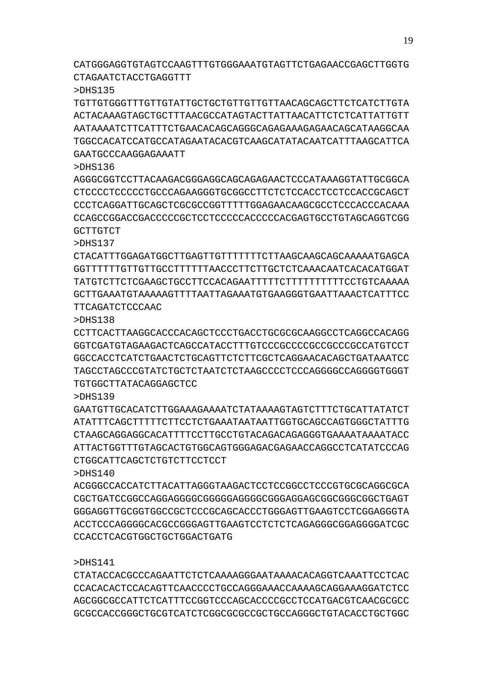CTATACCACGCCCAGAATTCTCTCAAAAGGGAATAAAACACAGGTCAAATTCCTCAC CCACACACTCCACAGTTCAACCCCTGCCAGGGAAACCAAAAGCAGGAAAGGATCTCC AGCGGCGCCATTCTCATTTCCGGTCCCAGCACCCCGCCTCCATGACGTCAACGCGCC GCGCCACCGGGCTGCGTCATCTCGGCGCGCCGCTGCCAGGGCTGTACACCTGCTGGC

CCACCTCACGTGGCTGCTGGACTGATG

>DHS141

**GCTTGTCT** 

 $5DH<sub>140</sub>$ ACGGGCCACCATCTTACATTAGGGTAAGACTCCTCCGGCCTCCCGTGCGCAGGCGCA CGCTGATCCGGCCAGGAGGGGCGGGGGAGGGGCGGGAGGAGCGGCGGGCGGCTGAGT GGGAGGTTGCGGTGGCCGCTCCCGCAGCACCCTGGGAGTTGAAGTCCTCGGAGGGTA ACCTCCCAGGGGCACGCCGGGAGTTGAAGTCCTCTCTCAGAGGGCGGAGGGGATCGC

>DHS139 GAATGTTGCACATCTTGGAAAGAAAATCTATAAAAAGTAGTCTTTTCTGCATTATATCT ATATTTCAGCTTTTTCTTCCTCTGAAATAATAATTGGTGCAGCCAGTGGGCTATTTG CTAAGCAGGAGGCACATTTTCCTTGCCTGTACAGACAGAGGGTGAAAATAAAATACC ATTACTGGTTTGTAGCACTGTGGCAGTGGGAGACGAGAACCAGGCCTCATATCCCAG CTGGCATTCAGCTCTGTCTTCCTCCT

>DHS138 CCTTCACTTAAGGCACCCACAGCTCCCTGACCTGCGCGCAAGGCCTCAGGCCACAGG GGTCGATGTAGAAGACTCAGCCATACCTTTGTCCCGCCCCGCCGCCCGCCATGTCCT GGCCACCTCATCTGAACTCTGCAGTTCTCTTCGCTCAGGAACACAGCTGATAAATCC TAGCCTAGCCCGTATCTGCTCTAATCTCTAAGCCCCTCCCAGGGGCCAGGGGTGGGT TGTGGCTTATACAGGAGCTCC

>DHS137 CTACATTTGGAGATGGCTTGAGTTGTTTTTTTCTTAAGCAAGCAGCAAAAATGAGCA GGTTTTTTGTTGTTGCCTTTTTTAACCCTTCTTGCTCTCAAACAATCACACATGGAT TATGTCTTCTCGAAGCTGCCTTCCACAGAATTTTTCTTTTTTTTTTCCTGTCAAAAA GCTTGAAATGTAAAAAGTTTTAATTAGAAATGTGAAGGGTGAATTAAACTCATTTCC TTCAGATCTCCCAAC

>DHS136 AGGGCGGTCCTTACAAGACGGGAGGCAGCAGAGAACTCCCATAAAGGTATTGCGGCA CTCCCCTCCCCCTGCCCAGAAGGGTGCGGCCTTCTCTCCACCTCCTCCACCGCAGCT CCCTCAGGATTGCAGCTCGCGCCGGTTTTTGGAGAACAAGCGCCTCCCACCCACAAA CCAGCCGGACCGACCCCCGCTCCTCCCCCACCCCCACGAGTGCCTGTAGCAGGTCGG

>DHS135 TGTTGTGGGTTTGTTGTATTGCTGCTGTTGTTGTTAACAGCAGCTTCTCATCTTGTA ACTACAAAGTAGCTGCTTTAACGCCATAGTACTTATTAACATTCTCTCATTATTGTT AATAAAATCTTCATTTCTGAACACAGCAGGGCAGAGAAAGAGAACAGCATAAGGCAA TGGCCACATCCATGCCATAGAATACACGTCAAGCATATACAATCATTTAAGCATTCA GAATGCCCAAGGAGAAATT

CATGGGAGGTGTAGTCCAAGTTTGTGGGAAATGTAGTTCTGAGAACCGAGCTTGGTG CTAGAATCTACCTGAGGTTT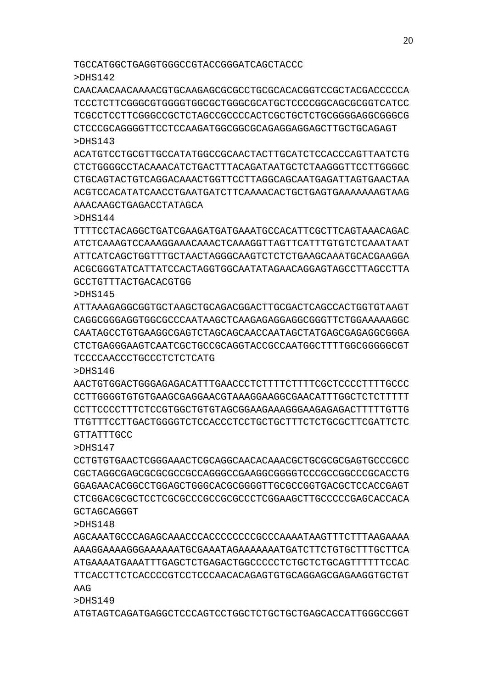TGCCATGGCTGAGGTGGGCCGTACCGGGATCAGCTACCC

>DHS142

CAACAACAACAAAACGTGCAAGAGCGCGCCTGCGCACACGGTCCGCTACGACCCCCA TCCCTCTTCGGGCGTGGGGTGGCGCTGGGCGCATGCTCCCCGGCAGCGCGGTCATCC TCGCCTCCTTCGGGCCGCTCTAGCCGCCCCACTCGCTGCTCTGCGGGGAGGCGGGCG CTCCCGCAGGGGTTCCTCCAAGATGGCGGCGCAGAGGAGGAGCTTGCTGCAGAGT >DHS143

ACATGTCCTGCGTTGCCATATGGCCGCAACTACTTGCATCTCCACCCAGTTAATCTG CTCTGGGGCCTACAAACATCTGACTTTACAGATAATGCTCTAAGGGTTCCTTGGGGC CTGCAGTACTGTCAGGACAAACTGGTTCCTTAGGCAGCAATGAGATTAGTGAACTAA ACGTCCACATATCAACCTGAATGATCTTCAAAACACTGCTGAGTGAAAAAAAGTAAG AAACAAGCTGAGACCTATAGCA

>DHS144

TTTTCCTACAGGCTGATCGAAGATGATGAAATGCCACATTCGCTTCAGTAAACAGAC ATCTCAAAGTCCAAAGGAAACAAACTCAAAGGTTAGTTCATTTGTGTCTCAAATAAT ATTCATCAGCTGGTTTGCTAACTAGGGCAAGTCTCTCTGAAGCAAATGCACGAAGGA ACGCGGGTATCATTATCCACTAGGTGGCAATATAGAACAGGAGTAGCCTTAGCCTTA GCCTGTTTACTGACACGTGG

>DHS145

ATTAAAGAGGCGGTGCTAAGCTGCAGACGGACTTGCGACTCAGCCACTGGTGTAAGT CAGGCGGGAGGTGGCGCCCAATAAGCTCAAGAGAGGAGGCGGGTTCTGGAAAAAGGC CAATAGCCTGTGAAGGCGAGTCTAGCAGCAACCAATAGCTATGAGCGAGAGGCGGGA CTCTGAGGGAAGTCAATCGCTGCCGCAGGTACCGCCAATGGCTTTTGGCGGGGGCGT TCCCCAACCCTGCCCTCTCTCATG

>DHS146

AACTGTGGACTGGGAGAGACATTTGAACCCTCTTTTCTTTTCGCTCCCCTTTTGCCC CCTTGGGGTGTGTGAAGCGAGGAACGTAAAGGAAGGCGAACATTTGGCTCTCTTTTT CCTTCCCCTTTCTCCGTGGCTGTGTAGCGGAAGAAAGGGAAGAGAGACTTTTTGTTG TTGTTTCCTTGACTGGGGTCTCCACCCTCCTGCTGCTTTCTCTGCGCTTCGATTCTC GTTATTTGCC

>DHS147

CCTGTGTGAACTCGGGAAACTCGCAGGCAACACAAACGCTGCGCGCGAGTGCCCGCC CGCTAGGCGAGCGCGCGCCGCCAGGGCCGAAGGCGGGGTCCCGCCGGCCCGCACCTG GGAGAACACGGCCTGGAGCTGGGCACGCGGGGTTGCGCCGGTGACGCTCCACCGAGT CTCGGACGCGCTCCTCGCGCCCGCCGCGCCCTCGGAAGCTTGCCCCCGAGCACCACA GCTAGCAGGGT

>DHS148

AGCAAATGCCCAGAGCAAACCCACCCCCCCCGCCCAAAATAAGTTTCTTTAAGAAAA AAAGGAAAAGGGAAAAAATGCGAAATAGAAAAAAATGATCTTCTGTGCTTTGCTTCA ATGAAAATGAAATTTGAGCTCTGAGACTGGCCCCCTCTGCTCTGCAGTTTTTTCCAC TTCACCTTCTCACCCCGTCCTCCCAACACAGAGTGTGCAGGAGCGAGAAGGTGCTGT AAG

>DHS149

ATGTAGTCAGATGAGGCTCCCAGTCCTGGCTCTGCTGCTGAGCACCATTGGGCCGGT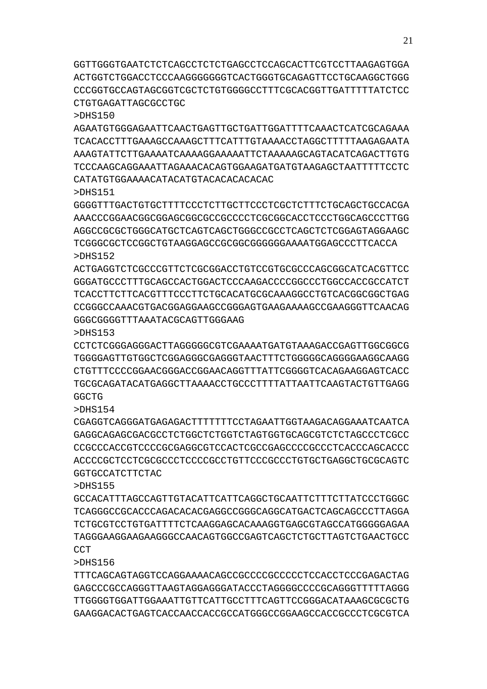GGTTGGGTGAATCTCTCAGCCTCTCTGAGCCTCCAGCACTTCGTCCTTAAGAGTGGA ACTGGTCTGGACCTCCCAAGGGGGGGTCACTGGGTGCAGAGTTCCTGCAAGGCTGGG CCCGGTGCCAGTAGCGGTCGCTCTGTGGGGCCTTTCGCACGGTTGATTTTTATCTCC CTGTGAGATTAGCGCCTGC

>DHS150

AGAATGTGGGAGAATTCAACTGAGTTGCTGATTGGATTTTCAAACTCATCGCAGAAA TCACACCTTTGAAAGCCAAAGCTTTCATTTGTAAAACCTAGGCTTTTTAAGAGAATA AAAGTATTCTTGAAAATCAAAAGGAAAAATTCTAAAAAGCAGTACATCAGACTTGTG TCCCAAGCAGGAAATTAGAAACACAGTGGAAGATGATGTAAGAGCTAATTTTTCCTC CATATGTGGAAAACATACATGTACACACACACAC

>DHS151

GGGGTTTGACTGTGCTTTTCCCTCTTGCTTCCCTCGCTCTTTCTGCAGCTGCCACGA AAACCCGGAACGGCGGAGCGGCGCCGCCCCTCGCGGCACCTCCCTGGCAGCCCTTGG AGGCCGCGCTGGGCATGCTCAGTCAGCTGGGCCGCCTCAGCTCTCGGAGTAGGAAGC TCGGGCGCTCCGGCTGTAAGGAGCCGCGGCGGGGGGAAAATGGAGCCCTTCACCA >DHS152

ACTGAGGTCTCGCCCGTTCTCGCGGACCTGTCCGTGCGCCCAGCGGCATCACGTTCC GGGATGCCCTTTGCAGCCACTGGACTCCCAAGACCCCGGCCCTGGCCACCGCCATCT TCACCTTCTTCACGTTTCCCTTCTGCACATGCGCAAAGGCCTGTCACGGCGGCTGAG CCGGGCCAAACGTGACGGAGGAAGCCGGGAGTGAAGAAAAGCCGAAGGGTTCAACAG GGGCGGGGTTTAAATACGCAGTTGGGAAG

>DHS153

CCTCTCGGGAGGGACTTAGGGGGCGTCGAAAATGATGTAAAGACCGAGTTGGCGGCG TGGGGAGTTGTGGCTCGGAGGGCGAGGGTAACTTTCTGGGGGCAGGGGAAGGCAAGG CTGTTTCCCCGGAACGGGACCGGAACAGGTTTATTCGGGGTCACAGAAGGAGTCACC TGCGCAGATACATGAGGCTTAAAACCTGCCCTTTTATTAATTCAAGTACTGTTGAGG GGCTG

>DHS154

CGAGGTCAGGGATGAGAGACTTTTTTTCCTAGAATTGGTAAGACAGGAAATCAATCA GAGGCAGAGCGACGCCTCTGGCTCTGGTCTAGTGGTGCAGCGTCTCTAGCCCTCGCC CCGCCCACCGTCCCCGCGAGGCGTCCACTCGCCGAGCCCCGCCCTCACCCAGCACCC ACCCCGCTCCTCGCGCCCTCCCCGCCTGTTCCCGCCCTGTGCTGAGGCTGCGCAGTC GGTGCCATCTTCTAC

>DHS155

GCCACATTTAGCCAGTTGTACATTCATTCAGGCTGCAATTCTTTCTTATCCCTGGGC TCAGGGCCGCACCCAGACACACGAGGCCGGGCAGGCATGACTCAGCAGCCCTTAGGA TCTGCGTCCTGTGATTTTCTCAAGGAGCACAAAGGTGAGCGTAGCCATGGGGGAGAA TAGGGAAGGAAGAAGGGCCAACAGTGGCCGAGTCAGCTCTGCTTAGTCTGAACTGCC **CCT** 

>DHS156

TTTCAGCAGTAGGTCCAGGAAAACAGCCGCCCCGCCCCCTCCACCTCCCGAGACTAG GAGCCCGCCAGGGTTAAGTAGGAGGGATACCCTAGGGGCCCCGCAGGGTTTTTAGGG TTGGGGTGGATTGGAAATTGTTCATTGCCTTTCAGTTCCGGGACATAAAGCGCGCTG GAAGGACACTGAGTCACCAACCACCGCCATGGGCCGGAAGCCACCGCCCTCGCGTCA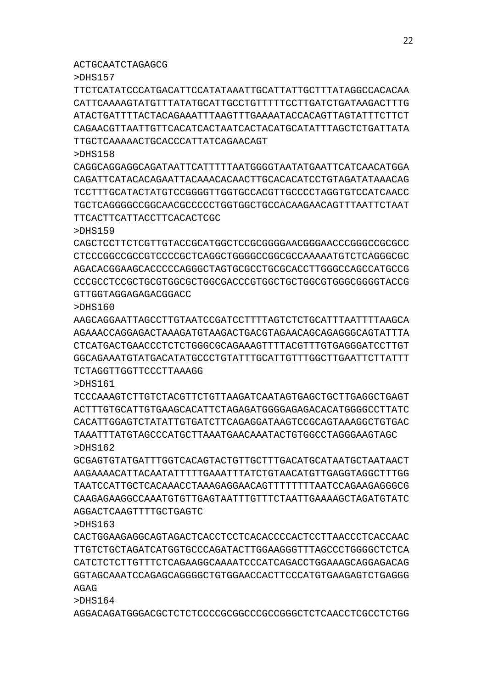AGGACAGATGGGACGCTCTCTCCCCGCGGCCCGCCGGGCTCTCAACCTCGCCTCTGG

>DHS164

>DHS161

>DHS163 CACTGGAAGAGGCAGTAGACTCACCTCCTCACACCCCACTCCTTAACCCTCACCAAC TTGTCTGCTAGATCATGGTGCCCAGATACTTGGAAGGGTTTAGCCCTGGGGCTCTCA CATCTCTCTTGTTTCTCAGAAGGCAAAATCCCATCAGACCTGGAAAGCAGGAGACAG GGTAGCAAATCCAGAGCAGGGGCTGTGGAACCACTTCCCATGTGAAGAGTCTGAGGG AGAG

GCGAGTGTATGATTTGGTCACAGTACTGTTGCTTTGACATGCATAATGCTAATAACT AAGAAAACATTACAATATTTTTGAAATTTATCTGTAACATGTTGAGGTAGGCTTTGG TAATCCATTGCTCACAAACCTAAAGAGGAACAGTTTTTTTTAATCCAGAAGAGGGCG CAAGAGAAGGCCAAATGTGTTGAGTAATTTGTTTCTAATTGAAAAGCTAGATGTATC AGGACTCAAGTTTTGCTGAGTC

TCCCAAAGTCTTGTCTACGTTCTGTTAAGATCAATAGTGAGCTGCTTGAGGCTGAGT ACTTTGTGCATTGTGAAGCACATTCTAGAGATGGGGAGAGACACATGGGGCCTTATC CACATTGGAGTCTATATTGTGATCTTCAGAGGATAAGTCCGCAGTAAAGGCTGTGAC TAAATTTATGTAGCCCATGCTTAAATGAACAAATACTGTGGCCTAGGGAAGTAGC >DHS162

# TCTAGGTTGGTTCCCTTAAAGG

>DHS160 AAGCAGGAATTAGCCTTGTAATCCGATCCTTTTAGTCTCTGCATTTAATTTTAAGCA AGAAACCAGGAGACTAAAGATGTAAGACTGACGTAGAACAGCAGAGGGCAGTATTTA CTCATGACTGAACCCTCTCTGGGCGCAGAAAGTTTTACGTTTGTGAGGGATCCTTGT GGCAGAAATGTATGACATATGCCCTGTATTTGCATTGTTTGGCTTGAATTCTTATTT

ACTGCAATCTAGAGCG

GTTGGTAGGAGAGACGGACC

TTCACTTCATTACCTTCACACTCGC

>DHS159 CAGCTCCTTCTCGTTGTACCGCATGGCTCCGCGGGGAACGGGAACCCGGGCCGCGCC CTCCCGGCCGCCGTCCCCGCTCAGGCTGGGGCCGGCGCCAAAAATGTCTCAGGGCGC AGACACGGAAGCACCCCCAGGGCTAGTGCGCCTGCGCACCTTGGGCCAGCCATGCCG CCCGCCTCCGCTGCGTGGCGCTGGCGACCCGTGGCTGCTGGCGTGGGCGGGGTACCG

>DHS158

>DHS157 TTCTCATATCCCATGACATTCCATATAAATTGCATTATTGCTTTATAGGCCACACAA CATTCAAAAGTATGTTTATATGCATTGCCTGTTTTTCCTTGATCTGATAAGACTTTG ATACTGATTTTACTACAGAAATTTAAGTTTGAAAATACCACAGTTAGTATTTCTTCT CAGAACGTTAATTGTTCACATCACTAATCACTACATGCATATTTAGCTCTGATTATA TTGCTCAAAAACTGCACCCATTATCAGAACAGT

CAGGCAGGAGGCAGATAATTCATTTTTAATGGGGTAATATGAATTCATCAACATGGA CAGATTCATACACAGAATTACAAACACAACTTGCACACATCCTGTAGATATAAACAG TCCTTTGCATACTATGTCCGGGGTTGGTGCCACGTTGCCCCTAGGTGTCCATCAACC TGCTCAGGGGCCGGCAACGCCCCCTGGTGGCTGCCACAAGAACAGTTTAATTCTAAT

22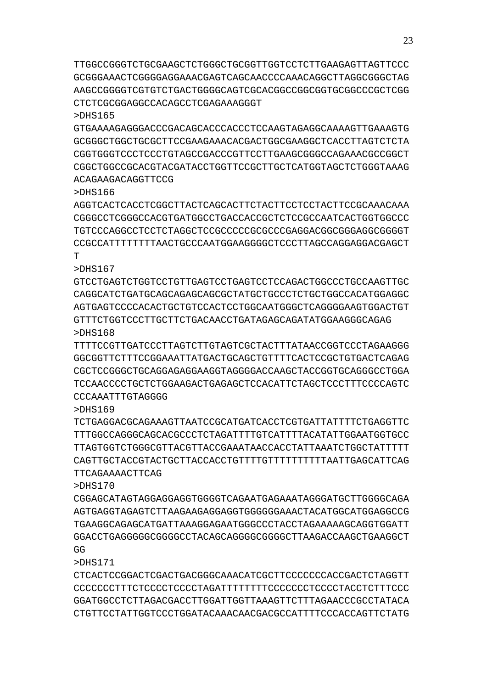TTGGCCGGGTCTGCGAAGCTCTGGGCTGCGGTTGGTCCTCTTGAAGAGTTAGTTCCC GCGGGAAACTCGGGGAGGAAACGAGTCAGCAACCCCAAACAGGCTTAGGCGGGCTAG AAGCCGGGGTCGTGTCTGACTGGGGCAGTCGCACGGCCGGCGGTGCGGCCCGCTCGG CTCTCGCGGAGGCCACAGCCTCGAGAAAGGGT

>DHS165

GTGAAAAGAGGGACCCGACAGCACCCACCCTCCAAGTAGAGGCAAAAGTTGAAAGTG GCGGGCTGGCTGCGCTTCCGAAGAAACACGACTGGCGAAGGCTCACCTTAGTCTCTA CGGTGGGTCCCTCCCTGTAGCCGACCCGTTCCTTGAAGCGGGCCAGAAACGCCGGCT CGGCTGGCCGCACGTACGATACCTGGTTCCGCTTGCTCATGGTAGCTCTGGGTAAAG ACAGAAGACAGGTTCCG

>DHS166

AGGTCACTCACCTCGGCTTACTCAGCACTTCTACTTCCTCCTACTTCCGCAAACAAA CGGGCCTCGGGCCACGTGATGGCCTGACCACCGCTCTCCGCCAATCACTGGTGGCCC TGTCCCAGGCCTCCTCTAGGCTCCGCCCCCGCGCCCGAGGACGGCGGGAGGCGGGGT CCGCCATTTTTTTTAACTGCCCAATGGAAGGGGCTCCCTTAGCCAGGAGGACGAGCT T

>DHS167

GTCCTGAGTCTGGTCCTGTTGAGTCCTGAGTCCTCCAGACTGGCCCTGCCAAGTTGC CAGGCATCTGATGCAGCAGAGCAGCGCTATGCTGCCCTCTGCTGGCCACATGGAGGC AGTGAGTCCCCACACTGCTGTCCACTCCTGGCAATGGGCTCAGGGGAAGTGGACTGT GTTTCTGGTCCCTTGCTTCTGACAACCTGATAGAGCAGATATGGAAGGGCAGAG >DHS168

TTTTCCGTTGATCCCTTAGTCTTGTAGTCGCTACTTTATAACCGGTCCCTAGAAGGG GGCGGTTCTTTCCGGAAATTATGACTGCAGCTGTTTTCACTCCGCTGTGACTCAGAG CGCTCCGGGCTGCAGGAGAGGAAGGTAGGGGACCAAGCTACCGGTGCAGGGCCTGGA TCCAACCCCTGCTCTGGAAGACTGAGAGCTCCACATTCTAGCTCCCTTTCCCCAGTC CCCAAATTTGTAGGGG

>DHS169

TCTGAGGACGCAGAAAGTTAATCCGCATGATCACCTCGTGATTATTTTCTGAGGTTC TTTGGCCAGGGCAGCACGCCCTCTAGATTTTGTCATTTTACATATTGGAATGGTGCC TTAGTGGTCTGGGCGTTACGTTACCGAAATAACCACCTATTAAATCTGGCTATTTTT CAGTTGCTACCGTACTGCTTACCACCTGTTTTGTTTTTTTTTTAATTGAGCATTCAG TTCAGAAAACTTCAG

>DHS170

CGGAGCATAGTAGGAGGAGGTGGGGTCAGAATGAGAAATAGGGATGCTTGGGGCAGA AGTGAGGTAGAGTCTTAAGAAGAGGAGGTGGGGGGAAACTACATGGCATGGAGGCCG TGAAGGCAGAGCATGATTAAAGGAGAATGGGCCCTACCTAGAAAAAGCAGGTGGATT GGACCTGAGGGGGCGGGGCCTACAGCAGGGGCGGGGCTTAAGACCAAGCTGAAGGCT GG

>DHS171

CTCACTCCGGACTCGACTGACGGGCAAACATCGCTTCCCCCCCACCGACTCTAGGTT CCCCCCCTTTCTCCCCTCCCCTAGATTTTTTTTCCCCCCCTCCCCTACCTCTTTCCC GGATGGCCTCTTAGACGACCTTGGATTGGTTAAAGTTCTTTAGAACCCGCCTATACA CTGTTCCTATTGGTCCCTGGATACAAACAACGACGCCATTTTCCCACCAGTTCTATG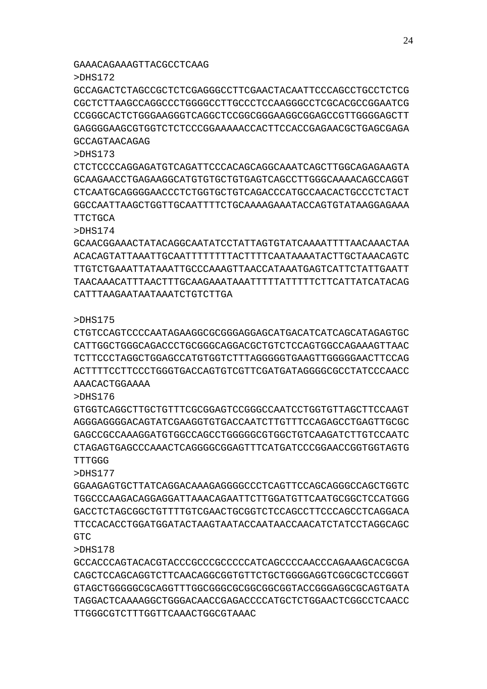## GAAACAGAAAGTTACGCCTCAAG

CATTTAAGAATAATAAATCTGTCTTGA

TTGGGCGTCTTTGGTTCAAACTGGCGTAAAC

>DHS172

>DHS173

**TTCTGCA** >DHS174

>DHS175

>DHS176

TTTGGG >DHS177

GTC

>DHS178

AAACACTGGAAAA

GCCAGACTCTAGCCGCTCTCGAGGGCCTTCGAACTACAATTCCCAGCCTGCCTCTCG CGCTCTTAAGCCAGGCCCTGGGGCCTTGCCCTCCAAGGGCCTCGCACGCCGGAATCG CCGGGCACTCTGGGAAGGGTCAGGCTCCGGCGGGAAGGCGGAGCCGTTGGGGAGCTT GAGGGGAAGCGTGGTCTCTCCCGGAAAAACCACTTCCACCGAGAACGCTGAGCGAGA GCCAGTAACAGAG

CTCTCCCCAGGAGATGTCAGATTCCCACAGCAGGCAAATCAGCTTGGCAGAGAAGTA GCAAGAACCTGAGAAGGCATGTGTGCTGTGAGTCAGCCTTGGGCAAAACAGCCAGGT CTCAATGCAGGGGAACCCTCTGGTGCTGTCAGACCCATGCCAACACTGCCCTCTACT GGCCAATTAAGCTGGTTGCAATTTTCTGCAAAAGAAATACCAGTGTATAAGGAGAAA

GCAACGGAAACTATACAGGCAATATCCTATTAGTGTATCAAAATTTTAACAAACTAA ACACAGTATTAAATTGCAATTTTTTTTACTTTTCAATAAAATACTTGCTAAACAGTC TTGTCTGAAATTATAAATTGCCCAAAGTTAACCATAAATGAGTCATTCTATTGAATT TAACAAACATTTAACTTTGCAAGAAATAAATTTTTATTTTTCTTCATTATCATACAG

CTGTCCAGTCCCCAATAGAAGGCGCGGGAGGAGCATGACATCATCAGCATAGAGTGC CATTGGCTGGGCAGACCCTGCGGGCAGGACGCTGTCTCCAGTGGCCAGAAAGTTAAC TCTTCCCTAGGCTGGAGCCATGTGGTCTTTAGGGGGTGAAGTTGGGGGAACTTCCAG ACTTTTCCTTCCCTGGGTGACCAGTGTCGTTCGATGATAGGGGCGCCTATCCCAACC

GTGGTCAGGCTTGCTGTTTCGCGGAGTCCGGGCCAATCCTGGTGTTAGCTTCCAAGT AGGGAGGGGACAGTATCGAAGGTGTGACCAATCTTGTTTCCAGAGCCTGAGTTGCGC GAGCCGCCAAAGGATGTGGCCAGCCTGGGGGCGTGGCTGTCAAGATCTTGTCCAATC CTAGAGTGAGCCCAAACTCAGGGGCGGAGTTTCATGATCCCGGAACCGGTGGTAGTG

GGAAGAGTGCTTATCAGGACAAAGAGGGGCCCTCAGTTCCAGCAGGGCCAGCTGGTC TGGCCCAAGACAGGAGGATTAAACAGAATTCTTGGATGTTCAATGCGGCTCCATGGG GACCTCTAGCGGCTGTTTTGTCGAACTGCGGTCTCCAGCCTTCCCAGCCTCAGGACA TTCCACACCTGGATGGATACTAAGTAATACCAATAACCAACATCTATCCTAGGCAGC

GCCACCCAGTACACGTACCCGCCCGCCCCCATCAGCCCCAACCCAGAAAGCACGCGA CAGCTCCAGCAGGTCTTCAACAGGCGGTGTTCTGCTGGGGAGGTCGGCGCTCCGGGT GTAGCTGGGGGCGCAGGTTTGGCGGGCGCGGCGGCGGTACCGGGAGGCGCAGTGATA TAGGACTCAAAAGGCTGGGACAACCGAGACCCCATGCTCTGGAACTCGGCCTCAACC

24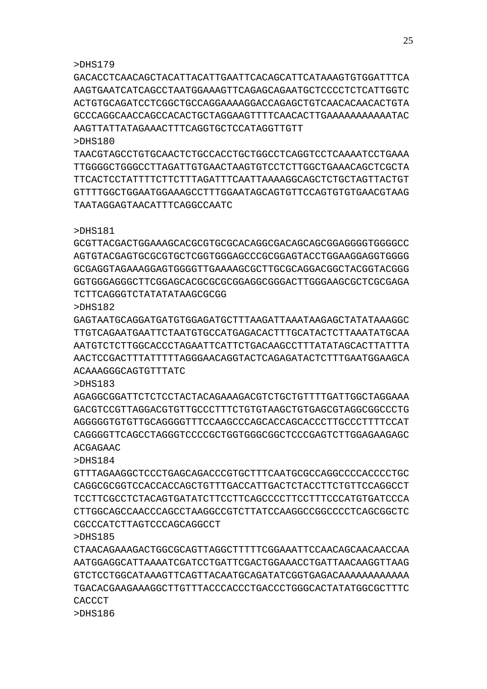#### >DHS179

GACACCTCAACAGCTACATTACATTGAATTCACAGCATTCATAAAGTGTGGATTTCA AAGTGAATCATCAGCCTAATGGAAAGTTCAGAGCAGAATGCTCCCCTCTCATTGGTC ACTGTGCAGATCCTCGGCTGCCAGGAAAAGGACCAGAGCTGTCAACACAACACTGTA GCCCAGGCAACCAGCCACACTGCTAGGAAGTTTTCAACACTTGAAAAAAAAAAATAC AAGTTATTATAGAAACTTTCAGGTGCTCCATAGGTTGTT  $5DH<sub>S</sub>180$ 

TAACGTAGCCTGTGCAACTCTGCCACCTGCTGGCCTCAGGTCCTCAAAATCCTGAAA TTGGGGCTGGGCCTTAGATTGTGAACTAAGTGTCCTCTTGGCTGAAACAGCTCGCTA TTCACTCCTATTTTCTTCTTTAGATTTCAATTAAAAGGCAGCTCTGCTAGTTACTGT GTTTTGGCTGGAATGGAAAGCCTTTGGAATAGCAGTGTTCCAGTGTGTGAACGTAAG TAATAGGAGTAACATTTCAGGCCAATC

#### >DHS181

GCGTTACGACTGGAAAGCACGCGTGCGCACAGGCGACAGCAGCGGAGGGGTGGGGCC AGTGTACGAGTGCGCGTGCTCGGTGGGAGCCCGCGGAGTACCTGGAAGGAGGTGGGG GCGAGGTAGAAAGGAGTGGGGTTGAAAAGCGCTTGCGCAGGACGGCTACGGTACGGG GGTGGGAGGGCTTCGGAGCACGCGCGCGGAGGCGGGACTTGGGAAGCGCTCGCGAGA TCTTCAGGGTCTATATATAAGCGCGG

>DHS182

GAGTAATGCAGGATGATGTGGAGATGCTTTAAGATTAAATAAGAGCTATATAAAGGC TTGTCAGAATGAATTCTAATGTGCCATGAGACACTTTGCATACTCTTAAATATGCAA AATGTCTCTTGGCACCCTAGAATTCATTCTGACAAGCCTTTATATAGCACTTATTTA AACTCCGACTTTATTTTTAGGGAACAGGTACTCAGAGATACTCTTTGAATGGAAGCA ACAAAGGGCAGTGTTTATC

>DHS183

AGAGGCGGATTCTCTCCTACTACAGAAAGACGTCTGCTGTTTTGATTGGCTAGGAAA GACGTCCGTTAGGACGTGTTGCCCTTTCTGTGTAAGCTGTGAGCGTAGGCGGCCCTG AGGGGGTGTGTTGCAGGGGTTTCCAAGCCCAGCACCAGCACCCTTGCCCTTTTCCAT CAGGGGTTCAGCCTAGGGTCCCCGCTGGTGGGCGGCTCCCGAGTCTTGGAGAAGAGC ACGAGAAC

>DHS184

GTTTAGAAGGCTCCCTGAGCAGACCCGTGCTTTCAATGCGCCAGGCCCCACCCCTGC CAGGCGCGGTCCACCACCAGCTGTTTGACCATTGACTCTACCTTCTGTTCCAGGCCT TCCTTCGCCTCTACAGTGATATCTTCCTTCAGCCCCTTCCTTTCCCATGTGATCCCA CTTGGCAGCCAACCCAGCCTAAGGCCGTCTTATCCAAGGCCGGCCCCTCAGCGGCTC CGCCCATCTTAGTCCCAGCAGGCCT

>DHS185

CTAACAGAAAGACTGGCGCAGTTAGGCTTTTTCGGAAATTCCAACAGCAACAACCAA AATGGAGGCATTAAAATCGATCCTGATTCGACTGGAAACCTGATTAACAAGGTTAAG GTCTCCTGGCATAAAGTTCAGTTACAATGCAGATATCGGTGAGACAAAAAAAAAAAA TGACACGAAGAAAGGCTTGTTTACCCACCCTGACCCTGGGCACTATATGGCGCTTTC CACCCT

>DHS186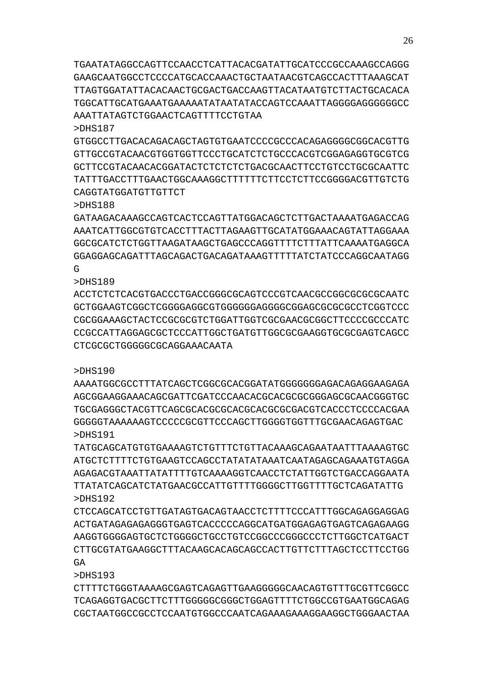TGAATATAGGCCAGTTCCAACCTCATTACACGATATTGCATCCCGCCAAAGCCAGGG GAAGCAATGGCCTCCCCATGCACCAAACTGCTAATAACGTCAGCCACTTTAAAGCAT TTAGTGGATATTACACAACTGCGACTGACCAAGTTACATAATGTCTTACTGCACACA TGGCATTGCATGAAATGAAAAATATAATATACCAGTCCAAATTAGGGGAGGGGGGCC AAATTATAGTCTGGAACTCAGTTTTCCTGTAA

>DHS187

GTGGCCTTGACACAGACAGCTAGTGTGAATCCCCGCCCACAGAGGGGCGGCACGTTG GTTGCCGTACAACGTGGTGGTTCCCTGCATCTCTGCCCACGTCGGAGAGGTGCGTCG GCTTCCGTACAACACGGATACTCTCTCTCTGACGCAACTTCCTGTCCTGCGCAATTC TATTTGACCTTTGAACTGGCAAAGGCTTTTTTCTTCCTCTTCCGGGGACGTTGTCTG CAGGTATGGATGTTGTTCT

>DHS188

GATAAGACAAAGCCAGTCACTCCAGTTATGGACAGCTCTTGACTAAAATGAGACCAG AAATCATTGGCGTGTCACCTTTACTTAGAAGTTGCATATGGAAACAGTATTAGGAAA GGCGCATCTCTGGTTAAGATAAGCTGAGCCCAGGTTTTCTTTATTCAAAATGAGGCA GGAGGAGCAGATTTAGCAGACTGACAGATAAAGTTTTTATCTATCCCAGGCAATAGG  $\Gamma$ 

>DHS189

ACCTCTCTCACGTGACCCTGACCGGGCGCAGTCCCGTCAACGCCGGCGCGCGCAATC GCTGGAAGTCGGCTCGGGGAGGCGTGGGGGGAGGGGCGGAGCGCGCGCCTCGGTCCC CGCGGAAAGCTACTCCGCGCGTCTGGATTGGTCGCGAACGCGGCTTCCCCGCCCATC CCGCCATTAGGAGCGCTCCCATTGGCTGATGTTGGCGCGAAGGTGCGCGAGTCAGCC CTCGCGCTGGGGGCGCAGGAAACAATA

>DHS190

AAAATGGCGCCTTTATCAGCTCGGCGCACGGATATGGGGGGGAGACAGAGGAAGAGA AGCGGAAGGAAACAGCGATTCGATCCCAACACGCACGCGCGGGAGCGCAACGGGTGC TGCGAGGGCTACGTTCAGCGCACGCGCACGCACGCGCGACGTCACCCTCCCCACGAA GGGGGTAAAAAAGTCCCCCGCGTTCCCAGCTTGGGGTGGTTTGCGAACAGAGTGAC >DHS191

TATGCAGCATGTGTGAAAAGTCTGTTTCTGTTACAAAGCAGAATAATTTAAAAGTGC ATGCTCTTTTCTGTGAAGTCCAGCCTATATATAAATCAATAGAGCAGAAATGTAGGA AGAGACGTAAATTATATTTTGTCAAAAGGTCAACCTCTATTGGTCTGACCAGGAATA TTATATCAGCATCTATGAACGCCATTGTTTTGGGGCTTGGTTTTGCTCAGATATTG >DHS192

CTCCAGCATCCTGTTGATAGTGACAGTAACCTCTTTTCCCATTTGGCAGAGGAGGAG ACTGATAGAGAGAGGGTGAGTCACCCCCAGGCATGATGGAGAGTGAGTCAGAGAAGG AAGGTGGGGAGTGCTCTGGGGCTGCCTGTCCGGCCCGGGCCCTCTTGGCTCATGACT CTTGCGTATGAAGGCTTTACAAGCACAGCAGCCACTTGTTCTTTAGCTCCTTCCTGG  $G\Delta$ 

>DHS193

CTTTTCTGGGTAAAAGCGAGTCAGAGTTGAAGGGGGCAACAGTGTTTGCGTTCGGCC TCAGAGGTGACGCTTCTTTGGGGGCGGGCTGGAGTTTTCTGGCCGTGAATGGCAGAG CGCTAATGGCCGCCTCCAATGTGGCCCAATCAGAAAGAAAGGAAGGCTGGGAACTAA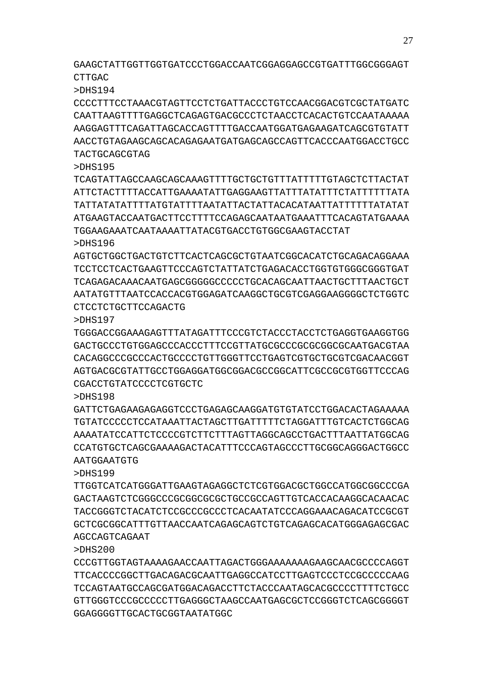GAAGCTATTGGTTGGTGATCCCTGGACCAATCGGAGGAGCCGTGATTTGGCGGGAGT CTTGAC

>DHS194

CCCCTTTCCTAAACGTAGTTCCTCTGATTACCCTGTCCAACGGACGTCGCTATGATC CAATTAAGTTTTGAGGCTCAGAGTGACGCCCTCTAACCTCACACTGTCCAATAAAAA AAGGAGTTTCAGATTAGCACCAGTTTTGACCAATGGATGAGAAGATCAGCGTGTATT AACCTGTAGAAGCAGCACAGAGAATGATGAGCAGCCAGTTCACCCAATGGACCTGCC TACTGCAGCGTAG

>DHS195

TCAGTATTAGCCAAGCAGCAAAGTTTTGCTGCTGTTTATTTTTGTAGCTCTTACTAT ATTCTACTTTTACCATTGAAAATATTGAGGAAGTTATTTATATTTCTATTTTTTATA TATTATATATTTTATGTATTTTAATATTACTATTACACATAATTATTTTTTATATAT ATGAAGTACCAATGACTTCCTTTTCCAGAGCAATAATGAAATTTCACAGTATGAAAA TGGAAGAAATCAATAAAATTATACGTGACCTGTGGCGAAGTACCTAT >DHS196

AGTGCTGGCTGACTGTCTTCACTCAGCGCTGTAATCGGCACATCTGCAGACAGGAAA TCCTCCTCACTGAAGTTCCCAGTCTATTATCTGAGACACCTGGTGTGGGCGGGTGAT TCAGAGACAAACAATGAGCGGGGGCCCCCTGCACAGCAATTAACTGCTTTAACTGCT AATATGTTTAATCCACCACGTGGAGATCAAGGCTGCGTCGAGGAAGGGGCTCTGGTC CTCCTCTGCTTCCAGACTG

>DHS197

TGGGACCGGAAAGAGTTTATAGATTTCCCGTCTACCCTACCTCTGAGGTGAAGGTGG GACTGCCCTGTGGAGCCCACCCTTTCCGTTATGCGCCCGCGCGGCGCAATGACGTAA CACAGGCCCGCCCACTGCCCCTGTTGGGTTCCTGAGTCGTGCTGCGTCGACAACGGT AGTGACGCGTATTGCCTGGAGGATGGCGGACGCCGGCATTCGCCGCGTGGTTCCCAG CGACCTGTATCCCCTCGTGCTC

>DHS198

GATTCTGAGAAGAGAGGTCCCTGAGAGCAAGGATGTGTATCCTGGACACTAGAAAAA TGTATCCCCCTCCATAAATTACTAGCTTGATTTTTCTAGGATTTGTCACTCTGGCAG AAAATATCCATTCTCCCCGTCTTCTTTAGTTAGGCAGCCTGACTTTAATTATGGCAG CCATGTGCTCAGCGAAAAGACTACATTTCCCAGTAGCCCTTGCGGCAGGGACTGGCC AATGGAATGTG

>DHS199

TTGGTCATCATGGGATTGAAGTAGAGGCTCTCGTGGACGCTGGCCATGGCGGCCCGA GACTAAGTCTCGGGCCCGCGGCGCGCTGCCGCCAGTTGTCACCACAAGGCACAACAC TACCGGGTCTACATCTCCGCCCGCCCTCACAATATCCCAGGAAACAGACATCCGCGT GCTCGCGGCATTTGTTAACCAATCAGAGCAGTCTGTCAGAGCACATGGGAGAGCGAC AGCCAGTCAGAAT

>DHS200

CCCGTTGGTAGTAAAAGAACCAATTAGACTGGGAAAAAAAGAAGCAACGCCCCAGGT TTCACCCCGGCTTGACAGACGCAATTGAGGCCATCCTTGAGTCCCTCCGCCCCCAAG TCCAGTAATGCCAGCGATGGACAGACCTTCTACCCAATAGCACGCCCCTTTTCTGCC GTTGGGTCCCGCCCCCTTGAGGGCTAAGCCAATGAGCGCTCCGGGTCTCAGCGGGGT GGAGGGGTTGCACTGCGGTAATATGGC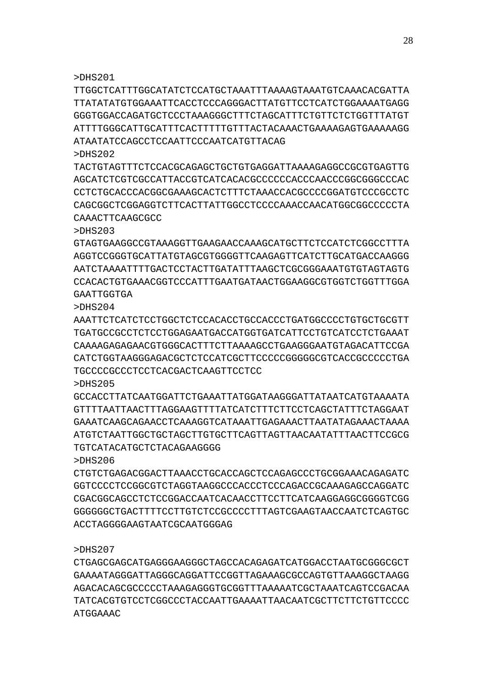>DHS201

TTGGCTCATTTGGCATATCTCCATGCTAAATTTAAAAGTAAATGTCAAACACGATTA TTATATATGTGGAAATTCACCTCCCAGGGACTTATGTTCCTCATCTGGAAAATGAGG GGGTGGACCAGATGCTCCCTAAAGGGCTTTCTAGCATTTCTGTTCTCTGGTTTATGT ATTTTGGGCATTGCATTTCACTTTTTGTTTACTACAAACTGAAAAGAGTGAAAAAGG ATAATATCCAGCCTCCAATTCCCAATCATGTTACAG

>DHS202 TACTGTAGTTTCTCCACGCAGAGCTGCTGTGAGGATTAAAAGAGGCCGCGTGAGTTG AGCATCTCGTCGCCATTACCGTCATCACACGCCCCCCACCCAACCCGGCGGGCCCAC CCTCTGCACCCACGGCGAAAGCACTCTTTCTAAACCACGCCCCGGATGTCCCGCCTC CAGCGGCTCGGAGGTCTTCACTTATTGGCCTCCCCAAACCAACATGGCGGCCCCCTA CAAACTTCAAGCGCC

>DHS203

GTAGTGAAGGCCGTAAAGGTTGAAGAACCAAAGCATGCTTCTCCATCTCGGCCTTTA AGGTCCGGGTGCATTATGTAGCGTGGGGTTCAAGAGTTCATCTTGCATGACCAAGGG AATCTAAAATTTTGACTCCTACTTGATATTTAAGCTCGCGGGAAATGTGTAGTAGTG CCACACTGTGAAACGGTCCCATTTGAATGATAACTGGAAGGCGTGGTCTGGTTTGGA **GAATTGGTGA** 

>DHS204

AAATTCTCATCTCCTGGCTCTCCACACCTGCCACCCTGATGGCCCCTGTGCTGCGTT TGATGCCGCCTCTCCTGGAGAATGACCATGGTGATCATTCCTGTCATCCTCTGAAAT CAAAAGAGAGAACGTGGGCACTTTCTTAAAAGCCTGAAGGGAATGTAGACATTCCGA CATCTGGTAAGGGAGACGCTCTCCATCGCTTCCCCCGGGGGCGTCACCGCCCCCTGA TGCCCCGCCCTCCTCACGACTCAAGTTCCTCC

>DHS205

GCCACCTTATCAATGGATTCTGAAATTATGGATAAGGGATTATAATCATGTAAAATA GTTTTAATTAAGGAAGTTTAGGAAGTTTTATCATCTTTTCTTAGGAATTTCTAGGAATTTCTAGGAATTECTAGGAATTECTAGGAATTECTER GAAATCAAGCAGAACCTCAAAGGTCATAAATTGAGAAACTTAATATAGAAACTAAAA ATGTCTAATTGGCTGCTAGCTTGTGCTTCAGTTAGTTAACAATATTTAACTTCCGCG

TGTCATACATGCTCTACAGAAGGGG

>DHS206

CTGTCTGAGACGGACTTAAACCTGCACCAGCTCCAGAGCCCTGCGGAAACAGAGATC GGTCCCCTCCGGCGTCTAGGTAAGGCCCACCCTCCCAGACCGCAAAGAGCCAGGATC CGACGGCAGCCTCTCCGGACCAATCACAACCTTCCTTCATCAAGGAGGCGGGGTCGG GGGGGGCTGACTTTTCCTTGTCTCCGCCCCTTTAGTCGAAGTAACCAATCTCAGTGC ACCTAGGGGAAGTAATCGCAATGGGAG

>DHS207

CTGAGCGAGCATGAGGGAAGGGCTAGCCACAGAGATCATGGACCTAATGCGGGCGCT GAAAATAGGGATTAGGGCAGGATTCCGGTTAGAAAGCGCCAGTGTTAAAGGCTAAGG AGACACAGCGCCCCCTAAAGAGGGTGCGGTTTAAAAATCGCTAAATCAGTCCGACAA TATCACGTGTCCTCGGCCCTACCAATTGAAAATTAACAATCGCTTCTTCTGTTCCCC ATGGAAAC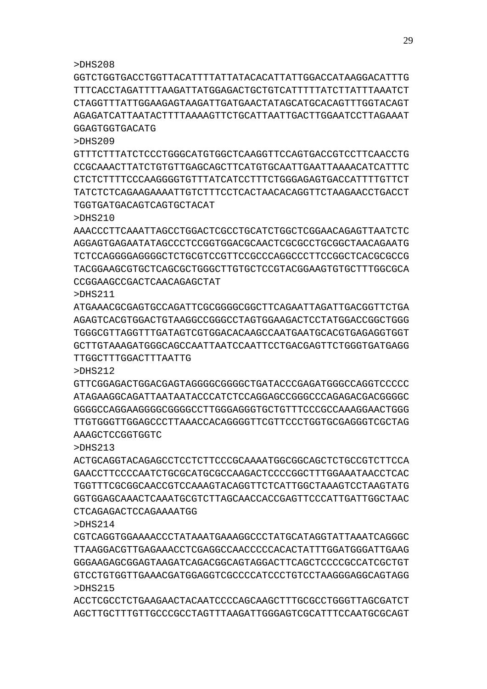ACCTCGCCTCTGAAGAACTACAATCCCCAGCAAGCTTTGCGCCTGGGTTAGCGATCT AGCTTGCTTTGTTGCCCGCCTAGTTTAAGATTGGGAGTCGCATTTCCAATGCGCAGT

>DHS214 CGTCAGGTGGAAAACCCTATAAATGAAAGGCCCTATGCATAGGTATTAAATCAGGGC TTAAGGACGTTGAGAAACCTCGAGGCCAACCCCCACACTATTTGGATGGGATTGAAG GGGAAGAGCGGAGTAAGATCAGACGGCAGTAGGACTTCAGCTCCCCGCCATCGCTGT GTCCTGTGGTTGAAACGATGGAGGTCGCCCCATCCCTGTCCTAAGGGAGGCAGTAGG >DHS215

>DHS213 ACTGCAGGTACAGAGCCTCCTCTTCCCGCAAAATGGCGGCAGCTCTGCCGTCTTCCA GAACCTTCCCCAATCTGCGCATGCGCCAAGACTCCCCGGCTTTGGAAATAACCTCAC TGGTTTCGCGGCAACCGTCCAAAGTACAGGTTCTCATTGGCTAAAGTCCTAAGTATG GGTGGAGCAAACTCAAATGCGTCTTAGCAACCACCGAGTTCCCATTGATTGGCTAAC CTCAGAGACTCCAGAAAATGG

AAAGCTCCGGTGGTC

>DHS212 GTTCGGAGACTGGACGAGTAGGGGCGGGGCTGATACCCGAGATGGGCCAGGTCCCCC ATAGAAGGCAGATTAATAATACCCATCTCCAGGAGCCGGGCCCAGAGACGACGGGGC GGGGCCAGGAAGGGGCGGGGCCTTGGGAGGGTGCTGTTTCCCGCCAAAGGAACTGGG TTGTGGGTTGGAGCCCTTAAACCACAGGGGTTCGTTCCCTGGTGCGAGGGTCGCTAG

TTGGCTTTGGACTTTAATTG

>DHS211 ATGAAACGCGAGTGCCAGATTCGCGGGGCGGCTTCAGAATTAGATTGACGGTTCTGA AGAGTCACGTGGACTGTAAGGCCGGGCCTAGTGGAAGACTCCTATGGACCGGCTGGG TGGGCGTTAGGTTTGATAGTCGTGGACACAAGCCAATGAATGCACGTGAGAGGTGGT GCTTGTAAAGATGGGCAGCCAATTAATCCAATTCCTGACGAGTTCTGGGTGATGAGG

>DHS210 AAACCCTTCAAATTAGCCTGGACTCGCCTGCATCTGGCTCGGAACAGAGTTAATCTC AGGAGTGAGAATATAGCCCTCCGGTGGACGCAACTCGCGCCTGCGGCTAACAGAATG TCTCCAGGGGAGGGGCTCTGCGTCCGTTCCGCCCAGGCCCTTCCGGCTCACGCGCCG TACGGAAGCGTGCTCAGCGCTGGGCTTGTGCTCCGTACGGAAGTGTGCTTTGGCGCA CCGGAAGCCGACTCAACAGAGCTAT

TGGTGATGACAGTCAGTGCTACAT

CCGCAAACTTATCTGTGTTGAGCAGCTTCATGTGCAATTGAATTAAAACATCATTTC CTCTCTTTTCCCAAGGGGTGTTTATCATCCTTTCTGGGAGAGTGACCATTTTGTTCT TATCTCTCAGAAGAAAATTGTCTTTCCTCACTAACACAGGTTCTAAGAACCTGACCT

GGAGTGGTGACATG

>DHS209

>DHS208 GGTCTGGTGACCTGGTTACATTTTATTATACACATTATTGGACCATAAGGACATTTG TTTCACCTAGATTTTAAGATTATGGAGACTGCTGTCATTTTTATCTTATTTAAATCT CTAGGTTTATTGGAAGAGTAAGATTGATGAACTATAGCATGCACAGTTTGGTACAGT AGAGATCATTAATACTTTTAAAAGTTCTGCATTAATTGACTTGGAATCCTTAGAAAT

GTTTCTTTATCTCCCTGGGCATGTGGCTCAAGGTTCCAGTGACCGTCCTTCAACCTG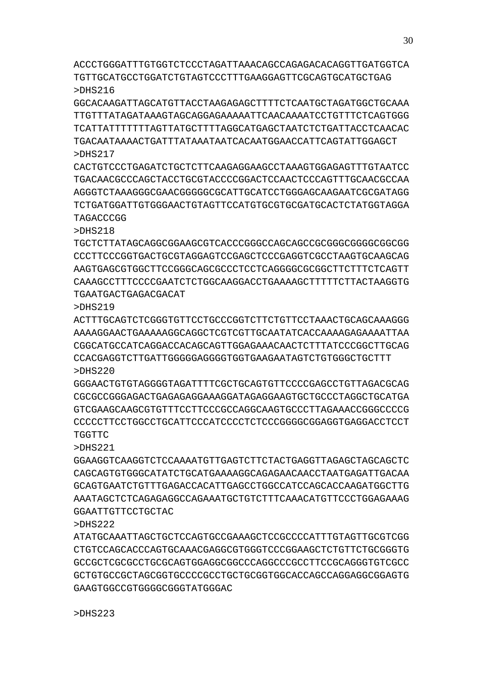ACCCTGGGATTTGTGGTCTCCCTAGATTAAACAGCCAGAGACACAGGTTGATGGTCA TGTTGCATGCCTGGATCTGTAGTCCCTTTGAAGGAGTTCGCAGTGCATGCTGAG >DHS216

GGCACAAGATTAGCATGTTACCTAAGAGAGCTTTTCTCAATGCTAGATGGCTGCAAA TTGTTTATAGATAAAGTAGCAGGAGAAAAATTCAACAAAATCCTGTTTCTCAGTGGG TCATTATTTTTTTAGTTATGCTTTTAGGCATGAGCTAATCTCTGATTACCTCAACAC TGACAATAAAACTGATTTATAAATAATCACAATGGAACCATTCAGTATTGGAGCT >DHS217

CACTGTCCCTGAGATCTGCTCTTCAAGAGGAAGCCTAAAGTGGAGAGTTTGTAATCC TGACAACGCCCAGCTACCTGCGTACCCCGGACTCCAACTCCCAGTTTGCAACGCCAA AGGGTCTAAAGGGCGAACGGGGGCGCATTGCATCCTGGGAGCAAGAATCGCGATAGG TCTGATGGATTGTGGGAACTGTAGTTCCATGTGCGTGCGATGCACTCTATGGTAGGA TAGACCCGG

>DHS218

TGCTCTTATAGCAGGCGGAAGCGTCACCCGGGCCAGCAGCCGCGGGCGGGGCGGCGG CCCTTCCCGGTGACTGCGTAGGAGTCCGAGCTCCCGAGGTCGCCTAAGTGCAAGCAG AAGTGAGCGTGGCTTCCGGGCAGCGCCCTCCTCAGGGGCGCGGCTTCTTTCTCAGTT CAAAGCCTTTCCCCGAATCTCTGGCAAGGACCTGAAAAGCTTTTTCTTACTAAGGTG TGAATGACTGAGACGACAT

>DHS219

ACTTTGCAGTCTCGGGTGTTCCTGCCCGGTCTTCTGTTCCTAAACTGCAGCAAAGGG AAAAGGAACTGAAAAAGGCAGGCTCGTCGTTGCAATATCACCAAAAGAGAAAATTAA CGGCATGCCATCAGGACCACAGCAGTTGGAGAAACAACTCTTTATCCCGGCTTGCAG CCACGAGGTCTTGATTGGGGGAGGGGTGGTGAAGAATAGTCTGTGGGCTGCTTT >DHS220

GGGAACTGTGTAGGGGTAGATTTTCGCTGCAGTGTTCCCCGAGCCTGTTAGACGCAG CGCGCCGGGAGACTGAGAGAGGAAAGGATAGAGGAAGTGCTGCCCTAGGCTGCATGA GTCGAAGCAAGCGTGTTTCCTTCCCGCCAGGCAAGTGCCCTTAGAAACCGGGCCCCG CCCCCTTCCTGGCCTGCATTCCCATCCCCTCTCCCGGGGCGGAGGTGAGGACCTCCT TGGTTC

>DHS221

GGAAGGTCAAGGTCTCCAAAATGTTGAGTCTTCTACTGAGGTTAGAGCTAGCAGCTC CAGCAGTGTGGGCATATCTGCATGAAAAGGCAGAGAACAACCTAATGAGATTGACAA GCAGTGAATCTGTTTGAGACCACATTGAGCCTGGCCATCCAGCACCAAGATGGCTTG AAATAGCTCTCAGAGAGGCCAGAAATGCTGTCTTTCAAACATGTTCCCTGGAGAAAG GGAATTGTTCCTGCTAC

>DHS222

ATATGCAAATTAGCTGCTCCAGTGCCGAAAGCTCCGCCCCATTTGTAGTTGCGTCGG CTGTCCAGCACCCAGTGCAAACGAGGCGTGGGTCCCGGAAGCTCTGTTCTGCGGGTG GCCGCTCGCGCCTGCGCAGTGGAGGCGGCCCAGGCCCGCCTTCCGCAGGGTGTCGCC GCTGTGCCGCTAGCGGTGCCCCGCCTGCTGCGGTGGCACCAGCCAGGAGGCGGAGTG GAAGTGGCCGTGGGGCGGGTATGGGAC

>DHS223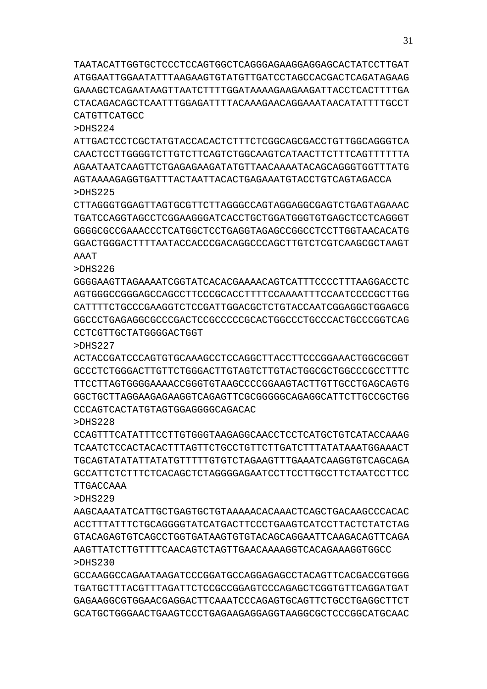TAATACATTGGTGCTCCCTCCAGTGGCTCAGGGAGAAGGAGGAGCACTATCCTTGAT ATGGAATTGGAATATTTAAGAAGTGTATGTTGATCCTAGCCACGACTCAGATAGAAG GAAAGCTCAGAATAAGTTAATCTTTTGGATAAAAGAAGAAGATTACCTCACTTTTGA CTACAGACAGCTCAATTTGGAGATTTTACAAAGAACAGGAAATAACATATTTTGCCT CATGTTCATGCC

>DHS224

ATTGACTCCTCGCTATGTACCACACTCTTTCTCGGCAGCGACCTGTTGGCAGGGTCA CAACTCCTTGGGGTCTTGTCTTCAGTCTGGCAAGTCATAACTTCTTTCAGTTTTTTA AGAATAATCAAGTTCTGAGAGAAGATATGTTAACAAAATACAGCAGGGTGGTTTATG AGTAAAAGAGGTGATTTACTAATTACACTGAGAAATGTACCTGTCAGTAGACCA >DHS225

CTTAGGGTGGAGTTAGTGCGTTCTTAGGGCCAGTAGGAGGCGAGTCTGAGTAGAAAC TGATCCAGGTAGCCTCGGAAGGGATCACCTGCTGGATGGGTGTGAGCTCCTCAGGGT GGGGCGCCGAAACCCTCATGGCTCCTGAGGTAGAGCCGGCCTCCTTGGTAACACATG GGACTGGGACTTTTAATACCACCCGACAGGCCCAGCTTGTCTCGTCAAGCGCTAAGT AAAT

>DHS226

GGGGAAGTTAGAAAATCGGTATCACACGAAAACAGTCATTTCCCCTTTAAGGACCTC AGTGGGCCGGGAGCCAGCCTTCCCGCACCTTTTCCAAAATTTCCAATCCCCGCTTGG CATTTTCTGCCCGAAGGTCTCCGATTGGACGCTCTGTACCAATCGGAGGCTGGAGCG GGCCCTGAGAGGCGCCCGACTCCGCCCCCGCACTGGCCCTGCCCACTGCCCGGTCAG CCTCGTTGCTATGGGGACTGGT

>DHS227

ACTACCGATCCCAGTGTGCAAAGCCTCCAGGCTTACCTTCCCGGAAACTGGCGCGGT GCCCTCTGGGACTTGTTCTGGGACTTGTAGTCTTGTACTGGCGCTGGCCCGCCTTTC TTCCTTAGTGGGGAAAACCGGGTGTAAGCCCCGGAAGTACTTGTTGCCTGAGCAGTG GGCTGCTTAGGAAGAGAAGGTCAGAGTTCGCGGGGGCAGAGGCATTCTTGCCGCTGG CCCAGTCACTATGTAGTGGAGGGCAGACAC

>DHS228

CCAGTTTCATATTTCCTTGTGGGTAAGAGGCAACCTCCTCATGCTGTCATACCAAAG TCAATCTCCACTACACTTTAGTTCTGCCTGTTCTTGATCTTTATATAAATGGAAACT TGCAGTATATATTATATGTTTTTGTGTCTAGAAGTTTGAAATCAAGGTGTCAGCAGA GCCATTCTCTTTCTCACAGCTCTAGGGGAGAATCCTTCCTTGCCTTCTAATCCTTCC TTGACCAAA

>DHS229

AAGCAAATATCATTGCTGAGTGCTGTAAAAACACAAACTCAGCTGACAAGCCCACAC ACCTTTATTTCTGCAGGGGTATCATGACTTCCCTGAAGTCATCCTTACTCTATCTAG GTACAGAGTGTCAGCCTGGTGATAAGTGTGTACAGCAGGAATTCAAGACAGTTCAGA AAGTTATCTTGTTTTCAACAGTCTAGTTGAACAAAAGGTCACAGAAAGGTGGCC >DHS230

GCCAAGGCCAGAATAAGATCCCGGATGCCAGGAGAGCCTACAGTTCACGACCGTGGG TGATGCTTTACGTTTAGATTCTCCGCCGGAGTCCCAGAGCTCGGTGTTCAGGATGAT GAGAAGGCGTGGAACGAGGACTTCAAATCCCAGAGTGCAGTTCTGCCTGAGGCTTCT GCATGCTGGGAACTGAAGTCCCTGAGAAGAGGAGGTAAGGCGCTCCCGGCATGCAAC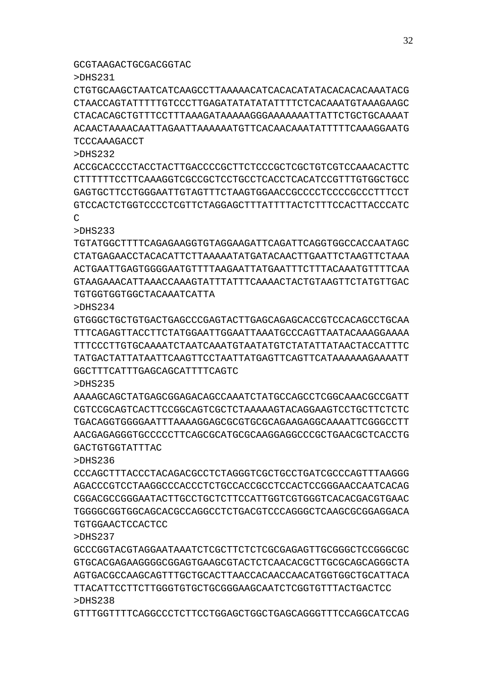## GCGTAAGACTGCGACGGTAC

>DHS231

CTGTGCAAGCTAATCATCAAGCCTTAAAAACATCACACATATACACACACAAATACG CTAACCAGTATTTTTGTCCCTTGAGATATATATATTTTCTCACAAATGTAAAGAAGC CTACACAGCTGTTTCCTTTAAAGATAAAAAGGGAAAAAAATTATTCTGCTGCAAAAT ACAACTAAAACAATTAGAATTAAAAAATGTTCACAACAAATATTTTTCAAAGGAATG TCCCAAAGACCT

>DHS232

ACCGCACCCCTACCTACTTGACCCCGCTTCTCCCGCTCGCTGTCGTCCAAACACTTC CTTTTTTCCTTCAAAGGTCGCCGCTCCTGCCTCACCTCACATCCGTTTGTGGCTGCC GAGTGCTTCCTGGGAATTGTAGTTTCTAAGTGGAACCGCCCCTCCCCGCCCTTTCCT GTCCACTCTGGTCCCCTCGTTCTAGGAGCTTTATTTTACTCTTTCCACTTACCCATC  $\mathcal{C}$ 

>DHS233

TGTATGGCTTTTCAGAGAAGGTGTAGGAAGATTCAGATTCAGGTGGCCACCAATAGC CTATGAGAACCTACACATTCTTAAAAATATGATACAACTTGAATTCTAAGTTCTAAA ACTGAATTGAGTGGGGAATGTTTTAAGAATTATGAATTTCTTTACAAATGTTTTCAA GTAAGAAACATTAAACCAAAGTATTTATTTCAAAACTACTGTAAGTTCTATGTTGAC TGTGGTGGTGGCTACAAATCATTA

>DHS234

GTGGGCTGCTGTGACTGAGCCCGAGTACTTGAGCAGAGCACCGTCCACAGCCTGCAA TTTCAGAGTTACCTTCTATGGAATTGGAATTAAATGCCCAGTTAATACAAAGGAAAA TTTCCCTTGTGCAAAATCTAATCAAATGTAATATGTCTATATTATAACTACCATTTC TATGACTATTATAATTCAAGTTCCTAATTATGAGTTCAGTTCATAAAAAAGAAAATT GGCTTTCATTTGAGCAGCATTTTCAGTC

>DHS235

AAAAGCAGCTATGAGCGGAGACAGCCAAATCTATGCCAGCCTCGGCAAACGCCGATT CGTCCGCAGTCACTTCCGGCAGTCGCTCTAAAAAGTACAGGAAGTCCTGCTTCTCTC TGACAGGTGGGGAATTTAAAAGGAGCGCGTGCGCAGAAGAGGCAAAATTCGGGCCTT AACGAGAGGGTGCCCCCTTCAGCGCATGCGCAAGGAGGCCCGCTGAACGCTCACCTG GACTGTGGTATTTAC

>DHS236

CCCAGCTTTACCCTACAGACGCCTCTAGGGTCGCTGCCTGATCGCCCAGTTTAAGGG AGACCCGTCCTAAGGCCCACCCTCTGCCACCGCCTCCACTCCGGGAACCAATCACAG CGGAACGCCGGAATACTTGCTGTCTCTTTCCATTGGTCGTGAACACGACGTGAACC TGGGGCGGTGGCAGCACGCCAGGCCTCTGACGTCCCAGGGCTCAAGCGCGGAGGACA TGTGGAACTCCACTCC

>DHS237

GCCCGGTACGTAGGAATAAATCTCGCTTCTCTCGCGAGAGTTGCGGGCTCCGGGCGC GTGCACGAGAAGGGGCGGAGTGAAGCGTACTCTCAACACGCTTGCGCAGCAGGGCTA AGTGACGCCAAGCAGTTTGCTGCACTTAACCACAACCAACATGGTGGCTGCATTACA TTACATTCCTTCTTGGGTGTGCTGCGGGAAGCAATCTCGGTGTTTACTGACTCC >DHS238

GTTTGGTTTTCAGGCCCTCTTCCTGGAGCTGGCTGAGCAGGGTTTCCAGGCATCCAG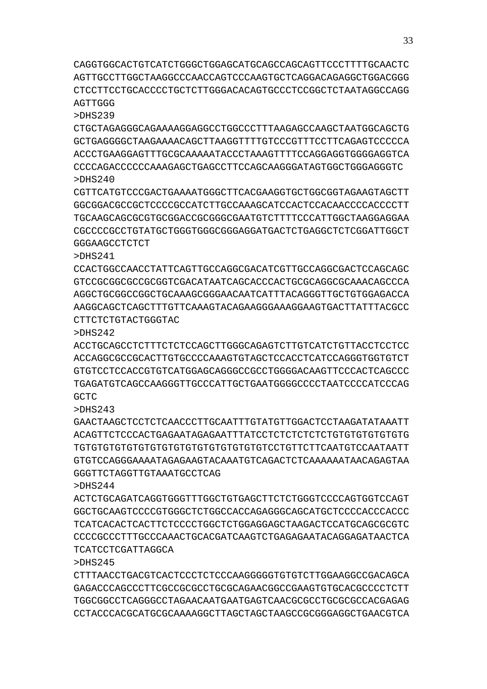CAGGTGGCACTGTCATCTGGGCTGGAGCATGCAGCCAGCAGTTCCCTTTTGCAACTC AGTTGCCTTGGCTAAGGCCCAACCAGTCCCAAGTGCTCAGGACAGAGGCTGGACGGG CTCCTTCCTGCACCCCTGCTCTTGGGACACAGTGCCCTCCGGCTCTAATAGGCCAGG AGTTGGG

>DHS239

CTGCTAGAGGGCAGAAAAGGAGGCCTGGCCCTTTAAGAGCCAAGCTAATGGCAGCTG GCTGAGGGGCTAAGAAAACAGCTTAAGGTTTTGTCCCGTTTCCTTCAGAGTCCCCCA ACCCTGAAGGAGTTTGCGCAAAAATACCCTAAAGTTTTCCAGGAGGTGGGGAGGTCA CCCCAGACCCCCCAAAGAGCTGAGCCTTCCAGCAAGGGATAGTGGCTGGGAGGGTC >DHS240

CGTTCATGTCCCGACTGAAAATGGGCTTCACGAAGGTGCTGGCGGTAGAAGTAGCTT GGCGGACGCCGCTCCCCGCCATCTTGCCAAAGCATCCACTCCACAACCCCACCCCTT TGCAAGCAGCGCGTGCGGACCGCGGGCGAATGTCTTTTCCCATTGGCTAAGGAGGAA CGCCCCGCCTGTATGCTGGGTGGGCGGGAGGATGACTCTGAGGCTCTCGGATTGGCT GGGAAGCCTCTCT

>DHS241

CCACTGGCCAACCTATTCAGTTGCCAGGCGACATCGTTGCCAGGCGACTCCAGCAGC GTCCGCGGCGCCGCGGTCGACATAATCAGCACCCACTGCGCAGGCGCAAACAGCCCA AGGCTGCGGCCGGCTGCAAAGCGGGAACAATCATTTACAGGGTTGCTGTGGAGACCA AAGGCAGCTCAGCTTTGTTCAAAGTACAGAAGGGAAAGGAAGTGACTTATTTACGCC CTTCTCTGTACTGGGTAC

>DHS242

ACCTGCAGCCTCTTTCTCTCCAGCTTGGGCAGAGTCTTGTCATCTGTTACCTCCTCC ACCAGGCGCCGCACTTGTGCCCCAAAGTGTAGCTCCACCTCATCCAGGGTGGTGTCT GTGTCCTCCACCGTGTCATGGAGCAGGGCCGCCTGGGGACAAGTTCCCACTCAGCCC TGAGATGTCAGCCAAGGGTTGCCCATTGCTGAATGGGGCCCCTAATCCCCATCCCAG GCTC

>DHS243

GAACTAAGCTCCTCTCAACCCTTGCAATTTGTATGTTGGACTCCTAAGATATAAATT ACAGTTCTCCCACTGAGAATAGAGAATTTATCCTCTCTCTCTCTGTGTGTGTGTGTG TGTGTGTGTGTGTGTGTGTGTGTGTGTGTGTGTCCTGTTCTTCAATGTCCAATAATT GTGTCCAGGGAAAATAGAGAAGTACAAATGTCAGACTCTCAAAAAATAACAGAGTAA GGGTTCTAGGTTGTAAATGCCTCAG

>DHS244

ACTCTGCAGATCAGGTGGGTTTGGCTGTGAGCTTCTCTGGGTCCCCAGTGGTCCAGT GGCTGCAAGTCCCCGTGGGCTCTGGCCACCAGAGGGCAGCATGCTCCCCACCCACCC TCATCACACTCACTTCTCCCCTGGCTCTGGAGGAGCTAAGACTCCATGCAGCGCGTC CCCCGCCCTTTGCCCAAACTGCACGATCAAGTCTGAGAGAATACAGGAGATAACTCA TCATCCTCGATTAGGCA

>DHS245

CTTTAACCTGACGTCACTCCCTCTCCCAAGGGGGTGTGTCTTGGAAGGCCGACAGCA GAGACCCAGCCCTTCGCCGCGCCTGCGCAGAACGGCCGAAGTGTGCACGCCCCTCTT TGGCGGCCTCAGGGCCTAGAACAATGAATGAGTCAACGCGCCTGCGCGCCACGAGAG CCTACCCACGCATGCGCAAAAGGCTTAGCTAGCTAAGCCGCGGGAGGCTGAACGTCA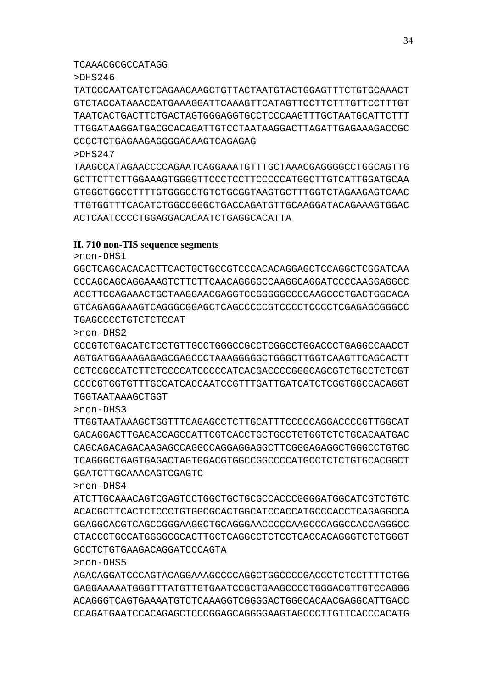## TCAAACGCGCCATAGG

## >DHS246

TATCCCAATCATCTCAGAACAAGCTGTTACTAATGTACTGGAGTTTCTGTGCAAACT GTCTACCATAAACCATGAAAGGATTCAAAGTTCATAGTTCCTTCTTTGTTCCTTTGT TAATCACTGACTTCTGACTAGTGGGAGGTGCCTCCCAAGTTTGCTAATGCATTCTTT TTGGATAAGGATGACGCACAGATTGTCCTAATAAGGACTTAGATTGAGAAAGACCGC CCCCTCTGAGAAGAGGGGACAAGTCAGAGAG

>DHS247

TAAGCCATAGAACCCCAGAATCAGGAAATGTTTGCTAAACGAGGGGCCTGGCAGTTG GCTTCTTCTTGGAAAGTGGGGTTCCCTCCTTCCCCCATGGCTTGTCATTGGATGCAA GTGGCTGGCCTTTTGTGGGCCTGTCTGCGGTAAGTGCTTTGGTCTAGAAGAGTCAAC TTGTGGTTTCACATCTGGCCGGGCTGACCAGATGTTGCAAGGATACAGAAAGTGGAC ACTCAATCCCCTGGAGGACACAATCTGAGGCACATTA

## **II. 710 non-TIS sequence segments**

>non-DHS1

GGCTCAGCACACACTTCACTGCTGCCGTCCCACACAGGAGCTCCAGGCTCGGATCAA CCCAGCAGCAGGAAAGTCTTCTTCAACAGGGGCCAAGGCAGGATCCCCAAGGAGGCC ACCTTCCAGAAACTGCTAAGGAACGAGGTCCGGGGGCCCCAAGCCCTGACTGGCACA GTCAGAGGAAAGTCAGGGCGGAGCTCAGCCCCCGTCCCCTCCCCTCGAGAGCGGGCC TGAGCCCCTGTCTCTCCAT

>non-DHS2

CCCGTCTGACATCTCCTGTTGCCTGGGCCGCCTCGGCCTGGACCCTGAGGCCAACCT AGTGATGGAAAGAGAGCGAGCCCTAAAGGGGGCTGGGCTTGGTCAAGTTCAGCACTT CCTCCGCCATCTTCTCCCCATCCCCCATCACGACCCCGGGCAGCGTCTGCCTCTCGT CCCCGTGGTGTTTGCCATCACCAATCCGTTTGATTGATCATCTCGGTGGCCACAGGT TGGTAATAAAGCTGGT

>non-DHS3

TTGGTAATAAAGCTGGTTTCAGAGCCTCTTGCATTTCCCCCAGGACCCCGTTGGCAT GACAGGACTTGACACCAGCCATTCGTCACCTGCTGCCTGTGGTCTCTGCACAATGAC CAGCAGACAGACAAGAGCCAGGCCAGGAGGAGGCTTCGGGAGAGGCTGGGCCTGTGC TCAGGGCTGAGTGAGACTAGTGGACGTGGCCGGCCCCATGCCTCTCTGTGCACGGCT GGATCTTGCAAACAGTCGAGTC

>non-DHS4

ATCTTGCAAACAGTCGAGTCCTGGCTGCTGCGCCACCCGGGGATGGCATCGTCTGTC ACACGCTTCACTCTCCCTGTGGCGCACTGGCATCCACCATGCCCACCTCAGAGGCCA GGAGGCACGTCAGCCGGGAAGGCTGCAGGGAACCCCCAAGCCCAGGCCACCAGGGCC CTACCCTGCCATGGGGCGCACTTGCTCAGGCCTCTCCTCACCACAGGGTCTCTGGGT GCCTCTGTGAAGACAGGATCCCAGTA

>non-DHS5

AGACAGGATCCCAGTACAGGAAAGCCCCAGGCTGGCCCCGACCCTCTCCTTTTCTGG GAGGAAAAATGGGTTTATGTTGTGAATCCGCTGAAGCCCCTGGGACGTTGTCCAGGG ACAGGGTCAGTGAAAATGTCTCAAAGGTCGGGGACTGGGCACAACGAGGCATTGACC CCAGATGAATCCACAGAGCTCCCGGAGCAGGGGAAGTAGCCCTTGTTCACCCACATG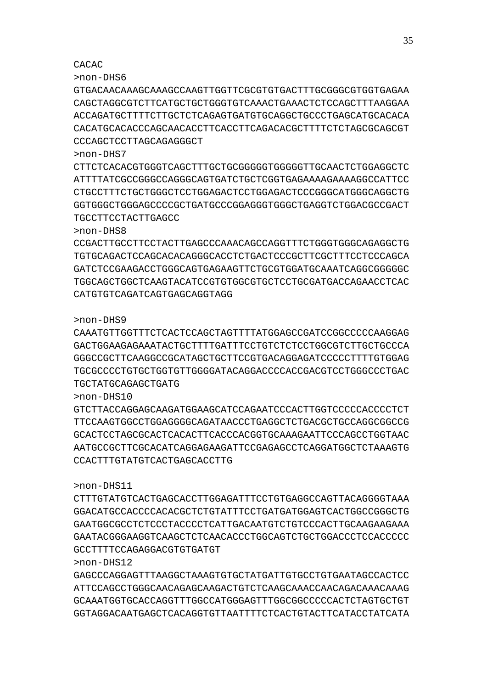GAGCCCAGGAGTTTAAGGCTAAAGTGTGCTATGATTGTGCCTGTGAATAGCCACTCC ATTCCAGCCTGGGCAACAGAGCAAGACTGTCTCAAGCAAACCAACAGACAAACAAAG GCAAATGGTGCACCAGGTTTGGCCATGGGAGTTTGGCGGCCCCCACTCTAGTGCTGT GGTAGGACAATGAGCTCACAGGTGTTAATTTTCTCACTGTACTTCATACCTATCATA

GCCTTTTCCAGAGGACGTGTGATGT

>non-DHS12

>non-DHS11 CTTTGTATGTCACTGAGCACCTTGGAGATTTCCTGTGAGGCCAGTTACAGGGGTAAA GGACATGCCACCCCACACGCTCTGTATTTCCTGATGATGGAGTCACTGGCCGGGCTG GAATGGCGCCTCTCCCTACCCCTCATTGACAATGTCTGTCCCACTTGCAAGAAGAAA GAATACGGGAAGGTCAAGCTCTCAACACCCTGGCAGTCTGCTGGACCCTCCACCCCC

CCACTTTGTATGTCACTGAGCACCTTG

>non-DHS10 GTCTTACCAGGAGCAAGATGGAAGCATCCAGAATCCCACTTGGTCCCCCACCCCTCT TTCCAAGTGGCCTGGAGGGGCAGATAACCCTGAGGCTCTGACGCTGCCAGGCGGCCG GCACTCCTAGCGCACTCACACTTCACCCACGGTGCAAAGAATTCCCAGCCTGGTAAC AATGCCGCTTCGCACATCAGGAGAAGATTCCGAGAGCCTCAGGATGGCTCTAAAGTG

TGCTATGCAGAGCTGATG

>non-DHS9 CAAATGTTGGTTTCTCACTCCAGCTAGTTTTATGGAGCCGATCCGGCCCCCAAGGAG GACTGGAAGAGAAATACTGCTTTTGATTTCCTGTCTCTCCTGGCGTCTTGCTGCCCA GGGCCGCTTCAAGGCCGCATAGCTGCTTCCGTGACAGGAGATCCCCCTTTTGTGGAG TGCGCCCCTGTGCTGGTGTTGGGGATACAGGACCCCACCGACGTCCTGGGCCCTGAC

CATGTGTCAGATCAGTGAGCAGGTAGG

>non-DHS8 CCGACTTGCCTTCCTACTTGAGCCCAAACAGCCAGGTTTCTGGGTGGGCAGAGGCTG TGTGCAGACTCCAGCACACAGGGCACCTCTGACTCCCGCTTCGCTTTCCTCCCAGCA GATCTCCGAAGACCTGGGCAGTGAGAAGTTCTGCGTGGATGCAAATCAGGCGGGGGC TGGCAGCTGGCTCAAGTACATCCGTGTGGCGTGCTCCTGCGATGACCAGAACCTCAC

TGCCTTCCTACTTGAGCC

CACAC

>non-DHS6

>non-DHS7 CTTCTCACACGTGGGTCAGCTTTGCTGCGGGGGTGGGGGTTGCAACTCTGGAGGCTC ATTTTATCGCCGGGCCAGGGCAGTGATCTGCTCGGTGAGAAAAGAAAAGGCCATTCC CTGCCTTTCTGCTGGGCTCCTGGAGACTCCTGGAGACTCCCGGGCATGGGCAGGCTG GGTGGGCTGGGAGCCCCGCTGATGCCCGGAGGGTGGGCTGAGGTCTGGACGCCGACT

GTGACAACAAAGCAAAGCCAAGTTGGTTCGCGTGTGACTTTGCGGGCGTGGTGAGAA CAGCTAGGCGTCTTCATGCTGCTGGGTGTCAAACTGAAACTCTCCAGCTTTAAGGAA ACCAGATGCTTTTCTTGCTCTCAGAGTGATGTGCAGGCTGCCCTGAGCATGCACACA CACATGCACACCCAGCAACACCTTCACCTTCAGACACGCTTTTCTCTAGCGCAGCGT CCCAGCTCCTTAGCAGAGGGCT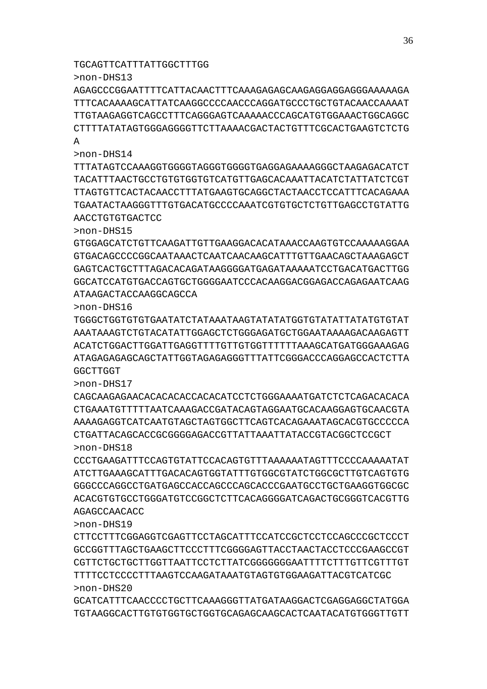GCATCATTTCAACCCCTGCTTCAAAGGGTTATGATAAGGACTCGAGGAGGCTATGGA TGTAAGGCACTTGTGTGGTGCTGGTGCAGAGCAAGCACTCAATACATGTGGGTTGTT

>non-DHS19 CTTCCTTTCGGAGGTCGAGTTCCTAGCATTTCCATCCGCTCCTCCAGCCCGCTCCCT GCCGGTTTAGCTGAAGCTTCCCTTTCGGGGAGTTACCTAACTACCTCCCGAAGCCGT CGTTCTGCTGCTTGGTTAATTCCTCTTATCGGGGGGGAATTTTCTTTGTTCGTTTGT TTTTCCTCCCCTTTAAGTCCAAGATAAATGTAGTGTGGAAGATTACGTCATCGC >non-DHS20

>non-DHS18 CCCTGAAGATTTCCAGTGTATTCCACAGTGTTTAAAAAATAGTTTCCCCAAAAATAT ATCTTGAAAGCATTTGACACAGTGGTATTTGTGGCGTATCTGGCGCTTGTCAGTGTG GGGCCCAGGCCTGATGAGCCACCAGCCCAGCACCCGAATGCCTGCTGAAGGTGGCGC ACACGTGTGCCTGGGATGTCCGGCTCTTCACAGGGGATCAGACTGCGGGTCACGTTG AGAGCCAACACC

CAGCAAGAGAACACACACACCACACATCCTCTGGGAAAATGATCTCTCAGACACACA CTGAAATGTTTTTAATCAAAGACCGATACAGTAGGAATGCACAAGGAGTGCAACGTA AAAAGAGGTCATCAATGTAGCTAGTGGCTTCAGTCACAGAAATAGCACGTGCCCCCA CTGATTACAGCACCGCGGGGAGACCGTTATTAAATTATACCGTACGGCTCCGCT

>non-DHS16 TGGGCTGGTGTGTGAATATCTATAAATAAGTATATATGGTGTATATTATATGTGTAT AAATAAAGTCTGTACATATTGGAGCTCTGGGAGATGCTGGAATAAAAGACAAGAGTT ACATCTGGACTTGGATTGAGGTTTTGTTGTGGTTTTTTAAAGCATGATGGGAAAGAG ATAGAGAGAGCAGCTATTGGTAGAGAGGGTTTATTCGGGACCCAGGAGCCACTCTTA GGCTTGGT

>non-DHS15 GTGGAGCATCTGTTCAAGATTGTTGAAGGACACATAAACCAAGTGTCCAAAAAGGAA GTGACAGCCCCGGCAATAAACTCAATCAACAAGCATTTGTTGAACAGCTAAAGAGCT GAGTCACTGCTTTAGACACAGATAAGGGGATGAGATAAAAATCCTGACATGACTTGG GGCATCCATGTGACCAGTGCTGGGGAATCCCACAAGGACGGAGACCAGAGAATCAAG ATAAGACTACCAAGGCAGCCA

TTTATAGTCCAAAGGTGGGGTAGGGTGGGGTGAGGAGAAAAGGGCTAAGAGACATCT TACATTTAACTGCCTGTGTGGTGTCATGTTGAGCACAAATTACATCTATTATCTCGT TTAGTGTTCACTACAACCTTTATGAAGTGCAGGCTACTAACCTCCATTTCACAGAAA TGAATACTAAGGGTTTGTGACATGCCCCAAATCGTGTGCTCTGTTGAGCCTGTATTG AACCTGTGTGACTCC

>non-DHS13 AGAGCCCGGAATTTTCATTACAACTTTCAAAGAGAGCAAGAGGAGGAGGGAAAAAGA TTTCACAAAAGCATTATCAAGGCCCCAACCCAGGATGCCCTGCTGTACAACCAAAAT TTGTAAGAGGTCAGCCTTTCAGGGAGTCAAAAACCCAGCATGTGGAAACTGGCAGGC CTTTTATATAGTGGGAGGGGTTCTTAAAACGACTACTGTTTCGCACTGAAGTCTCTG A

TGCAGTTCATTTATTGGCTTTGG

>non-DHS14

>non-DHS17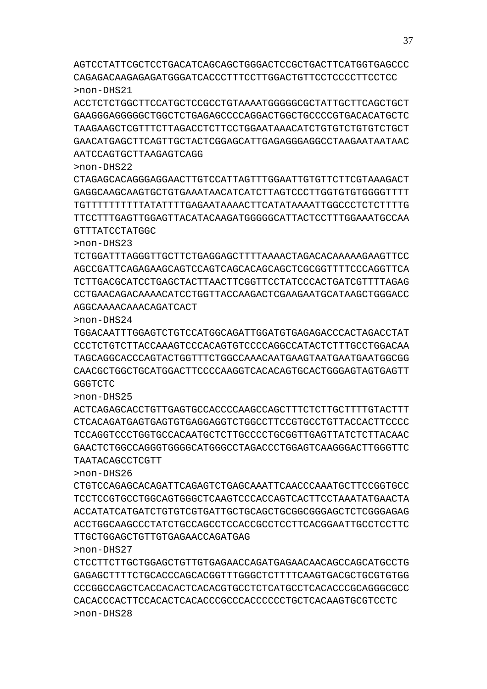>non-DHS27 CTCCTTCTTGCTGGAGCTGTTGTGAGAACCAGATGAGAACAACAGCCAGCATGCCTG GAGAGCTTTTCTGCACCCAGCACGGTTTGGGCTCTTTTCAAGTGACGCTGCGTGTGG CCCGGCCAGCTCACCACACTCACACGTGCCTCTCATGCCTCACACCCGCAGGGCGCC CACACCCACTTCCACACTCACACCCGCCCACCCCCCTGCTCACAAGTGCGTCCTC

### TTGCTGGAGCTGTTGTGAGAACCAGATGAG

>non-DHS26 CTGTCCAGAGCACAGATTCAGAGTCTGAGCAAATTCAACCCAAATGCTTCCGGTGCC TCCTCCGTGCCTGGCAGTGGGCTCAAGTCCCACCAGTCACTTCCTAAATATGAACTA ACCATATCATGATCTGTGTCGTGATTGCTGCAGCTGCGGCGGGAGCTCTCGGGAGAG ACCTGGCAAGCCCTATCTGCCAGCCTCCACCGCCTCCTTCACGGAATTGCCTCCTTC

TAATACAGCCTCGTT

GGGTCTC

>non-DHS25 ACTCAGAGCACCTGTTGAGTGCCACCCCAAGCCAGCTTTCTCTTGCTTTTGTACTTT CTCACAGATGAGTGAGTGTGAGGAGGTCTGGCCTTCCGTGCCTGTTACCACTTCCCC TCCAGGTCCCTGGTGCCACAATGCTCTTGCCCCTGCGGTTGAGTTATCTCTTACAAC GAACTCTGGCCAGGGTGGGGCATGGGCCTAGACCCTGGAGTCAAGGGACTTGGGTTC

# >non-DHS24 TGGACAATTTGGAGTCTGTCCATGGCAGATTGGATGTGAGAGACCCACTAGACCTAT CCCTCTGTCTTACCAAAGTCCCACAGTGTCCCCAGGCCATACTCTTTGCCTGGACAA TAGCAGGCACCCAGTACTGGTTTCTGGCCAAACAATGAAGTAATGAATGAATGGCGG CAACGCTGGCTGCATGGACTTCCCCAAGGTCACACAGTGCACTGGGAGTAGTGAGTT

TCTGGATTTAGGGTTGCTTCTGAGGAGCTTTTAAAACTAGACACAAAAAGAAGTTCC AGCCGATTCAGAGAAGCAGTCCAGTCAGCACAGCAGCTCGCGGTTTTCCCAGGTTCA TCTTGACGCATCCTGAGCTACTTAACTTCGGTTCCTATCCCACTGATCGTTTTAGAG CCTGAACAGACAAAACATCCTGGTTACCAAGACTCGAAGAATGCATAAGCTGGGACC AGGCAAAACAAACAGATCACT

>non-DHS23

>non-DHS22

CTAGAGCACAGGGAGGAACTTGTCCATTAGTTTGGAATTGTGTTCTTCGTAAAGACT GAGGCAAGCAAGTGCTGTGAAATAACATCATCTTAGTCCCTTGGTGTGTGGGGTTTT TGTTTTTTTTTTATATTTTGAGAATAAAACTTCATATAAAATTGGCCCTCTCTTTTG TTCCTTTGAGTTGGAGTTACATACAAGATGGGGGCATTACTCCTTTGGAAATGCCAA GTTTATCCTATGGC

# AATCCAGTGCTTAAGAGTCAGG

# >non-DHS21 ACCTCTCTGGCTTCCATGCTCCGCCTGTAAAATGGGGGCGCTATTGCTTCAGCTGCT GAAGGGAGGGGGCTGGCTCTGAGAGCCCCAGGACTGGCTGCCCCGTGACACATGCTC TAAGAAGCTCGTTTCTTAGACCTCTTCCTGGAATAAACATCTGTGTCTGTGTCTGCT GAACATGAGCTTCAGTTGCTACTCGGAGCATTGAGAGGGAGGCCTAAGAATAATAAC

AGTCCTATTCGCTCCTGACATCAGCAGCTGGGACTCCGCTGACTTCATGGTGAGCCC CAGAGACAAGAGAGATGGGATCACCCTTTCCTTGGACTGTTCCTCCCCTTCCTCC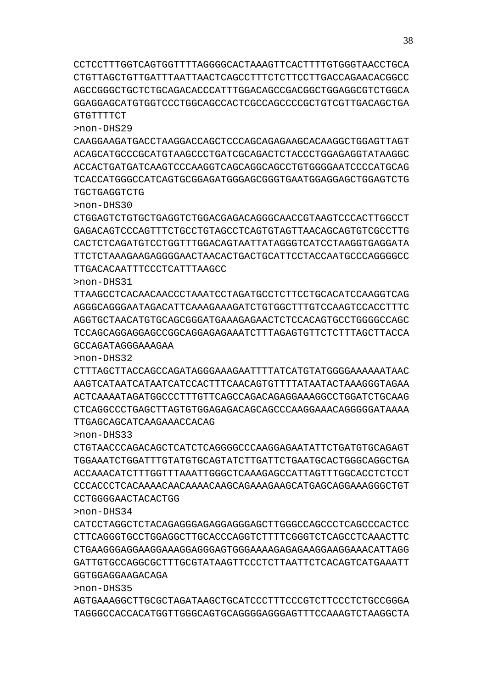CCTCCTTTGGTCAGTGGTTTTAGGGGCACTAAAGTTCACTTTTGTGGGTAACCTGCA CTGTTAGCTGTTGATTTAATTAACTCAGCCTTTCTCTTCCTTGACCAGAACACGGCC AGCCGGGCTGCTCTGCAGACACCCATTTGGACAGCCGACGGCTGGAGGCGTCTGGCA GGAGGAGCATGTGGTCCCTGGCAGCCACTCGCCAGCCCCGCTGTCGTTGACAGCTGA GTGTTTTCT

>non-DHS29

CAAGGAAGATGACCTAAGGACCAGCTCCCAGCAGAGAAGCACAAGGCTGGAGTTAGT ACAGCATGCCCGCATGTAAGCCCTGATCGCAGACTCTACCCTGGAGAGGTATAAGGC ACCACTGATGATCAAGTCCCAAGGTCAGCAGGCAGCCTGTGGGGAATCCCCATGCAG TCACCATGGGCCATCAGTGCGGAGATGGGAGCGGGTGAATGGAGGAGCTGGAGTCTG TGCTGAGGTCTG

>non-DHS30

CTGGAGTCTGTGCTGAGGTCTGGACGAGACAGGGCAACCGTAAGTCCCACTTGGCCT GAGACAGTCCCAGTTTCTGCCTGTAGCCTCAGTGTAGTTAACAGCAGTGTCGCCTTG CACTCTCAGATGTCCTGGTTTGGACAGTAATTATAGGGTCATCCTAAGGTGAGGATA TTCTCTAAAGAAGAGGGGAACTAACACTGACTGCATTCCTACCAATGCCCAGGGGCC TTGACACAATTTCCCTCATTTAAGCC

>non-DHS31

TTAAGCCTCACAACAACCCTAAATCCTAGATGCCTCTTCCTGCACATCCAAGGTCAG AGGGCAGGGAATAGACATTCAAAGAAAGATCTGTGGCTTTGTCCAAGTCCACCTTTC AGGTGCTAACATGTGCAGCGGGATGAAAGAGAACTCTCCACAGTGCCTGGGGCCAGC TCCAGCAGGAGGAGCCGGCAGGAGAGAAATCTTTAGAGTGTTCTCTTTAGCTTACCA GCCAGATAGGGAAAGAA

>non-DHS32

CTTTAGCTTACCAGCCAGATAGGGAAAGAATTTTATCATGTATGGGGAAAAAATAAC AAGTCATAATCATAATCATCCACTTTCAACAGTGTTTTATAATACTAAAGGGTAGAA ACTCAAAATAGATGGCCCTTTGTTCAGCCAGACAGAGGAAAGGCCTGGATCTGCAAG CTCAGGCCCTGAGCTTAGTGTGGAGAGACAGCAGCCCAAGGAAACAGGGGGATAAAA TTGAGCAGCATCAAGAAACCACAG

>non-DHS33

CTGTAACCCAGACAGCTCATCTCAGGGGCCCAAGGAGAATATTCTGATGTGCAGAGT TGGAAATCTGGATTTGTATGTGCAGTATCTTGATTCTGAATGCACTGGGCAGGCTGA ACCAAACATCTTTGGTTTAAATTGGGCTCAAAGAGCCATTAGTTTGGCACCTCTCCT CCCACCCTCACAAAACAACAAAACAAGCAGAAAGAAGCATGAGCAGGAAAGGGCTGT CCTGGGGAACTACACTGG

>non-DHS34

38

CATCCTAGGCTCTACAGAGGGAGAGGAGGGAGCTTGGGCCAGCCCTCAGCCCACTCC CTTCAGGGTGCCTGGAGGCTTGCACCCAGGTCTTTTCGGGTCTCAGCCTCAAACTTC CTGAAGGGAGGAAGGAAAGGAGGGAGTGGGAAAAGAGAGAAGGAAGGAAACATTAGG GATTGTGCCAGGCGCTTTGCGTATAAGTTCCCTCTTAATTCTCACAGTCATGAAATT GGTGGAGGAAGACAGA

>non-DHS35

AGTGAAAGGCTTGCGCTAGATAAGCTGCATCCCTTTCCCGTCTTCCCTCTGCCGGGA TAGGGCCACCACATGGTTGGGCAGTGCAGGGGAGGGAGTTTCCAAAGTCTAAGGCTA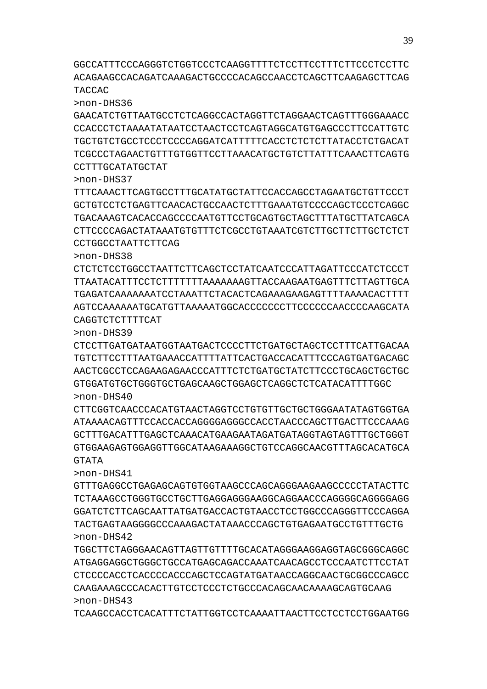TCAAGCCACCTCACATTTCTATTGGTCCTCAAAATTAACTTCCTCCTCCTGGAATGG

TGGCTTCTAGGGAACAGTTAGTTGTTTTGCACATAGGGAAGGAGGTAGCGGGCAGGC ATGAGGAGGCTGGGCTGCCATGAGCAGACCAAATCAACAGCCTCCCAATCTTCCTAT CTCCCCACCTCACCCCACCCAGCTCCAGTATGATAACCAGGCAACTGCGGCCCAGCC CAAGAAAGCCCACACTTGTCCTCCCTCTGCCCACAGCAACAAAAGCAGTGCAAG >non-DHS43

GTTTGAGGCCTGAGAGCAGTGTGGTAAGCCCAGCAGGGAAGAAGCCCCCTATACTTC TCTAAAGCCTGGGTGCCTGCTTGAGGAGGGAAGGCAGGAACCCAGGGGCAGGGGAGG GGATCTCTTCAGCAATTATGATGACCACTGTAACCTCCTGGCCCAGGGTTCCCAGGA TACTGAGTAAGGGGCCCAAAGACTATAAACCCAGCTGTGAGAATGCCTGTTTGCTG >non-DHS42

>non-DHS41

>non-DHS40 CTTCGGTCAACCCACATGTAACTAGGTCCTGTGTTGCTGCTGGGAATATAGTGGTGA ATAAAACAGTTTCCACCACCAGGGGAGGGCCACCTAACCCAGCTTGACTTCCCAAAG GCTTTGACATTTGAGCTCAAACATGAAGAATAGATGATAGGTAGTAGTTTGCTGGGT GTGGAAGAGTGGAGGTTGGCATAAGAAAGGCTGTCCAGGCAACGTTTAGCACATGCA GTATA

>non-DHS39 CTCCTTGATGATAATGGTAATGACTCCCCTTCTGATGCTAGCTCCTTTCATTGACAA TGTCTTCCTTTAATGAAACCATTTTATTCACTGACCACATTTCCCAGTGATGACAGC AACTCGCCTCCAGAAGAGAACCCATTTCTCTGATGCTATCTTCCCTGCAGCTGCTGC GTGGATGTGCTGGGTGCTGAGCAAGCTGGAGCTCAGGCTCTCATACATTTTGGC

CAGGTCTCTTTTCAT

>non-DHS38 CTCTCTCCTGGCCTAATTCTTCAGCTCCTATCAATCCCATTAGATTCCCATCTCCCT TTAATACATTTCCTCTTTTTTTAAAAAAAGTTACCAAGAATGAGTTTCTTAGTTGCA TGAGATCAAAAAAATCCTAAATTCTACACTCAGAAAGAAGAGTTTTAAAACACTTTT AGTCCAAAAAATGCATGTTAAAAATGGCACCCCCCCTTCCCCCCAACCCCAAGCATA

CCTGGCCTAATTCTTCAG

>non-DHS37 TTTCAAACTTCAGTGCCTTTGCATATGCTATTCCACCAGCCTAGAATGCTGTTCCCT GCTGTCCTCTGAGTTCAACACTGCCAACTCTTTGAAATGTCCCCAGCTCCCTCAGGC TGACAAAGTCACACCAGCCCCAATGTTCCTGCAGTGCTAGCTTTATGCTTATCAGCA CTTCCCCAGACTATAAATGTGTTTCTCGCCTGTAAATCGTCTTGCTTCTTGCTCTCT

CCTTTGCATATGCTAT

>non-DHS36 GAACATCTGTTAATGCCTCTCAGGCCACTAGGTTCTAGGAACTCAGTTTGGGAAACC CCACCCTCTAAAATATAATCCTAACTCCTCAGTAGGCATGTGAGCCCTTCCATTGTC TGCTGTCTGCCTCCCTCCCCAGGATCATTTTTCACCTCTCTCTTATACCTCTGACAT TCGCCCTAGAACTGTTTGTGGTTCCTTAAACATGCTGTCTTATTTCAAACTTCAGTG

TACCAC

GGCCATTTCCCAGGGTCTGGTCCCTCAAGGTTTTCTCCTTCCTTTCTTCCCTCCTTC ACAGAAGCCACAGATCAAAGACTGCCCCACAGCCAACCTCAGCTTCAAGAGCTTCAG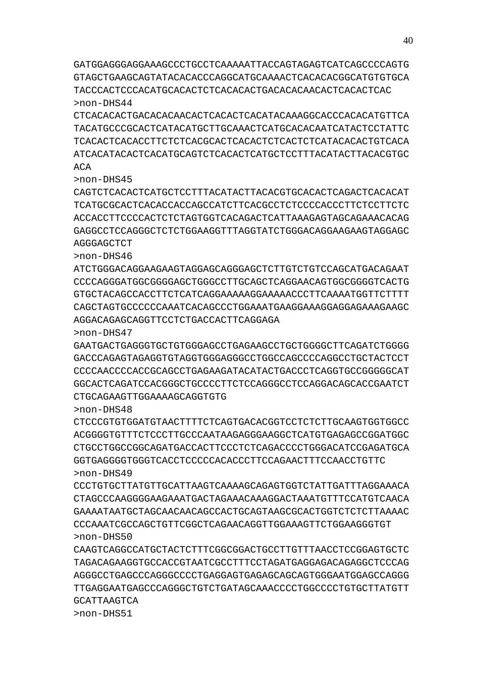GATGGAGGGAGGAAAGCCCTGCCTCAAAAATTACCAGTAGAGTCATCAGCCCCAGTG GTAGCTGAAGCAGTATACACACCCAGGCATGCAAAACTCACACACGGCATGTGTGCA TACCCACTCCCACATGCACACTCTCACACACTGACACACAACACTCACACTCAC >non-DHS44

CTCACACACTGACACACAACACTCACACTCACATACAAAGGCACCCACACATGTTCA TACATGCCCGCACTCATACATGCTTGCAAACTCATGCACACAATCATACTCCTATTC TCACACTCACACCTTCTCTCACGCACTCACACTCTCACTCTCATACACACTGTCACA ATCACATACACTCACATGCAGTCTCACACTCATGCTCCTTTACATACTTACACGTGC ACA

#### >non-DHS45

CAGTCTCACACTCATGCTCCTTTACATACTTACACGTGCACACTCAGACTCACACAT TCATGCGCACTCACACCACCAGCCATCTTCACGCCTCTCCCCACCCTTCTCCTTCTC ACCACCTTCCCCACTCTCTAGTGGTCACAGACTCATTAAAGAGTAGCAGAAACACAG GAGGCCTCCAGGGCTCTCTGGAAGGTTTAGGTATCTGGGACAGGAAGAAGTAGGAGC AGGGAGCTCT

>non-DHS46

ATCTGGGACAGGAAGAAGTAGGAGCAGGGAGCTCTTGTCTGTCCAGCATGACAGAAT CCCCAGGGATGGCGGGGAGCTGGGCCTTGCAGCTCAGGAACAGTGGCGGGGTCACTG GTGCTACAGCCACCTTCTCATCAGGAAAAAGGAAAAACCCTTCAAAATGGTTCTTTT CAGCTAGTGCCCCCCAAATCACAGCCCTGGAAATGAAGGAAAGGAGGAGAAAGAAGC AGGACAGAGCAGGTTCCTCTGACCACTTCAGGAGA

>non-DHS47

GAATGACTGAGGGTGCTGTGGGAGCCTGAGAAGCCTGCTGGGGCTTCAGATCTGGGG GACCCAGAGTAGAGGTGTAGGTGGGAGGGCCTGGCCAGCCCCAGGCCTGCTACTCCT CCCCAACCCCACCGCAGCCTGAGAAGATACATACTGACCCTCAGGTGCCGGGGGCAT GGCACTCAGATCCACGGGCTGCCCCTTCTCCAGGGCCTCCAGGACAGCACCGAATCT CTGCAGAAGTTGGAAAAGCAGGTGTG

>non-DHS48

CTCCCGTGTGGATGTAACTTTTCTCAGTGACACGGTCCTCTCTTGCAAGTGGTGGCC ACGGGGTGTTTCTCCCTTGCCCAATAAGAGGGAAGGCTCATGTGAGAGCCGGATGGC CTGCCTGGCCGGCAGATGACCACTTCCCTCTCAGACCCCTGGGACATCCGAGATGCA GGTGAGGGGTGGGTCACCTCCCCCACACCCTTCCAGAACTTTCCAACCTGTTC >non-DHS49

CCCTGTGCTTATGTTGCATTAAGTCAAAAGCAGAGTGGTCTATTGATTTAGGAAACA CTAGCCCAAGGGGAAGAAATGACTAGAAACAAAGGACTAAATGTTTCCATGTCAACA GAAAATAATGCTAGCAACAACAGCCACTGCAGTAAGCGCACTGGTCTCTCTTAAAAC CCCAAATCGCCAGCTGTTCGGCTCAGAACAGGTTGGAAAGTTCTGGAAGGGTGT >non-DHS50

CAAGTCAGGCCATGCTACTCTTTCGGCGGACTGCCTTGTTTAACCTCCGGAGTGCTC TAGACAGAAGGTGCCACCGTAATCGCCTTTCCTAGATGAGGAGACAGAGGCTCCCAG AGGGCCTGAGCCCAGGGCCCCTGAGGAGTGAGAGCAGCAGTGGGAATGGAGCCAGGG TTGAGGAATGAGCCCAGGGCTGTCTGATAGCAAACCCCTGGCCCCTGTGCTTATGTT GCATTAAGTCA

>non-DHS51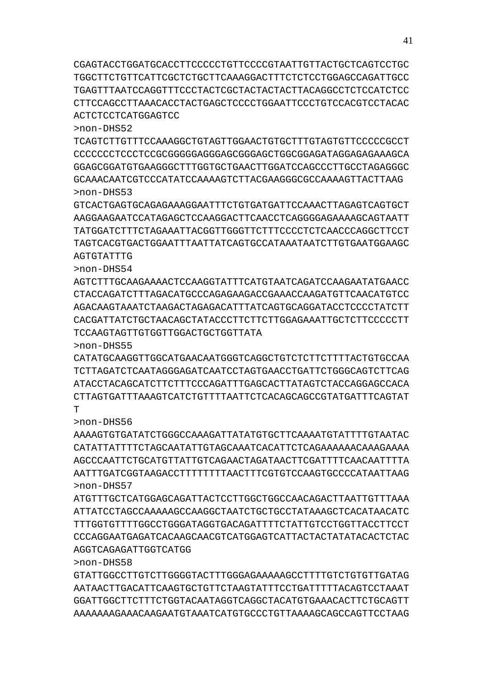GTATTGGCCTTGTCTTGGGGTACTTTGGGAGAAAAAGCCTTTTGTCTGTGTTGATAG AATAACTTGACATTCAAGTGCTGTTCTAAGTATTTCCTGATTTTTACAGTCCTAAAT GGATTGGCTTCTTTCTGGTACAATAGGTCAGGCTACATGTGAAACACTTCTGCAGTT AAAAAAAGAAACAAGAATGTAAATCATGTGCCCTGTTAAAAGCAGCCAGTTCCTAAG

AGGTCAGAGATTGGTCATGG

>non-DHS58

AGTGTATTTG

>non-DHS57 ATGTTTGCTCATGGAGCAGATTACTCCTTGGCTGGCCAACAGACTTAATTGTTTAAA ATTATCCTAGCCAAAAAGCCAAGGCTAATCTGCTGCCTATAAAGCTCACATAACATC TTTGGTGTTTTGGCCTGGGATAGGTGACAGATTTTCTATTGTCCTGGTTACCTTCCT CCCAGGAATGAGATCACAAGCAACGTCATGGAGTCATTACTACTATATACACTCTAC

>non-DHS56 AAAAGTGTGATATCTGGGCCAAAGATTATATGTGCTTCAAAATGTATTTTGTAATAC CATATTATTTTCTAGCAATATTGTAGCAAATCACATTCTCAGAAAAAACAAAGAAAA AGCCCAATTCTGCATGTTATTGTCAGAACTAGATAACTTCGATTTTCAACAATTTTA AATTTGATCGGTAAGACCTTTTTTTTAACTTTCGTGTCCAAGTGCCCCATAATTAAG

>non-DHS55 CATATGCAAGGTTGGCATGAACAATGGGTCAGGCTGTCTCTTCTTTTACTGTGCCAA TCTTAGATCTCAATAGGGAGATCAATCCTAGTGAACCTGATTCTGGGCAGTCTTCAG ATACCTACAGCATCTTCTTTCCCAGATTTGAGCACTTATAGTCTACCAGGAGCCACA CTTAGTGATTTAAAGTCATCTGTTTTAATTCTCACAGCAGCCGTATGATTTCAGTAT  $\mathbf{T}$ 

>non-DHS54 AGTCTTTGCAAGAAAACTCCAAGGTATTTCATGTAATCAGATCCAAGAATATGAACC CTACCAGATCTTTAGACATGCCCAGAGAAGACCGAAACCAAGATGTTCAACATGTCC AGACAAGTAAATCTAAGACTAGAGACATTTATCAGTGCAGGATACCTCCCCTATCTT CACGATTATCTGCTAACAGCTATACCCTTCTTCTTGGAGAAATTGCTCTTCCCCCTT TCCAAGTAGTTGTGGTTGGACTGCTGGTTATA

GCAAACAATCGTCCCATATCCAAAAGTCTTACGAAGGGCGCCAAAAGTTACTTAAG >non-DHS53 GTCACTGAGTGCAGAGAAAGGAATTTCTGTGATGATTCCAAACTTAGAGTCAGTGCT AAGGAAGAATCCATAGAGCTCCAAGGACTTCAACCTCAGGGGAGAAAAGCAGTAATT TATGGATCTTTCTAGAAATTACGGTTGGGTTCTTTCCCCTCTCAACCCAGGCTTCCT TAGTCACGTGACTGGAATTTAATTATCAGTGCCATAAATAATCTTGTGAATGGAAGC

GGAGCGGATGTGAAGGGCTTTGGTGCTGAACTTGGATCCAGCCCTTGCCTAGAGGGC

TGAGTTTAATCCAGGTTTCCCTACTCGCTACTACTACTTACAGGCCTCTCCATCTCC CTTCCAGCCTTAAACACCTACTGAGCTCCCCTGGAATTCCCTGTCCACGTCCTACAC ACTCTCCTCATGGAGTCC >non-DHS52 TCAGTCTTGTTTCCAAAGGCTGTAGTTGGAACTGTGCTTTGTAGTGTTCCCCCGCCT CCCCCCCTCCCTCCGCGGGGGAGGGAGCGGGAGCTGGCGGAGATAGGAGAGAAAGCA

CGAGTACCTGGATGCACCTTCCCCCTGTTCCCCGTAATTGTTACTGCTCAGTCCTGC TGGCTTCTGTTCATTCGCTCTGCTTCAAAGGACTTTCTCTCCTGGAGCCAGATTGCC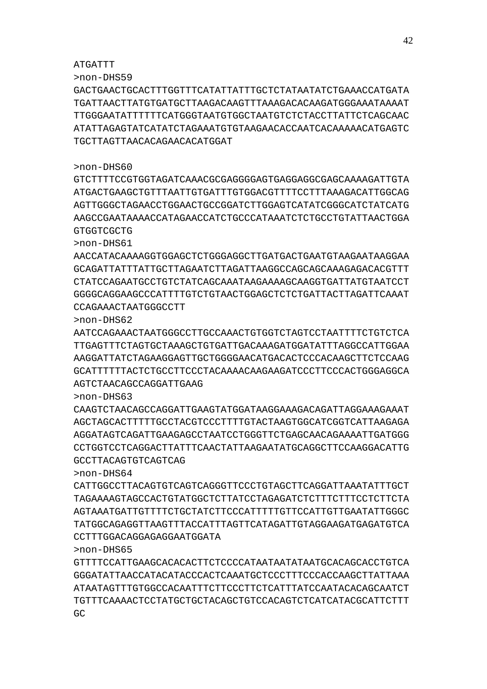GC.

>non-DHS65 GTTTTCCATTGAAGCACACACTTCTCCCCATAATAATATAATGCACAGCACCTGTCA GGGATATTAACCATACATACCCACTCAAATGCTCCCTTTCCCACCAAGCTTATTAAA ATAATAGTTTGTGGCCACAATTTCTTCCCTTCTCATTTATCCAATACACAGCAATCT TGTTTCAAAACTCCTATGCTGCTACAGCTGTCCACAGTCTCATCATACGCATTCTTT

CATTGGCCTTACAGTGTCAGTCAGGGTTCCCTGTAGCTTCAGGATTAAATATTTGCT TAGAAAAGTAGCCACTGTATGGCTCTTATCCTAGAGATCTCTTTCTTTCCTCTTCTA AGTAAATGATTGTTTTCTGCTATCTTCCCATTTTTGTTCCATTGTTGAATATTGGGC TATGGCAGAGGTTAAGTTTACCATTTAGTTCATAGATTGTAGGAAGATGAGATGTCA CCTTTGGACAGGAGAGGAATGGATA

>non-DHS63 CAAGTCTAACAGCCAGGATTGAAGTATGGATAAGGAAAGACAGATTAGGAAAGAAAT AGCTAGCACTTTTTGCCTACGTCCCTTTTGTACTAAGTGGCATCGGTCATTAAGAGA AGGATAGTCAGATTGAAGAGCCTAATCCTGGGTTCTGAGCAACAGAAAATTGATGGG CCTGGTCCTCAGGACTTATTTCAACTATTAAGAATATGCAGGCTTCCAAGGACATTG GCCTTACAGTGTCAGTCAG

# AGTCTAACAGCCAGGATTGAAG

>non-DHS64

ATGATTT >non-DHS59

>non-DHS60

AATCCAGAAACTAATGGGCCTTGCCAAACTGTGGTCTAGTCCTAATTTTCTGTCTCA TTGAGTTTCTAGTGCTAAAGCTGTGATTGACAAAGATGGATATTTAGGCCATTGGAA AAGGATTATCTAGAAGGAGTTGCTGGGGAACATGACACTCCCACAAGCTTCTCCAAG GCATTTTTTACTCTGCCTTCCCTACAAAACAAGAAGATCCCTTCCCACTGGGAGGCA

AACCATACAAAAGGTGGAGCTCTGGGAGGCTTGATGACTGAATGTAAGAATAAGGAA GCAGATTATTTATTGCTTAGAATCTTAGATTAAGGCCAGCAGCAAAGAGACACGTTT CTATCCAGAATGCCTGTCTATCAGCAAATAAGAAAAGCAAGGTGATTATGTAATCCT GGGGCAGGAAGCCCATTTTGTCTGTAACTGGAGCTCTCTGATTACTTAGATTCAAAT CCAGAAACTAATGGGCCTT >non-DHS62

ATGACTGAAGCTGTTTAATTGTGATTTGTGGACGTTTTCCTTTAAAGACATTGGCAG AGTTGGGCTAGAACCTGGAACTGCCGGATCTTGGAGTCATATCGGGCATCTATCATG AAGCCGAATAAAACCATAGAACCATCTGCCCATAAATCTCTGCCTGTATTAACTGGA GTGGTCGCTG >non-DHS61

GTCTTTTCCGTGGTAGATCAAACGCGAGGGGAGTGAGGAGGCGAGCAAAAGATTGTA

# GACTGAACTGCACTTTGGTTTCATATTATTTGCTCTATAATATCTGAAACCATGATA TGATTAACTTATGTGATGCTTAAGACAAGTTTAAAGACACAAGATGGGAAATAAAAT TTGGGAATATTTTTTCATGGGTAATGTGGCTAATGTCTCTACCTTATTCTCAGCAAC ATATTAGAGTATCATATCTAGAAATGTGTAAGAACACCAATCACAAAAACATGAGTC TGCTTAGTTAACACAGAACACATGGAT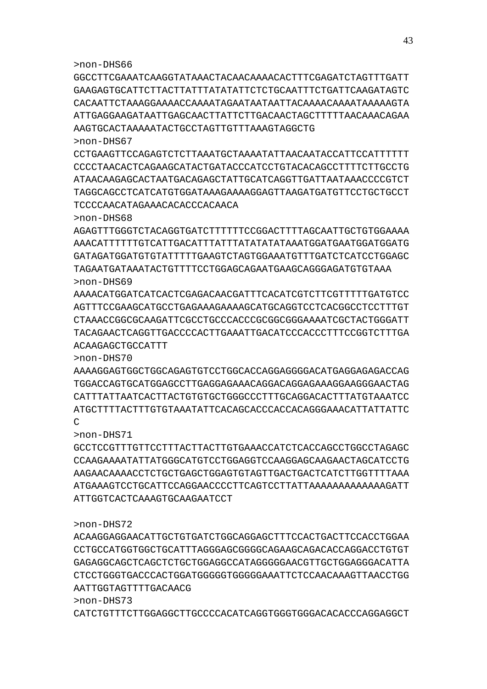GGCCTTCGAAATCAAGGTATAAACTACAACAAAACACTTTCGAGATCTAGTTTGATT GAAGAGTGCATTCTTACTTATTTATATATTCTCTGCAATTTCTGATTCAAGATAGTC CACAATTCTAAAGGAAAACCAAAATAGAATAATAATTACAAAACAAAATAAAAAGTA ATTGAGGAAGATAATTGAGCAACTTATTCTTGACAACTAGCTTTTTAACAAACAGAA AAGTGCACTAAAAATACTGCCTAGTTGTTTAAAGTAGGCTG >non-DHS67

CCTGAAGTTCCAGAGTCTCTTAAATGCTAAAATATTAACAATACCATTCCATTTTTT CCCCTAACACTCAGAAGCATACTGATACCCATCCTGTACACAGCCTTTTCTTGCCTG ATAACAAGAGCACTAATGACAGAGCTATTGCATCAGGTTGATTAATAAACCCCGTCT TAGGCAGCCTCATCATGTGGATAAAGAAAAGGAGTTAAGATGATGTTCCTGCTGCCT TCCCCAACATAGAAACACACCCACAACA

>non-DHS68

AGAGTTTGGGTCTACAGGTGATCTTTTTTCCGGACTTTTAGCAATTGCTGTGGAAAA AAACATTTTTTGTCATTGACATTTATTTATATATATAAATGGATGAATGGATGGATG GATAGATGGATGTGTATTTTTGAAGTCTAGTGGAAATGTTTGATCTCATCCTGGAGC TAGAATGATAAATACTGTTTTCCTGGAGCAGAATGAAGCAGGGAGATGTGTAAA >non-DHS69

AAAACATGGATCATCACTCGAGACAACGATTTCACATCGTCTTCGTTTTTGATGTCC AGTTTCCGAAGCATGCCTGAGAAAGAAAAGCATGCAGGTCCTCACGGCCTCCTTTGT CTAAACCGGCGCAAGATTCGCCTGCCCACCCGCGGCGGGAAAATCGCTACTGGGATT TACAGAACTCAGGTTGACCCCACTTGAAATTGACATCCCACCCTTTCCGGTCTTTGA ACAAGAGCTGCCATTT

>non-DHS70

AAAAGGAGTGGCTGGCAGAGTGTCCTGGCACCAGGAGGGGACATGAGGAGAGACCAG TGGACCAGTGCATGGAGCCTTGAGGAGAAACAGGACAGGAGAAAGGAAGGGAACTAG CATTTATTAATCACTTACTGTGTGCTGGGCCCTTTGCAGGACACTTTATGTAAATCC ATGCTTTTACTTTGTGTAAATATTCACAGCACCCACCACAGGGAAACATTATTATTC  $\mathcal{C}$ 

>non-DHS71

GCCTCCGTTTGTTCCTTTACTTACTTGTGAAACCATCTCACCAGCCTGGCCTAGAGC CCAAGAAAATATTATGGGCATGTCCTGGAGGTCCAAGGAGCAAGAACTAGCATCCTG AAGAACAAAACCTCTGCTGAGCTGGAGTGTAGTTGACTGACTCATCTTGGTTTTAAA ATGAAAGTCCTGCATTCCAGGAACCCCTTCAGTCCTTATTAAAAAAAAAAAAAGATT ATTGGTCACTCAAAGTGCAAGAATCCT

>non-DHS72

ACAAGGAGGAACATTGCTGTGATCTGGCAGGAGCTTTCCACTGACTTCCACCTGGAA CCTGCCATGGTGGCTGCATTTAGGGAGCGGGGCAGAAGCAGACACCAGGACCTGTGT GAGAGGCAGCTCAGCTCTGCTGGAGGCCATAGGGGGAACGTTGCTGGAGGGACATTA CTCCTGGGTGACCCACTGGATGGGGGTGGGGGAAATTCTCCAACAAAGTTAACCTGG AATTGGTAGTTTTGACAACG

>non-DHS73

CATCTGTTTCTTGGAGGCTTGCCCCACATCAGGTGGGTGGGACACACCCAGGAGGCT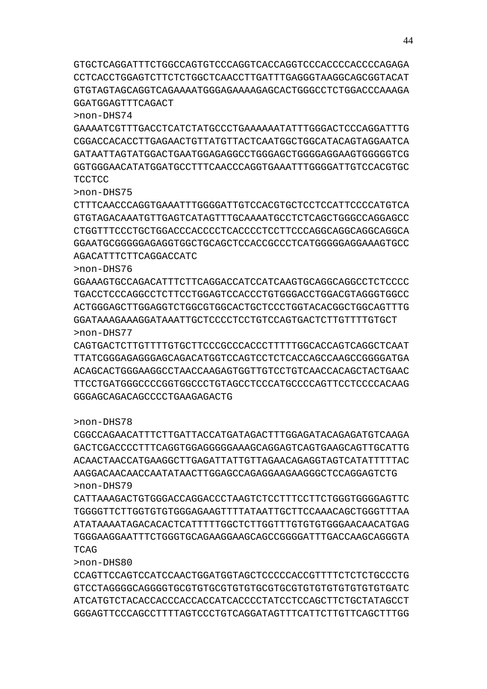GTGCTCAGGATTTCTGGCCAGTGTCCCAGGTCACCAGGTCCCACCCCACCCCAGAGA CCTCACCTGGAGTCTTCTCTGGCTCAACCTTGATTTGAGGGTAAGGCAGCGGTACAT GTGTAGTAGCAGGTCAGAAAATGGGAGAAAAGAGCACTGGGCCTCTGGACCCAAAGA GGATGGAGTTTCAGACT

>non-DHS74

GAAAATCGTTTGACCTCATCTATGCCCTGAAAAAATATTTGGGACTCCCAGGATTTG CGGACCACACCTTGAGAACTGTTATGTTACTCAATGGCTGGCATACAGTAGGAATCA GATAATTAGTATGGACTGAATGGAGAGGCCTGGGAGCTGGGGAGGAAGTGGGGGTCG GGTGGGAACATATGGATGCCTTTCAACCCAGGTGAAATTTGGGGATTGTCCACGTGC **TCCTCC** 

>non-DHS75

CTTTCAACCCAGGTGAAATTTGGGGATTGTCCACGTGCTCCTCCATTCCCCATGTCA GTGTAGACAAATGTTGAGTCATAGTTTGCAAAATGCCTCTCAGCTGGGCCAGGAGCC CTGGTTTCCCTGCTGGACCCACCCCTCACCCCTCCTTCCCAGGCAGGCAGGCAGGCA GGAATGCGGGGGAGAGGTGGCTGCAGCTCCACCGCCCTCATGGGGGAGGAAAGTGCC AGACATTTCTTCAGGACCATC

>non-DHS76

GGAAAGTGCCAGACATTTCTTCAGGACCATCCATCAAGTGCAGGCAGGCCTCTCCCC TGACCTCCAGGTCCTTCCTGGAGTCCAGCTCTGTGAGGAGTCCAGGAGTCCAGCCTGAGGAGCCC ACTGGGAGCTTGGAGGTCTGGCGTGGCACTGCTCCCTGGTACACGGCTGGCAGTTTG GGATAAAGAAAGGATAAATTGCTCCCCTCCTGTCCAGTGACTCTTGTTTTGTGCT >non-DHS77

CAGTGACTCTTGTTTTGTGCTTCCCGCCCACCCTTTTTGGCACCAGTCAGGCTCAAT TTATCGGGAGAGGGAGCAGACATGGTCCAGTCCTCTCACCAGCCAAGCCGGGGATGA ACAGCACTGGGAAGGCCTAACCAAGAGTGGTTGTCCTGTCAACCACAGCTACTGAAC TTCCTGATGGGCCCCGGTGGCCCTGTAGCCTCCCATGCCCCAGTTCCTCCCCACAAG GGGAGCAGACAGCCCCTGAAGAGACTG

#### >non-DHS78

CGGCCAGAACATTTCTTGATTACCATGATAGACTTTGGAGATACAGAGATGTCAAGA GACTCGACCCCTTTCAGGTGGAGGGGGAAAGCAGGAGTCAGTGAAGCAGTTGCATTG ACAACTAACCATGAAGGCTTGAGATTATTGTTAGAACAGAGGTAGTCATATTTTTAC AAGGACAACAACCAATATAACTTGGAGCCAGAGGAAGAAGGGCTCCAGGAGTCTG >non-DHS79

CATTAAAGACTGTGGGACCAGGACCCTAAGTCTCCTTTCCTTCTGGGTGGGGAGTTC TGGGGTTCTTGGTGTGTGGGAGAAGTTTTATAATTGCTTCCAAACAGCTGGGTTTAA ATATAAAATAGACACACTCATTTTTGGCTCTTGGTTTGTGTGTGGGAACAACATGAG TGGGAAGGAATTTCTGGGTGCAGAAGGAAGCAGCCGGGGATTTGACCAAGCAGGGTA TCAG

>non-DHS80

CCAGTTCCAGTCCATCCAACTGGATGGTAGCTCCCCCACCGTTTTCTCTCTGCCCTG GTCCTAGGGGCAGGGGTGCGTGTGCGTGTGTGCGTGCGTGTGTGTGTGTGTGTGATC ATCATGTCTACACCACCCACCACCATCACCCCTATCCTCCAGCTTCTGCTATAGCCT GGGAGTTCCCAGCCTTTTAGTCCCTGTCAGGATAGTTTCATTCTTGTTCAGCTTTGG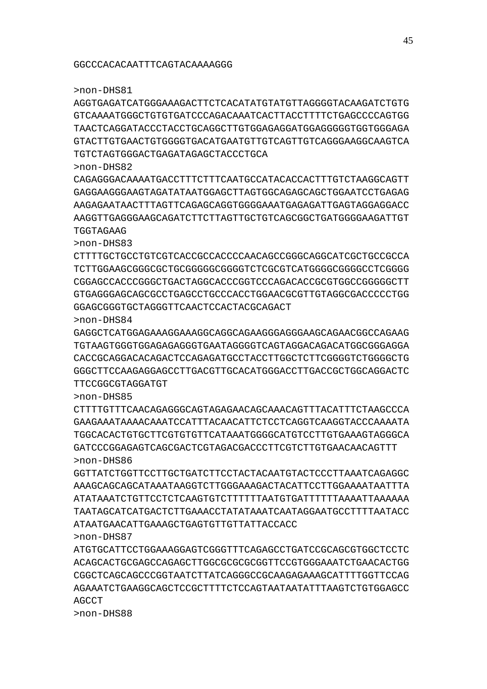AGGTGAGATCATGGGAAAGACTTCTCACATATGTATGTTAGGGGTACAAGATCTGTG GTCAAAATGGGCTGTGTGATCCCAGACAAATCACTTACCTTTTCTGAGCCCCAGTGG TAACTCAGGATACCCTACCTGCAGGCTTGTGGAGAGGATGGAGGGGGTGGTGGGAGA GTACTTGTGAACTGTGGGGTGACATGAATGTTGTCAGTTGTCAGGGAAGGCAAGTCA TGTCTAGTGGGACTGAGATAGAGCTACCCTGCA

#### >non-DHS82

CAGAGGGACAAAATGACCTTTCTTTCAATGCCATACACCACTTTGTCTAAGGCAGTT GAGGAAGGGAAGTAGATATAATGGAGCTTAGTGGCAGAGCAGCTGGAATCCTGAGAG AAGAGAATAACTTTAGTTCAGAGCAGGTGGGGAAATGAGAGATTGAGTAGGAGGACC AAGGTTGAGGGAAGCAGATCTTCTTAGTTGCTGTCAGCGGCTGATGGGGAAGATTGT **TGGTAGAAG** 

>non-DHS83

CTTTTGCTGCCTGTCGTCACCGCCACCCCAACAGCCGGGCAGGCATCGCTGCCGCCA TCTTGGAAGCGGGCGCTGCGGGGGCGGGGTCTCGCGTCATGGGGCGGGGCCTCGGGG CGGAGCCACCCGGGCTGACTAGGCACCCGGTCCCAGACACCGCGTGGCCGGGGGCTT GTGAGGGAGCAGCGCCTGAGCCTGCCCACCTGGAACGCGTTGTAGGCGACCCCCTGG GGAGCGGGTGCTAGGGTTCAACTCCACTACGCAGACT

>non-DHS84

GAGGCTCATGGAGAAAGGAAAGGCAGGCAGAAGGGAGGGAAGCAGAACGGCCAGAAG TGTAAGTGGGTGGAGAGAGGGTGAATAGGGGTCAGTAGGACAGACATGGCGGGAGGA CACCGCAGGACACAGACTCCAGAGATGCCTACCTTGGCTCTTCGGGGTCTGGGGCTG GGGCTTCCAAGAGGAGCCTTGACGTTGCACATGGGACCTTGACCGCTGGCAGGACTC TTCCGGCGTAGGATGT

#### >non-DHS85

CTTTTGTTTCAACAGAGGGCAGTAGAGAACAGCAAACAGTTTACATTTCTAAGCCCA GAAGAAATAAAACAAATCCATTTACAACATTCTCCTCAGGTCAAGGTACCCAAAATA TGGCACACTGTGCTTCGTGTGTTCATAAATGGGGCATGTCCTTGTGAAAGTAGGGCA GATCCCGGAGAGTCAGCGACTCGTAGACGACCCTTCGTCTTGTGAACAACAGTTT >non-DHS86

GGTTATCTGGTTCCTTGCTGATCTTCCTACTACAATGTACTCCCTTAAATCAGAGGC AAAGCAGCAGCATAAATAAGGTCTTGGGAAAGACTACATTCCTTGGAAAATAATTTA ATATAAATCTGTTCCTCTCAAGTGTCTTTTTTAATGTGATTTTTTAAAATTAAAAAA TAATAGCATCATGACTCTTGAAACCTATATAAATCAATAGGAATGCCTTTTAATACC ATAATGAACATTGAAAGCTGAGTGTTGTTATTACCACC >non-DHS87

ATGTGCATTCCTGGAAAGGAGTCGGGTTTCAGAGCCTGATCCGCAGCGTGGCTCCTC ACAGCACTGCGAGCCAGAGCTTGGCGCGCGCGGTTCCGTGGGAAATCTGAACACTGG CGGCTCAGCAGCCCGGTAATCTTATCAGGGCCGCAAGAGAAAGCATTTTGGTTCCAG AGAAATCTGAAGGCAGCTCCGCTTTTCTCCAGTAATAATATTTAAGTCTGTGGAGCC AGCCT

>non-DHS88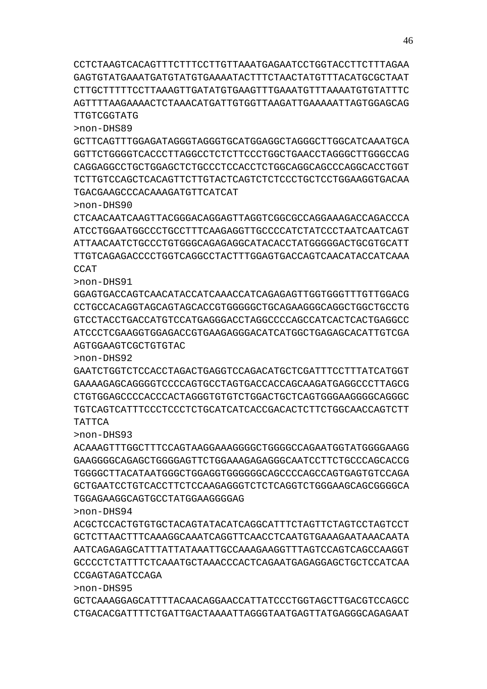GCTCAAAGGAGCATTTTACAACAGGAACCATTATCCCTGGTAGCTTGACGTCCAGCC CTGACACGATTTTCTGATTGACTAAAATTAGGGTAATGAGTTATGAGGGCAGAGAAT

CCGAGTAGATCCAGA

>non-DHS95

>non-DHS94 ACGCTCCACTGTGTGCTACAGTATACATCAGGCATTTCTAGTTCTAGTCCTAGTCCT GCTCTTAACTTTCAAAGGCAAATCAGGTTCAACCTCAATGTGAAAGAATAAACAATA AATCAGAGAGCATTTATTATAAATTGCCAAAGAAGGTTTAGTCCAGTCAGCCAAGGT GCCCCTCTATTTCTCAAATGCTAAACCCACTCAGAATGAGAGGAGCTGCTCCATCAA

TGGAGAAGGCAGTGCCTATGGAAGGGGAG

>non-DHS93 ACAAAGTTTGGCTTTCCAGTAAGGAAAGGGGCTGGGGCCAGAATGGTATGGGGAAGG GAAGGGGCAGAGCTGGGGAGTTCTGGAAAGAGAGGGCAATCCTTCTGCCCAGCACCG TGGGGCTTACATAATGGGCTGGAGGTGGGGGGCAGCCCCAGCCAGTGAGTGTCCAGA GCTGAATCCTGTCACCTTCTCCAAGAGGGTCTCTCAGGTCTGGGAAGCAGCGGGGCA

TATTCA

>non-DHS92 GAATCTGGTCTCCACCTAGACTGAGGTCCAGACATGCTCGATTTCCTTTATCATGGT GAAAAGAGCAGGGGTCCCCAGTGCCTAGTGACCACCAGCAAGATGAGGCCCTTAGCG CTGTGGAGCCCCACCCACTAGGGTGTGTCTGGACTGCTCAGTGGGAAGGGGCAGGGC TGTCAGTCATTTCCCTCCCTCTGCATCATCACCGACACTCTTCTGGCAACCAGTCTT

>non-DHS91 GGAGTGACCAGTCAACATACCATCAAACCATCAGAGAGTTGGTGGGTTTGTTGGACG CCTGCCACAGGTAGCAGTAGCACCGTGGGGGCTGCAGAAGGGCAGGCTGGCTGCCTG GTCCTACCTGACCATGTCCATGAGGGACCTAGGCCCCAGCCATCACTCACTGAGGCC ATCCCTCGAAGGTGGAGACCGTGAAGAGGGACATCATGGCTGAGAGCACATTGTCGA AGTGGAAGTCGCTGTGTAC

 $CCLT$ 

>non-DHS90 CTCAACAATCAAGTTACGGGACAGGAGTTAGGTCGGCGCCAGGAAAGACCAGACCCA ATCCTGGAATGGCCCTGCCTTTCAAGAGGTTGCCCCATCTATCCCTAATCAATCAGT ATTAACAATCTGCCCTGTGGGCAGAGAGGCATACACCTATGGGGGACTGCGTGCATT TTGTCAGAGACCCCTGGTCAGGCCTACTTTGGAGTGACCAGTCAACATACCATCAAA

TGACGAAGCCCACAAAGATGTTCATCAT

>non-DHS89 GCTTCAGTTTGGAGATAGGGTAGGGTGCATGGAGGCTAGGGCTTGGCATCAAATGCA GGTTCTGGGGTCACCCTTAGGCCTCTCTTCCCTGGCTGAACCTAGGGCTTGGGCCAG CAGGAGGCCTGCTGGAGCTCTGCCCTCCACCTCTGGCAGGCAGCCCAGGCACCTGGT TCTTGTCCAGCTCACAGTTCTTGTACTCAGTCTCTCCCTGCTCCTGGAAGGTGACAA

TTGTCGGTATG

CCTCTAAGTCACAGTTTCTTTCCTTGTTAAATGAGAATCCTGGTACCTTCTTTAGAA GAGTGTATGAAATGATGTATGTGAAAATACTTTCTAACTATGTTTACATGCGCTAAT CTTGCTTTTTCCTTAAAGTTGATATGTGAAGTTTGAAATGTTTAAAATGTGTATTTC AGTTTTAAGAAAACTCTAAACATGATTGTGGTTAAGATTGAAAAATTAGTGGAGCAG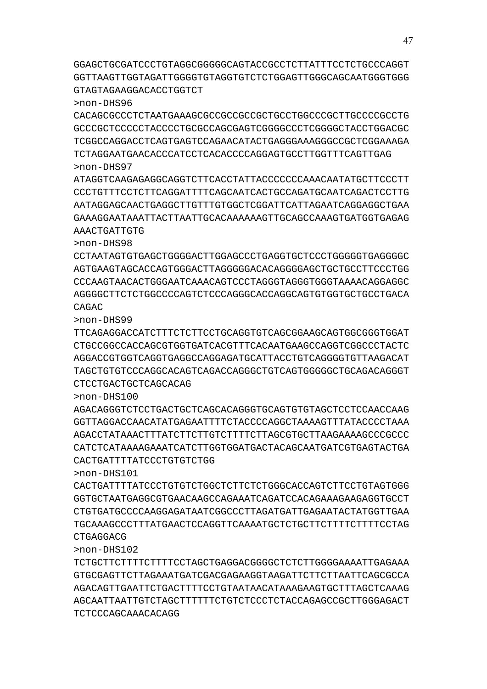GGAGCTGCGATCCCTGTAGGCGGGGGCAGTACCGCCTCTTATTTCCTCTGCCCAGGT GGTTAAGTTGGTAGATTGGGGTGTAGGTGTCTCTGGAGTTGGGCAGCAATGGGTGGG GTAGTAGAAGGACACCTGGTCT

>non-DHS96

CACAGCGCCCTCTAATGAAAGCGCCGCCGCCGCTGCCTGGCCCGCTTGCCCCGCCTG GCCCGCTCCCCCTACCCCTGCGCCAGCGAGTCGGGGCCCTCGGGGCTACCTGGACGC TCGGCCAGGACCTCAGTGAGTCCAGAACATACTGAGGGAAAGGGCCGCTCGGAAAGA TCTAGGAATGAACACCCATCCTCACACCCCAGGAGTGCCTTGGTTTCAGTTGAG >non-DHS97

ATAGGTCAAGAGAGGCAGGTCTTCACCTATTACCCCCCCAAACAATATGCTTCCCTT CCCTGTTTCCTCTTCAGGATTTTCAGCAATCACTGCCAGATGCAATCAGACTCCTTG AATAGGAGGAGTTGAGGTTGTTGTGGGTTGGATTAGATTAGAATCAGGAGGAGGTGAA GAAAGGAATAAATTACTTAATTGCACAAAAAAGTTGCAGCCAAAGTGATGGTGAGAG AAACTGATTGTG

>non-DHS98

CCTAATAGTGTGAGCTGGGGACTTGGAGCCCTGAGGTGCTCCCTGGGGGTGAGGGGC AGTGAAGTAGCACCAGTGGGACTTAGGGGGACACAGGGGAGCTGCTGCCTTCCCTGG CCCAAGTAACACTGGGAATCAAACAGTCCCTAGGGTAGGGTGGGTAAAACAGGAGGC AGGGGCTTCTCTGGCCCCAGTCTCCCAGGGCACCAGGCAGTGTGGTGCTGCCTGACA CAGAC

>non-DHS99

TTCAGAGGACCATCTTTCTCTTCCTGCAGGTGTCAGCGGAAGCAGTGGCGGGTGGAT CTGCCGGCCACCAGCGTGGTGATCACGTTTCACAATGAAGCCAGGTCGGCCCTACTC AGGACCGTGGTCAGGTGAGGCCAGGAGATGCATTACCTGTCAGGGGTGTTAAGACAT TAGCTGTGTCCCAGGCACAGTCAGACCAGGGCTGTCAGTGGGGGCTGCAGACAGGGT CTCCTGACTGCTCAGCACAG

>non-DHS100

AGACAGGGTCTCCTGACTGCTCAGCACAGGGTGCAGTGTGTAGCTCCTCCAACCAAG GGTTAGGACCAACATATGAGAATTTTCTACCCCAGGCTAAAAGTTTATACCCCTAAA AGACCTATAAACTTTATCTTCTTGTCTTTTCTTAGCGTGCTTAAGAAAAGCCCGCCC CATCTCATAAAAGAAATCATCTTGGTGGATGACTACAGCAATGATCGTGAGTACTGA CACTGATTTTATCCCTGTGTCTGG

>non-DHS101

CACTGATTTTATCCCTGTGTCTGGCTCTTCTCTGGGCACCAGTCTTCCTGTAGTGGG GGTGCTAATGAGGCGTGAACAAGCCAGAAATCAGATCCACAGAAAGAAGAGGTGCCT CTGTGATGCCCCAAGGAGATAATCGGCCCTTAGATGATTGAGAATACTATGGTTGAA TGCAAAGCCCTTTATGAACTCCAGGTTCAAAATGCTCTGCTTCTTTTCTTTTCCTAG CTGAGGACG

>non-DHS102

TCTGCTTCTTTTCTTTTCCTAGCTGAGGACGGGGCTCTCTTGGGGAAAATTGAGAAA GTGCGAGTTCTTAGAAATGATCGACGAGAAGGTAAGATTCTTCTTAATTCAGCGCCA AGACAGTTGAATTCTGACTTTTCCTGTAATAACATAAAGAAGTGCTTTAGCTCAAAG AGCAATTAATTGTCTAGCTTTTTTCTGTCTCCCTCTACCAGAGCCGCTTGGGAGACT TCTCCCAGCAAACACAGG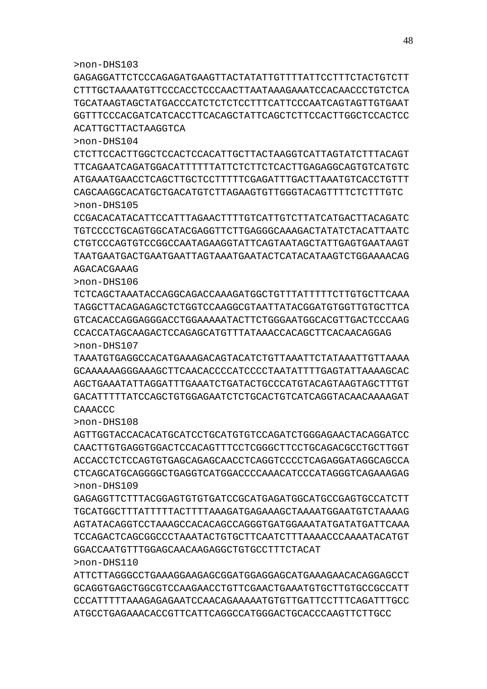GAGAGGATTCTCCCAGAGATGAAGTTACTATATTGTTTTATTCCTTTCTACTGTCTT CTTTGCTAAAATGTTCCCACCTCCCAACTTAATAAAGAAATCCACAACCCTGTCTCA TGCATAAGTAGCTATGACCCATCTCTCTCCTTTCATTCCCAATCAGTAGTTGTGAAT GGTTTCCCACGATCATCACCTTCACAGCTATTCAGCTCTTCCACTTGGCTCCACTCC ACATTGCTTACTAAGGTCA

>non-DHS104

CTCTTCCACTTGGCTCCACTCCACATTGCTTACTAAGGTCATTAGTATCTTTACAGT TTCAGAATCAGATGGACATTTTTTATTCTCTTCTCACTTGAGAGGCAGTGTCATGTC ATGAAATGAACCTCAGCTTGCTCCTTTTTCGAGATTTGACTTAAATGTCACCTGTTT CAGCAAGGCACATGCTGACATGTCTTAGAAGTGTTGGGTACAGTTTTCTCTTTGTC >non-DHS105

CCGACACATACATTCCATTTAGAACTTTTGTCATTGTCTTATCATGACTTACAGATC AGACACGAAAG

TGTCCCCTGCAGTGGCATACGAGGTTCTTGAGGGCAAAGACTATATCTACATTAATC CTGTCCCAGTGTCCGGCCAATAGAAGGTATTCAGTAATAGCTATTGAGTGAATAAGT TAATGAATGACTGAATGAATTAGTAAATGAATACTCATACATAAGTCTGGAAAACAG

>non-DHS106

TCTCAGCTAAATACCAGGCAGACCAAAGATGGCTGTTTATTTTTCTTGTGCTTCAAA TAGGCTTACAGAGAGCTCTGGTCCAAGGCGTAATTATACGGATGTGGTTGTGCTTCA GTCACACCAGGAGGGACCTGGAAAAATACTTCTGGGAATGGCACGTTGACTCCCAAG CCACCATAGCAAGACTCCAGAGCATGTTTATAAACCACAGCTTCACAACAGGAG >non-DHS107

TAAATGTGAGGCCACATGAAAGACAGTACATCTGTTAAATTCTATAAATTGTTAAAA GCAAAAAAGGGAAAGCTTCAACACCCCATCCCCTAATATTTTGAGTATTAAAAGCAC AGCTGAAATATTAGGATTTGAAATCTGATACTGCCCATGTACAGTAAGTAGCTTTGT GACATTTTTATCCAGCTGTGGAGAATCTCTGCACTGTCATCAGGTACAACAAAAGAT CAAACCC

>non-DHS108

AGTTGGTACCACACATGCATCCTGCATGTGTCCAGATCTGGGAGAACTACAGGATCC CAACTTGTGAGGTGGACTCCACAGTTTCCTCGGGCTTCCTGCAGACGCCTGCTTGGT ACCACCTCTCCAGTGTGAGCAGAGCAACCTCAGGTCCCCTCAGAGGATAGGCAGCCA CTCAGCATGCAGGGGCTGAGGTCATGGACCCCAAACATCCCATAGGGTCAGAAAGAG >non-DHS109

GAGAGGTTCTTTACGGAGTGTGTGATCCGCATGAGATGGCATGCCGAGTGCCATCTT TGCATGGCTTTATTTTTACTTTTAAAGATGAGAAAGCTAAAATGGAATGTCTAAAAG AGTATACAGGTCCTAAAGCCACACAGCCAGGGTGATGGAAATATGATATGATTCAAA TCCAGACTCAGCGGCCCTAAATACTGTGCTTCAATCTTTAAAACCCAAAATACATGT GGACCAATGTTTGGAGCAACAAGAGGCTGTGCCTTTCTACAT >non-DHS110

ATTCTTAGGGCCTGAAAGGAAGAGCGGATGGAGGAGCATGAAAGAACACAGGAGCCT GCAGGTGAGCTGGCGTCCAAGAACCTGTTCGAACTGAAATGTGCTTGTGCCGCCATT CCCATTTTTAAAGAGAGAATCCAACAGAAAAATGTGTTGATTCCTTTCAGATTTGCC ATGCCTGAGAAACACCGTTCATTCAGGCCATGGGACTGCACCCAAGTTCTTGCC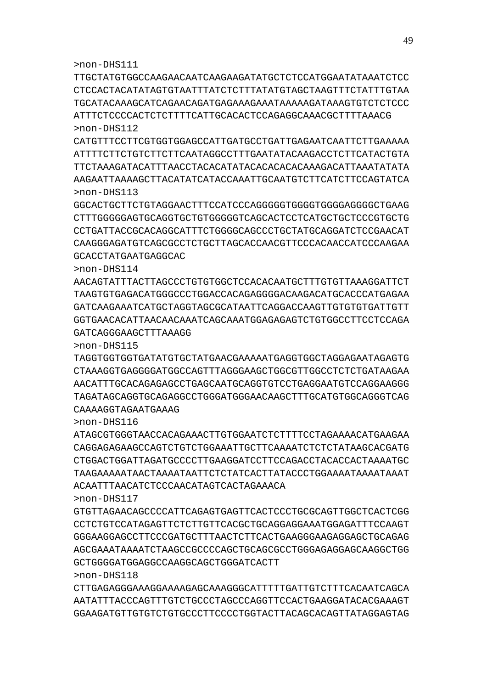>non-DHS118 CTTGAGAGGGAAAGGAAAAGAGCAAAGGGCATTTTTGATTGTCTTTCACAATCAGCA AATATTTACCCAGTTTGTCTGCCCTAGCCCAGGTTCCACTGAAGGATACACGAAAGT GGAAGATGTTGTGTCTGTGCCCTTCCCCTGGTACTTACAGCACAGTTATAGGAGTAG

GCTGGGGATGGAGGCCAAGGCAGCTGGGATCACTT

GTGTTAGAACAGCCCCATTCAGAGTGAGTTCACTCCCTGCGCAGTTGGCTCACTCGG CCTCTGTCCATAGAGTTCTCTTGTTCACGCTGCAGGAGGAAATGGAGATTTCCAAGT GGGAAGGAGCCTTCCCGATGCTTTAACTCTTCACTGAAGGGAAGAGGAGCTGCAGAG AGCGAAATAAAATCTAAGCCGCCCCAGCTGCAGCGCCTGGGAGAGGAGCAAGGCTGG

ACAATTTAACATCTCCCAACATAGTCACTAGAAACA

>non-DHS116 ATAGCGTGGGTAACCACAGAAACTTGTGGAATCTCTTTTCCTAGAAAACATGAAGAA CAGGAGAGAAGCCAGTCTGTCTGGAAATTGCTTCAAAATCTCTCTATAAGCACGATG CTGGACTGGATTAGATGCCCCTTGAAGGATCCTTCCAGACCTACACCACTAAAATGC TAAGAAAAATAACTAAAATAATTCTCTATCACTTATACCCTGGAAAATAAAATAAAT

CAAAAGGTAGAATGAAAG

>non-DHS117

GCACCTATGAATGAGGCAC

>non-DHS111

>non-DHS115 TAGGTGGTGGTGATATGTGCTATGAACGAAAAATGAGGTGGCTAGGAGAATAGAGTG CTAAAGGTGAGGGGATGGCCAGTTTAGGGAAGCTGGCGTTGGCCTCTCTGATAAGAA AACATTTGCACAGAGAGCCTGAGCAATGCAGGTGTCCTGAGGAATGTCCAGGAAGGG TAGATAGCAGGTGCAGAGGCCTGGGATGGGAACAAGCTTTGCATGTGGCAGGGTCAG

>non-DHS114 AACAGTATTTACTTAGCCCTGTGTGGCTCCACACAATGCTTTGTGTTAAAGGATTCT TAAGTGTGAGACATGGGCCCTGGACCACAGAGGGGACAAGACATGCACCCATGAGAA GATCAAGAAATCATGCTAGGTAGCGCATAATTCAGGACCAAGTTGTGTGTGATTGTT GGTGAACACATTAACAACAAATCAGCAAATGGAGAGAGTCTGTGGCCTTCCTCCAGA GATCAGGGAAGCTTTAAAGG

AAGAATTAAAAGCTTACATATCATACCAAATTGCAATGTCTTCATCTTCCAGTATCA >non-DHS113 GGCACTGCTTCTGTAGGAACTTTCCATCCCAGGGGGTGGGGTGGGGAGGGGCTGAAG CTTTGGGGGAGTGCAGGTGCTGTGGGGGTCAGCACTCCTCATGCTGCTCCCGTGCTG CCTGATTACCGCACAGGCATTTCTGGGGCAGCCCTGCTATGCAGGATCTCCGAACAT

CAAGGGAGATGTCAGCGCCTCTGCTTAGCACCAACGTTCCCACAACCATCCCAAGAA

TTGCTATGTGGCCAAGAACAATCAAGAAGATATGCTCTCCATGGAATATAAATCTCC CTCCACTACATATAGTGTAATTTATCTCTTTATATGTAGCTAAGTTTCTATTTGTAA TGCATACAAAGCATCAGAACAGATGAGAAAGAAATAAAAAGATAAAGTGTCTCTCCC ATTTCTCCCCACTCTCTTTTCATTGCACACTCCAGAGGCAAACGCTTTTAAACG >non-DHS112

CATGTTTCCTTCGTGGTGGAGCCATTGATGCCTGATTGAGAATCAATTCTTGAAAAA ATTTTCTTCTGTCTTCTTCAATAGGCCTTTGAATATACAAGACCTCTTCATACTGTA TTCTAAAGATACATTTAACCTACACATATACACACACACAAAGACATTAAATATATA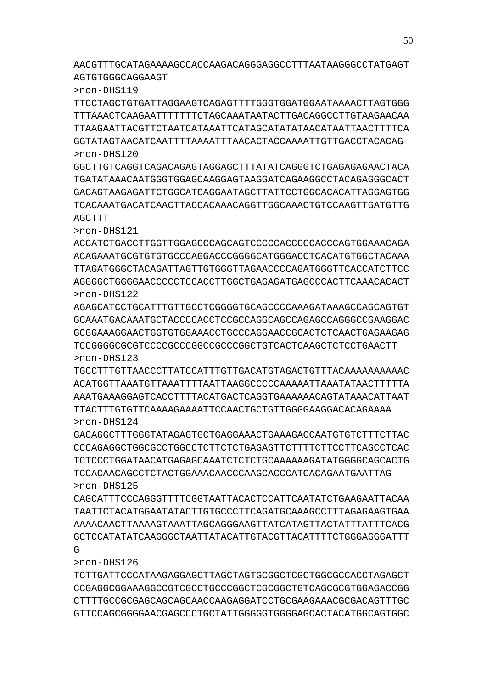AACGTTTGCATAGAAAAGCCACCAAGACAGGGAGGCCTTTAATAAGGGCCTATGAGT AGTGTGGGCAGGAAGT

>non-DHS119

TTCCTAGCTGTGATTAGGAAGTCAGAGTTTTGGGTGGATGGAATAAAACTTAGTGGG TTTAAACTCAAGAATTTTTTTCTAGCAAATAATACTTGACAGGCCTTGTAAGAACAA TTAAGAATTACGTTCTAATCATAAATTCATAGCATATATAACATAATTAACTTTTCA GGTATAGTAACATCAATTTTAAAATTTAACACTACCAAAATTGTTGACCTACACAG >non-DHS120

GGCTTGTCAGGTCAGACAGAGTAGGAGCTTTATATCAGGGTCTGAGAGAGAACTACA TGATATAAACAATGGGTGGAGCAAGGAGTAAGGATCAGAAGGCCTACAGAGGGCACT GACAGTAAGAGATTCTGGCATCAGGAATAGCTTATTCCTGGCACACATTAGGAGTGG TCACAAATGACATCAACTTACCACAAACAGGTTGGCAAACTGTCCAAGTTGATGTTG **AGCTTT** 

>non-DHS121

ACCATCTGACCTTGGTTGGAGCCCAGCAGTCCCCCACCCCCACCCAGTGGAAACAGA ACAGAAATGCGTGTGTGCCCAGGACCCGGGGCATGGGACCTCACATGTGGCTACAAA TTAGATGGGCTACAGATTAGTTGTGGGTTAGAACCCCAGATGGGTTCACCATCTTCC AGGGGCTGGGGAACCCCCTCCACCTTGGCTGAGAGATGAGCCCACTTCAAACACACT >non-DHS122

AGAGCATCCTGCATTTGTTGCCTCGGGGTGCAGCCCCAAAGATAAAGCCAGCAGTGT GCAAATGACAAATGCTACCCCACCTCCGCCAGGCAGCCAGAGCCAGGGCCGAAGGAC GCGGAAAGGAACTGGTGTGGAAACCTGCCCAGGAACCGCACTCTCAACTGAGAAGAG TCCGGGGCGCGTCCCCGCCCGGCCGCCCGGCTGTCACTCAAGCTCTCCTGAACTT >non-DHS123

TGCCTTTGTTAACCCTTATCCATTTGTTGACATGTAGACTGTTTACAAAAAAAAAAC ACATGGTTAAATGTTAAATTTTAATTAAGGCCCCCAAAAATTAAATATAACTTTTTA AAATGAAAGGAGTCACCTTTTACATGACTCAGGTGAAAAAACAGTATAAACATTAAT TTACTTTGTGTTCAAAAGAAAATTCCAACTGCTGTTGGGGAAGGACACAGAAAA >non-DHS124

GACAGGCTTTGGGTATAGAGTGCTGAGGAAACTGAAAGACCAATGTGTCTTTCTTAC CCCAGAGGCTGGCGCCTGGCCTCTTCTCTGAGAGTTCTTTTCTTCCTTCAGCCTCAC TCTCCCTGGATAACATGAGAGCAAATCTCTCTGCAAAAAAGATATGGGGCAGCACTG TCCACAACAGCCTCTACTGGAAACAACCCAAGCACCCATCACAGAATGAATTAG >non-DHS125

CAGCATTTCCCAGGGTTTTCGGTAATTACACTCCATTCAATATCTGAAGAATTACAA TAATTCTACATGGAATATACTTGTGCCCTTCAGATGCAAAGCCTTTAGAGAAGTGAA AAAACAACTTAAAAGTAAATTAGCAGGGAAGTTATCATAGTTACTATTTATTTCACG GCTCCATATATCAAGGGCTAATTATACATTGTACGTTACATTTTCTGGGAGGGATTT G

>non-DHS126

TCTTGATTCCCATAAGAGGAGCTTAGCTAGTGCGGCTCGCTGGCGCCACCTAGAGCT CCGAGGCGGAAAGGCCGTCGCCTGCCCGGCTCGCGGCTGTCAGCGCGTGGAGACCGG CTTTTGCCGCGAGCAGCAGCAACCAAGAGGATCCTGCGAAGAAACGCGACAGTTTGC GTTCCAGCGGGGAACGAGCCCTGCTATTGGGGGTGGGGAGCACTACATGGCAGTGGC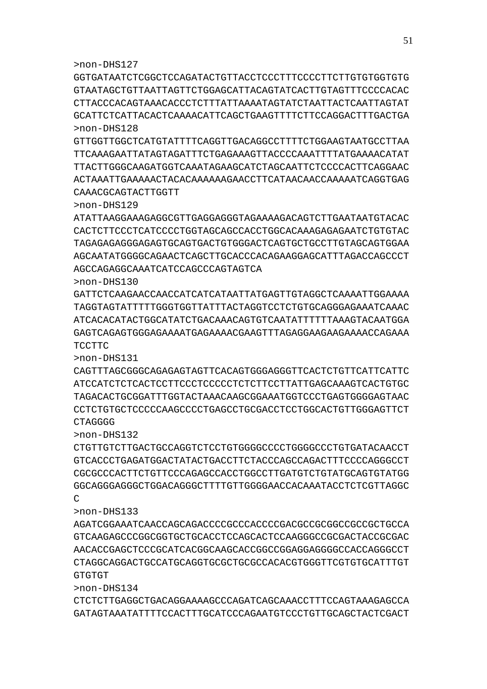GGTGATAATCTCGGCTCCAGATACTGTTACCTCCCTTTCCCCTTCTTGTGTGGTGTG GTAATAGCTGTTAATTAGTTCTGGAGCATTACAGTATCACTTGTAGTTTCCCCACAC CTTACCCACAGTAAACACCCTCTTTATTAAAATAGTATCTAATTACTCAATTAGTAT GCATTCTCATTACACTCAAAACATTCAGCTGAAGTTTTCTTCCAGGACTTTGACTGA >non-DHS128

GTTGGTTGGCTCATGTATTTTCAGGTTGACAGGCCTTTTCTGGAAGTAATGCCTTAA TTCAAAGAATTATAGTAGATTTCTGAGAAAGTTACCCCAAATTTTATGAAAACATAT TTACTTGGGCAAGATGGTCAAATAGAAGCATCTAGCAATTCTCCCCACTTCAGGAAC ACTAAATTGAAAAACTACACAAAAAAGAACCTTCATAACAACCAAAAATCAGGTGAG CAAACGCAGTACTTGGTT

>non-DHS129

ATATTAAGGAAAGAGGCGTTGAGGAGGGTAGAAAAGACAGTCTTGAATAATGTACAC CACTCTTCCCTCATCCCCTGGTAGCAGCCACCTGGCACAAAGAGAGAATCTGTGTAC TAGAGAGAGGGAGAGTGCAGTGACTGTGGGACTCAGTGCTGCCTTGTAGCAGTGGAA AGCAATATGGGGCAGAACTCAGCTTGCACCCACAGAAGGAGCATTTAGACCAGCCCT AGCCAGAGGCAAATCATCCAGCCCAGTAGTCA

>non-DHS130

GATTCTCAAGAACCAACCATCATCATAATTATGAGTTGTAGGCTCAAAATTGGAAAA TAGGTAGTATTTTTGGGTGGTTATTTACTAGGTCCTCTGTGCAGGGAGAAATCAAAC ATCACACATACTGGCATATCTGACAAACAGTGTCAATATTTTTTAAAGTACAATGGA GAGTCAGAGTGGGAGAAAATGAGAAAACGAAGTTTAGAGGAAGAAGAAAACCAGAAA TCCTTC

>non-DHS131

CAGTTTAGCGGGCAGAGAGTAGTTCACAGTGGGAGGGTTCACTCTGTTCATTCATTC ATCCATCTCTCACTCCTTCCCTCCCCCTCTCTTCCTTATTGAGCAAAGTCACTGTGC TAGACACTGCGGATTTGGTACTAAACAAGCGGAAATGGTCCCTGAGTGGGGAGTAAC CCTCTGTGCTCCCCCAAGCCCTGAGCCTGCACTCCTGGGAAGTTGTGGAAGTTCT CTAGGGG

>non-DHS132

CTGTTGTCTTGACTGCCAGGTCTCCTGTGGGGCCCCTGGGGCCCTGTGATACAACCT GTCACCCTGAGATGGACTATACTGACCTTCTACCCAGCCAGACTTTCCCCAGGGCCT CGCGCCCACTTCTGTTCCCAGAGCCACCTGGCCTTGATGTCTGTATGCAGTGTATGG GGCAGGGAGGGCTGGACAGGGCTTTTGTTGGGGAACCACAAATACCTCTCGTTAGGC  $\mathcal{C}$ 

>non-DHS133

AGATCGGAAATCAACCAGCAGACCCCGCCCACCCCGACGCCGCGGCCGCCGCTGCCA GTCAAGAGCCCGGCGGTGCTGCACCTCCAGCACTCCAAGGGCCGCGACTACCGCGAC AACACCGAGCTCCCGCATCACGGCAAGCACCGGCCGGAGGAGGGGCCACCAGGGCCT CTAGGCAGGACTGCCATGCAGGTGCGCTGCGCCACACGTGGGTTCGTGTGCATTTGT GTGTGT

>non-DHS134

CTCTCTTGAGGCTGACAGGAAAAGCCCAGATCAGCAAACCTTTCCAGTAAAGAGCCA GATAGTAAATATTTTCCACTTTGCATCCCAGAATGTCCCTGTTGCAGCTACTCGACT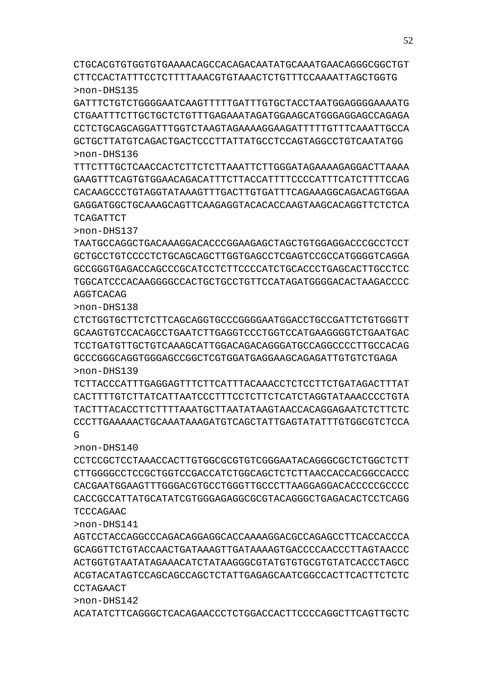ACATATCTTCAGGGCTCACAGAACCCTCTGGACCACTTCCCCAGGCTTCAGTTGCTC

>non-DHS142

>non-DHS141 AGTCCTACCAGGCCCAGACAGGAGGCACCAAAAGGACGCCAGAGCCTTCACCACCCA GCAGGTTCTGTACCAACTGATAAAGTTGATAAAAGTGACCCCAACCCTTAGTAACCC ACTGGTGTAATATAGAAACATCTATAAGGGCGTATGTGTGCGTGTATCACCCTAGCC ACGTACATAGTCCAGCAGCCAGCTCTATTGAGAGCAATCGGCCACTTCACTTCTCTC **CCTAGAACT** 

TCCCAGAAC

>non-DHS140 CCTCCGCTCCTAAACCACTTGTGGCGCGTGTCGGGAATACAGGGCGCTCTGGCTCTT CTTGGGGCCTCCGCTGGTCCGACCATCTGGCAGCTCTCTTAACCACCACGGCCACCC CACGAATGGAAGTTTGGGACGTGCCTGGGTTGCCCTTAAGGAGGACACCCCCGCCCC CACCGCCATTATGCATATCGTGGGAGAGGCGCGTACAGGGCTGAGACACTCCTCAGG

>non-DHS139 TCTTACCCATTTGAGGAGTTTCTTCATTTACAAACCTCTCCTTCTGATAGACTTTAT CACTTTTGTCTTATCATTAATCCCTTTCCTCTTCTCATCTAGGTATAAACCCCTGTA TACTTTACACCTTCTTTTAAATGCTTAATATAAGTAACCACAGGAGAATCTCTTCTC CCCTTGAAAAACTGCAAATAAAGATGTCAGCTATTGAGTATATTTGTGGCGTCTCCA  $\mathsf{G}$ 

>non-DHS138 CTCTGGTGCTTCTCTTCAGCAGGTGCCCGGGGAATGGACCTGCCGATTCTGTGGGTT GCAAGTGTCCACAGCCTGAATCTTGAGGTCCCTGGTCCATGAAGGGGTCTGAATGAC TCCTGATGTTGCTGTCAAAGCATTGGACAGACAGGGATGCCAGGCCCCTTGCCACAG GCCCGGGCAGGTGGGAGCCGGCTCGTGGATGAGGAAGCAGAGATTGTGTCTGAGA

AGGTCACAG

>non-DHS137 TAATGCCAGGCTGACAAAGGACACCCGGAAGAGCTAGCTGTGGAGGACCCGCCTCCT GCTGCCTGTCCCCTCTGCAGCAGCTTGGTGAGCCTCGAGTCCGCCATGGGGTCAGGA GCCGGGTGAGACCAGCCCGCATCCTCTTCCCCATCTGCACCCTGAGCACTTGCCTCC TGGCATCCCACAAGGGGCCACTGCTGCCTGTTCCATAGATGGGGACACTAAGACCCC

>non-DHS136 TTTCTTTGCTCAACCACTCTTCTCTTAAATTCTTGGGATAGAAAAGAGGACTTAAAA GAAGTTTCAGTGTGGAACAGACATTTCTTACCATTTTCCCCATTTCATCTTTTCCAG CACAAGCCCTGTAGGTATAAAGTTTGACTTGTGATTTCAGAAAGGCAGACAGTGGAA GAGGATGGCTGCAAAGCAGTTCAAGAGGTACACACCAAGTAAGCACAGGTTCTCTCA TCAGATTCT

GATTTCTGTCTGGGGAATCAAGTTTTTGATTTGTGCTACCTAATGGAGGGGAAAATG CTGAATTTCTTGCTGCTCTGTTTGAGAAATAGATGGAAGCATGGGAGGAGCCAGAGA CCTCTGCAGCAGGATTTGGTCTAAGTAGAAAAGGAAGATTTTTGTTTCAAATTGCCA GCTGCTTATGTCAGACTGACTCCCTTATTATGCCTCCAGTAGGCCTGTCAATATGG

CTGCACGTGTGGTGTGAAAACAGCCACAGACAATATGCAAATGAACAGGGCGGCTGT CTTCCACTATTTCCTCTTTTAAACGTGTAAACTCTGTTTCCAAAATTAGCTGGTG >non-DHS135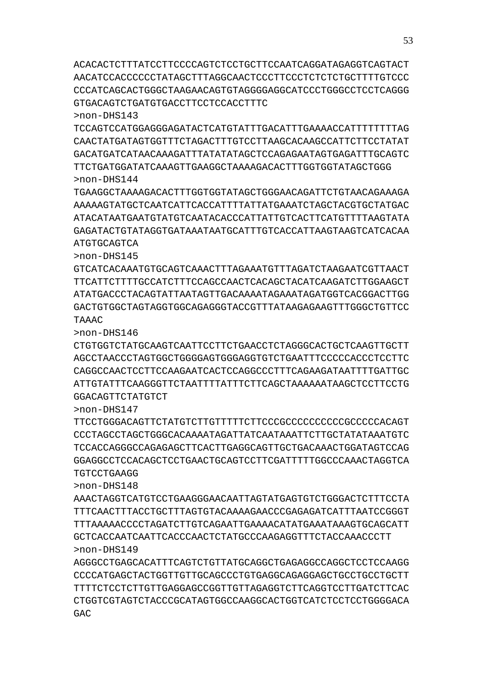ACACACTCTTTATCCTTCCCCAGTCTCCTGCTTCCAATCAGGATAGAGGTCAGTACT AACATCCACCCCCCTATAGCTTTAGGCAACTCCCTTCCCTCTCTCTGCTTTTGTCCC CCCATCAGCACTGGGCTAAGAACAGTGTAGGGGAGGCATCCCTGGGCCTCCTCAGGG GTGACAGTCTGATGTGACCTTCCTCCACCTTTC

>non-DHS143

TCCAGTCCATGGAGGGAGATACTCATGTATTTGACATTTGAAAACCATTTTTTTTAG CAACTATGATAGTGGTTTCTAGACTTTGTCCTTAAGCACAAGCCATTCTTCCTATAT GACATGATCATAACAAAGATTTATATATAGCTCCAGAGAATAGTGAGATTTGCAGTC TTCTGATGGATATCAAAGTTGAAGGCTAAAAGACACTTTGGTGGTATAGCTGGG >non-DHS144

TGAAGGCTAAAAGACACTTTGGTGGTATAGCTGGGAACAGATTCTGTAACAGAAAGA AAAAAGTATGCTCAATCATTCACCATTTTATTATGAAATCTAGCTACGTGCTATGAC ATACATAATGAATGTATGTCAATACACCCATTATTGTCACTTCATGTTTTAAGTATA GAGATACTGTATAGGTGATAAATAATGCATTTGTCACCATTAAGTAAGTCATCACAA ATGTGCAGTCA

>non-DHS145

GTCATCACAAATGTGCAGTCAAACTTTAGAAATGTTTAGATCTAAGAATCGTTAACT TTCATTCTTTTGCCATCTTTCCAGCCAACTCACAGCTACATCAAGATCTTGGAAGCT ATATGACCCTACAGTATTAATAGTTGACAAAATAGAAATAGATGGTCACGGACTTGG GACTGTGGCTAGTAGGTGGCAGAGGGTACCGTTTATAAGAGAAGTTTGGGCTGTTCC TAAAC

>non-DHS146

CTGTGGTCTATGCAAGTCAATTCCTTCTGAACCTCTAGGGCACTGCTCAAGTTGCTT AGCCTAACCCTAGTGGCTGGGGAGTGGGAGGTGTCTGAATTTCCCCCACCCTCCTTC CAGGCCAACTCCTTCCAAGAATCACTCCAGGCCCTTTCAGAAGATAATTTTGATTGC ATTGTATTTCAAGGGTTCTAATTTTATTTCTTCAGCTAAAAAATAAGCTCCTTCCTG GGACAGTTCTATGTCT

>non-DHS147

TTCCTGGGACAGTTCTATGTCTTGTTTTTCTTCCCGCCCCCCCCCCGCCCCCACAGT CCCTAGCCTAGCTGGGCACAAAATAGATTATCAATAAATTCTTGCTATATAAATGTC TCCACCAGGGCCAGAGAGCTTCACTTGAGGCAGTTGCTGACAAACTGGATAGTCCAG GGAGGCCTCCACAGCTCCTGAACTGCAGTCCTTCGATTTTTGGCCCAAACTAGGTCA TGTCCTGAAGG

>non-DHS148

AAACTAGGTCATGTCCTGAAGGGAACAATTAGTATGAGTGTCTGGGACTCTTTCCTA TTTCAACTTTACCTGCTTTAGTGTACAAAAGAACCCGAGAGATCATTTAATCCGGGT TTTAAAAACCCCTAGATCTTGTCAGAATTGAAAACATATGAAATAAAGTGCAGCATT GCTCACCAATCAATTCACCCAACTCTATGCCCAAGAGGTTTCTACCAAACCCTT >non-DHS149

AGGGCCTGAGCACATTTCAGTCTGTTATGCAGGCTGAGAGGCCAGGCTCCTCCAAGG CCCCATGAGCTACTGGTTGTTGCAGCCCTGTGAGGCAGAGGAGCTGCCTGCCTGCTT TTTTCTCCTCTTGTTGAGGAGCCGGTTGTTAGAGGTCTTCAGGTCCTTGATCTTCAC CTGGTCGTAGTCTACCCGCATAGTGGCCAAGGCACTGGTCATCTCCTCCTGGGGACA GAC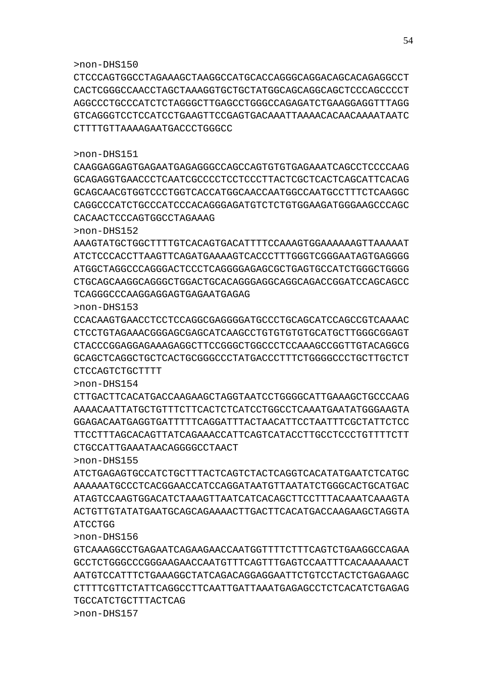>non-DHS156

GTCAAAGGCCTGAGAATCAGAAGAACCAATGGTTTTCTTTCAGTCTGAAGGCCAGAA GCCTCTGGGCCCGGGAAGAACCAATGTTTCAGTTTGAGTCCAATTTCACAAAAAACT AATGTCCATTTCTGAAAGGCTATCAGACAGGAGGAATTCTGTCCTACTCTGAGAAGC CTTTTCGTTCTATTCAGGCCTTCAATTGATTAAATGAGAGCCTCTCACATCTGAGAG TGCCATCTGCTTTACTCAG

>non-DHS155 ATCTGAGAGTGCCATCTGCTTTACTCAGTCTACTCAGGTCACATATGAATCTCATGC AAAAAATGCCCTCACGGAACCATCCAGGATAATGTTAATATCTGGGCACTGCATGAC ATAGTCCAAGTGGACATCTAAAGTTAATCATCACAGCTTCCTTTACAAATCAAAGTA ACTGTTGTATATGAATGCAGCAGAAAACTTGACTTCACATGACCAAGAAGCTAGGTA ATCCTGG

CTTGACTTCACATGACCAAGAAGCTAGGTAATCCTGGGGCATTGAAAGCTGCCCAAG AAAACAATTATGCTGTTTCTTCACTCTCATCCTGGCCTCAAATGAATATGGGAAGTA GGAGACAATGAGGTGATTTTTCAGGATTTACTAACATTCCTAATTTCGCTATTCTCC TTCCTTTAGCACAGTTATCAGAAACCATTCAGTCATACCTTGCCTCCCTGTTTTCTT CTGCCATTGAAATAACAGGGGCCTAACT

CCACAAGTGAACCTCCTCCAGGCGAGGGGATGCCCTGCAGCATCCAGCCGTCAAAAC CTCCTGTAGAAACGGGAGCGAGCATCAAGCCTGTGTGTGTGCATGCTTGGGCGGAGT CTACCCGGAGGAGAAAGAGGCTTCCGGGCTGGCCCTCCAAAGCCGGTTGTACAGGCG GCAGCTCAGGCTGCTCACTGCGGGCCCTATGACCCTTTCTGGGGCCCTGCTTGCTCT CTCCAGTCTGCTTTT >non-DHS154

ATGGCTAGGCCCAGGGACTCCCTCAGGGGAGAGCGCTGAGTGCCATCTGGGCTGGGG CTGCAGCAAGGCAGGGCTGGACTGCACAGGGAGGCAGGCAGACCGGATCCAGCAGCC TCAGGGCCCAAGGAGGAGTGAGAATGAGAG >non-DHS153

CAGGCCCATCTGCCCATCCCACAGGGAGATGTCTCTGTGGAAGATGGGAAGCCCAGC CACAACTCCCAGTGGCCTAGAAAG >non-DHS152 AAAGTATGCTGGCTTTTGTCACAGTGACATTTTCCAAAGTGGAAAAAAGTTAAAAAT ATCTCCCACCTTAAGTTCAGATGAAAAGTCACCCTTTGGGTCGGGAATAGTGAGGGG

CAAGGAGGAGTGAGAATGAGAGGGCCAGCCAGTGTGTGAGAAATCAGCCTCCCCAAG GCAGAGGTGAACCCTCAATCGCCCCTCCTCCCTTACTCGCTCACTCAGCATTCACAG GCAGCAACGTGGTCCCTGGTCACCATGGCAACCAATGGCCAATGCCTTTCTCAAGGC

CACTCGGGCCAACCTAGCTAAAGGTGCTGCTATGGCAGCAGGCAGCTCCCAGCCCCT AGGCCCTGCCCATCTCTAGGGCTTGAGCCTGGGCCAGAGATCTGAAGGAGGTTTAGG GTCAGGGTCCTCCATCCTGAAGTTCCGAGTGACAAATTAAAACACAACAAAATAATC CTTTTGTTAAAAGAATGACCCTGGGCC

CTCCCAGTGGCCTAGAAAGCTAAGGCCATGCACCAGGGCAGGACAGCACAGAGGCCT

>non-DHS151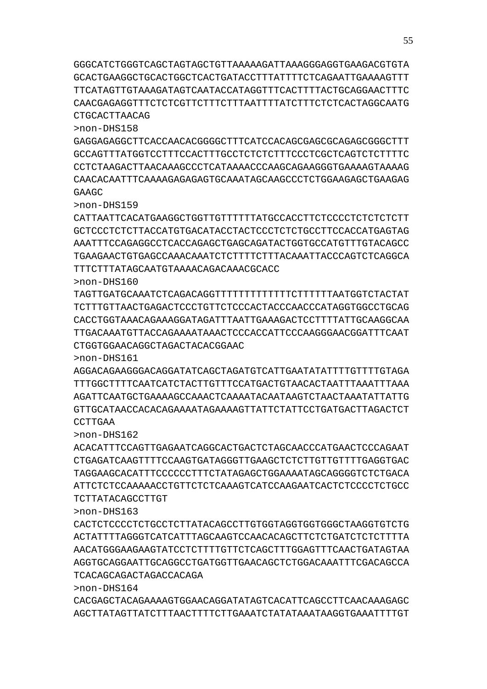GGGCATCTGGGTCAGCTAGTAGCTGTTAAAAAGATTAAAGGGAGGTGAAGACGTGTA GCACTGAAGGCTGCACTGGCTCACTGATACCTTTATTTTCTCAGAATTGAAAAGTTT TTCATAGTTGTAAAGATAGTCAATACCATAGGTTTCACTTTTACTGCAGGAACTTTC CAACGAGAGGTTTCTCTCGTTCTTTCTTTAATTTTATCTTTCTCTCACTAGGCAATG CTGCACTTAACAG

>non-DHS158

GAGGAGAGGCTTCACCAACACGGGGCTTTCATCCACAGCGAGCGCAGAGCGGGCTTT GCCAGTTTATGGTCCTTTCCACTTTGCCTCTCTCTTTCCCTCGCTCAGTCTCTTTTC CCTCTAAGACTTAACAAAGCCCTCATAAAACCCAAGCAGAAGGGTGAAAAGTAAAAG CAACACAATTTCAAAAGAGAGAGTGCAAATAGCAAGCCCTCTGGAAGAGCTGAAGAG GAAGC

>non-DHS159

CATTAATTCACATGAAGGCTGGTTGTTTTTTATGCCACCTTCTCCCCTCTCTCTCTT GCTCCCTCTCTTACCATGTGACATACCTACTCCCTCTCTGCCTTCCACCATGAGTAG AAATTTCCAGAGGCCTCACCAGAGCTGAGCAGATACTGGTGCCATGTTTGTACAGCC TGAAGAACTGTGAGCCAAACAAATCTCTTTTCTTTACAAATTACCCAGTCTCAGGCA TTTCTTTATAGCAATGTAAAACAGACAAACGCACC

>non-DHS160

TAGTTGATGCAAATCTCAGACAGGTTTTTTTTTTTTTCTTTTTTAATGGTCTACTAT TCTTTGTTAACTGAGACTCCCTGTTCTCCCACTACCCAACCCATAGGTGGCCTGCAG CACCTGGTAAACAGAAAGGATAGATTTAATTGAAAGACTCCTTTTATTGCAAGGCAA TTGACAAATGTTACCAGAAAATAAACTCCCACCATTCCCAAGGGAACGGATTTCAAT CTGGTGGAACAGGCTAGACTACACGGAAC

>non-DHS161

AGGACAGAAGGGACAGGATATCAGCTAGATGTCATTGAATATATTTTGTTTTGTAGA TTTGGCTTTTCAATCATCTACTTGTTTCCATGACTGTAACACTAATTTAAATTTAAA AGATTCAATGCTGAAAAGCCAAACTCAAAATACAATAAGTCTAACTAAATATTATTG GTTGCATAACCACACAGAAAATAGAAAAGTTATTCTATTCCTGATGACTTAGACTCT CCTTGAA

>non-DHS162

ACACATTTCCAGTTGAGAATCAGGCACTGACTCTAGCAACCCATGAACTCCCAGAAT CTGAGATCAAGTTTTCCAAGTGATAGGGTTGAAGCTCTCTTGTTGTTTTGAGGTGAC TAGGAAGCACATTTCCCCCCTTTCTATAGAGCTGGAAAATAGCAGGGGTCTCTGACA ATTCTCTCCAAAAACCTGTTCTCTCAAAGTCATCCAAGAATCACTCTCCCCTCTGCC TCTTATACAGCCTTGT

>non-DHS163

CACTCTCCCCTCTGCCTCTTATACAGCCTTGTGGTAGGTGGTGGGCTAAGGTGTCTG ACTATTTTAGGGTCATCATTTAGCAAGTCCAACACAGCTTCTCTGATCTCTCTTTTA AACATGGGAAGAAGTATCCTCTTTTGTTCTCAGCTTTGGAGTTTCAACTGATAGTAA AGGTGCAGGAATTGCAGGCCTGATGGTTGAACAGCTCTGGACAAATTTCGACAGCCA TCACAGCAGACTAGACCACAGA

>non-DHS164

CACGAGCTACAGAAAAGTGGAACAGGATATAGTCACATTCAGCCTTCAACAAAGAGC AGCTTATAGTTATCTTTAACTTTTCTTGAAATCTATATAAATAAGGTGAAATTTTGT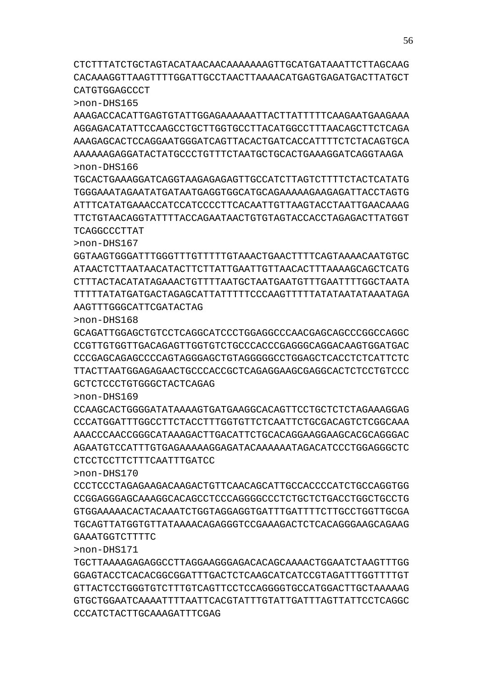TGCTTAAAAGAGAGGCCTTAGGAAGGGAGACACAGCAAAACTGGAATCTAAGTTTGG GGAGTACCTCACACGGCGGATTTGACTCTCAAGCATCATCCGTAGATTTGGTTTTGT GTTACTCCTGGGTGTCTTTGTCAGTTCCTCCAGGGGTGCCATGGACTTGCTAAAAAG GTGCTGGAATCAAAATTTTAATTCACGTATTTGTATTGATTTAGTTATTCCTCAGGC CCCATCTACTTGCAAAGATTTCGAG

GAAATGGTCTTTTC

>non-DHS171

CCCTCCCTAGAGAAGACAAGACTGTTCAACAGCATTGCCACCCCATCTGCCAGGTGG CCGGAGGGAGCAAAGGCACAGCCTCCCAGGGGCCCTCTGCTCTGACCTGGCTGCCTG GTGGAAAAACACTACAAATCTGGTAGGAGGTGATTTGATTTTCTTGCCTGGTTGCGA TGCAGTTATGGTGTTATAAAACAGAGGGTCCGAAAGACTCTCACAGGGAAGCAGAAG

CTCCTCCTTCTTTCAATTTGATCC

GCTCTCCCTGTGGGCTACTCAGAG

>non-DHS170

>non-DHS169 CCAAGCACTGGGGATATAAAAGTGATGAAGGCACAGTTCCTGCTCTCTAGAAAGGAG CCCATGGATTTGGCCTTCTACCTTTGGTGTTCTCAATTCTGCGACAGTCTCGGCAAA AAACCCAACCGGGCATAAAGACTTGACATTCTGCACAGGAAGGAAGCACGCAGGGAC AGAATGTCCATTTGTGAGAAAAAGGAGATACAAAAAATAGACATCCCTGGAGGGCTC

GCAGATTGGAGCTGTCCTCAGGCATCCCTGGAGGCCCAACGAGCAGCCCGGCCAGGC CCGTTGTGGTTGACAGAGTTGGTGTCTGCCCACCCGAGGGCAGGACAAGTGGATGAC

>non-DHS167

>non-DHS168

GGTAAGTGGGATTTGGGTTTGTTTTTGTAAACTGAACTTTTCAGTAAAACAATGTGC ATAACTCTTAATAACATACTTCTTATTGAATTGTTAACACTTTAAAAGCAGCTCATG CTTTACTACATATAGAAACTGTTTTAATGCTAATGAATGTTTGAATTTTGGCTAATA TTTTTATATGATGACTAGAGCATTATTTTTCCCAAGTTTTTATATAATATAAATAGA AAGTTTGGGCATTCGATACTAG

CCCGAGCAGAGCCCCAGTAGGGAGCTGTAGGGGGCCTGGAGCTCACCTCTCATTCTC TTACTTAATGGAGAGAACTGCCCACCGCTCAGAGGAAGCGAGGCACTCTCCTGTCCC

>non-DHS166 TGCACTGAAAGGATCAGGTAAGAGAGAGTTGCCATCTTAGTCTTTTCTACTCATATG TGGGAAATAGAATATGATAATGAGGTGGCATGCAGAAAAAGAAGAGATTACCTAGTG ATTTCATATGAAACCATCCATCCCCTTCACAATTGTTAAGTACCTAATTGAACAAAG TTCTGTAACAGGTATTTTACCAGAATAACTGTGTAGTACCACCTAGAGACTTATGGT TCAGGCCCTTAT

>non-DHS165 AAAGACCACATTGAGTGTATTGGAGAAAAAATTACTTATTTTTCAAGAATGAAGAAA AGGAGACATATTCCAAGCCTGCTTGGTGCCTTACATGGCCTTTAACAGCTTCTCAGA AAAGAGCACTCCAGGAATGGGATCAGTTACACTGATCACCATTTTCTCTACAGTGCA AAAAAAGAGGATACTATGCCCTGTTTCTAATGCTGCACTGAAAGGATCAGGTAAGA

CTCTTTATCTGCTAGTACATAACAACAAAAAAAGTTGCATGATAAATTCTTAGCAAG CACAAAGGTTAAGTTTTGGATTGCCTAACTTAAAACATGAGTGAGATGACTTATGCT CATGTGGAGCCCT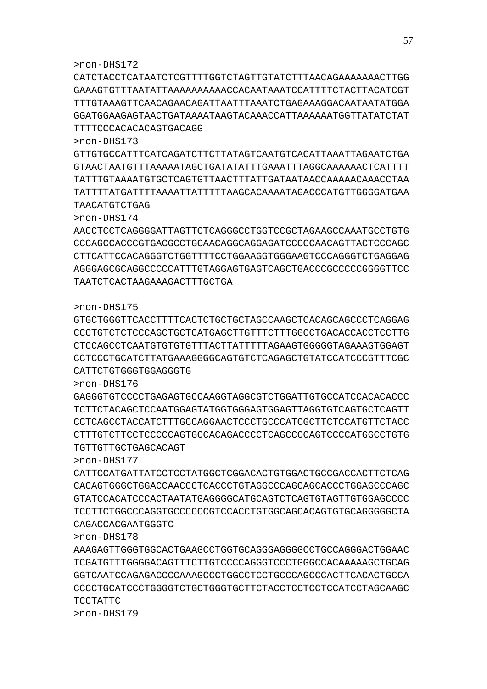CATCTACCTCATAATCTCGTTTTGGTCTAGTTGTATCTTTAACAGAAAAAAACTTGG GAAAGTGTTTAATATTAAAAAAAAAACCACAATAAATCCATTTTCTACTTACATCGT TTTGTAAAGTTCAACAGAACAGATTAATTTAAATCTGAGAAAGGACAATAATATGGA GGATGGAAGAGTAACTGATAAAATAAGTACAAACCATTAAAAAATGGTTATATCTAT TTTTCCCACACACAGTGACAGG

>non-DHS173

GTTGTGCCATTTCATCAGATCTTCTTATAGTCAATGTCACATTAAATTAGAATCTGA GTAACTAATGTTTAAAAATAGCTGATATATTTGAAATTTAGGCAAAAAACTCATTTT TATTTGTAAAATGTGCTCAGTGTTAACTTTATTGATAATAACCAAAAACAAACCTAA TATTTTATGATTTTAAAATTATTTTTAAGCACAAAATAGACCCATGTTGGGGATGAA TAACATGTCTGAG

>non-DHS174

AACCTCCTCAGGGGATTAGTTCTCAGGGCCTGGTCCGCTAGAAGCCAAATGCCTGTG CCCAGCCACCCGTGACGCCTGCAACAGGCAGGAGATCCCCCAACAGTTACTCCCAGC CTTCATTCCACAGGGTCTGGTTTTCCTGGAAGGTGGGAAGTCCCAGGGTCTGAGGAG AGGGAGCGCAGGCCCCCATTTGTAGGAGTGAGTCAGCTGACCCGCCCCCGGGGTTCC TAATCTCACTAAGAAAGACTTTGCTGA

## >non-DHS175

GTGCTGGGTTCACCTTTTCACTCTGCTGCTAGCCAAGCTCACAGCAGCCCTCAGGAG CCCTGTCTCTCCCAGCTGCTCATGAGCTTGTTTCTTTGGCCTGACACCACCTCCTTG CTCCAGCCTCAATGTGTGTGTTTACTTATTTTTAGAAGTGGGGGTAGAAAGTGGAGT CCTCCCTGCATCTTATGAAAGGGGCAGTGTCTCAGAGCTGTATCCATCCCGTTTCGC CATTCTGTGGGTGGAGGGTG

GAGGGTGTCCCCTGAGAGTGCCAAGGTAGGCGTCTGGATTGTGCCATCCACACACCC TCTTCTACAGCTCCAATGGAGTATGGTGGGAGTGGAGTTAGGTGTCAGTGCTCAGTT CCTCAGCCTACCATCTTTGCCAGGAACTCCCTGCCCATCGCTTCTCCATGTTCTACC CTTTGTCTTCCTCCCCCAGTGCCACAGACCCCTCAGCCCCAGTCCCCATGGCCTGTG

CATTCCATGATTATCCTCCTATGGCTCGGACACTGTGGACTGCCGACCACTTCTCAG CACAGTGGGCTGGACCAACCCTCACCCTGTAGGCCCAGCAGCACCCTGGAGCCCAGC GTATCCACATCCCACTAATATGAGGGGCATGCAGTCTCAGTGTAGTTGTGGAGCCCC TCCTTCTGGCCCAGGTGCCCCCCGTCCACCTGTGGCAGCACAGTGTGCAGGGGGCTA

AAAGAGTTGGGTGGCACTGAAGCCTGGTGCAGGGAGGGGCCTGCCAGGGACTGGAAC TCGATGTTTGGGGACAGTTTCTTGTCCCCAGGGTCCCTGGGCCACAAAAAGCTGCAG GGTCAATCCAGAGACCCCAAAGCCCTGGCCTCCTGCCCAGCCCACTTCACACTGCCA CCCCTGCATCCCTGGGGTCTGCTGGGTGCTTCTACCTCCTCCTCCATCCTAGCAAGC

>non-DHS176

>non-DHS177

>non-DHS178

TCCTATTC >non-DHS179

TGTTGTTGCTGAGCACAGT

CAGACCACGAATGGGTC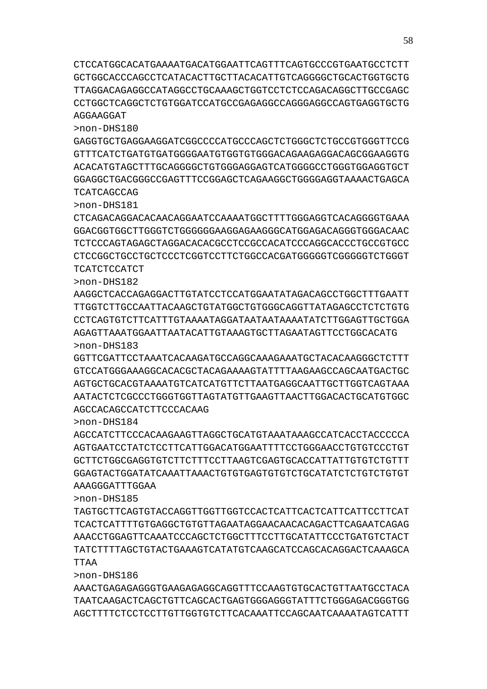CTCCATGGCACATGAAAATGACATGGAATTCAGTTTCAGTGCCCGTGAATGCCTCTT GCTGGCACCCAGCCTCATACACTTGCTTACACATTGTCAGGGGCTGCACTGGTGCTG TTAGGACAGAGGCCATAGGCCTGCAAAGCTGGTCCTCTCCAGACAGGCTTGCCGAGC CCTGGCTCAGGCTCTGTGGATCCATGCCGAGAGGCCAGGGAGGCCAGTGAGGTGCTG AGGAAGGAT

>non-DHS180

GAGGTGCTGAGGAAGGATCGGCCCCATGCCCAGCTCTGGGCTCTGCCGTGGGTTCCG GTTTCATCTGATGTGATGGGGAATGTGGTGTGGGACAGAAGAGGACAGCGGAAGGTG ACACATGTAGCTTTGCAGGGGCTGTGGGAGGAGTCATGGGGCCTGGGTGGAGGTGCT GGAGGCTGACGGGCCGAGTTTCCGGAGCTCAGAAGGCTGGGGAGGTAAAACTGAGCA TCATCAGCCAG

>non-DHS181

CTCAGACAGGACACAACAGGAATCCAAAATGGCTTTTGGGAGGTCACAGGGGTGAAA GGACGGTGGCTTGGGTCTGGGGGGAAGGAGAAGGGCATGGAGACAGGGTGGGACAAC TCTCCCAGTAGAGCTAGGACACACGCCTCCGCCACATCCCAGGCACCCTGCCGTGCC CTCCGGCTGCCTGCTCCCTCGGTCCTTCTGGCCACGATGGGGGTCGGGGGTCTGGGT TCATCTCCATCT

>non-DHS182

AAGGCTCACCAGAGGACTTGTATCCTCCATGGAATATAGACAGCCTGGCTTTGAATT TTGGTCTTGCCAATTACAAGCTGTATGGCTGTGGGCAGGTTATAGAGCCTCTCTGTG CCTCAGTGTCTTCATTTGTAAAATAGGATAATAATAAAATATCTTGGAGTTGCTGGA AGAGTTAAATGGAATTAATACATTGTAAAGTGCTTAGAATAGTTCCTGGCACATG >non-DHS183

GGTTCGATTCCTAAATCACAAGATGCCAGGCAAAGAAATGCTACACAAGGGCTCTTT GTCCATGGGAAAGGCACACGCTACAGAAAAGTATTTTAAGAAGCCAGCAATGACTGC AGTGCTGCACGTAAAATGTCATCATGTTCTTAATGAGGCAATTGCTTGGTCAGTAAA AATACTCTCGCCCTGGGTGGTTAGTATGTTGAAGTTAACTTGGACACTGCATGTGGC AGCCACAGCCATCTTCCCACAAG

>non-DHS184

AGCCATCTTCCCACAAGAAGTTAGGCTGCATGTAAATAAAGCCATCACCTACCCCCA AGTGAATCCTATCTCCTTCATTGGACATGGAATTTTCCTGGGAACCTGTGTCCCTGT GCTTCTGGCGAGGTGTCTTCTTTCCTTAAGTCGAGTGCACCATTATTGTGTCTGTTT GGAGTACTGGATATCAAATTAAACTGTGTGAGTGTGTCTGCATATCTCTGTCTGTGT AAAGGGATTTGGAA

TAGTGCTTCAGTGTACCAGGTTGGTTGGTCCACTCATTCACTCATTCATTCCTTCAT TCACTCATTTTGTGAGGCTGTGTTAGAATAGGAACAACACAGACTTCAGAATCAGAG AAACCTGGAGTTCAAATCCCAGCTCTGGCTTTCCTTGCATATTCCCTGATGTCTACT TATCTTTTAGCTGTACTGAAAGTCATATGTCAAGCATCCAGCACAGGACTCAAAGCA

AAACTGAGAGAGGGTGAAGAGAGGCAGGTTTCCAAGTGTGCACTGTTAATGCCTACA TAATCAAGACTCAGCTGTTCAGCACTGAGTGGGAGGGTATTTCTGGGAGACGGGTGG AGCTTTTCTCCTCCTTGTTGGTGTCTTCACAAATTCCAGCAATCAAAATAGTCATTT

>non-DHS185

TTAA

>non-DHS186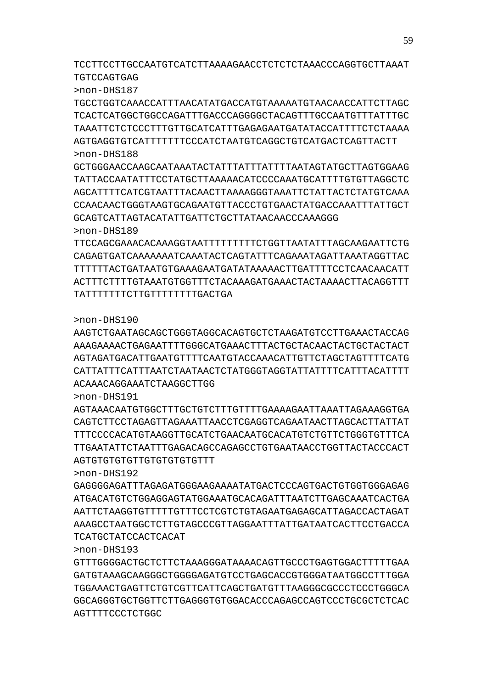AGTTTTCCCTCTGGC

GTTTGGGGACTGCTCTTCTAAAGGGATAAAACAGTTGCCCTGAGTGGACTTTTTGAA GATGTAAAGCAAGGGCTGGGGAGATGTCCTGAGCACCGTGGGATAATGGCCTTTGGA TGGAAACTGAGTTCTGTCGTTCATTCAGCTGATGTTTAAGGGCGCCCTCCCTGGGCA GGCAGGGTGCTGGTTCTTGAGGGTGTGGACACCCAGAGCCAGTCCCTGCGCTCTCAC

TCATGCTATCCACTCACAT

>non-DHS193

>non-DHS192 GAGGGGAGATTTAGAGATGGGAAGAAAATATGACTCCCAGTGACTGTGGTGGGAGAG ATGACATGTCTGGAGGAGTATGGAAATGCACAGATTTAATCTTGAGCAAATCACTGA AATTCTAAGGTGTTTTTGTTTCCTCGTCTGTAGAATGAGAGCATTAGACCACTAGAT AAAGCCTAATGGCTCTTGTAGCCCGTTAGGAATTTATTGATAATCACTTCCTGACCA

AGTGTGTGTGTTGTGTGTGTGTTT

>non-DHS191 AGTAAACAATGTGGCTTTGCTGTCTTTGTTTTGAAAAGAATTAAATTAGAAAGGTGA CAGTCTTCCTAGAGTTAGAAATTAACCTCGAGGTCAGAATAACTTAGCACTTATTAT TTTCCCCACATGTAAGGTTGCATCTGAACAATGCACATGTCTGTTCTGGGTGTTTCA TTGAATATTCTAATTTGAGACAGCCAGAGCCTGTGAATAACCTGGTTACTACCCACT

ACAAACAGGAAATCTAAGGCTTGG

>non-DHS190 AAGTCTGAATAGCAGCTGGGTAGGCACAGTGCTCTAAGATGTCCTTGAAACTACCAG AAAGAAAACTGAGAATTTTGGGCATGAAACTTTACTGCTACAACTACTGCTACTACT AGTAGATGACATTGAATGTTTTCAATGTACCAAACATTGTTCTAGCTAGTTTTCATG CATTATTTCATTTAATCTAATAACTCTATGGGTAGGTATTATTTTCATTTACATTTT

TATTTTTTTCTTGTTTTTTTTGACTGA

>non-DHS188

>non-DHS189 TTCCAGCGAAACACAAAGGTAATTTTTTTTTCTGGTTAATATTTAGCAAGAATTCTG CAGAGTGATCAAAAAAATCAAATACTCAGTATTTCAGAAATAGATTAAATAGGTTAC TTTTTTACTGATAATGTGAAAGAATGATATAAAAACTTGATTTTCCTCAACAACATT ACTTTCTTTTGTAAATGTGGTTTCTACAAAGATGAAACTACTAAAACTTACAGGTTT

GCTGGGAACCAAGCAATAAATACTATTTATTTATTTTAATAGTATGCTTAGTGGAAG TATTACCAATATTTCCTATGCTTAAAAACATCCCCAAATGCATTTTGTGTTAGGCTC AGCATTTTCATCGTAATTTACAACTTAAAAGGGTAAATTCTATTACTCTATGTCAAA CCAACAACTGGGTAAGTGCAGAATGTTACCCTGTGAACTATGACCAAATTTATTGCT GCAGTCATTAGTACATATTGATTCTGCTTATAACAACCCAAAGGG

>non-DHS187 TGCCTGGTCAAACCATTTAACATATGACCATGTAAAAATGTAACAACCATTCTTAGC TCACTCATGGCTGGCCAGATTTGACCCAGGGGCTACAGTTTGCCAATGTTTATTTGC TAAATTCTCTCCCTTTGTTGCATCATTTGAGAGAATGATATACCATTTTCTCTAAAA AGTGAGGTGTCATTTTTTTCCCATCTAATGTCAGGCTGTCATGACTCAGTTACTT

TCCTTCCTTGCCAATGTCATCTTAAAAGAACCTCTCTCTAAACCCAGGTGCTTAAAT TGTCCAGTGAG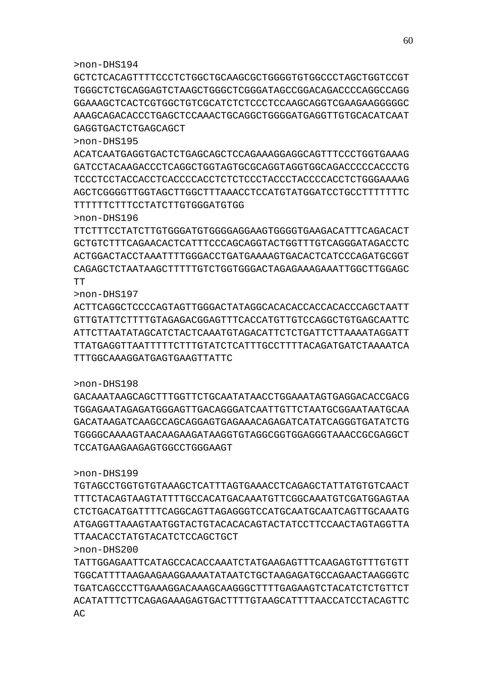GCTCTCACAGTTTTCCCTCTGGCTGCAAGCGCTGGGGTGTGGCCCTAGCTGGTCCGT TGGGCTCTGCAGGAGTCTAAGCTGGGCTCGGGATAGCCGGACAGACCCCAGGCCAGG GGAAAGCTCACTCGTGGCTGTCGCATCTCTCCCTCCAAGCAGGTCGAAGAAGGGGGC AAAGCAGACACCCTGAGCTCCAAACTGCAGGCTGGGGATGAGGTTGTGCACATCAAT GAGGTGACTCTGAGCAGCT

>non-DHS195

ACATCAATGAGGTGACTCTGAGCAGCTCCAGAAAGGAGGCAGTTTCCCTGGTGAAAG GATCCTACAAGACCCTCAGGCTGGTAGTGCGCAGGTAGGTGGCAGACCCCCACCCTG TCCCTCCTACCACCTCACCCCACCTCTCTCCCTACCCTACCCCACCTCTGGGAAAAG AGCTCGGGGTTGGTAGCTTGGCTTTAAACCTCCATGTATGGATCCTGCCTTTTTTTC TTTTTTCTTTCCTATCTTGTGGGATGTGG

>non-DHS196

TTCTTTCCTATCTTGTGGGATGTGGGGAGGAAGTGGGGTGAAGACATTTCAGACACT GCTGTCTTTCAGAACACTCATTTCCCAGCAGGTACTGGTTTGTCAGGGATAGACCTC ACTGGACTACCTAAATTTTGGGACCTGATGAAAAGTGACACTCATCCCAGATGCGGT

CAGAGCTCTAATAAGCTTTTTGTCTGGTGGGACTAGAGAAAGAAATTGGCTTGGAGC TT >non-DHS197 ACTTCAGGCTCCCCAGTAGTTGGGACTATAGGCACACACCACCACACCCAGCTAATT

GTTGTATTCTTTTGTAGAGACGGAGTTTCACCATGTTGTCCAGGCTGTGAGCAATTC

ATTCTTAATATAGCATCTACTCAAATGTAGACATTCTCTGATTCTTAAAATAGGATT TTATGAGGTTAATTTTTCTTTGTATCTCATTTGCCTTTTACAGATGATCTAAAATCA TTTGGCAAAGGATGAGTGAAGTTATTC

#### >non-DHS198

GACAAATAAGCAGCTTTGGTTCTGCAATATAACCTGGAAATAGTGAGGACACCGACG TGGAGAATAGAGATGGGAGTTGACAGGGATCAATTGTTCTAATGCGGAATAATGCAA GACATAAGATCAAGCCAGCAGGAGTGAGAAACAGAGATCATATCAGGGTGATATCTG TGGGGCAAAAGTAACAAGAAGATAAGGTGTAGGCGGTGGAGGGTAAACCGCGAGGCT TCCATGAAGAAGAGTGGCCTGGGAAGT

#### >non-DHS199

TGTAGCCTGGTGTGTAAAGCTCATTTAGTGAAACCTCAGAGCTATTATGTGTCAACT TTTCTACAGTAAGTATTTTGCCACATGACAAATGTTCGGCAAATGTCGATGGAGTAA CTCTGACATGATTTTCAGGCAGTTAGAGGGTCCATGCAATGCAATCAGTTGCAAATG ATGAGGTTAAAGTAATGGTACTGTACACACAGTACTATCCTTCCAACTAGTAGGTTA TTAACACCTATGTACATCTCCAGCTGCT

### >non-DHS200

TATTGGAGAATTCATAGCCACACCAAATCTATGAAGAGTTTCAAGAGTGTTTGTGTT TGGCATTTTAAGAAGAAGGAAAATATAATCTGCTAAGAGATGCCAGAACTAAGGGTC TGATCAGCCCTTGAAAGGACAAAGCAAGGGCTTTTGAGAAGTCTACATCTCTGTTCT ACATATTTCTTCAGAGAAAGAGTGACTTTTGTAAGCATTTTAACCATCCTACAGTTC  $AC$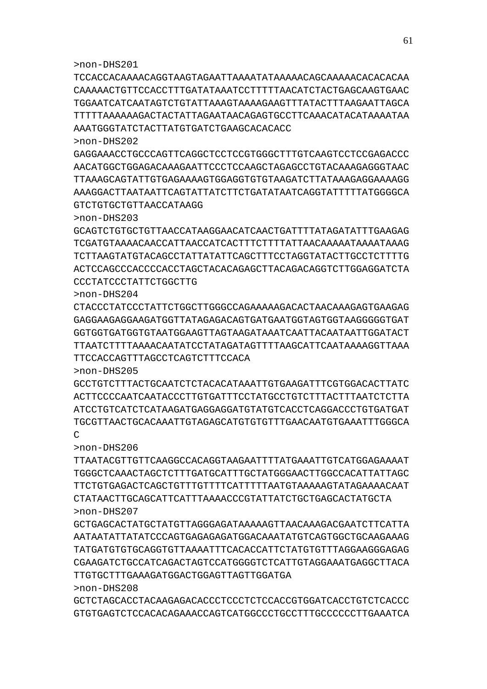>non-DHS208 GCTCTAGCACCTACAAGAGACACCCTCCCTCTCCACCGTGGATCACCTGTCTCACCC GTGTGAGTCTCCACACAGAAACCAGTCATGGCCCTGCCTTTGCCCCCCTTGAAATCA

TTGTGCTTTGAAAGATGGACTGGAGTTAGTTGGATGA

>non-DHS207 GCTGAGCACTATGCTATGTTAGGGAGATAAAAAGTTAACAAAGACGAATCTTCATTA AATAATATTATATCCCAGTGAGAGAGATGGACAAATATGTCAGTGGCTGCAAGAAAG TATGATGTGTGCAGGTGTTAAAATTTCACACCATTCTATGTGTTTAGGAAGGGAGAG CGAAGATCTGCCATCAGACTAGTCCATGGGGTCTCATTGTAGGAAATGAGGCTTACA

>non-DHS206 TTAATACGTTGTTCAAGGCCACAGGTAAGAATTTTATGAAATTGTCATGGAGAAAAT TGGGCTCAAACTAGCTCTTTGATGCATTTGCTATGGGAACTTGGCCACATTATTAGC TTCTGTGAGACTCAGCTGTTTGTTTTCATTTTTAATGTAAAAAGTATAGAAAACAAT CTATAACTTGCAGCATTCATTTAAAACCCGTATTATCTGCTGAGCACTATGCTA

 $\overline{C}$ 

>non-DHS205 GCCTGTCTTTACTGCAATCTCTACACATAAATTGTGAAGATTTCGTGGACACTTATC ACTTCCCCAATCAATACCCTTGTGATTTCCTATGCCTGTCTTTACTTTAATCTCTTA ATCCTGTCATCTCATAAGATGAGGAGGATGTATGTCACCTCAGGACCCTGTGATGAT TGCGTTAACTGCACAAATTGTAGAGCATGTGTGTTTGAACAATGTGAAATTTGGGCA

TTCCACCAGTTTAGCCTCAGTCTTTCCACA

>non-DHS204 CTACCCTATCCCTATTCTGGCTTGGGCCAGAAAAAGACACTAACAAAGAGTGAAGAG GAGGAAGAGGAAGATGGTTATAGAGACAGTGATGAATGGTAGTGGTAAGGGGGTGAT GGTGGTGATGGTGTAATGGAAGTTAGTAAGATAAATCAATTACAATAATTGGATACT TTAATCTTTTAAAACAATATCCTATAGATAGTTTTAAGCATTCAATAAAAGGTTAAA

CCCTATCCCTATTCTGGCTTG

>non-DHS203 GCAGTCTGTGCTGTTAACCATAAGGAACATCAACTGATTTTATAGATATTTGAAGAG TCGATGTAAAACAACCATTAACCATCACTTTCTTTTATTAACAAAAATAAAATAAAG TCTTAAGTATGTACAGCCTATTATATTCAGCTTTCCTAGGTATACTTGCCTCTTTTG ACTCCAGCCCACCCCACCTAGCTACACAGAGCTTACAGACAGGTCTTGGAGGATCTA

GTCTGTGCTGTTAACCATAAGG

>non-DHS202 GAGGAAACCTGCCCAGTTCAGGCTCCTCCGTGGGCTTTGTCAAGTCCTCCGAGACCC AACATGGCTGGAGACAAAGAATTCCCTCCAAGCTAGAGCCTGTACAAAGAGGGTAAC TTAAAGCAGTATTGTGAGAAAAGTGGAGGTGTGTAAGATCTTATAAAGAGGAAAAGG AAAGGACTTAATAATTCAGTATTATCTTCTGATATAATCAGGTATTTTTATGGGGCA

AAATGGGTATCTACTTATGTGATCTGAAGCACACACC

>non-DHS201 TCCACCACAAAACAGGTAAGTAGAATTAAAATATAAAAACAGCAAAAACACACACAA CAAAAACTGTTCCACCTTTGATATAAATCCTTTTTAACATCTACTGAGCAAGTGAAC TGGAATCATCAATAGTCTGTATTAAAGTAAAAGAAGTTTATACTTTAAGAATTAGCA TTTTTAAAAAAGACTACTATTAGAATAACAGAGTGCCTTCAAACATACATAAAATAA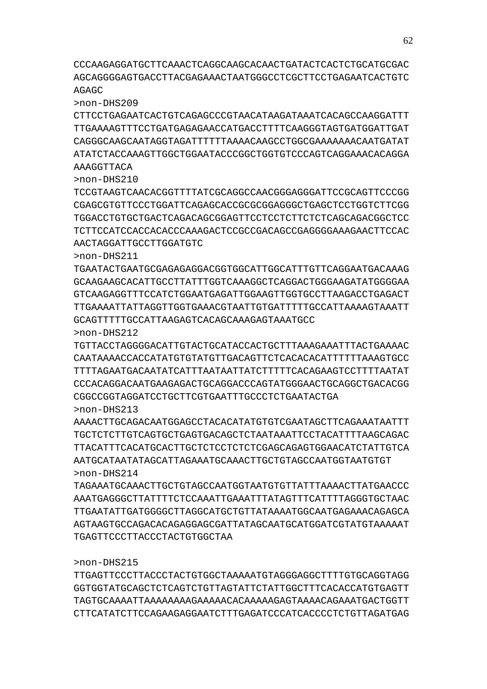CCCAAGAGGATGCTTCAAACTCAGGCAAGCACAACTGATACTCACTCTGCATGCGAC AGCAGGGGAGTGACCTTACGAGAAACTAATGGGCCTCGCTTCCTGAGAATCACTGTC AGAGC

>non-DHS209

CTTCCTGAGAATCACTGTCAGAGCCCGTAACATAAGATAAATCACAGCCAAGGATTT TTGAAAAGTTTCCTGATGAGAGAACCATGACCTTTTCAAGGGTAGTGATGGATTGAT CAGGGCAAGCAATAGGTAGATTTTTTAAAACAAGCCTGGCGAAAAAAACAATGATAT ATATCTACCAAAGTTGGCTGGAATACCCGGCTGGTGTCCCAGTCAGGAAACACAGGA AAAGGTTACA

>non-DHS210

TCCGTAAGTCAACACGGTTTTATCGCAGGCCAACGGGAGGGATTCCGCAGTTCCCGG CGAGCGTGTTCCCTGGATTCAGAGCACCGCGCGGAGGGCTGAGCTCCTGGTCTTCGG TGGACCTGTGCTGACTCAGACAGCGGAGTTCCTCCTCTTCTCTCAGCAGACGGCTCC TCTTCCATCCACCACACCCAAAGACTCCGCCGACAGCCGAGGGGAAAGAACTTCCAC AACTAGGATTGCCTTGGATGTC

>non-DHS211

TGAATACTGAATGCGAGAGAGGACGGTGGCATTGGCATTTGTTCAGGAATGACAAAG GCAAGAAGCACATTGCCTTATTTGGTCAAAGGCTCAGGACTGGGAAGATATGGGGAA GTCAAGAGGTTTCCATCTGGAATGAGATTGGAAGTTGGTGCCTTAAGACCTGAGACT TTGAAAATTATTAGGTTGGTGAAACGTAATTGTGATTTTTGCCATTAAAAGTAAATT GCAGTTTTTGCCATTAAGAGTCACAGCAAAGAGTAAATGCC >non-DHS212

TGTTACCTAGGGGACATTGTACTGCATACCACTGCTTTAAAGAAATTTACTGAAAAC CAATAAAACCACCATATGTGTATGTTGACAGTTCTCACACACATTTTTTAAAGTGCC TTTTAGAATGACAATATCATTTAATAATTATCTTTTTCACAGAAGTCCTTTTAATAT CCCACAGGACAATGAAGAGACTGCAGGACCCAGTATGGGAACTGCAGGCTGACACGG CGGCCGGTAGGATCCTGCTTCGTGAATTTGCCCTCTGAATACTGA >non-DHS213

AAAACTTGCAGACAATGGAGCCTACACATATGTGTCGAATAGCTTCAGAAATAATTT TGCTCTCTTGTCAGTGCTGAGTGACAGCTCTAATAAATTCCTACATTTTAAGCAGAC TTACATTTCACATGCACTTGCTCTCCTCTCTCGAGCAGAGTGGAACATCTATTGTCA AATGCATAATATAGCATTAGAAATGCAAACTTGCTGTAGCCAATGGTAATGTGT >non-DHS214

TAGAAATGCAAACTTGCTGTAGCCAATGGTAATGTGTTATTTAAAACTTATGAACCC AAATGAGGGCTTATTTTCTCCAAATTGAAATTTATAGTTTCATTTTAGGGTGCTAAC TTGAATATTGATGGGGCTTAGGCATGCTGTTATAAAATGGCAATGAGAAACAGAGCA AGTAAGTGCCAGACACAGAGGAGCGATTATAGCAATGCATGGATCGTATGTAAAAAT TGAGTTCCCTTACCCTACTGTGGCTAA

>non-DHS215

TTGAGTTCCCTTACCCTACTGTGGCTAAAAATGTAGGGAGGCTTTTGTGCAGGTAGG GGTGGTATGCAGCTCTCAGTCTGTTAGTATTCTATTGGCTTTCACACCATGTGAGTT TAGTGCAAAATTAAAAAAAAGAAAAACACAAAAAGAGTAAAACAGAAATGACTGGTT CTTCATATCTTCCAGAAGAGGAATCTTTGAGATCCCATCACCCCTCTGTTAGATGAG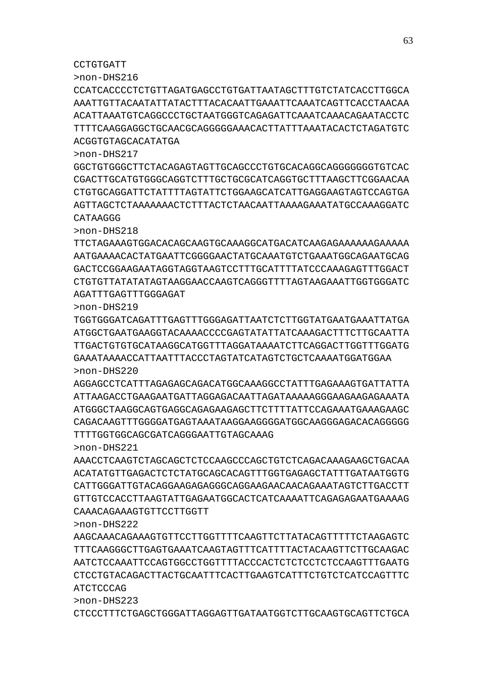CTCCCTTTCTGAGCTGGGATTAGGAGTTGATAATGGTCTTGCAAGTGCAGTTCTGCA

ATCTCCCAG >non-DHS223

CCTGTGATT

>non-DHS218

>non-DHS222 AAGCAAACAGAAAGTGTTCCTTGGTTTTCAAGTTCTTATACAGTTTTTCTAAGAGTC TTTCAAGGGCTTGAGTGAAATCAAGTAGTTTCATTTTACTACAAGTTCTTGCAAGAC AATCTCCAAATTCCAGTGGCCTGGTTTTACCCACTCTCTCCTCTCCAAGTTTGAATG CTCCTGTACAGACTTACTGCAATTTCACTTGAAGTCATTTCTGTCTCATCCAGTTTC

AAACCTCAAGTCTAGCAGCTCTCCAAGCCCAGCTGTCTCAGACAAAGAAGCTGACAA ACATATGTTGAGACTCTCTATGCAGCACAGTTTGGTGAGAGCTATTTGATAATGGTG CATTGGGATTGTACAGGAAGAGAGGGCAGGAAGAACAACAGAAATAGTCTTGACCTT GTTGTCCACCTTAAGTATTGAGAATGGCACTCATCAAAATTCAGAGAGAATGAAAAG CAAACAGAAAGTGTTCCTTGGTT

AGGAGCCTCATTTAGAGAGCAGACATGGCAAAGGCCTATTTGAGAAAGTGATTATTA ATTAAGACCTGAAGAATGATTAGGAGACAATTAGATAAAAAGGGAAGAAGAGAAATA ATGGGCTAAGGCAGTGAGGCAGAGAAGAGCTTCTTTTATTCCAGAAATGAAAGAAGC CAGACAAGTTTGGGGATGAGTAAATAAGGAAGGGGATGGCAAGGGAGACACAGGGGG TTTTGGTGGCAGCGATCAGGGAATTGTAGCAAAG >non-DHS221

>non-DHS219 TGGTGGGATCAGATTTGAGTTTGGGAGATTAATCTCTTGGTATGAATGAAATTATGA ATGGCTGAATGAAGGTACAAAACCCCGAGTATATTATCAAAGACTTTCTTGCAATTA TTGACTGTGTGCATAAGGCATGGTTTAGGATAAAATCTTCAGGACTTGGTTTGGATG GAAATAAAACCATTAATTTACCCTAGTATCATAGTCTGCTCAAAATGGATGGAA >non-DHS220

TTCTAGAAAGTGGACACAGCAAGTGCAAAGGCATGACATCAAGAGAAAAAAGAAAAA AATGAAAACACTATGAATTCGGGGAACTATGCAAATGTCTGAAATGGCAGAATGCAG GACTCCGGAAGAATAGGTAGGTAAGTCCTTTGCATTTTATCCCAAAGAGTTTGGACT CTGTGTTATATATAGTAAGGAACCAAGTCAGGGTTTTAGTAAGAAATTGGTGGGATC AGATTTGAGTTTGGGAGAT

>non-DHS217 GGCTGTGGGCTTCTACAGAGTAGTTGCAGCCCTGTGCACAGGCAGGGGGGGTGTCAC CGACTTGCATGTGGGCAGGTCTTTGCTGCGCATCAGGTGCTTTAAGCTTCGGAACAA CTGTGCAGGATTCTATTTTAGTATTCTGGAAGCATCATTGAGGAAGTAGTCCAGTGA AGTTAGCTCTAAAAAAACTCTTTACTCTAACAATTAAAAGAAATATGCCAAAGGATC CATAAGGG

>non-DHS216 CCATCACCCCTCTGTTAGATGAGCCTGTGATTAATAGCTTTGTCTATCACCTTGGCA AAATTGTTACAATATTATACTTTACACAATTGAAATTCAAATCAGTTCACCTAACAA ACATTAAATGTCAGGCCCTGCTAATGGGTCAGAGATTCAAATCAAACAGAATACCTC TTTTCAAGGAGGCTGCAACGCAGGGGGAAACACTTATTTAAATACACTCTAGATGTC ACGGTGTAGCACATATGA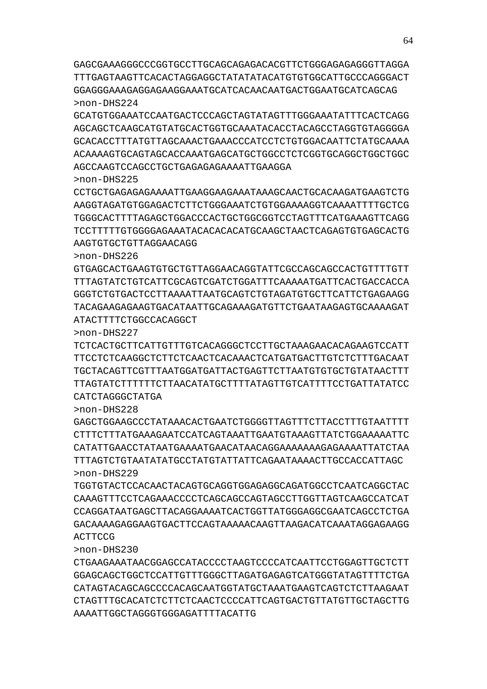AAAATTGGCTAGGGTGGGAGATTTTACATTG

CTGAAGAAATAACGGAGCCATACCCCTAAGTCCCCATCAATTCCTGGAGTTGCTCTT GGAGCAGCTGGCTCCATTGTTTGGGCTTAGATGAGAGTCATGGGTATAGTTTTCTGA CATAGTACAGCAGCCCCACAGCAATGGTATGCTAAATGAAGTCAGTCTCTTAAGAAT CTAGTTTGCACATCTCTTCTCAACTCCCCATTCAGTGACTGTTATGTTGCTAGCTTG

TGGTGTACTCCACAACTACAGTGCAGGTGGAGAGGCAGATGGCCTCAATCAGGCTAC CAAAGTTTCCTCAGAAACCCCTCAGCAGCCAGTAGCCTTGGTTAGTCAAGCCATCAT CCAGGATAATGAGCTTACAGGAAAATCACTGGTTATGGGAGGCGAATCAGCCTCTGA GACAAAAGAGGAAGTGACTTCCAGTAAAAACAAGTTAAGACATCAAATAGGAGAAGG ACTTCCG

>non-DHS228 GAGCTGGAAGCCCTATAAACACTGAATCTGGGGTTAGTTTCTTACCTTTGTAATTTT CTTTCTTTATGAAAGAATCCATCAGTAAATTGAATGTAAAGTTATCTGGAAAAATTC CATATTGAACCTATAATGAAAATGAACATAACAGGAAAAAAAGAGAAAATTATCTAA TTTAGTCTGTAATATATGCCTATGTATTATTCAGAATAAAACTTGCCACCATTAGC >non-DHS229

CATCTAGGGCTATGA

>non-DHS230

>non-DHS227 TCTCACTGCTTCATTGTTTGTCACAGGGCTCCTTGCTAAAGAACACAGAAGTCCATT TTCCTCTCAAGGCTCTTCTCAACTCACAAACTCATGATGACTTGTCTCTTTGACAAT TGCTACAGTTCGTTTAATGGATGATTACTGAGTTCTTAATGTGTGCTGTATAACTTT TTAGTATCTTTTTTCTTAACATATGCTTTTATAGTTGTCATTTTCCTGATTATATCC

ATACTTTTCTGGCCACAGGCT

>non-DHS226 GTGAGCACTGAAGTGTGCTGTTAGGAACAGGTATTCGCCAGCAGCCACTGTTTTGTT TTTAGTATCTGTCATTCGCAGTCGATCTGGATTTCAAAAATGATTCACTGACCACCA GGGTCTGTGACTCCTTAAAATTAATGCAGTCTGTAGATGTGCTTCATTCTGAGAAGG TACAGAAGAGAAGTGACATAATTGCAGAAAGATGTTCTGAATAAGAGTGCAAAAGAT

AAGTGTGCTGTTAGGAACAGG

>non-DHS225 CCTGCTGAGAGAGAAAATTGAAGGAAGAAATAAAGCAACTGCACAAGATGAAGTCTG AAGGTAGATGTGGAGACTCTTCTGGGAAATCTGTGGAAAAGGTCAAAATTTTGCTCG TGGGCACTTTTAGAGCTGGACCCACTGCTGGCGGTCCTAGTTTCATGAAAGTTCAGG TCCTTTTTGTGGGGAGAAATACACACACATGCAAGCTAACTCAGAGTGTGAGCACTG

AGCCAAGTCCAGCCTGCTGAGAGAGAAAATTGAAGGA

>non-DHS224 GCATGTGGAAATCCAATGACTCCCAGCTAGTATAGTTTGGGAAATATTTCACTCAGG AGCAGCTCAAGCATGTATGCACTGGTGCAAATACACCTACAGCCTAGGTGTAGGGGA GCACACCTTTATGTTAGCAAACTGAAACCCATCCTCTGTGGACAATTCTATGCAAAA ACAAAAGTGCAGTAGCACCAAATGAGCATGCTGGCCTCTCGGTGCAGGCTGGCTGGC

GAGCGAAAGGGCCCGGTGCCTTGCAGCAGAGACACGTTCTGGGAGAGAGGGTTAGGA TTTGAGTAAGTTCACACTAGGAGGCTATATATACATGTGTGGCATTGCCCAGGGACT GGAGGGAAAGAGGAGAAGGAAATGCATCACAACAATGACTGGAATGCATCAGCAG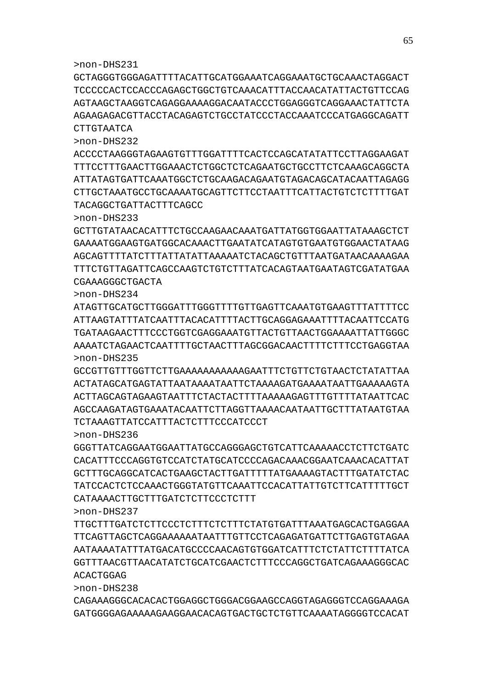>non-DHS232

>non-DHS233

CGAAAGGGCTGACTA

>non-DHS234

>non-DHS235

>non-DHS236

>non-DHS237

ACACTGGAG >non-DHS238

GCTAGGGTGGGAGATTTTACATTGCATGGAAATCAGGAAATGCTGCAAACTAGGACT TCCCCCACTCCACCCAGAGCTGGCTGTCAAACATTTACCAACATATTACTGTTCCAG AGTAAGCTAAGGTCAGAGGAAAAGGACAATACCCTGGAGGGTCAGGAAACTATTCTA AGAAGAGACGTTACCTACAGAGTCTGCCTATCCCTACCAAATCCCATGAGGCAGATT CTTGTAATCA

ACCCCTAAGGGTAGAAGTGTTTGGATTTTCACTCCAGCATATATTCCTTAGGAAGAT TTTCCTTTGAACTTGGAAACTCTGGCTCTCAGAATGCTGCCTTCTCAAAGCAGGCTA ATTATAGTGATTCAAATGGCTCTGCAAGACAGAATGTAGACAGCATACAATTAGAGG CTTGCTAAATGCCTGCAAAATGCAGTTCTTCCTAATTTCATTACTGTCTCTTTTGAT

GCTTGTATAACACATTTCTGCCAAGAACAAATGATTATGGTGGAATTATAAAGCTCT GAAAATGGAAGTGATGGCACAAACTTGAATATCATAGTGTGAATGTGGAACTATAAG AGCAGTTTTATCTTTATTATATTAAAAATCTACAGCTGTTTAATGATAACAAAAGAA TTTCTGTTAGATTCAGCCAAGTCTGTCTTTATCACAGTAATGAATAGTCGATATGAA

ATAGTTGCATGCTTGGGATTTGGGTTTTGTTGAGTTCAAATGTGAAGTTTATTTTCC ATTAAGTATTTATCAATTTACACATTTTACTTGCAGGAGAAATTTTACAATTCCATG TGATAAGAACTTTCCCTGGTCGAGGAAATGTTACTGTTAACTGGAAAATTATTGGGC AAAATCTAGAACTCAATTTTGCTAACTTTAGCGGACAACTTTTCTTTCCTGAGGTAA

GCCGTTGTTTGGTTCTTGAAAAAAAAAAAGAATTTCTGTTCTGTAACTCTATATTAA ACTATAGCATGAGTATTAATAAAATAATTCTAAAAGATGAAAATAATTGAAAAAGTA ACTTAGCAGTAGAAGTAATTTCTACTACTTTTAAAAAGAGTTTGTTTTATAATTCAC AGCCAAGATAGTGAAATACAATTCTTAGGTTAAAACAATAATTGCTTTATAATGTAA

GGGTTATCAGGAATGGAATTATGCCAGGGAGCTGTCATTCAAAAACCTCTTCTGATC CACATTTCCCAGGTGTCCATCTATGCATCCCCAGACAAACGGAATCAAACACATTAT GCTTTGCAGGCATCACTGAAGCTACTTGATTTTTATGAAAAGTACTTTGATATCTAC TATCCACTCTCCAAACTGGGTATGTTCAAATTCCACATTATTGTCTTCATTTTTGCT

TTGCTTTGATCTCTTCCCTCTTTCTCTTTCTATGTGATTTAAATGAGCACTGAGGAA TTCAGTTAGCTCAGGAAAAAATAATTTGTTCCTCAGAGATGATTCTTGAGTGTAGAA AATAAAATATTTATGACATGCCCCAACAGTGTGGATCATTTCTCTATTCTTTTATCA GGTTTAACGTTAACATATCTGCATCGAACTCTTTCCCAGGCTGATCAGAAAGGGCAC

CAGAAAGGGCACACACTGGAGGCTGGGACGGAAGCCAGGTAGAGGGTCCAGGAAAGA GATGGGGAGAAAAAGAAGGAACACAGTGACTGCTCTGTTCAAAATAGGGGTCCACAT

TACAGGCTGATTACTTTCAGCC

TCTAAAGTTATCCATTTACTCTTTCCCATCCCT

CATAAAACTTGCTTTGATCTCTTCCCTCTTT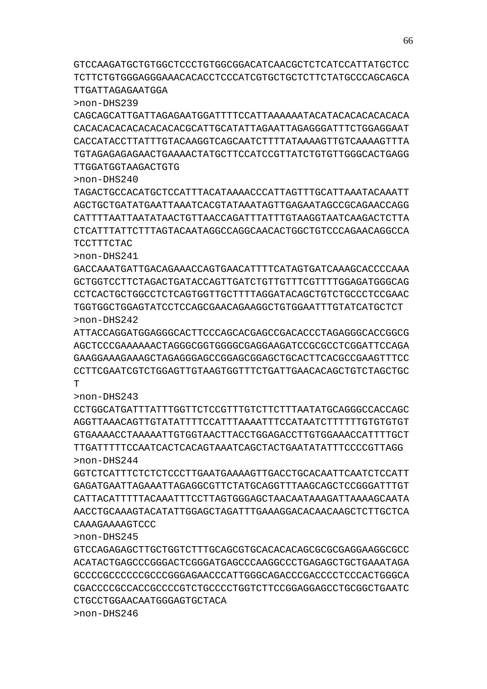# CAAAGAAAAGTCCC

>non-DHS245

>non-DHS241

GTCCAGAGAGCTTGCTGGTCTTTGCAGCGTGCACACACAGCGCGCGAGGAAGGCGCC ACATACTGAGCCCGGGACTCGGGATGAGCCCAAGGCCCTGAGAGCTGCTGAAATAGA GCCCCGCCCCCCGCCCGGGAGAACCCATTGGGCAGACCCGACCCCTCCCACTGGGCA CGACCCCGCCACCGCCCCGTCTGCCCCTGGTCTTCCGGAGGAGCCTGCGGCTGAATC CTGCCTGGAACAATGGGAGTGCTACA >non-DHS246

>non-DHS244 GGTCTCATTTCTCTCTCCCTTGAATGAAAAGTTGACCTGCACAATTCAATCTCCATT GAGATGAATTAGAAATTAGAGGCGTTCTATGCAGGTTTAAGCAGCTCCGGGATTTGT CATTACATTTTTACAAATTTCCTTAGTGGGAGCTAACAATAAAGATTAAAAGCAATA AACCTGCAAAGTACATATTGGAGCTAGATTTGAAAGGACACAACAAGCTCTTGCTCA

AGCTCCCGAAAAAACTAGGGCGGTGGGGCGAGGAAGATCCGCGCCTCGGATTCCAGA GAAGGAAAGAAAGCTAGAGGGAGCCGGAGCGGAGCTGCACTTCACGCCGAAGTTTCC CCTTCGAATCGTCTGGAGTTGTAAGTGGTTTCTGATTGAACACAGCTGTCTAGCTGC  $T$ >non-DHS243 CCTGGCATGATTTATTTGGTTCTCCGTTTGTCTTCTTTAATATGCAGGGCCACCAGC

AGGTTAAACAGTTGTATATTTTCCATTTAAAATTTCCATAATCTTTTTTGTGTGTGT GTGAAAACCTAAAAATTGTGGTAACTTACCTGGAGACCTTGTGGAAACCATTTTGCT TTGATTTTTCCAATCACTCACAGTAAATCAGCTACTGAATATATTTCCCCGTTAGG

GACCAAATGATTGACAGAAACCAGTGAACATTTTCATAGTGATCAAAGCACCCCAAA GCTGGTCCTTCTAGACTGATACCAGTTGATCTGTTGTTTCGTTTTGGAGATGGGCAG CCTCACTGCTGGCCTCTCAGTGGTTGCTTTTAGGATACAGCTGTCTGCCCTCCGAAC TGGTGGCTGGAGTATCCTCCAGCGAACAGAAGGCTGTGGAATTTGTATCATGCTCT >non-DHS242 ATTACCAGGATGGAGGGCACTTCCCAGCACGAGCCGACACCCTAGAGGGCACCGGCG

>non-DHS240 TAGACTGCCACATGCTCCATTTACATAAAACCCATTAGTTTGCATTAAATACAAATT AGCTGCTGATATGAATTAAATCACGTATAAATAGTTGAGAATAGCCGCAGAACCAGG CATTTTAATTAATATAACTGTTAACCAGATTTATTTGTAAGGTAATCAAGACTCTTA CTCATTTATTCTTTAGTACAATAGGCCAGGCAACACTGGCTGTCCCAGAACAGGCCA TCCTTTCTAC

>non-DHS239 CAGCAGCATTGATTAGAGAATGGATTTTCCATTAAAAAATACATACACACACACACA CACACACACACACACACACGCATTGCATATTAGAATTAGAGGGATTTCTGGAGGAAT CACCATACCTTATTTGTACAAGGTCAGCAATCTTTTATAAAAGTTGTCAAAAGTTTA TGTAGAGAGAGAACTGAAAACTATGCTTCCATCCGTTATCTGTGTTGGGCACTGAGG TTGGATGGTAAGACTGTG

GTCCAAGATGCTGTGGCTCCCTGTGGCGGACATCAACGCTCTCATCCATTATGCTCC TCTTCTGTGGGAGGGAAACACACCTCCCATCGTGCTGCTCTTCTATGCCCAGCAGCA TTGATTAGAGAATGGA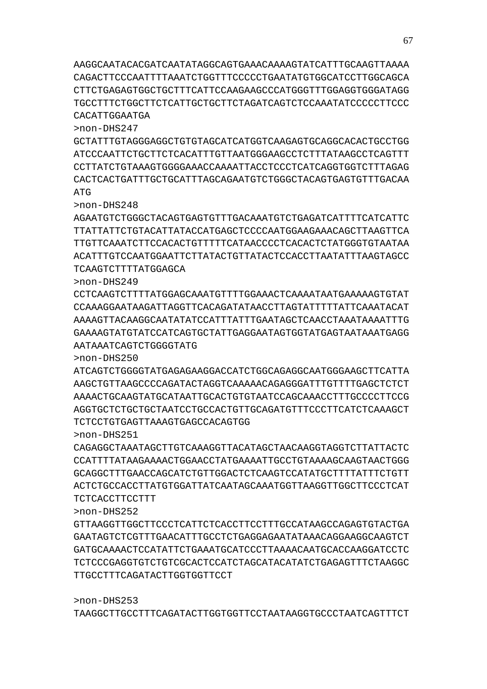>non-DHS253 TAAGGCTTGCCTTTCAGATACTTGGTGGTTCCTAATAAGGTGCCCTAATCAGTTTCT

TTGCCTTTCAGATACTTGGTGGTTCCT

>non-DHS252 GTTAAGGTTGGCTTCCCTCATTCTCACCTTCCTTTGCCATAAGCCAGAGTGTACTGA GAATAGTCTCGTTTGAACATTTGCCTCTGAGGAGAATATAAACAGGAAGGCAAGTCT GATGCAAAACTCCATATTCTGAAATGCATCCCTTAAAACAATGCACCAAGGATCCTC TCTCCCGAGGTGTCTGTCGCACTCCATCTAGCATACATATCTGAGAGTTTCTAAGGC

TCTCACCTTCCTTT

>non-DHS251

>non-DHS247

>non-DHS248

CAGAGGCTAAATAGCTTGTCAAAGGTTACATAGCTAACAAGGTAGGTCTTATTACTC CCATTTTATAAGAAAACTGGAACCTATGAAAATTGCCTGTAAAAGCAAGTAACTGGG GCAGGCTTTGAACCAGCATCTGTTGGACTCTCAAGTCCATATGCTTTTATTTCTGTT ACTCTGCCACCTTATGTGGATTATCAATAGCAAATGGTTAAGGTTGGCTTCCCTCAT

TCTCCTGTGAGTTAAAGTGAGCCACAGTGG

ATCAGTCTGGGGTATGAGAGAAGGACCATCTGGCAGAGGCAATGGGAAGCTTCATTA AAGCTGTTAAGCCCCAGATACTAGGTCAAAAACAGAGGGATTTGTTTTGAGCTCTCT AAAACTGCAAGTATGCATAATTGCACTGTGTAATCCAGCAAACCTTTGCCCCTTCCG AGGTGCTGTGTGCTGAATCCTGCCACTGTTGCAGATGTTTCCCTTTCATCAAAGCT

CCTCAAGTCTTTTATGGAGCAAATGTTTTGGAAACTCAAAATAATGAAAAAGTGTAT CCAAAGGAATAAGATTAGGTTCACAGATATAACCTTAGTATTTTTATTCAAATACAT AAAAGTTACAAGGCAATATATCCATTTATTTGAATAGCTCAACCTAAATAAAATTTG GAAAAGTATGTATCCATCAGTGCTATTGAGGAATAGTGGTATGAGTAATAAATGAGG AATAAATCAGTCTGGGGTATG >non-DHS250

AGAATGTCTGGGCTACAGTGAGTGTTTGACAAATGTCTGAGATCATTTTCATCATTC TTATTATTCTGTACATTATACCATGAGCTCCCCAATGGAAGAAACAGCTTAAGTTCA TTGTTCAAATCTTCCACACTGTTTTTCATAACCCCTCACACTCTATGGGTGTAATAA ACATTTGTCCAATGGAATTCTTATACTGTTATACTCCACCTTAATATTTAAGTAGCC TCAAGTCTTTTATGGAGCA >non-DHS249

GCTATTTGTAGGGAGGCTGTGTAGCATCATGGTCAAGAGTGCAGGCACACTGCCTGG ATCCCAATTCTGCTTCTCACATTTGTTAATGGGAAGCCTCTTTATAAGCCTCAGTTT CCTTATCTGTAAAGTGGGGAAACCAAAATTACCTCCCTCATCAGGTGGTCTTTAGAG CACTCACTGATTTGCTGCATTTAGCAGAATGTCTGGGCTACAGTGAGTGTTTGACAA ATG

AAGGCAATACACGATCAATATAGGCAGTGAAACAAAAGTATCATTTGCAAGTTAAAA CAGACTTCCCAATTTTAAATCTGGTTTCCCCCTGAATATGTGGCATCCTTGGCAGCA CTTCTGAGAGTGGCTGCTTTCATTCCAAGAAGCCCATGGGTTTGGAGGTGGGATAGG TGCCTTTCTGGCTTCTCATTGCTGCTTCTAGATCAGTCTCCAAATATCCCCCTTCCC CACATTGGAATGA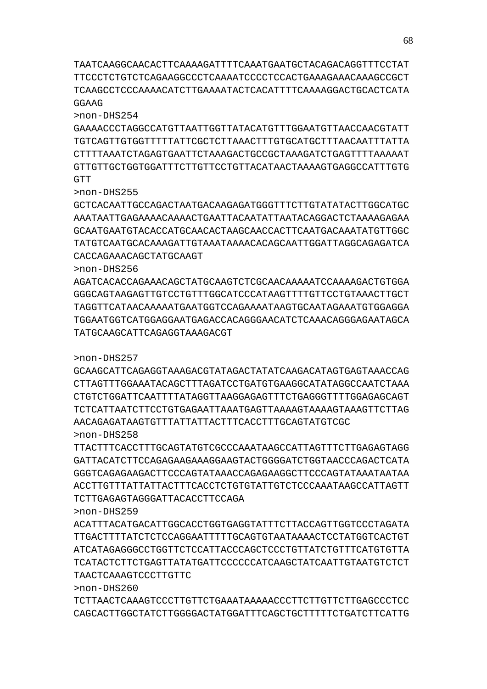>non-DHS260 TCTTAACTCAAAGTCCCTTGTTCTGAAATAAAAACCCTTCTTGTTCTTGAGCCCTCC CAGCACTTGGCTATCTTGGGGACTATGGATTTCAGCTGCTTTTTCTGATCTTCATTG

TAACTCAAAGTCCCTTGTTC

>non-DHS259 ACATTTACATGACATTGGCACCTGGTGAGGTATTTCTTACCAGTTGGTCCCTAGATA TTGACTTTTATCTCTCCAGGAATTTTTGCAGTGTAATAAAACTCCTATGGTCACTGT ATCATAGAGGGCCTGGTTCTCCATTACCCAGCTCCCTGTTATCTGTTTCATGTGTTA TCATACTCTTCTGAGTTATATGATTCCCCCCATCAAGCTATCAATTGTAATGTCTCT

TCTTGAGAGTAGGGATTACACCTTCCAGA

TTACTTTCACCTTTGCAGTATGTCGCCCAAATAAGCCATTAGTTTCTTGAGAGTAGG GATTACATCTTCCAGAGAAGAAAGGAAGTACTGGGGATCTGGTAACCCAGACTCATA GGGTCAGAGAAGACTTCCCAGTATAAACCAGAGAAGGCTTCCCAGTATAAATAATAA ACCTTGTTTATTATTACTTTCACCTCTGTGTATTGTCTCCCAAATAAGCCATTAGTT

>non-DHS257 GCAAGCATTCAGAGGTAAAGACGTATAGACTATATCAAGACATAGTGAGTAAACCAG CTTAGTTTGGAAATACAGCTTTAGATCCTGATGTGAAGGCATATAGGCCAATCTAAA CTGTCTGGATTCAATTTTATAGGTTAAGGAGAGTTTCTGAGGGTTTTGGAGAGCAGT TCTCATTAATCTTCCTGTGAGAATTAAATGAGTTAAAAGTAAAAGTAAAGTTCTTAG AACAGAGATAAGTGTTTATTATTACTTTCACCTTTGCAGTATGTCGC >non-DHS258

TGGAATGGTCATGGAGGAATGAGACCACAGGGAACATCTCAAACAGGGAGAATAGCA TATGCAAGCATTCAGAGGTAAAGACGT

>non-DHS255

GCTCACAATTGCCAGACTAATGACAAGAGATGGGTTTCTTGTATATACTTGGCATGC AAATAATTGAGAAAACAAAACTGAATTACAATATTAATACAGGACTCTAAAAGAGAA GCAATGAATGTACACCATGCAACACTAAGCAACCACTTCAATGACAAATATGTTGGC TATGTCAATGCACAAAGATTGTAAATAAAACACAGCAATTGGATTAGGCAGAGATCA CACCAGAAACAGCTATGCAAGT >non-DHS256

AGATCACACCAGAAACAGCTATGCAAGTCTCGCAACAAAAATCCAAAAGACTGTGGA GGGCAGTAAGAGTTAGTTCCTTTTGGCATAATAAGTTTTGTTCCTGTAAAGTAAGATAAGTTGCT TAGGTTCATAACAAAAATGAATGGTCCAGAAAATAAGTGCAATAGAAATGTGGAGGA

>non-DHS254 GAAAACCCTAGGCCATGTTAATTGGTTATACATGTTTGGAATGTTAACCAACGTATT TGTCAGTTGTGGTTTTTATTCGCTCTTAAACTTTGTGCATGCTTTAACAATTTATTA CTTTTAAATCTAGAGTGAATTCTAAAGACTGCCGCTAAAGATCTGAGTTTTAAAAAT GTTGTTGCTGGTGGATTTCTTGTTCCTGTTACATAACTAAAAGTGAGGCCATTTGTG **GTT** 

TAATCAAGGCAACACTTCAAAAGATTTTCAAATGAATGCTACAGACAGGTTTCCTAT TTCCCTCTGTCTCAGAAGGCCCTCAAAATCCCCTCCACTGAAAGAAACAAAGCCGCT TCAAGCCTCCCAAAACATCTTGAAAATACTCACATTTTCAAAAGGACTGCACTCATA GGAAG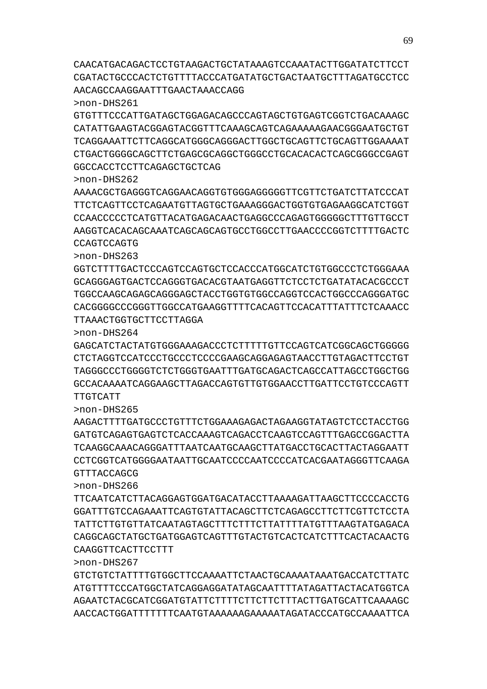>non-DHS267 GTCTGTCTATTTTGTGGCTTCCAAAATTCTAACTGCAAAATAAATGACCATCTTATC ATGTTTTCCCATGGCTATCAGGAGGATATAGCAATTTTATAGATTACTACATGGTCA AGAATCTACGCATCGGATGTATTCTTTTCTTCTTCTTTACTTGATGCATTCAAAAGC AACCACTGGATTTTTTTCAATGTAAAAAAGAAAAATAGATACCCATGCCAAAATTCA

CAAGGTTCACTTCCTTT

>non-DHS266 TTCAATCATCTTACAGGAGTGGATGACATACCTTAAAAGATTAAGCTTCCCCACCTG GGATTTGTCCAGAAATTCAGTGTATTACAGCTTCTCAGAGCCTTCTTCGTTCTCCTA TATTCTTGTGTTATCAATAGTAGCTTTCTTTCTTATTTTATGTTTAAGTATGAGACA CAGGCAGCTATGCTGATGGAGTCAGTTTGTACTGTCACTCATCTTTCACTACAACTG

>non-DHS265 AAGACTTTTGATGCCCTGTTTCTGGAAAGAGACTAGAAGGTATAGTCTCCTACCTGG GATGTCAGAGTGAGTCTCACCAAAGTCAGACCTCAAGTCCAGTTTGAGCCGGACTTA TCAAGGCAAACAGGGATTTAATCAATGCAAGCTTATGACCTGCACTTACTAGGAATT CCTCGGTCATGGGGAATAATTGCAATCCCCAATCCCCATCACGAATAGGGTTCAAGA GTTTACCAGCG

>non-DHS264 GAGCATCTACTATGTGGGAAAGACCCTCTTTTTGTTCCAGTCATCGGCAGCTGGGGG CTCTAGGTCCATCCCTGCCCTCCCCGAAGCAGGAGAGTAACCTTGTAGACTTCCTGT TAGGGCCCTGGGGTCTCTGGGTGAATTTGATGCAGACTCAGCCATTAGCCTGGCTGG GCCACAAAATCAGGAAGCTTAGACCAGTGTTGTGGAACCTTGATTCCTGTCCCAGTT TTGTCATT

>non-DHS263 GGTCTTTTGACTCCCAGTCCAGTGCTCCACCCATGGCATCTGTGGCCCTCTGGGAAA GCAGGGAGTGACTCCAGGGTGACACGTAATGAGGTTCTCCTCTGATATACACGCCCT TGGCCAAGCAGAGCAGGGAGCTACCTGGTGTGGCCAGGTCCACTGGCCCAGGGATGC CACGGGGCCCGGGTTGGCCATGAAGGTTTTCACAGTTCCACATTTATTTCTCAAACC TTAAACTGGTGCTTCCTTAGGA

>non-DHS262 AAAACGCTGAGGGTCAGGAACAGGTGTGGGAGGGGGTTCGTTCTGATCTTATCCCAT TTCTCAGTTCCTCAGAATGTTAGTGCTGAAAGGGACTGGTGTGAGAAGGCATCTGGT CCAACCCCCTCATGTTACATGAGACAACTGAGGCCCAGAGTGGGGGCTTTGTTGCCT AAGGTCACACAGCAAATCAGCAGCAGTGCCTGGCCTTGAACCCCGGTCTTTTGACTC CCAGTCCAGTG

>non-DHS261 GTGTTTCCCATTGATAGCTGGAGACAGCCCAGTAGCTGTGAGTCGGTCTGACAAAGC CATATTGAAGTACGGAGTACGGTTTCAAAGCAGTCAGAAAAAGAACGGGAATGCTGT TCAGGAAATTCTTCAGGCATGGGCAGGGACTTGGCTGCAGTTCTGCAGTTGGAAAAT CTGACTGGGGCAGCTTCTGAGCGCAGGCTGGGCCTGCACACACTCAGCGGGCCGAGT GGCCACCTCCTTCAGAGCTGCTCAG

AACAGCCAAGGAATTTGAACTAAACCAGG

CAACATGACAGACTCCTGTAAGACTGCTATAAAGTCCAAATACTTGGATATCTTCCT CGATACTGCCCACTCTGTTTTACCCATGATATGCTGACTAATGCTTTAGATGCCTCC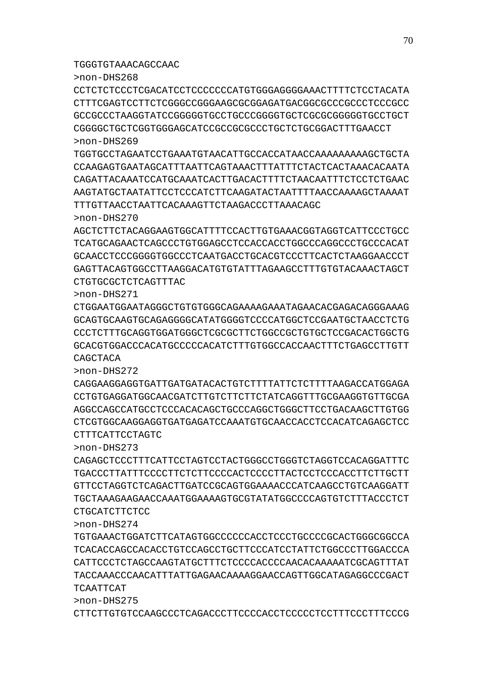CTTCTTGTGTCCAAGCCCTCAGACCCTTCCCCACCTCCCCCTCCTTTCCCTTTCCCG

>non-DHS275

>non-DHS274 TGTGAAACTGGATCTTCATAGTGGCCCCCCACCTCCCTGCCCCGCACTGGGCGGCCA TCACACCAGCCACACCTGTCCAGCCTGCTTCCCATCCTATTCTGGCCCTTGGACCCA CATTCCCTCTAGCCAAGTATGCTTTCTCCCCACCCCAACACAAAAATCGCAGTTTAT TACCAAACCCAACATTTATTGAGAACAAAAGGAACCAGTTGGCATAGAGGCCCGACT TCAATTCAT

CTGCATCTTCTCC

>non-DHS273 CAGAGCTCCCTTTCATTCCTAGTCCTACTGGGCCTGGGTCTAGGTCCACAGGATTTC TGACCCTTATTTCCCCTTCTCTTCCCCACTCCCCTTACTCCTCCCACCTTCTTGCTT GTTCCTAGGTCTCAGACTTGATCCGCAGTGGAAAACCCATCAAGCCTGTCAAGGATT TGCTAAAGAAGAACCAAATGGAAAAGTGCGTATATGGCCCCAGTGTCTTTACCCTCT

CTTTCATTCCTAGTC

>non-DHS272 CAGGAAGGAGGTGATTGATGATACACTGTCTTTTATTCTCTTTTAAGACCATGGAGA CCTGTGAGGATGGCAACGATCTTGTCTTCTTCTATCAGGTTTGCGAAGGTGTTGCGA AGGCCAGCCATGCCTCCCACACAGCTGCCCAGGCTGGGCTTCCTGACAAGCTTGTGG CTCGTGGCAAGGAGGTGATGAGATCCAAATGTGCAACCACCTCCACATCAGAGCTCC

>non-DHS271 CTGGAATGGAATAGGGCTGTGTGGGCAGAAAAGAAATAGAACACGAGACAGGGAAAG GCAGTGCAAGTGCAGAGGGGCATATGGGGTCCCCATGGCTCCGAATGCTAACCTCTG CCCTCTTTGCAGGTGGATGGGCTCGCGCTTCTGGCCGCTGTGCTCCGACACTGGCTG GCACGTGGACCCACATGCCCCCACATCTTTGTGGCCACCAACTTTCTGAGCCTTGTT CAGCTACA

CTGTGCGCTCTCAGTTTAC

TGGGTGTAAACAGCCAAC

>non-DHS270 AGCTCTTCTACAGGAAGTGGCATTTTCCACTTGTGAAACGGTAGGTCATTCCCTGCC TCATGCAGAACTCAGCCCTGTGGAGCCTCCACCACCTGGCCCAGGCCCTGCCCACAT GCAACCTCCCGGGGTGGCCCTCAATGACCTGCACGTCCCTTCACTCTAAGGAACCCT GAGTTACAGTGGCCTTAAGGACATGTGTATTTAGAAGCCTTTGTGTACAAACTAGCT

TGGTGCCTAGAATCCTGAAATGTAACATTGCCACCATAACCAAAAAAAAAGCTGCTA CCAAGAGTGAATAGCATTTAATTCAGTAAACTTTATTTCTACTCACTAAACACAATA CAGATTACAAATCCATGCAAATCACTTGACACTTTTCTAACAATTTCTCCTCTGAAC AAGTATGCTAATATTCCTCCCATCTTCAAGATACTAATTTTAACCAAAAGCTAAAAT TTTGTTAACCTAATTCACAAAGTTCTAAGACCCTTAAACAGC

>non-DHS268 CCTCTCTCCCTCGACATCCTCCCCCCCATGTGGGAGGGGAAACTTTTCTCCTACATA CTTTCGAGTCCTTCTCGGGCCGGGAAGCGCGGAGATGACGGCGCCCGCCCTCCCGCC GCCGCCCTAAGGTATCCGGGGGTGCCTGCCCGGGGTGCTCGCGCGGGGGTGCCTGCT CGGGGCTGCTCGGTGGGAGCATCCGCCGCGCCCTGCTCTGCGGACTTTGAACCT >non-DHS269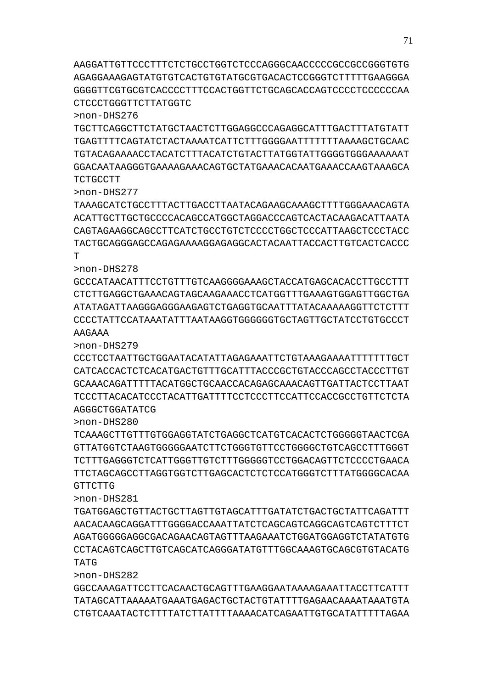AAGGATTGTTCCCTTTCTCTGCCTGGTCTCCCAGGGCAACCCCCGCCGCCGGGTGTG AGAGGAAAGAGTATGTGTCACTGTGTATGCGTGACACTCCGGGTCTTTTTGAAGGGA GGGGTTCGTGCGTCACCCCTTTCCACTGGTTCTGCAGCACCAGTCCCCTCCCCCCAA CTCCCTGGGTTCTTATGGTC

>non-DHS276

TGCTTCAGGCTTCTATGCTAACTCTTGGAGGCCCAGAGGCATTTGACTTTATGTATT TGAGTTTTCAGTATCTACTAAAATCATTCTTTGGGGAATTTTTTTAAAAGCTGCAAC TGTACAGAAAACCTACATCTTTACATCTGTACTTATGGTATTGGGGTGGGAAAAAAT GGACAATAAGGGTGAAAAGAAACAGTGCTATGAAACACAATGAAACCAAGTAAAGCA TCTGCCTT

>non-DHS277

TAAAGCATCTGCCTTTACTTGACCTTAATACAGAAGCAAAGCTTTTGGGAAACAGTA ACATTGCTTGCTGCCCCACAGCCATGGCTAGGACCCAGTCACTACAAGACATTAATA CAGTAGAAGGCAGCCTTCATCTGCCTGTCTCCCCTGGCTCCCATTAAGCTCCCTACC TACTGCAGGGAGCCAGAGAAAAGGAGAGGCACTACAATTACCACTTGTCACTCACCC  $\mathbf{T}$ 

>non-DHS278

GCCCATAACATTTCCTGTTTGTCAAGGGGAAAGCTACCATGAGCACACCTTGCCTTT CTCTTGAGGCTGAAACAGTAGCAAGAAACCTCATGGTTTGAAAGTGGAGTTGGCTGA ATATAGATTAAGGGAGGGAAGAGTCTGAGGTGCAATTTATACAAAAAGGTTCTCTTT CCCCTATTCCATAAATATTTAATAAGGTGGGGGGTGCTAGTTGCTATCCTGTGCCCT AAGAAA

>non-DHS279

CCCTCCTAATTGCTGGAATACATATTAGAGAAATTCTGTAAAGAAAATTTTTTTGCT CATCACCACTCTCACATGACTGTTTGCATTTACCCGCTGTACCCAGCCTACCCTTGT GCAAACAGATTTTTACATGGCTGCAACCACAGAGCAAACAGTTGATTACTCCTTAAT TCCCTTACACATCCCTACATTGATTTTCCTCCCTTCCATTCCACCGCCTGTTCTCTA AGGGCTGGATATCG

>non-DHS280

TCAAAGCTTGTTTGTGGAGGTATCTGAGGCTCATGTCACACTCTGGGGGTAACTCGA GTTATGGTCTAAGTGGGGGAATCTTCTGGGTGTTCCTGGGGCTGTCAGCCTTTGGGT TCTTTGAGGGTCTCATTGGGTTGTCTTTGGGGGTCCTGGACAGTTCTCCCCTGAACA TTCTAGCAGCCTTAGGTGGTCTTGAGCACTCTCTCCATGGGTCTTTATGGGGCACAA GTTCTTG

>non-DHS281

TGATGGAGCTGTTACTGCTTAGTTGTAGCATTTGATATCTGACTGCTATTCAGATTT AACACAAGCAGGATTTGGGGACCAAATTATCTCAGCAGTCAGGCAGTCAGTCTTTCT AGATGGGGGAGGCGACAGAACAGTAGTTTAAGAAATCTGGATGGAGGTCTATATGTG CCTACAGTCAGCTTGTCAGCATCAGGGATATGTTTGGCAAAGTGCAGCGTGTACATG TATG

>non-DHS282

GGCCAAAGATTCCTTCACAACTGCAGTTTGAAGGAATAAAAGAAATTACCTTCATTT TATAGCATTAAAAATGAAATGAGACTGCTACTGTATTTTGAGAACAAAATAAATGTA CTGTCAAATACTCTTTTATCTTATTTTAAAACATCAGAATTGTGCATATTTTTAGAA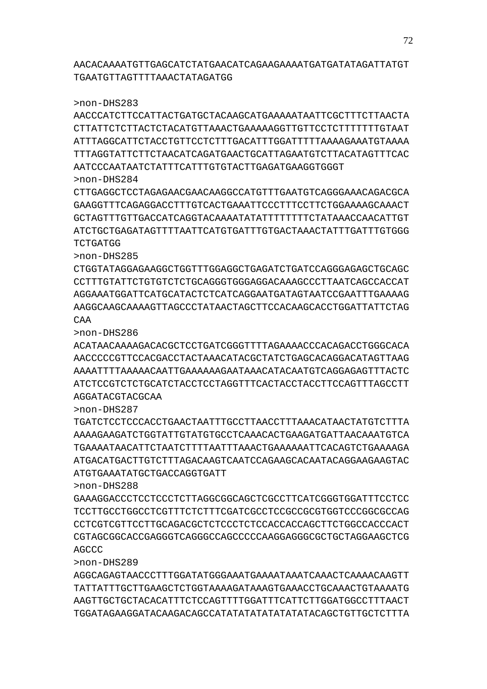AGGCAGAGTAACCCTTTGGATATGGGAAATGAAAATAAATCAAACTCAAAACAAGTT TATTATTTGCTTGAAGCTCTGGTAAAAGATAAAGTGAAACCTGCAAACTGTAAAATG AAGTTGCTGCTACACATTTCTCCAGTTTTGGATTTCATTCTTGGATGGCCTTTAACT TGGATAGAAGGATACAAGACAGCCATATATATATATATATACAGCTGTTGCTCTTTA

>non-DHS289

>non-DHS288 GAAAGGACCCTCCTCCCTCTTAGGCGGCAGCTCGCCTTCATCGGGTGGATTTCCTCC TCCTTGCCTGGCCTCGTTTCTCTTTCGATCGCCTCCGCCGCGTGGTCCCGGCGCCAG CCTCGTCGTTCCTTGCAGACGCTCTCCCTCTCCACCACCAGCTTCTGGCCACCCACT CGTAGCGGCACCGAGGGTCAGGGCCAGCCCCCAAGGAGGGCGCTGCTAGGAAGCTCG **AGCCC** 

ATGTGAAATATGCTGACCAGGTGATT

>non-DHS287 TGATCTCCTCCCACCTGAACTAATTTGCCTTAACCTTTAAACATAACTATGTCTTTA AAAAGAAGATCTGGTATTGTATGTGCCTCAAACACTGAAGATGATTAACAAATGTCA TGAAAATAACATTCTAATCTTTTAATTTAAACTGAAAAAATTCACAGTCTGAAAAGA ATGACATGACTTGTCTTTAGACAAGTCAATCCAGAAGCACAATACAGGAAGAAGTAC

>non-DHS286 ACATAACAAAAGACACGCTCCTGATCGGGTTTTAGAAAACCCACAGACCTGGGCACA AACCCCCGTTCCACGACCTACTAAACATACGCTATCTGAGCACAGGACATAGTTAAG AAAATTTTAAAAACAATTGAAAAAAGAATAAACATACAATGTCAGGAGAGTTTACTC ATCTCCGTCTCTGCATCTACCTCCTAGGTTTCACTACCTACCTTCCAGTTTAGCCTT AGGATACGTACGCAA

>non-DHS285 CTGGTATAGGAGAAGGCTGGTTTGGAGGCTGAGATCTGATCCAGGGAGAGCTGCAGC CCTTTGTATTCTGTGTCTCTGCAGGGTGGGAGGACAAAGCCCTTAATCAGCCACCAT AGGAAATGGATTCATGCATACTCTCATCAGGAATGATAGTAATCCGAATTTGAAAAG AAGGCAAGCAAAAGTTAGCCCTATAACTAGCTTCCACAAGCACCTGGATTATTCTAG CAA

>non-DHS284 CTTGAGGCTCCTAGAGAACGAACAAGGCCATGTTTGAATGTCAGGGAAACAGACGCA GAAGGTTTCAGAGGACCTTTGTCACTGAAATTCCCTTTCCTTCTGGAAAAGCAAACT GCTAGTTTGTTGACCATCAGGTACAAAATATATTTTTTTTCTATAAACCAACATTGT ATCTGCTGAGATAGTTTTAATTCATGTGATTTGTGACTAAACTATTTGATTTGTGGG TCTGATGG

AATCCCAATAATCTATTTCATTTGTGTACTTGAGATGAAGGTGGGT

>non-DHS283 AACCCATCTTCCATTACTGATGCTACAAGCATGAAAAATAATTCGCTTTCTTAACTA CTTATTCTCTTACTCTACATGTTAAACTGAAAAAGGTTGTTCCTCTTTTTTTGTAAT ATTTAGGCATTCTACCTGTTCCTCTTTGACATTTGGATTTTTAAAAGAAATGTAAAA TTTAGGTATTCTTCTAACATCAGATGAACTGCATTAGAATGTCTTACATAGTTTCAC

AACACAAAATGTTGAGCATCTATGAACATCAGAAGAAAATGATGATATAGATTATGT TGAATGTTAGTTTTAAACTATAGATGG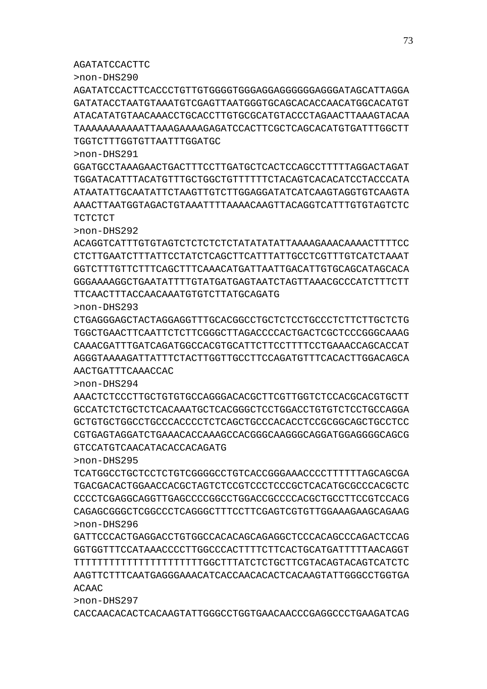>non-DHS297 CACCAACACACTCACAAGTATTGGGCCTGGTGAACAACCCGAGGCCCTGAAGATCAG

ACAAC

>non-DHS296 GATTCCCACTGAGGACCTGTGGCCACACAGCAGAGGCTCCCACAGCCCAGACTCCAG GGTGGTTTCCATAAACCCCTTGGCCCACTTTTCTTCACTGCATGATTTTTAACAGGT TTTTTTTTTTTTTTTTTTTTTTGGCTTTATCTCTGCTTCGTACAGTACAGTCATCTC AAGTTCTTTCAATGAGGGAAACATCACCAACACACTCACAAGTATTGGGCCTGGTGA

>non-DHS295 TCATGGCCTGCTCCTCTGTCGGGGCCTGTCACCGGGAAACCCCTTTTTTAGCAGCGA TGACGACACTGGAACCACGCTAGTCTCCGTCCCTCCCGCTCACATGCGCCCACGCTC CCCCTCGAGGCAGGTTGAGCCCCGGCCTGGACCGCCCCACGCTGCCTTCCGTCCACG CAGAGCGGGCTCGGCCCTCAGGGCTTTCCTTCGAGTCGTGTTGGAAAGAAGCAGAAG

GTCCATGTCAACATACACCACAGATG

AAACTCTCCCTTGCTGTGTGCCAGGGACACGCTTCGTTGGTCTCCACGCACGTGCTT GCCATCTCTGCTCTCACAAATGCTCACGGGCTCCTGGACCTGTGTCTCCTGCCAGGA GCTGTGCTGGCCTGCCCACCCCTCTCAGCTGCCCACACCTCCGCGGCAGCTGCCTCC CGTGAGTAGGATCTGAAACACCAAAGCCACGGGCAAGGGCAGGATGGAGGGGCAGCG

>non-DHS294

AACTGATTTCAAACCAC

>non-DHS293 CTGAGGGAGCTACTAGGAGGTTTGCACGGCCTGCTCTCCTGCCCTCTTCTTGCTCTG TGGCTGAACTTCAATTCTCTTCGGGCTTAGACCCCACTGACTCGCTCCCGGGCAAAG CAAACGATTTGATCAGATGGCCACGTGCATTCTTCCTTTTCCTGAAACCAGCACCAT AGGGTAAAAGATTATTTCTACTTGGTTGCCTTCCAGATGTTTCACACTTGGACAGCA

TTCAACTTTACCAACAAATGTGTCTTATGCAGATG

>non-DHS292 ACAGGTCATTTGTGTAGTCTCTCTCTCTATATATATTAAAAGAAACAAAACTTTTCC CTCTTGAATCTTTATTCCTATCTCAGCTTCATTTATTGCCTCGTTTGTCATCTAAAT GGTCTTTGTTCTTTCAGCTTTCAAACATGATTAATTGACATTGTGCAGCATAGCACA GGGAAAAGGCTGAATATTTTGTATGATGAGTAATCTAGTTAAACGCCCATCTTTCTT

**TCTCTCT** 

>non-DHS291 GGATGCCTAAAGAACTGACTTTCCTTGATGCTCACTCCAGCCTTTTTAGGACTAGAT TGGATACATTTACATGTTTGCTGGCTGTTTTTTCTACAGTCACACATCCTACCCATA ATAATATTGCAATATTCTAAGTTGTCTTGGAGGATATCATCAAGTAGGTGTCAAGTA AAACTTAATGGTAGACTGTAAATTTTAAAACAAGTTACAGGTCATTTGTGTAGTCTC

TGGTCTTTGGTGTTAATTTGGATGC

>non-DHS290 AGATATCCACTTCACCCTGTTGTGGGGTGGGAGGAGGGGGGAGGGATAGCATTAGGA GATATACCTAATGTAAATGTCGAGTTAATGGGTGCAGCACACCAACATGGCACATGT ATACATATGTAACAAACCTGCACCTTGTGCGCATGTACCCTAGAACTTAAAGTACAA TAAAAAAAAAAATTAAAGAAAAGAGATCCACTTCGCTCAGCACATGTGATTTGGCTT

AGATATCCACTTC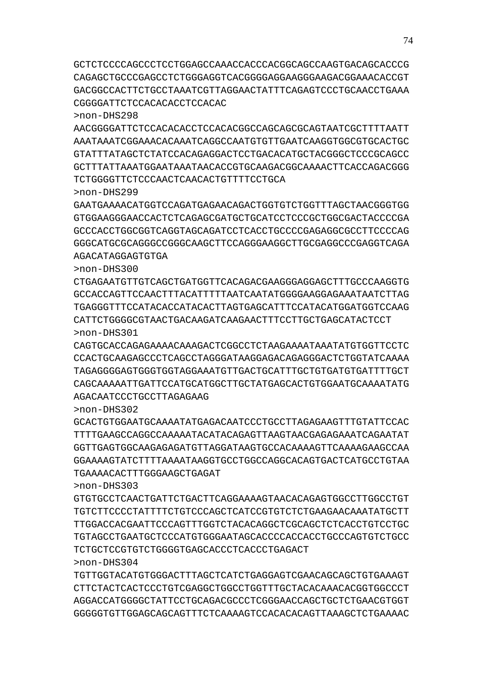GCTCTCCCCAGCCCTCCTGGAGCCAAACCACCCACGGCAGCCAAGTGACAGCACCCG CAGAGCTGCCCGAGCCTCTGGGAGGTCACGGGGAGGAAGGGAAGACGGAAACACCGT GACGGCCACTTCTGCCTAAATCGTTAGGAACTATTTCAGAGTCCCTGCAACCTGAAA CGGGGATTCTCCACACACCTCCACAC

>non-DHS298

AACGGGGATTCTCCACACACCTCCACACGGCCAGCAGCGCAGTAATCGCTTTTAATT AAATAAATCGGAAACACAAATCAGGCCAATGTGTTGAATCAAGGTGGCGTGCACTGC GTATTTATAGCTCTATCCACAGAGGACTCCTGACACATGCTACGGGCTCCCGCAGCC GCTTTATTAAATGGAATAAATAACACCGTGCAAGACGGCAAAACTTCACCAGACGGG TCTGGGGTTCTCCCAACTCAACACTGTTTTCCTGCA

>non-DHS299

GAATGAAAACATGGTCCAGATGAGAACAGACTGGTGTCTGGTTTAGCTAACGGGTGG GTGGAAGGGAACCACTCTCAGAGCGATGCTGCATCCTCCCGCTGGCGACTACCCCGA GCCCACCTGGCGGTCAGGTAGCAGATCCTCACCTGCCCCGAGAGGCGCCTTCCCCAG GGGCATGCGCAGGGCCGGGCAAGCTTCCAGGGAAGGCTTGCGAGGCCCGAGGTCAGA AGACATAGGAGTGTGA

>non-DHS300 CTGAGAATGTTGTCAGCTGATGGTTCACAGACGAAGGGAGGAGCTTTGCCCAAGGTG GCCACCAGTTCCAACTTTACATTTTTAATCAATATGGGGAAGGAGAAATAATCTTAG

TGAGGGTTTCCATACACCATACACTTAGTGAGCATTTCCATACATGGATGGTCCAAG CATTCTGGGGCGTAACTGACAAGATCAAGAACTTTCCTTGCTGAGCATACTCCT >non-DHS301

CAGTGCACCAGAGAAAACAAAGACTCGGCCTCTAAGAAAATAAATATGTGGTTCCTC CCACTGCAAGAGCCCTCAGCCTAGGGATAAGGAGACAGAGGGACTCTGGTATCAAAA TAGAGGGGAGTGGGTGGTAGGAAATGTTGACTGCATTTGCTGTGATGTGATTTTGCT CAGCAAAAATTGATTCCATGCATGGCTTGCTATGAGCACTGTGGAATGCAAAATATG AGACAATCCCTGCCTTAGAGAAG

>non-DHS302

GCACTGTGGAATGCAAAATATGAGACAATCCCTGCCTTAGAGAAGTTTGTATTCCAC TTTTGAAGCCAGGCCAAAAATACATACAGAGTTAAGTAACGAGAGAAATCAGAATAT GGTTGAGTGGCAAGAGAGATGTTAGGATAAGTGCCACAAAAGTTCAAAAGAAGCCAA GGAAAAGTATCTTTTAAAATAAGGTGCCTGGCCAGGCACAGTGACTCATGCCTGTAA TGAAAACACTTTGGGAAGCTGAGAT

>non-DHS303

GTGTGCCTCAACTGATTCTGACTTCAGGAAAAGTAACACAGAGTGGCCTTGGCCTGT TGTCTTCCCCTATTTTCTGTCCCAGCTCATCCGTGTCTCTGAAGAACAAATATGCTT TTGGACCACGAATTCCCAGTTTGGTCTACACAGGCTCGCAGCTCTCACCTGTCCTGC TGTAGCCTGAATGCTCCCATGTGGGAATAGCACCCCACCACCTGCCCAGTGTCTGCC TCTGCTCCGTGTCTGGGGTGAGCACCCTCACCCTGAGACT >non-DHS304

TGTTGGTACATGTGGGACTTTAGCTCATCTGAGGAGTCGAACAGCAGCTGTGAAAGT CTTCTACTCACTCCCTGTCGAGGCTGGCCTGGTTTGCTACACAAACACGGTGGCCCT AGGACCATGGGGCTATTCCTGCAGACGCCCTCGGGAACCAGCTGCTCTGAACGTGGT GGGGGTGTTGGAGCAGCAGTTTCTCAAAAGTCCACACACAGTTAAAGCTCTGAAAAC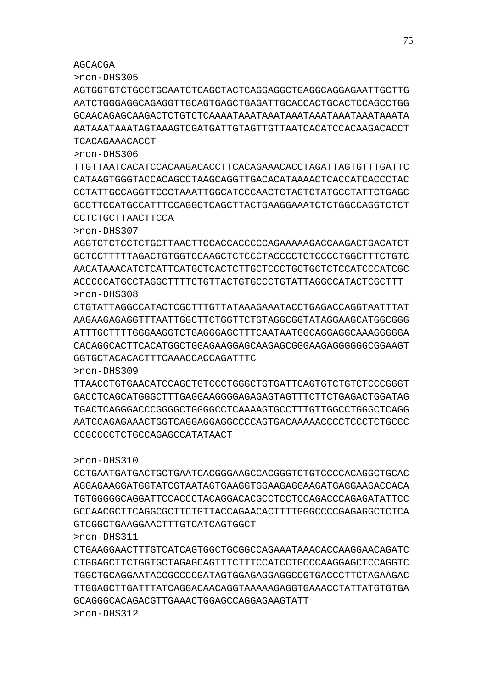# >non-DHS312

>non-DHS311 CTGAAGGAACTTTGTCATCAGTGGCTGCGGCCAGAAATAAACACCAAGGAACAGATC CTGGAGCTTCTGGTGCTAGAGCAGTTTCTTTCCATCCTGCCCAAGGAGCTCCAGGTC TGGCTGCAGGAATACCGCCCCGATAGTGGAGAGGAGGCCGTGACCCTTCTAGAAGAC TTGGAGCTTGATTTATCAGGACAACAGGTAAAAAGAGGTGAAACCTATTATGTGTGA GCAGGGCACAGACGTTGAAACTGGAGCCAGGAGAAGTATT

# GTCGGCTGAAGGAACTTTGTCATCAGTGGCT

>non-DHS310 CCTGAATGATGACTGCTGAATCACGGGAAGCCACGGGTCTGTCCCCACAGGCTGCAC AGGAGAAGGATGGTATCGTAATAGTGAAGGTGGAAGAGGAAGATGAGGAAGACCACA TGTGGGGGCAGGATTCCACCCTACAGGACACGCCTCCTCCAGACCCAGAGATATTCC GCCAACGCTTCAGGCGCTTCTGTTACCAGAACACTTTTGGGCCCCGAGAGGCTCTCA

# CCGCCCCTCTGCCAGAGCCATATAACT

>non-DHS309 TTAACCTGTGAACATCCAGCTGTCCCTGGGCTGTGATTCAGTGTCTGTCTCCCGGGT GACCTCAGCATGGGCTTTGAGGAAGGGGAGAGAGTAGTTTCTTCTGAGACTGGATAG TGACTCAGGGACCCGGGGCTGGGGCCTCAAAAGTGCCTTTGTTGGCCTGGGCTCAGG AATCCAGAGAAACTGGTCAGGAGGAGGCCCCAGTGACAAAAACCCCTCCCTCTGCCC

# GGTGCTACACACTTTCAAACCACCAGATTTC

>non-DHS308 CTGTATTAGGCCATACTCGCTTTGTTATAAAGAAATACCTGAGACCAGGTAATTTAT AAGAAGAGAGGTTTAATTGGCTTCTGGTTCTGTAGGCGGTATAGGAAGCATGGCGGG ATTTGCTTTTGGGAAGGTCTGAGGGAGCTTTCAATAATGGCAGGAGGCAAAGGGGGA CACAGGCACTTCACATGGCTGGAGAAGGAGCAAGAGCGGGAAGAGGGGGGCGGAAGT

>non-DHS307 AGGTCTCTCCTCTGCTTAACTTCCACCACCCCCAGAAAAAGACCAAGACTGACATCT GCTCCTTTTTAGACTGTGGTCCAAGCTCTCCCTACCCCTCTCCCCTGGCTTTCTGTC AACATAAACATCTCATTCATGCTCACTCTTGCTCCCTGCTGCTCTCCATCCCATCGC ACCCCCATGCCTAGGCTTTTCTGTTACTGTGCCCTGTATTAGGCCATACTCGCTTT

# CCTCTGCTTAACTTCCA

>non-DHS306 TTGTTAATCACATCCACAAGACACCTTCACAGAAACACCTAGATTAGTGTTTGATTC CATAAGTGGGTACCACAGCCTAAGCAGGTTGACACATAAAACTCACCATCACCCTAC CCTATTGCCAGGTTCCCTAAATTGGCATCCCAACTCTAGTCTATGCCTATTCTGAGC GCCTTCCATGCCATTTCCAGGCTCAGCTTACTGAAGGAAATCTCTGGCCAGGTCTCT

# TCACAGAAACACCT

>non-DHS305 AGTGGTGTCTGCCTGCAATCTCAGCTACTCAGGAGGCTGAGGCAGGAGAATTGCTTG AATCTGGGAGGCAGAGGTTGCAGTGAGCTGAGATTGCACCACTGCACTCCAGCCTGG GCAACAGAGCAAGACTCTGTCTCAAAATAAATAAATAAATAAATAAATAAATAAATA AATAAATAAATAGTAAAGTCGATGATTGTAGTTGTTAATCACATCCACAAGACACCT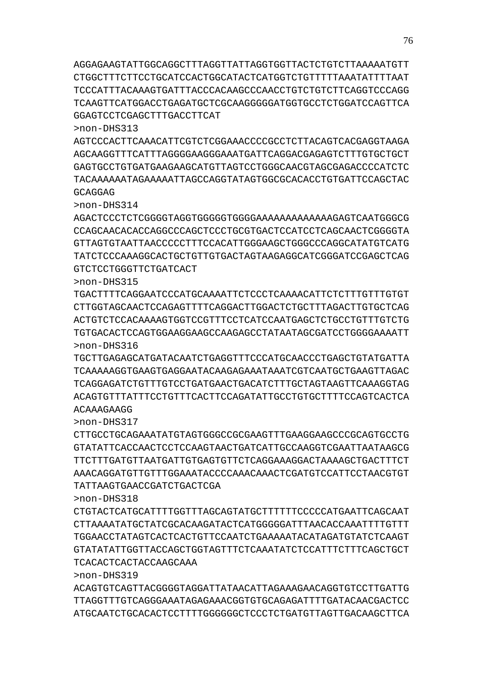>non-DHS319 ACAGTGTCAGTTACGGGGTAGGATTATAACATTAGAAAGAACAGGTGTCCTTGATTG TTAGGTTTGTCAGGGAAATAGAGAAACGGTGTGCAGAGATTTTGATACAACGACTCC ATGCAATCTGCACACTCCTTTTGGGGGGCTCCCTCTGATGTTAGTTGACAAGCTTCA

CTGTACTCATGCATTTTGGTTTAGCAGTATGCTTTTTTCCCCCATGAATTCAGCAAT CTTAAAATATGCTATCGCACAAGATACTCATGGGGGATTTAACACCAAATTTTGTTT TGGAACCTATAGTCACTCACTGTTCCAATCTGAAAAATACATAGATGTATCTCAAGT GTATATATTGGTTACCAGCTGGTAGTTTCTCAAATATCTCCATTTCTTTCAGCTGCT TCACACTCACTACCAAGCAAA

>non-DHS317 CTTGCCTGCAGAAATATGTAGTGGGCCGCGAAGTTTGAAGGAAGCCCGCAGTGCCTG GTATATTCACCAACTCCTCCAAGTAACTGATCATTGCCAAGGTCGAATTAATAAGCG TTCTTTGATGTTAATGATTGTGAGTGTTCTCAGGAAAGGACTAAAAGCTGACTTTCT AAACAGGATGTTGTTTGGAAATACCCCAAACAAACTCGATGTCCATTCCTAACGTGT TATTAAGTGAACCGATCTGACTCGA

TGCTTGAGAGCATGATACAATCTGAGGTTTCCCATGCAACCCTGAGCTGTATGATTA TCAAAAAGGTGAAGTGAGGAATACAAGAGAAATAAATCGTCAATGCTGAAGTTAGAC TCAGGAGATCTGTTTGTCCTGATGAACTGACATCTTTGCTAGTAAGTTCAAAGGTAG ACAGTGTTTATTTCCTGTTTCACTTCCAGATATTGCCTGTGCTTTTCCAGTCACTCA ACAAAGAAGG

>non-DHS315 TGACTTTTCAGGAATCCCATGCAAAATTCTCCCTCAAAACATTCTCTTTGTTTGTGT CTTGGTAGCAACTCCAGAGTTTTCAGGACTTGGACTCTGCTTTAGACTTGTGCTCAG ACTGTCTCCACAAAAGTGGTCCGTTTCCTCATCCAATGAGCTCTGCCTGTTTGTCTG TGTGACACTCCAGTGGAAGGAAGCCAAGAGCCTATAATAGCGATCCTGGGGAAAATT >non-DHS316

AGACTCCCTCTCGGGGTAGGTGGGGGTGGGGAAAAAAAAAAAAAGAGTCAATGGGCG CCAGCAACACACCAGGCCCAGCTCCCTGCGTGACTCCATCCTCAGCAACTCGGGGTA GTTAGTGTAATTAACCCCCTTTCCACATTGGGAAGCTGGGCCCAGGCATATGTCATG TATCTCCCAAAGGCACTGCTGTTGTGACTAGTAAGAGGCATCGGGATCCGAGCTCAG GTCTCCTGGGTTCTGATCACT

>non-DHS314

>non-DHS318

>non-DHS313 AGTCCCACTTCAAACATTCGTCTCGGAAACCCCGCCTCTTACAGTCACGAGGTAAGA AGCAAGGTTTCATTTAGGGGAAGGGAAATGATTCAGGACGAGAGTCTTTGTGCTGCT GAGTGCCTGTGATGAAGAAGCATGTTAGTCCTGGGCAACGTAGCGAGACCCCATCTC TACAAAAAATAGAAAAATTAGCCAGGTATAGTGGCGCACACCTGTGATTCCAGCTAC GCAGGAG

AGGAGAAGTATTGGCAGGCTTTAGGTTATTAGGTGGTTACTCTGTCTTAAAAATGTT CTGGCTTTCTTCCTGCATCCACTGGCATACTCATGGTCTGTTTTTAAATATTTTAAT TCCCATTTACAAAGTGATTTACCCACAAGCCCAACCTGTCTGTCTTCAGGTCCCAGG TCAAGTTCATGGACCTGAGATGCTCGCAAGGGGGATGGTGCCTCTGGATCCAGTTCA GGAGTCCTCGAGCTTTGACCTTCAT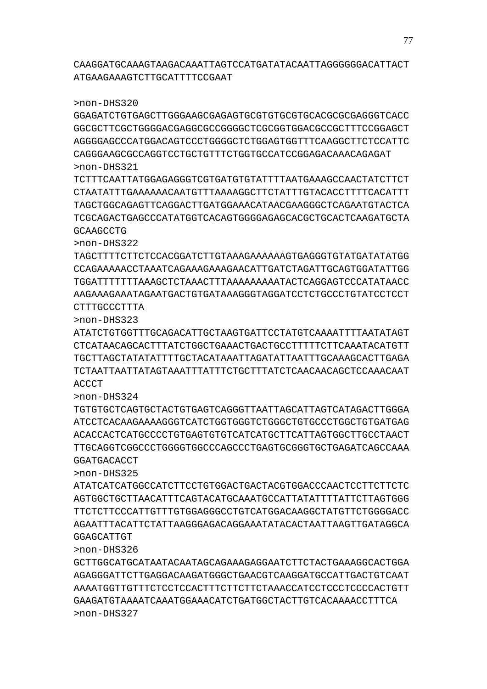CAAGGATGCAAAGTAAGACAAATTAGTCCATGATATACAATTAGGGGGGACATTACT ATGAAGAAAGTCTTGCATTTTCCGAAT

>non-DHS320

GGAGATCTGTGAGCTTGGGAAGCGAGAGTGCGTGTGCGTGCACGCGCGAGGGTCACC GGCGCTTCGCTGGGGACGAGGCGCCGGGGCTCGCGGTGGACGCCGCTTTCCGGAGCT AGGGGAGCCCATGGACAGTCCCTGGGGCTCTGGAGTGGTTTCAAGGCTTCTCCATTC CAGGGAAGCGCCAGGTCCTGCTGTTTCTGGTGCCATCCGGAGACAAACAGAGAT >non-DHS321

TCTTTCAATTATGGAGAGGGTCGTGATGTGTATTTTAATGAAAGCCAACTATCTTCT CTAATATTTGAAAAAACAATGTTTAAAAGGCTTCTATTTGTACACCTTTTCACATTT TAGCTGGCAGAGTTCAGGACTTGATGGAAACATAACGAAGGGCTCAGAATGTACTCA TCGCAGACTGAGCCCATATGGTCACAGTGGGGAGAGCACGCTGCACTCAAGATGCTA **GCAAGCCTG** 

>non-DHS322

TAGCTTTTCTTCTCCACGGATCTTGTAAAGAAAAAAGTGAGGGTGTATGATATATGG CCAGAAAAACCTAAATCAGAAAGAAAGAACATTGATCTAGATTGCAGTGGATATTGG TGGATTTTTTTAAAGCTCTAAACTTTAAAAAAAAATACTCAGGAGTCCCATATAACC AAGAAAGAAATAGAATGACTGTGATAAAGGGTAGGATCCTCTGCCCTGTATCCTCCT CTTTGCCCTTTA

>non-DHS323

ATATCTGTGGTTTGCAGACATTGCTAAGTGATTCCTATGTCAAAATTTTAATATAGT CTCATAACAGCACTTTATCTGGCTGAAACTGACTGCCTTTTTCTTCAAATACATGTT TGCTTAGCTATATATTTTGCTACATAAATTAGATATTAATTTGCAAAGCACTTGAGA TCTAATTAATTATAGTAAATTTATTTCTGCTTTATCTCAACAACAGCTCCAAACAAT ACCCT

>non-DHS324

TGTGTGCTCAGTGCTACTGTGAGTCAGGGTTAATTAGCATTAGTCATAGACTTGGGA ATCCTCACAAGAAAAGGGTCATCTGGTGGGTCTGGGCTGTGCCCTGGCTGTGATGAG ACACCACTCATGCCCCTGTGAGTGTGTCATCATGCTTCATTAGTGGCTTGCCTAACT TTGCAGGTCGGCCCTGGGGTGGCCCAGCCCTGAGTGCGGGTGCTGAGATCAGCCAAA GGATGACACCT

>non-DHS325

ATATCATCATGGCCATCTTCCTGTGGACTGACTACGTGGACCCAACTCCTTCTTCTC AGTGGCTGCTTAACATTTCAGTACATGCAAATGCCATTATATTTTATTCTTAGTGGG TTCTCTTCCCATTGTTTGTGGAGGGCCTGTCATGGACAAGGCTATGTTCTGGGGACC AGAATTTACATTCTATTAAGGGAGACAGGAAATATACACTAATTAAGTTGATAGGCA GGAGCATTGT

>non-DHS326

GCTTGGCATGCATAATACAATAGCAGAAAGAGGAATCTTCTACTGAAAGGCACTGGA AGAGGGATTCTTGAGGACAAGATGGGCTGAACGTCAAGGATGCCATTGACTGTCAAT AAAATGGTTGTTTCTCCTCCACTTTCTTCTTCTAAACCATCCTCCCTCCCCACTGTT GAAGATGTAAAATCAAATGGAAACATCTGATGGCTACTTGTCACAAAACCTTTCA >non-DHS327

77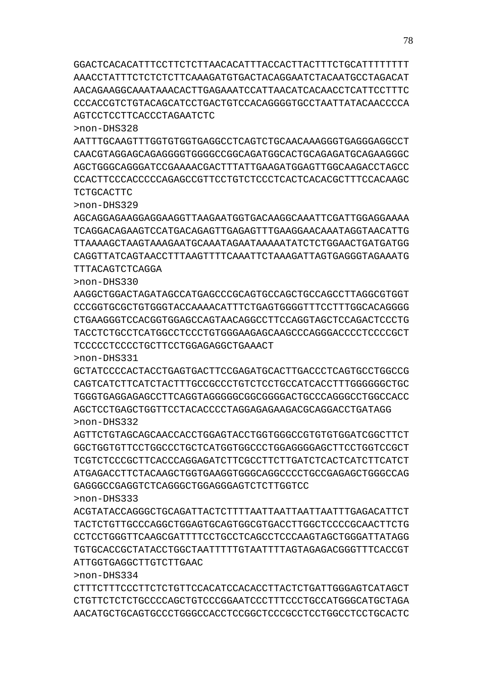GGACTCACACATTTCCTTCTCTTAACACATTTACCACTTACTTTCTGCATTTTTTTT AAACCTATTTCTCTCTCTTCAAAGATGTGACTACAGGAATCTACAATGCCTAGACAT AACAGAAGGCAAATAAACACTTGAGAAATCCATTAACATCACAACCTCATTCCTTTC CCCACCGTCTGTACAGCATCCTGACTGTCCACAGGGGTGCCTAATTATACAACCCCA AGTCCTCCTTCACCCTAGAATCTC

>non-DHS328

AATTTGCAAGTTTGGTGTGGTGAGGCCTCAGTCTGCAACAAAGGGTGAGGGAGGCCT CAACGTAGGAGCAGAGGGGTGGGGCCGGCAGATGGCACTGCAGAGATGCAGAAGGGC AGCTGGGCAGGGATCCGAAAACGACTTTATTGAAGATGGAGTTGGCAAGACCTAGCC CCACTTCCCACCCCCAGAGCCGTTCCTGTCTCCCTCACTCACACGCTTTCCACAAGC TCTGCACTTC

>non-DHS329

AGCAGGAGAAGGAGGAAGGTTAAGAATGGTGACAAGGCAAATTCGATTGGAGGAAAA TCAGGACAGAAGTCCATGACAGAGTTGAGAGTTTGAAGGAACAAATAGGTAACATTG TTAAAAGCTAAGTAAAGAATGCAAATAGAATAAAAATATCTCTGGAACTGATGATGG CAGGTTATCAGTAACCTTTAAGTTTTCAAATTCTAAAGATTAGTGAGGGTAGAAATG TTTACAGTCTCAGGA

>non-DHS330

AAGGCTGGACTAGATAGCCATGAGCCCGCAGTGCCAGCTGCCAGCCTTAGGCGTGGT CCCGGTGCGCTGTGGGTACCAAAACATTTCTGAGTGGGGTTTCCTTTGGCACAGGGG CTGAAGGGTCCACGGTGGAGCCAGTAACAGGCCTTCCAGGTAGCTCCAGACTCCCTG TACCTCTGCCTCATGGCCTCCCTGTGGGAAGAGCAAGCCCAGGGACCCCTCCCCGCT TCCCCCTCCCCTGCTTCCTGGAGAGGCTGAAACT

>non-DHS331

GCTATCCCCACTACCTGAGTGACTTCCGAGATGCACTTGACCCTCAGTGCCTGGCCG CAGTCATCTTCATCTACTTTGCCGCCCTGTCTCCTGCCATCACCTTTGGGGGGCTGC TGGGTGAGGAGAGCCTTCAGGTAGGGGGCGGCGGGGACTGCCCAGGGCCTGGCCACC AGCTCCTGAGCTGGTTCCTACACCCCTAGGAGAGAAGACGCAGGACCTGATAGG >non-DHS332

AGTTCTGTAGCAGCAACCACCTGGAGTACCTGGTGGGCCGTGTGTGGATCGGCTTCT GGCTGGTGTTCCTGGCCCTGCTCATGGTGGCCCTGGAGGGGAGCTTCCTGGTCCGCT TCGTCTCCCGCTTCACCCAGGAGATCTTCGCCTTCTTGATCTCACTCATCTTCATCT ATGAGACCTTCTACAAGCTGGTGAAGGTGGGCAGGCCCCTGCCGAGAGCTGGGCCAG GAGGGCCGAGGTCTCAGGGCTGGAGGGAGTCTCTTGGTCC

>non-DHS333 ACGTATACCAGGGCTGCAGATTACTCTTTTAATTAATTAATTAATTTGAGACATTCT TACTCTGTTGCCCAGGCTGGAGTGCAGTGGCGTGACCTTGGCTCCCCGCAACTTCTG CCTCCTGGGTTCAAGCGATTTTCCTGCCTCAGCCTCCCAAGTAGCTGGGATTATAGG TGTGCACCGCTATACCTGGCTAATTTTTGTAATTTTAGTAGAGACGGGTTTCACCGT

ATTGGTGAGGCTTGTCTTGAAC

>non-DHS334

CTTTCTTTCCCTTCTCTGTTCCACATCCACACCTTACTCTGATTGGGAGTCATAGCT CTGTTCTCTCTGCCCCAGCTGTCCCGGAATCCCTTTCCCTGCCATGGGCATGCTAGA AACATGCTGCAGTGCCCTGGGCCACCTCCGGCTCCCGCCTCCTGGCCTCCTGCACTC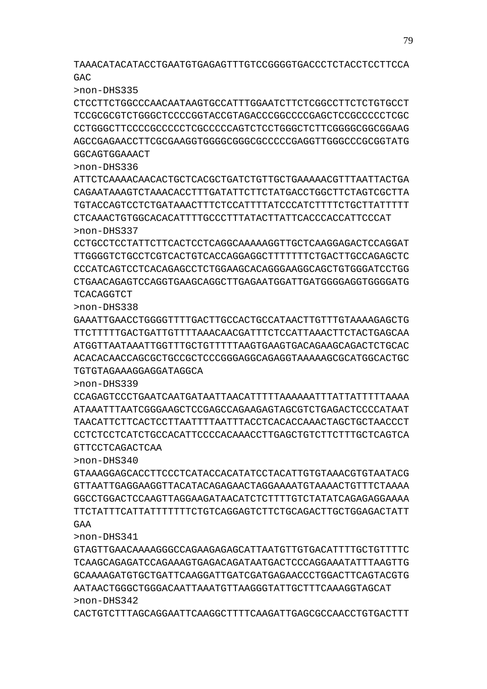TAAACATACATACCTGAATGTGAGAGTTTGTCCGGGGTGACCCTCTACCTCCTTCCA GAC

>non-DHS335

CTCCTTCTGGCCCAACAATAAGTGCCATTTGGAATCTTCTCGGCCTTCTCTGTGCCT TCCGCGCGTCTGGGCTCCCCGGTACCGTAGACCCGGCCCCGAGCTCCGCCCCCTCGC CCTGGGCTTCCCCGCCCCCTCGCCCCCAGTCTCCTGGGCTCTTCGGGGCGGCGGAAG AGCCGAGAACCTTCGCGAAGGTGGGGCGGGCGCCCCCGAGGTTGGGCCCGCGGTATG GGCAGTGGAAACT

>non-DHS336

ATTCTCAAAACAACACTGCTCACGCTGATCTGTTGCTGAAAAACGTTTAATTACTGA CAGAATAAAGTCTAAACACCTTTGATATTCTTCTATGACCTGGCTTCTAGTCGCTTA TGTACCAGTCCTCTGATAAACTTTCTCCATTTTATCCCATCTTTTCTGCTTATTTTT CTCAAACTGTGGCACACATTTTGCCCTTTATACTTATTCACCCACCATTCCCAT >non-DHS337

CCTGCCTCCTATTCTTCACTCCTCAGGCAAAAAGGTTGCTCAAGGAGACTCCAGGAT TTGGGGTCTGCCTCGTCACTGTCACCAGGAGGCTTTTTTTCTGACTTGCCAGAGCTC CCCATCAGTCCTCACAGAGCCTCTGGAAGCACAGGGAAGGCAGCTGTGGGATCCTGG CTGAACAGAGTCCAGGTGAAGCAGGCTTGAGAATGGATTGATGGGGAGGTGGGGATG **TCACAGGTCT** 

>non-DHS338

GAAATTGAACCTGGGGTTTTGACTTGCCACTGCCATAACTTGTTTGTAAAAGAGCTG TTCTTTTTGACTGATTGTTTTAAACAACGATTTCTCCATTAAACTTCTACTGAGCAA ATGGTTAATAAATTGGTTTGCTGTTTTTAAGTGAAGTGACAGAAGCAGACTCTGCAC ACACACAACCAGCGCTGCCGCTCCCGGGAGGCAGAGGTAAAAAGCGCATGGCACTGC TGTGTAGAAAGGAGGATAGGCA

>non-DHS339

CCAGAGTCCCTGAATCAATGATAATTAACATTTTTAAAAAATTTATTATTTTTAAAA ATAAATTTAATCGGGAAGCTCCGAGCCAGAAGAGTAGCGTCTGAGACTCCCCATAAT TAACATTCTTCACTCCTTAATTTTAATTTACCTCACACCAAACTAGCTGCTAACCCT CCTCTCCTCATCTGCCACATTCCCCACAAACCTTGAGCTGTCTTCTTTGCTCAGTCA GTTCCTCAGACTCAA

>non-DHS340

GTAAAGGAGCACCTTCCCTCATACCACATATCCTACATTGTGTAAACGTGTAATACG GTTAATTGAGGAAGGTTACATACAGAGAACTAGGAAAATGTAAAACTGTTTCTAAAA GGCCTGGACTCCAAGTTAGGAAGATAACATCTCTTTTGTCTATATCAGAGAGGAAAA TTCTATTTCATTATTTTTTTCTGTCAGGAGTCTTCTGCAGACTTGCTGGAGACTATT GAA

>non-DHS341

GTAGTTGAACAAAAGGGCCAGAAGAGAGCATTAATGTTGTGACATTTTGCTGTTTTC TCAAGCAGAGATCCAGAAAGTGAGACAGATAATGACTCCCAGGAAATATTTAAGTTG GCAAAAGATGTGCTGATTCAAGGATTGATCGATGAGAACCCTGGACTTCAGTACGTG AATAACTGGGCTGGGACAATTAAATGTTAAGGGTATTGCTTTCAAAGGTAGCAT >non-DHS342

CACTGTCTTTAGCAGGAATTCAAGGCTTTTCAAGATTGAGCGCCAACCTGTGACTTT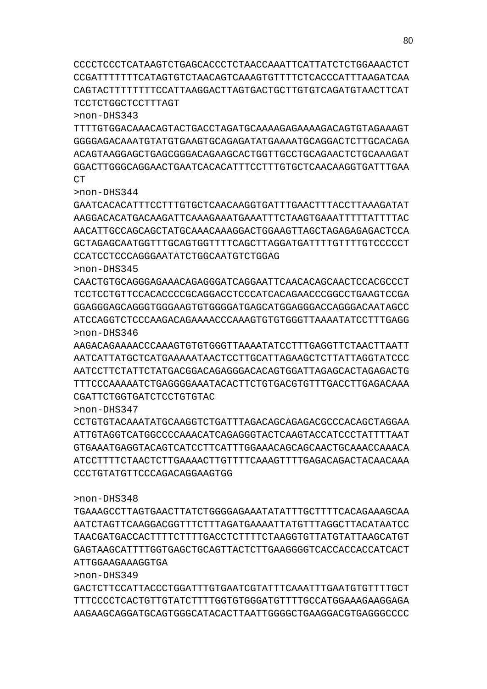CCCCTCCCTCATAAGTCTGAGCACCCTCTAACCAAATTCATTATCTCTGGAAACTCT CCGATTTTTTTCATAGTGTCTAACAGTCAAAGTGTTTTCTCACCCATTTAAGATCAA CAGTACTTTTTTTTCCATTAAGGACTTAGTGACTGCTTGTGTCAGATGTAACTTCAT TCCTCTGGCTCCTTTAGT

>non-DHS343

TTTTGTGGACAAACAGTACTGACCTAGATGCAAAAGAGAAAAGACAGTGTAGAAAGT GGGGAGACAAATGTATGTGAAGTGCAGAGATATGAAAATGCAGGACTCTTGCACAGA ACAGTAAGGAGCTGAGCGGGACAGAAGCACTGGTTGCCTGCAGAACTCTGCAAAGAT GGACTTGGGCAGGAACTGAATCACACATTTCCTTTGTGCTCAACAAGGTGATTTGAA  $CT$ 

>non-DHS344

GAATCACACATTTCCTTTGTGCTCAACAAGGTGATTTGAACTTTACCTTAAAGATAT AAGGACACATGACAAGATTCAAAGAAATGAAATTTCTAAGTGAAATTTTTATTTTAC AACATTGCCAGCAGCTATGCAAACAAAGGACTGGAAGTTAGCTAGAGAGAGACTCCA GCTAGAGCAATGGTTTGCAGTGGTTTTCAGCTTAGGATGATTTTGTTTTGTCCCCCT CCATCCTCCCAGGGAATATCTGGCAATGTCTGGAG

>non-DHS345

CAACTGTGCAGGGAGAAACAGAGGGATCAGGAATTCAACACAGCAACTCCACGCCCT TCCTCCTGTTCCACACCCCGCAGGACCTCCCATCACAGAACCCGGCCTGAAGTCCGA GGAGGGAGCAGGGTGGGAAGTGTGGGGATGAGCATGGAGGGACCAGGGACAATAGCC ATCCAGGTCTCCCAAGACAGAAAACCCAAAGTGTGTGGGTTAAAATATCCTTTGAGG

>non-DHS346 AAGACAGAAAACCCAAAGTGTGTGGGTTAAAATATCCTTTGAGGTTCTAACTTAATT AATCATTATGCTCATGAAAAATAACTCCTTGCATTAGAAGCTCTTATTAGGTATCCC AATCCTTCTATTCTATGACGGACAGAGGGACACAGTGGATTAGAGCACTAGAGACTG TTTCCCAAAAATCTGAGGGGAAATACACTTCTGTGACGTGTTTGACCTTGAGACAAA CGATTCTGGTGATCTCCTGTGTAC

>non-DHS347

CCTGTGTACAAATATGCAAGGTCTGATTTAGACAGCAGAGACGCCCACAGCTAGGAA ATTGTAGGTCATGGCCCCAAACATCAGAGGGTACTCAAGTACCATCCCTATTTTAAT GTGAAATGAGGTACAGTCATCCTTCATTTGGAAACAGCAGCAACTGCAAACCAAACA ATCCTTTTCTAACTCTTGAAAACTTGTTTTCAAAGTTTTGAGACAGACTACAACAAA CCCTGTATGTTCCCAGACAGGAAGTGG

>non-DHS348

TGAAAGCCTTAGTGAACTTATCTGGGGAGAAATATATTTGCTTTTCACAGAAAGCAA AATCTAGTTCAAGGACGGTTTCTTTAGATGAAAATTATGTTTAGGCTTACATAATCC TAACGATGACCACTTTTCTTTTGACCTCTTTTCTAAGGTGTTATGTATTAAGCATGT GAGTAAGCATTTTGGTGAGCTGCAGTTACTCTTGAAGGGGTCACCACCACCATCACT ATTGGAAGAAAGGTGA

>non-DHS349

GACTCTTCCATTACCCTGGATTTGTGAATCGTATTTCAAATTTGAATGTGTTTTGCT TTTCCCCTCACTGTTGTATCTTTTGGTGTGGGATGTTTTGCCATGGAAAGAAGGAGA AAGAAGCAGGATGCAGTGGGCATACACTTAATTGGGGCTGAAGGACGTGAGGGCCCC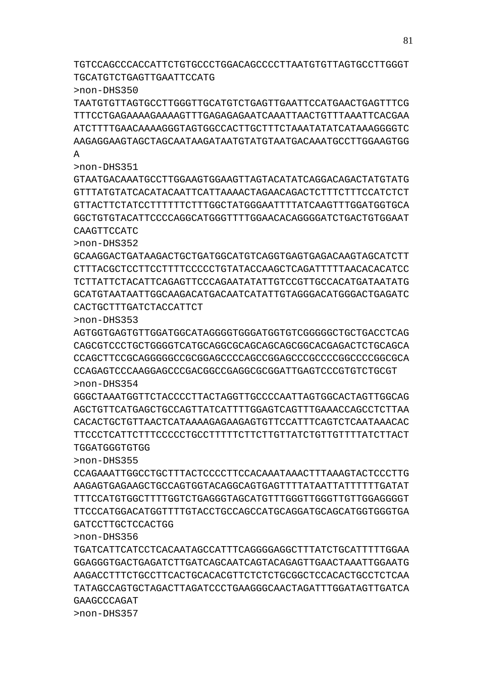GAAGCCCAGAT >non-DHS357

GATCCTTGCTCCACTGG >non-DHS356 TGATCATTCATCCTCACAATAGCCATTTCAGGGGAGGCTTTATCTGCATTTTTGGAA GGAGGGTGACTGAGATCTTGATCAGCAATCAGTACAGAGTTGAACTAAATTGGAATG AAGACCTTTCTGCCTTCACTGCACACGTTCTCTCTGCGGCTCCACACTGCCTCTCAA TATAGCCAGTGCTAGACTTAGATCCCTGAAGGGCAACTAGATTTGGATAGTTGATCA

>non-DHS355 CCAGAAATTGGCCTGCTTTACTCCCCTTCCACAAATAAACTTTAAAGTACTCCCTTG AAGAGTGAGAAGCTGCCAGTGGTACAGGCAGTGAGTTTTATAATTATTTTTTGATAT TTTCCATGTGGCTTTTGGTCTGAGGGTAGCATGTTTGGGTTGGGTTGTTGGAGGGGT TTCCCATGGACATGGTTTTGTACCTGCCAGCCATGCAGGATGCAGCATGGTGGGTGA

>non-DHS354 GGGCTAAATGGTTCTACCCCTTACTAGGTTGCCCCAATTAGTGGCACTAGTTGGCAG AGCTGTTCATGAGCTGCCAGTTATCATTTTGGAGTCAGTTTGAAACCAGCCTCTTAA CACACTGCTGTTAACTCATAAAAGAGAAGAGTGTTCCATTTCAGTCTCAATAAACAC TTCCCTCATTCTTTCCCCCTGCCTTTTTCTTCTTGTTATCTGTTGTTTTATCTTACT TGGATGGGTGTGG

>non-DHS353 AGTGGTGAGTGTTGGATGGCATAGGGGTGGGATGGTGTCGGGGGCTGCTGACCTCAG CAGCGTCCCTGCTGGGGTCATGCAGGCGCAGCAGCAGCGGCACGAGACTCTGCAGCA CCAGCTTCCGCAGGGGGCCGCGGAGCCCCAGCCGGAGCCCGCCCCGGCCCCGGCGCA CCAGAGTCCCAAGGAGCCCGACGGCCGAGGCGCGGATTGAGTCCCGTGTCTGCGT

CACTGCTTTGATCTACCATTCT

>non-DHS352 GCAAGGACTGATAAGACTGCTGATGGCATGTCAGGTGAGTGAGACAAGTAGCATCTT CTTTACGCTCCTTCCTTTTCCCCCTGTATACCAAGCTCAGATTTTTAACACACATCC TCTTATTCTACATTCAGAGTTCCCAGAATATATTGTCCGTTGCCACATGATAATATG GCATGTAATAATTGGCAAGACATGACAATCATATTGTAGGGACATGGGACTGAGATC

>non-DHS351 GTAATGACAAATGCCTTGGAAGTGGAAGTTAGTACATATCAGGACAGACTATGTATG GTTTATGTATCACATACAATTCATTAAAACTAGAACAGACTCTTTCTTTCCATCTCT GTTACTTCTATCCTTTTTTCTTTGGCTATGGGAATTTTATCAAGTTTGGATGGTGCA GGCTGTGTACATTCCCCAGGCATGGGTTTTGGAACACAGGGGATCTGACTGTGGAAT CAAGTTCCATC

>non-DHS350 TAATGTGTTAGTGCCTTGGGTTGCATGTCTGAGTTGAATTCCATGAACTGAGTTTCG TTTCCTGAGAAAAGAAAAGTTTGAGAGAGAATCAAATTAACTGTTTAAATTCACGAA ATCTTTTGAACAAAAGGGTAGTGGCCACTTGCTTTCTAAATATATCATAAAGGGGTC AAGAGGAAGTAGCTAGCAATAAGATAATGTATGTAATGACAAATGCCTTGGAAGTGG A

TGTCCAGCCCACCATTCTGTGCCCTGGACAGCCCCTTAATGTGTTAGTGCCTTGGGT TGCATGTCTGAGTTGAATTCCATG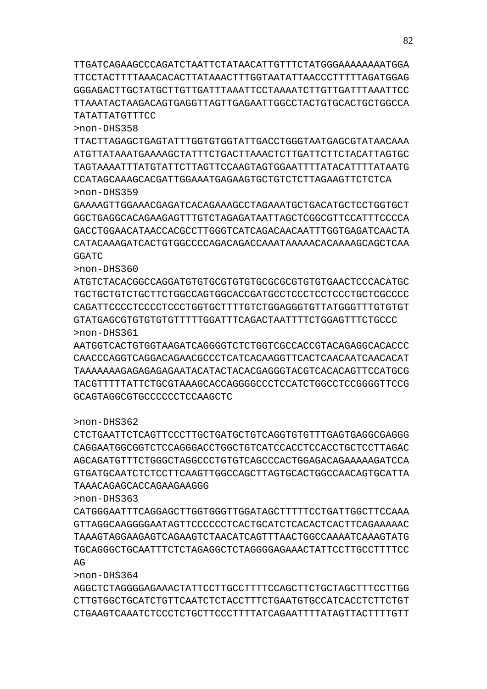TTGATCAGAAGCCCAGATCTAATTCTATAACATTGTTTCTATGGGAAAAAAAATGGA TTCCTACTTTTAAACACACTTATAAACTTTGGTAATATTAACCCTTTTTAGATGGAG GGGAGACTTGCTATGCTTGTTGATTTAAATTCCTAAAATCTTGTTGATTTAAATTCC TTAAATACTAAGACAGTGAGGTTAGTTGAGAATTGGCCTACTGTGCACTGCTGGCCA TATATTATGTTTCC

>non-DHS358

TTACTTAGAGCTGAGTATTTGGTGTGGTATTGACCTGGGTAATGAGCGTATAACAAA ATGTTATAAATGAAAAGCTATTTCTGACTTAAACTCTTGATTCTTCTACATTAGTGC TAGTAAAATTTATGTATTCTTAGTTCCAAGTAGTGGAATTTTATACATTTTATAATG CCATAGCAAAGCACGATTGGAAATGAGAAGTGCTGTCTCTTAGAAGTTCTCTCA >non-DHS359

GAAAAGTTGGAAACGAGATCACAGAAAGCCTAGAAATGCTGACATGCTCCTGGTGCT GGCTGAGGCACAGAAGAGTTTGTCTAGAGATAATTAGCTCGGCGTTCCATTTCCCCA GACCTGGAACATAACCACGCCTTGGGTCATCAGACAACAATTTGGTGAGATCAACTA CATACAAAGATCACTGTGGCCCCAGACAGACCAAATAAAAACACAAAAGCAGCTCAA GGATC

>non-DHS360

ATGTCTACACGGCCAGGATGTGTGCGTGTGTGCGCGCGTGTGTGAACTCCCACATGC TGCTGCTGTCTGCTTCTGGCCAGTGGCACCGATGCCTCCCTCCTCCCTGCTCGCCCC CAGATTCCCCTCCCCTCCCTGGTGCTTTTGTCTGGAGGGTGTTATGGGTTTGTGTGT GTATGAGCGTGTGTGTGTTTTTGGATTTCAGACTAATTTTCTGGAGTTTCTGCCC >non-DHS361

AATGGTCACTGTGGTAAGATCAGGGGTCTCTGGTCGCCACCGTACAGAGGCACACCC CAACCCAGGTCAGGACAGAACGCCCTCATCACAAGGTTCACTCAACAATCAACACAT TAAAAAAAGAGAGAGAGAATACATACTACACGAGGGTACGTCACACAGTTCCATGCG TACGTTTTTATTCTGCGTAAAGCACCAGGGGCCCTCCATCTGGCCTCCGGGGTTCCG GCAGTAGGCGTGCCCCCCTCCAAGCTC

>non-DHS362

CTCTGAATTCTCAGTTCCCTTGCTGATGCTGTCAGGTGTGTTTGAGTGAGGCGAGGG CAGGAATGGCGGTCTCCAGGGACCTGGCTGTCATCCACCTCCACCTGCTCCTTAGAC AGCAGATGTTTCTGGGCTAGGCCCTGTGTCAGCCCACTGGAGACAGAAAAAGATCCA GTGATGCAATCTCTCCTTCAAGTTGGCCAGCTTAGTGCACTGGCCAACAGTGCATTA TAAACAGAGCACCAGAAGAAGGG

>non-DHS363

CATGGGAATTTCAGGAGCTTGGTGGGTTGGATAGCTTTTTCCTGATTGGCTTCCAAA GTTAGGCAAGGGGAATAGTTCCCCCCTCACTGCATCTCACACTCACTTCAGAAAAAC TAAAGTAGGAAGAGTCAGAAGTCTAACATCAGTTTAACTGGCCAAAATCAAAGTATG TGCAGGGCTGCAATTTCTCTAGAGGCTCTAGGGGAGAAACTATTCCTTGCCTTTTCC  $\Delta G$ 

>non-DHS364

AGGCTCTAGGGGAGAAACTATTCCTTGCCTTTTCCAGCTTCTGCTAGCTTTCCTTGG CTTGTGGCTGCATCTGTTCAATCTCTACCTTTCTGAATGTGCCATCACCTCTTCTGT CTGAAGTCAAATCTCCCTCTGCTTCCCTTTTATCAGAATTTTATAGTTACTTTTGTT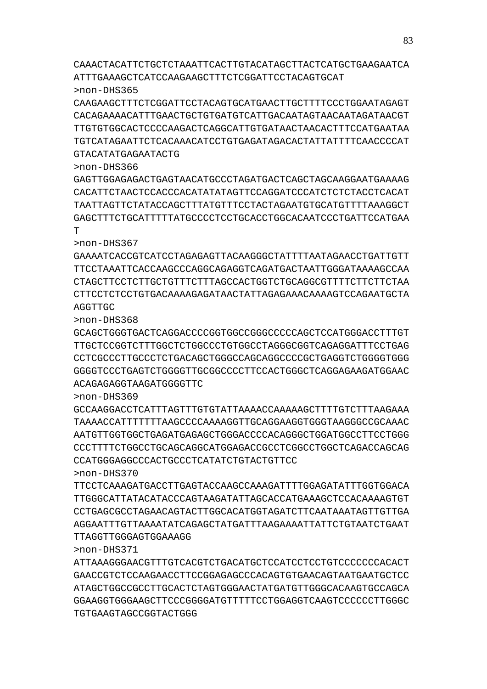CAAACTACATTCTGCTCTAAATTCACTTGTACATAGCTTACTCATGCTGAAGAATCA ATTTGAAAGCTCATCCAAGAAGCTTTCTCGGATTCCTACAGTGCAT >non-DHS365

CAAGAAGCTTTCTCGGATTCCTACAGTGCATGAACTTGCTTTTCCCTGGAATAGAGT CACAGAAAACATTTGAACTGCTGTGATGTCATTGACAATAGTAACAATAGATAACGT TTGTGTGGCACTCCCCAAGACTCAGGCATTGTGATAACTAACACTTTCCATGAATAA TGTCATAGAATTCTCACAAACATCCTGTGAGATAGACACTATTATTTTCAACCCCAT GTACATATGAGAATACTG

>non-DHS366

GAGTTGGAGAGACTGAGTAACATGCCCTAGATGACTCAGCTAGCAAGGAATGAAAAG CACATTCTAACTCCACCCACATATATAGTTCCAGGATCCCATCTCTCTACCTCACAT TAATTAGTTCTATACCAGCTTTATGTTTCCTACTAGAATGTGCATGTTTTAAAGGCT GAGCTTTCTGCATTTTTATGCCCCTCCTGCACCTGGCACAATCCCTGATTCCATGAA T

>non-DHS367 GAAAATCACCGTCATCCTAGAGAGTTACAAGGGCTATTTTAATAGAACCTGATTGTT TTCCTAAATTCACCAAGCCCAGGCAGAGGTCAGATGACTAATTGGGATAAAAGCCAA CTAGCTTCCTCTTGCTGTTTCTTTAGCCACTGGTCTGCAGGCGTTTTCTTCTTCTAA CTTCCTCTCCTGTGACAAAAGAGATAACTATTAGAGAAACAAAAGTCCAGAATGCTA AGGTTGC

>non-DHS368

GCAGCTGGGTGACTCAGGACCCCGGTGGCCGGGCCCCCAGCTCCATGGGACCTTTGT TTGCTCCGGTCTTTGGCTCTGGCCCTGTGGCCTAGGGCGGTCAGAGGATTTCCTGAG CCTCGCCCTTGCCCTCTGACAGCTGGGCCAGCAGGCCCCGCTGAGGTCTGGGGTGGG GGGGTCCCTGAGTCTGGGGTTGCGGCCCCTTCCACTGGGCTCAGGAGAAGATGGAAC ACAGAGAGGTAAGATGGGGTTC

>non-DHS369

GCCAAGGACCTCATTTAGTTTGTGTATTAAAACCAAAAAGCTTTTGTCTTTAAGAAA TAAAACCATTTTTTTAAGCCCCAAAAGGTTGCAGGAAGGTGGGTAAGGGCCGCAAAC AATGTTGGTGGCTGAGATGAGAGCTGGGACCCCACAGGGCTGGATGGCCTTCCTGGG CCCTTTTCTGGCCTGCAGCAGGCATGGAGACCGCCTCGGCCTGGCTCAGACCAGCAG CCATGGGAGGCCCACTGCCCTCATATCTGTACTGTTCC

>non-DHS370

TTCCTCAAAGATGACCTTGAGTACCAAGCCAAAGATTTTGGAGATATTTGGTGGACA TTGGGCATTATACATACCCAGTAAGATATTAGCACCATGAAAGCTCCACAAAAGTGT CCTGAGCGCCTAGAACAGTACTTGGCACATGGTAGATCTTCAATAAATAGTTGTTGA AGGAATTTGTTAAAATATCAGAGCTATGATTTAAGAAAATTATTCTGTAATCTGAAT TTAGGTTGGGAGTGGAAAGG

>non-DHS371

ATTAAAGGGAACGTTTGTCACGTCTGACATGCTCCATCCTCCTGTCCCCCCCACACT GAACCGTCTCCAAGAACCTTCCGGAGAGCCCACAGTGTGAACAGTAATGAATGCTCC ATAGCTGGCCGCCTTGCACTCTAGTGGGAACTATGATGTTGGGCACAAGTGCCAGCA GGAAGGTGGGAAGCTTCCCGGGGATGTTTTTCCTGGAGGTCAAGTCCCCCCTTGGGC TGTGAAGTAGCCGGTACTGGG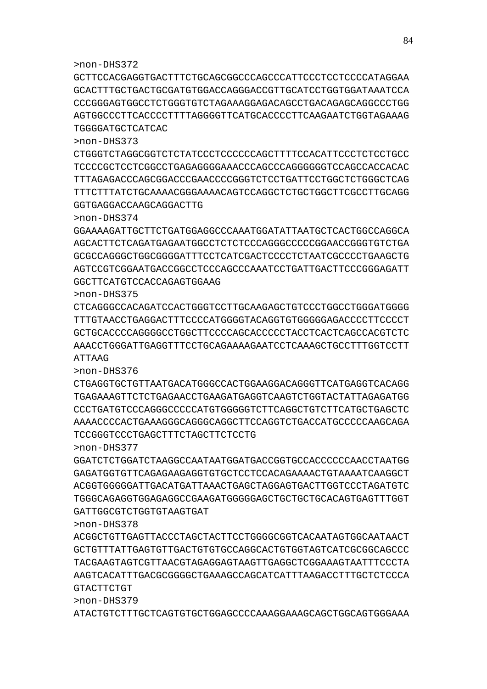ATACTGTCTTTGCTCAGTGTGCTGGAGCCCCAAAGGAAAGCAGCTGGCAGTGGGAAA

>non-DHS379

>non-DHS378 ACGGCTGTTGAGTTACCCTAGCTACTTCCTGGGGCGGTCACAATAGTGGCAATAACT GCTGTTTATTGAGTGTTGACTGTGTGCCAGGCACTGTGGTAGTCATCGCGGCAGCCC TACGAAGTAGTCGTTAACGTAGAGGAGTAAGTTGAGGCTCGGAAAGTAATTTCCCTA AAGTCACATTTGACGCGGGGCTGAAAGCCAGCATCATTTAAGACCTTTGCTCTCCCA GTACTTCTGT

>non-DHS377 GGATCTCTGGATCTAAGGCCAATAATGGATGACCGGTGCCACCCCCCAACCTAATGG GAGATGGTGTTCAGAGAAGAGGTGTGCTCCTCCACAGAAAACTGTAAAATCAAGGCT ACGGTGGGGGATTGACATGATTAAACTGAGCTAGGAGTGACTTGGTCCCTAGATGTC TGGGCAGAGGTGGAGAGGCCGAAGATGGGGGAGCTGCTGCTGCACAGTGAGTTTGGT GATTGGCGTCTGGTGTAAGTGAT

TCCGGGTCCCTGAGCTTTCTAGCTTCTCCTG

>non-DHS376 CTGAGGTGCTGTTAATGACATGGGCCACTGGAAGGACAGGGTTCATGAGGTCACAGG TGAGAAAGTTCTCTGAGAACCTGAAGATGAGGTCAAGTCTGGTACTATTAGAGATGG CCCTGATGTCCCAGGGCCCCCATGTGGGGGTCTTCAGGCTGTCTTCATGCTGAGCTC AAAACCCCACTGAAAGGGCAGGGCAGGCTTCCAGGTCTGACCATGCCCCCAAGCAGA

>non-DHS375 CTCAGGGCCACAGATCCACTGGGTCCTTGCAAGAGCTGTCCCTGGCCTGGGATGGGG TTTGTAACCTGAGGACTTTCCCCATGGGGTACAGGTGTGGGGGAGACCCCTTCCCCT GCTGCACCCCAGGGGCCTGGCTTCCCCAGCACCCCCTACCTCACTCAGCCACGTCTC AAACCTGGGATTGAGGTTTCCTGCAGAAAAGAATCCTCAAAGCTGCCTTTGGTCCTT ATTAAG

GGCTTCATGTCCACCAGAGTGGAAG

>non-DHS374 GGAAAAGATTGCTTCTGATGGAGGCCCAAATGGATATTAATGCTCACTGGCCAGGCA AGCACTTCTCAGATGAGAATGGCCTCTCTCCCAGGGCCCCCGGAACCGGGTGTCTGA GCGCCAGGGCTGGCGGGGATTTCCTCATCGACTCCCCTCTAATCGCCCCTGAAGCTG AGTCCGTCGGAATGACCGGCCTCCCAGCCCAAATCCTGATTGACTTCCCGGGAGATT

GGTGAGGACCAAGCAGGACTTG

>non-DHS373 CTGGGTCTAGGCGGTCTCTATCCCTCCCCCCAGCTTTTCCACATTCCCTCTCCTGCC TCCCCGCTCCTCGGCCTGAGAGGGGAAACCCAGCCCAGGGGGGTCCAGCCACCACAC TTTAGAGACCCAGCGGACCCGAACCCCGGGTCTCCTGATTCCTGGCTCTGGGCTCAG TTTCTTTATCTGCAAAACGGGAAAACAGTCCAGGCTCTGCTGGCTTCGCCTTGCAGG

TGGGGATGCTCATCAC

>non-DHS372 GCTTCCACGAGGTGACTTTCTGCAGCGGCCCAGCCCATTCCCTCCTCCCCATAGGAA GCACTTTGCTGACTGCGATGTGGACCAGGGACCGTTGCATCCTGGTGGATAAATCCA CCCGGGAGTGGCCTCTGGGTGTCTAGAAAGGAGACAGCCTGACAGAGCAGGCCCTGG AGTGGCCCTTCACCCCTTTTAGGGGTTCATGCACCCCTTCAAGAATCTGGTAGAAAG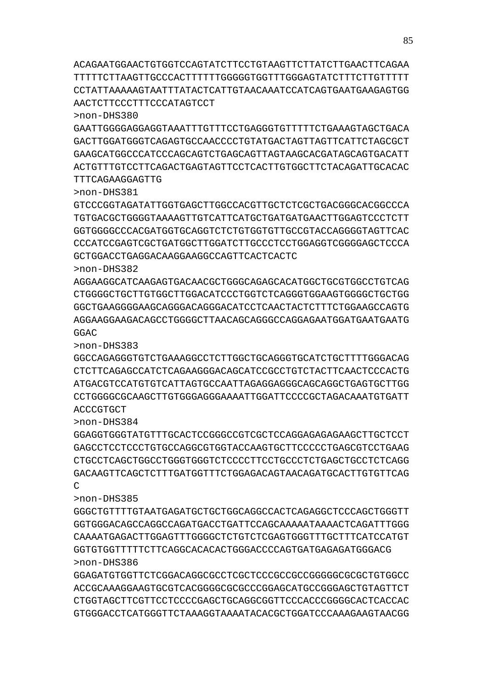>non-DHS386 GGAGATGTGGTTCTCGGACAGGCGCCTCGCTCCCGCCGCCGGGGGCGCGCTGTGGCC ACCGCAAAGGAAGTGCGTCACGGGGCGCGCCCGGAGCATGCCGGGAGCTGTAGTTCT CTGGTAGCTTCGTTCCTCCCCGAGCTGCAGGCGGTTCCCACCCGGGGCACTCACCAC GTGGGACCTCATGGGTTCTAAAGGTAAAATACACGCTGGATCCCAAAGAAGTAACGG

>non-DHS385 GGGCTGTTTTGTAATGAGATGCTGCTGGCAGGCCACTCAGAGGCTCCCAGCTGGGTT GGTGGGACAGCCAGGCCAGATGACCTGATTCCAGCAAAAATAAAACTCAGATTTGGG CAAAATGAGACTTGGAGTTTGGGGCTCTGTCTCGAGTGGGTTTGCTTTCATCCATGT GGTGTGGTTTTTCTTCAGGCACACACTGGGACCCCAGTGATGAGAGATGGGACG

>non-DHS384 GGAGGTGGGTATGTTTGCACTCCGGGCCGTCGCTCCAGGAGAGAGAAGCTTGCTCCT GAGCCTCCTCCCTGTGCCAGGCGTGGTACCAAGTGCTTCCCCCTGAGCGTCCTGAAG CTGCCTCAGCTGGCCTGGGTGGGTCTCCCCTTCCTGCCCTCTGAGCTGCCTCTCAGG GACAAGTTCAGCTCTTTGATGGTTTCTGGAGACAGTAACAGATGCACTTGTGTTCAG C

>non-DHS383 GGCCAGAGGGTGTCTGAAAGGCCTCTTGGCTGCAGGGTGCATCTGCTTTTGGGACAG CTCTTCAGAGCCATCTCAGAAGGGACAGCATCCGCCTGTCTACTTCAACTCCCACTG ATGACGTCCATGTGTCATTAGTGCCAATTAGAGGAGGGCAGCAGGCTGAGTGCTTGG CCTGGGGCGCAAGCTTGTGGGAGGGAAAATTGGATTCCCCGCTAGACAAATGTGATT **ACCCGTGCT** 

>non-DHS382 AGGAAGGCATCAAGAGTGACAACGCTGGGCAGAGCACATGGCTGCGTGGCCTGTCAG CTGGGGCTGCTTGTGGCTTGGACATCCCTGGTCTCAGGGTGGAAGTGGGGCTGCTGG GGCTGAAGGGGAAGCAGGGACAGGGACATCCTCAACTACTCTTTCTGGAAGCCAGTG AGGAAGGAAGACAGCCTGGGGCTTAACAGCAGGGCCAGGAGAATGGATGAATGAATG GGAC

TTTCAGAAGGAGTTG >non-DHS381 GTCCCGGTAGATATTGGTGAGCTTGGCCACGTTGCTCTCGCTGACGGGCACGGCCCA TGTGACGCTGGGGTAAAAGTTGTCATTCATGCTGATGATGAACTTGGAGTCCCTCTT GGTGGGGCCCACGATGGTGCAGGTCTCTGTGGTGTTGCCGTACCAGGGGTAGTTCAC CCCATCCGAGTCGCTGATGGCTTGGATCTTGCCCTCCTGGAGGTCGGGGAGCTCCCA GCTGGACCTGAGGACAAGGAAGGCCAGTTCACTCACTC

>non-DHS380 GAATTGGGGAGGAGGTAAATTTGTTTCCTGAGGGTGTTTTTCTGAAAGTAGCTGACA GACTTGGATGGGTCAGAGTGCCAACCCCTGTATGACTAGTTAGTTCATTCTAGCGCT GAAGCATGGCCCATCCCAGCAGTCTGAGCAGTTAGTAAGCACGATAGCAGTGACATT ACTGTTTGTCCTTCAGACTGAGTAGTTCCTCACTTGTGGCTTCTACAGATTGCACAC

ACAGAATGGAACTGTGGTCCAGTATCTTCCTGTAAGTTCTTATCTTGAACTTCAGAA TTTTTCTTAAGTTGCCCACTTTTTTGGGGGTGGTTTGGGAGTATCTTTCTTGTTTTT CCTATTAAAAAGTAATTTATACTCATTGTAACAAATCCATCAGTGAATGAAGAGTGG AACTCTTCCCTTTCCCATAGTCCT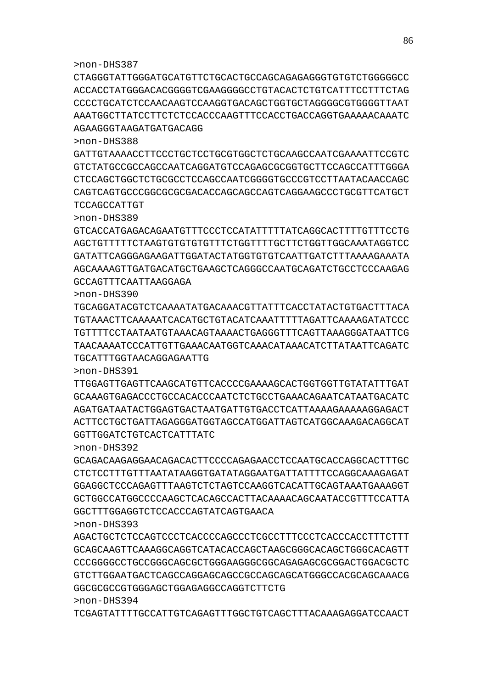TCGAGTATTTTGCCATTGTCAGAGTTTGGCTGTCAGCTTTACAAAGAGGATCCAACT

>non-DHS393 AGACTGCTCTCCAGTCCCTCACCCCAGCCCTCGCCTTTCCCTCACCCACCTTTCTTT GCAGCAAGTTCAAAGGCAGGTCATACACCAGCTAAGCGGGCACAGCTGGGCACAGTT CCCGGGGCCTGCCGGGCAGCGCTGGGAAGGGCGGCAGAGAGCGCGGACTGGACGCTC GTCTTGGAATGACTCAGCCAGGAGCAGCCGCCAGCAGCATGGGCCACGCAGCAAACG GGCGCGCCGTGGGAGCTGGAGAGGCCAGGTCTTCTG >non-DHS394

>non-DHS392 GCAGACAAGAGGAACAGACACTTCCCCAGAGAACCTCCAATGCACCAGGCACTTTGC CTCTCCTTTGTTTAATATAAGGTGATATAGGAATGATTATTTTCCAGGCAAAGAGAT GGAGGCTCCCAGAGTTTAAGTCTCTAGTCCAAGGTCACATTGCAGTAAATGAAAGGT GCTGGCCATGGCCCCAAGCTCACAGCCACTTACAAAACAGCAATACCGTTTCCATTA GGCTTTGGAGGTCTCCACCCAGTATCAGTGAACA

>non-DHS391 TTGGAGTTGAGTTCAAGCATGTTCACCCCGAAAAGCACTGGTGGTTGTATATTTGAT GCAAAGTGAGACCCTGCCACACCCAATCTCTGCCTGAAACAGAATCATAATGACATC AGATGATAATACTGGAGTGACTAATGATTGTGACCTCATTAAAAGAAAAAGGAGACT ACTTCCTGCTGATTAGAGGGATGGTAGCCATGGATTAGTCATGGCAAAGACAGGCAT GGTTGGATCTGTCACTCATTTATC

>non-DHS390 TGCAGGATACGTCTCAAAATATGACAAACGTTATTTCACCTATACTGTGACTTTACA TGTAAACTTCAAAAATCACATGCTGTACATCAAATTTTTAGATTCAAAAGATATCCC TGTTTTCCTAATAATGTAAACAGTAAAACTGAGGGTTTCAGTTAAAGGGATAATTCG TAACAAAATCCCATTGTTGAAACAATGGTCAAACATAAACATCTTATAATTCAGATC TGCATTTGGTAACAGGAGAATTG

>non-DHS389 GTCACCATGAGACAGAATGTTTCCCTCCATATTTTTATCAGGCACTTTTGTTTCCTG AGCTGTTTTTCTAAGTGTGTGTGTTTCTGGTTTTGCTTCTGGTTGGCAAATAGGTCC GATATTCAGGGAGAAGATTGGATACTATGGTGTGTCAATTGATCTTTAAAAGAAATA AGCAAAAGTTGATGACATGCTGAAGCTCAGGGCCAATGCAGATCTGCCTCCCAAGAG GCCAGTTTCAATTAAGGAGA

>non-DHS388 GATTGTAAAACCTTCCCTGCTCCTGCGTGGCTCTGCAAGCCAATCGAAAATTCCGTC GTCTATGCCGCCAGCCAATCAGGATGTCCAGAGCGCGGTGCTTCCAGCCATTTGGGA CTCCAGCTGGCTCTGCGCCTCCAGCCAATCGGGGTGCCCGTCCTTAATACAACCAGC CAGTCAGTGCCCGGCGCGCGACACCAGCAGCCAGTCAGGAAGCCCTGCGTTCATGCT TCCAGCCATTGT

>non-DHS387 CTAGGGTATTGGGATGCATGTTCTGCACTGCCAGCAGAGAGGGTGTGTCTGGGGGCC ACCACCTATGGGACACGGGGTCGAAGGGGCCTGTACACTCTGTCATTTCCTTTCTAG CCCCTGCATCTCCAACAAGTCCAAGGTGACAGCTGGTGCTAGGGGCGTGGGGTTAAT AAATGGCTTATCCTTCTCTCCACCCAAGTTTCCACCTGACCAGGTGAAAAACAAATC AGAAGGGTAAGATGATGACAGG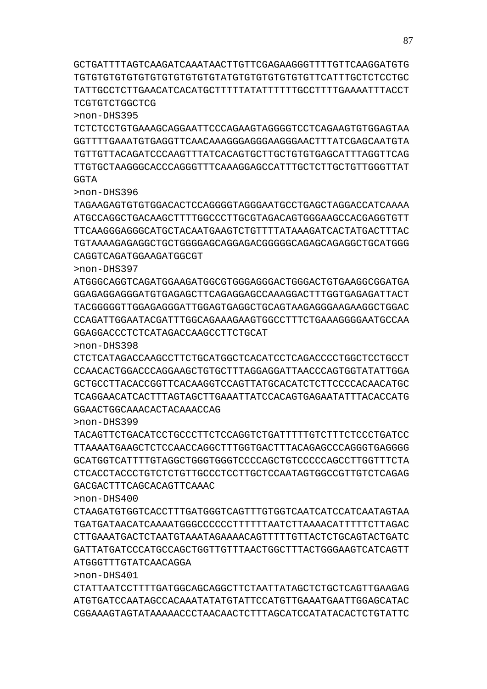GCTGATTTTAGTCAAGATCAAATAACTTGTTCGAGAAGGGTTTTGTTCAAGGATGTG TGTGTGTGTGTGTGTGTGTGTGTGTATGTGTGTGTGTGTGTTCATTTGCTCTCCTGC TATTGCCTCTTGAACATCACATGCTTTTTATATTTTTTGCCTTTTGAAAATTTACCT TCGTGTCTGGCTCG

>non-DHS395

TCTCTCCTGTGAAAGCAGGAATTCCCAGAAGTAGGGGTCCTCAGAAGTGTGGAGTAA GGTTTTGAAATGTGAGGTTCAACAAAGGGAGGGAAGGGAACTTTATCGAGCAATGTA TGTTGTTACAGATCCCAAGTTTATCACAGTGCTTGCTGTGTGAGCATTTAGGTTCAG TTGTGCTAAGGGCACCCAGGGTTTCAAAGGAGCCATTTGCTCTTGCTGTTGGGTTAT **GGTA** 

>non-DHS396

TAGAAGAGTGTGTGGACACTCCAGGGGTAGGGAATGCCTGAGCTAGGACCATCAAAA ATGCCAGGCTGACAAGCTTTTGGCCCTTGCGTAGACAGTGGGAAGCCACGAGGTGTT TTCAAGGGAGGGCATGCTACAATGAAGTCTGTTTTATAAAGATCACTATGACTTTAC TGTAAAAGAGAGGCTGCTGGGGAGCAGGAGACGGGGGCAGAGCAGAGGCTGCATGGG CAGGTCAGATGGAAGATGGCGT

>non-DHS397

ATGGGCAGGTCAGATGGAAGATGGCGTGGGAGGGACTGGGACTGTGAAGGCGGATGA GGAGAGGAGGGATGTGAGAGCTTCAGAGGAGCCAAAGGACTTTGGTGAGAGATTACT TACGGGGGTTGGAGAGGGATTGGAGTGAGGCTGCAGTAAGAGGGAAGAAGGCTGGAC CCAGATTGGAATACGATTTGGCAGAAAGAAGTGGCCTTTCTGAAAGGGGAATGCCAA GGAGGACCCTCTCATAGACCAAGCCTTCTGCAT

>non-DHS398

CTCTCATAGACCAAGCCTTCTGCATGGCTCACATCCTCAGACCCCTGGCTCCTGCCT CCAACACTGGACCCAGGAAGCTGTGCTTTAGGAGGATTAACCCAGTGGTATATTGGA GCTGCCTTACACCGGTTCACAAGGTCCAGTTATGCACATCTCTTCCCCACAACATGC TCAGGAACATCACTTTAGTAGCTTGAAATTATCCACAGTGAGAATATTTACACCATG GGAACTGGCAAACACTACAAACCAG

>non-DHS399

TACAGTTCTGACATCCTGCCCTTCTCCAGGTCTGATTTTTGTCTTTCTCCCTGATCC TTAAAATGAAGCTCTCCAACCAGGCTTTGGTGACTTTACAGAGCCCAGGGTGAGGGG GCATGGTCATTTTGTAGGCTGGGTGGGTCCCCAGCTGTCCCCCAGCCTTGGTTTCTA CTCACCTACCCTGTCTCTGTTGCCCTCCTTGCTCCAATAGTGGCCGTTGTCTCAGAG GACGACTTTCAGCACAGTTCAAAC

>non-DHS400

CTAAGATGTGGTCACCTTTGATGGGTCAGTTTGTGGTCAATCATCCATCAATAGTAA TGATGATAACATCAAAATGGGCCCCCCTTTTTTAATCTTAAAACATTTTTCTTAGAC CTTGAAATGACTCTAATGTAAATAGAAAACAGTTTTTGTTACTCTGCAGTACTGATC GATTATGATCCCATGCCAGCTGGTTGTTTAACTGGCTTTACTGGGAAGTCATCAGTT ATGGGTTTGTATCAACAGGA

>non-DHS401

CTATTAATCCTTTTGATGGCAGCAGGCTTCTAATTATAGCTCTGCTCAGTTGAAGAG ATGTGATCCAATAGCCACAAATATATGTATTCCATGTTGAAATGAATTGGAGCATAC CGGAAAGTAGTATAAAAACCCTAACAACTCTTTAGCATCCATATACACTCTGTATTC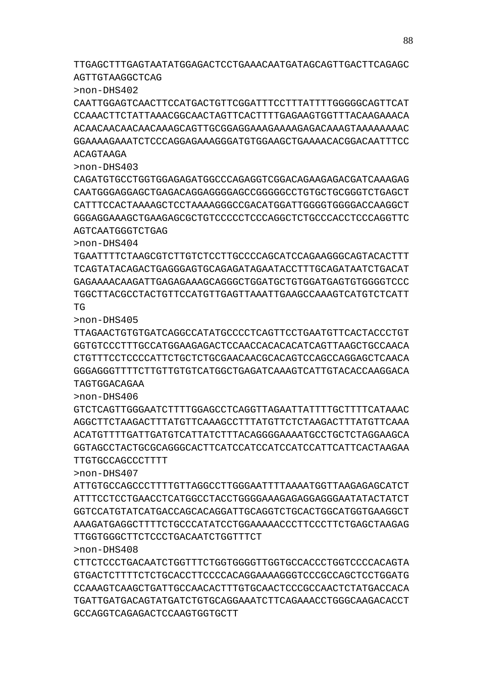TTGAGCTTTGAGTAATATGGAGACTCCTGAAACAATGATAGCAGTTGACTTCAGAGC AGTTGTAAGGCTCAG

>non-DHS402

CAATTGGAGTCAACTTCCATGACTGTTCGGATTTCCTTTATTTTGGGGGCAGTTCAT CCAAACTTCTATTAAACGGCAACTAGTTCACTTTTGAGAAGTGGTTTACAAGAAACA ACAACAACAACAACAAAGCAGTTGCGGAGGAAAGAAAAGAGACAAAGTAAAAAAAAC GGAAAAGAAATCTCCCAGGAGAAAGGGATGTGGAAGCTGAAAACACGGACAATTTCC ACAGTAAGA

>non-DHS403

CAGATGTGCCTGGTGGAGAGATGGCCCAGAGGTCGGACAGAAGAGACGATCAAAGAG CAATGGGAGGAGCTGAGACAGGAGGGGAGCCGGGGGCCTGTGCTGCGGGTCTGAGCT CATTTCCACTAAAAGCTCCTAAAAGGGCCGACATGGATTGGGGTGGGGACCAAGGCT GGGAGGAAAGCTGAAGAGCGCTGTCCCCCTCCCAGGCTCTGCCCACCTCCCAGGTTC AGTCAATGGGTCTGAG

>non-DHS404

TGAATTTTCTAAGCGTCTTGTCTCCTTGCCCCAGCATCCAGAAGGGCAGTACACTTT TCAGTATACAGACTGAGGGAGTGCAGAGATAGAATACCTTTGCAGATAATCTGACAT GAGAAAACAAGATTGAGAGAAAGCAGGGCTGGATGCTGTGGATGAGTGTGGGGTCCC TGGCTTACGCCTACTGTTCCATGTTGAGTTAAATTGAAGCCAAAGTCATGTCTCATT TG

>non-DHS405

TTAGAACTGTGTGATCAGGCCATATGCCCCTCAGTTCCTGAATGTTCACTACCCTGT GGTGTCCCTTTGCCATGGAAGAGACTCCAACCACACACATCAGTTAAGCTGCCAACA CTGTTTCCTCCCCATTCTGCTCTGCGAACAACGCACAGTCCAGCCAGGAGCTCAACA GGGAGGGTTTTCTTGTTGTGTCATGGCTGAGATCAAAGTCATTGTACACCAAGGACA TAGTGGACAGAA

>non-DHS406

GTCTCAGTTGGGAATCTTTTGGAGCCTCAGGTTAGAATTATTTTCCTTTTCATAAAC AGGCTTCTAAGACTTTATGTTCAAAGCCTTTATGTTCTCTAAGACTTTATGTTCAAA ACATGTTTTGATTGATGTCATTATCTTTACAGGGGAAAATGCCTGCTCTAGGAAGCA GGTAGCCTACTGCGCAGGGCACTTCATCCATCCATCCATCCATTCATTCACTAAGAA TTGTGCCAGCCCTTTT

>non-DHS407

ATTGTGCCAGCCCTTTTGTTAGGCCTTGGGAATTTTAAAATGGTTAAGAGAGCATCT ATTTCCTCCTGAACCTCATGGCCTACCTGGGGAAAGAGAGGAGGGAATATACTATCT GGTCCATGTATCATGACCAGCACAGGATTGCAGGTCTGCACTGGCATGGTGAAGGCT AAAGATGAGGCTTTTCTGCCCATATCCTGGAAAAACCCTTCCCTTCTGAGCTAAGAG TTGGTGGGCTTCTCCCTGACAATCTGGTTTCT

>non-DHS408

CTTCTCCCTGACAATCTGGTTTCTGGTGGGGTTGGTGCCACCCTGGTCCCCACAGTA GTGACTCTTTTCTCTGCACCTTCCCCACAGGAAAAGGGTCCCGCCAGCTCCTGGATG CCAAAGTCAAGCTGATTGCCAACACTTTGTGCAACTCCCGCCAACTCTATGACCACA TGATTGATGACAGTATGATCTGTGCAGGAAATCTTCAGAAACCTGGGCAAGACACCT GCCAGGTCAGAGACTCCAAGTGGTGCTT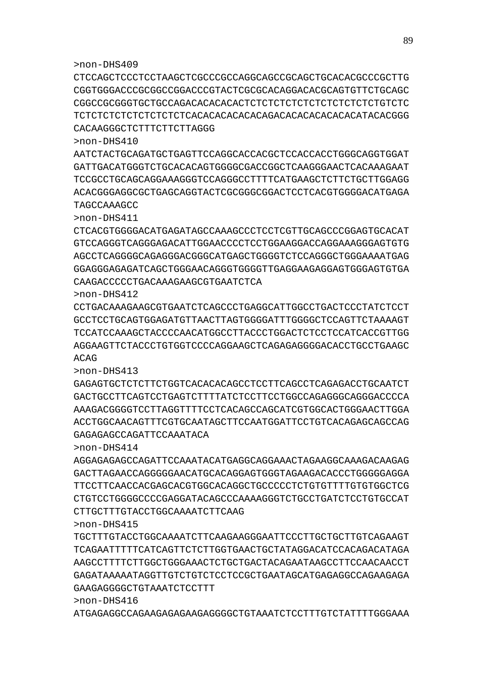>non-DHS416 ATGAGAGGCCAGAAGAGAGAAGAGGGGCTGTAAATCTCCTTTGTCTATTTTGGGAAA

>non-DHS415 TGCTTTGTACCTGGCAAAATCTTCAAGAAGGGAATTCCCTTGCTGCTTGTCAGAAGT TCAGAATTTTTCATCAGTTCTCTTGGTGAACTGCTATAGGACATCCACAGACATAGA AAGCCTTTTCTTGGCTGGGAAACTCTGCTGACTACAGAATAAGCCTTCCAACAACCT GAGATAAAAATAGGTTGTCTGTCTCCTCCGCTGAATAGCATGAGAGGCCAGAAGAGA GAAGAGGGGCTGTAAATCTCCTTT

AGGAGAGAGCCAGATTCCAAATACATGAGGCAGGAAACTAGAAGGCAAAGACAAGAG GACTTAGAACCAGGGGGAACATGCACAGGAGTGGGTAGAAGACACCCTGGGGGAGGA TTCCTTCAACCACGAGCACGTGGCACAGGCTGCCCCCTCTGTGTTTTGTGTGGCTCG CTGTCCTGGGGCCCCGAGGATACAGCCCAAAAGGGTCTGCCTGATCTCCTGTGCCAT CTTGCTTTGTACCTGGCAAAATCTTCAAG

GACTGCCTTCAGTCCTGAGTCTTTTATCTCCTTCCTGGCCAGAGGGCAGGGACCCCA AAAGACGGGGTCCTTAGGTTTTCCTCACAGCCAGCATCGTGGCACTGGGAACTTGGA ACCTGGCAACAGTTTCGTGCAATAGCTTCCAATGGATTCCTGTCACAGAGCAGCCAG GAGAGAGCCAGATTCCAAATACA >non-DHS414

GAGAGTGCTCTCTTCTGGTCACACACAGCCTCCTTCAGCCTCAGAGACCTGCAATCT

>non-DHS412 CCTGACAAAGAAGCGTGAATCTCAGCCCTGAGGCATTGGCCTGACTCCCTATCTCCT GCCTCCTGCAGTGGAGATGTTAACTTAGTGGGGATTTGGGGCTCCAGTTCTAAAAGT TCCATCCAAAGCTACCCCAACATGGCCTTACCCTGGACTCTCCTCCATCACCGTTGG AGGAAGTTCTACCCTGTGGTCCCCAGGAAGCTCAGAGAGGGGACACCTGCCTGAAGC ACAG >non-DHS413

>non-DHS411 CTCACGTGGGGACATGAGATAGCCAAAGCCCTCCTCGTTGCAGCCCGGAGTGCACAT GTCCAGGGTCAGGGAGACATTGGAACCCCTCCTGGAAGGACCAGGAAAGGGAGTGTG AGCCTCAGGGGCAGAGGGACGGGCATGAGCTGGGGTCTCCAGGGCTGGGAAAATGAG GGAGGGAGAGATCAGCTGGGAACAGGGTGGGGTTGAGGAAGAGGAGTGGGAGTGTGA CAAGACCCCCTGACAAAGAAGCGTGAATCTCA

>non-DHS410 AATCTACTGCAGATGCTGAGTTCCAGGCACCACGCTCCACCACCTGGGCAGGTGGAT GATTGACATGGGTCTGCACACAGTGGGGCGACCGGCTCAAGGGAACTCACAAAGAAT TCCGCCTGCAGCAGGAAAGGGTCCAGGGCCTTTTCATGAAGCTCTTCTGCTTGGAGG ACACGGGAGGCGCTGAGCAGGTACTCGCGGGCGGACTCCTCACGTGGGGACATGAGA TAGCCAAAGCC

>non-DHS409 CTCCAGCTCCCTCCTAAGCTCGCCCGCCAGGCAGCCGCAGCTGCACACGCCCGCTTG CGGTGGGACCCGCGGCCGGACCCGTACTCGCGCACAGGACACGCAGTGTTCTGCAGC CGGCCGCGGGTGCTGCCAGACACACACACTCTCTCTCTCTCTCTCTCTCTCTGTCTC TCTCTCTCTCTCTCTCTCTCACACACACACACAGACACACACACACACATACACGGG CACAAGGGCTCTTTCTTCTTAGGG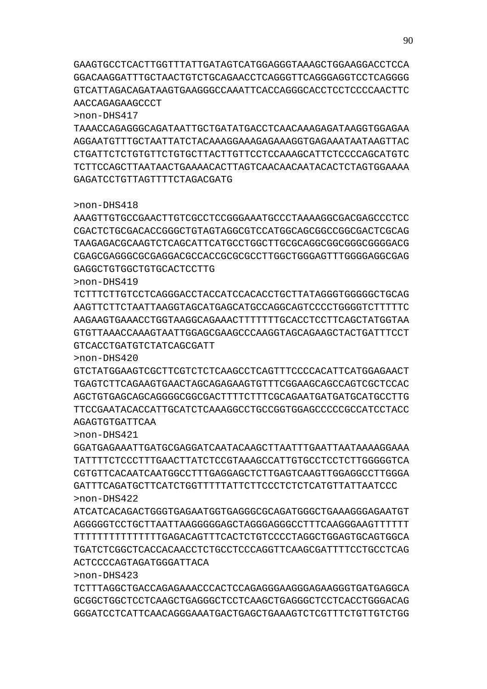TCTTTAGGCTGACCAGAGAAACCCACTCCAGAGGGAAGGGAGAAGGGTGATGAGGCA GCGGCTGGCTCCTCAAGCTGAGGGCTCCTCAAGCTGAGGGCTCCTCACCTGGGACAG GGGATCCTCATTCAACAGGGAAATGACTGAGCTGAAAGTCTCGTTTCTGTTGTCTGG

>non-DHS422 ATCATCACAGACTGGGTGAGAATGGTGAGGGCGCAGATGGGCTGAAAGGGAGAATGT AGGGGGTCCTGCTTAATTAAGGGGGAGCTAGGGAGGGCCTTTCAAGGGAAGTTTTTT TTTTTTTTTTTTTTTGAGACAGTTTCACTCTGTCCCCTAGGCTGGAGTGCAGTGGCA TGATCTCGGCTCACCACAACCTCTGCCTCCCAGGTTCAAGCGATTTTCCTGCCTCAG ACTCCCCAGTAGATGGGATTACA

TATTTTCTCCCTTTGAACTTATCTCCGTAAAGCCATTGTGCCTCCTCTTGGGGGTCA CGTGTTCACAATCAATGGCCTTTGAGGAGCTCTTGAGTCAAGTTGGAGGCCTTGGGA GATTTCAGATGCTTCATCTGGTTTTTATTCTTCCCTCTCTCATGTTATTAATCCC

AGCTGTGAGCAGCAGGGGCGGCGACTTTTCTTTCGCAGAATGATGATGCATGCCTTG TTCCGAATACACCATTGCATCTCAAAGGCCTGCCGGTGGAGCCCCCGCCATCCTACC AGAGTGTGATTCAA >non-DHS421 GGATGAGAAATTGATGCGAGGATCAATACAAGCTTAATTTGAATTAATAAAAGGAAA

AAGAAGTGAAACCTGGTAAGGCAGAAACTTTTTTTGCACCTCCTTCAGCTATGGTAA GTGTTAAACCAAAGTAATTGGAGCGAAGCCCAAGGTAGCAGAAGCTACTGATTTCCT GTCACCTGATGTCTATCAGCGATT >non-DHS420 GTCTATGGAAGTCGCTTCGTCTCTCAAGCCTCAGTTTCCCCACATTCATGGAGAACT TGAGTCTTCAGAAGTGAACTAGCAGAGAAGTGTTTCGGAAGCAGCCAGTCGCTCCAC

TAAGAGACGCAAGTCTCAGCATTCATGCCTGGCTTGCGCAGGCGGCGGGCGGGGACG CGAGCGAGGGCGCGAGGACGCCACCGCGCGCCTTGGCTGGGAGTTTGGGGAGGCGAG GAGGCTGTGGCTGTGCACTCCTTG >non-DHS419 TCTTTCTTGTCCTCAGGGACCTACCATCCACACCTGCTTATAGGGTGGGGGCTGCAG

AAGTTCTTCTAATTAAGGTAGCATGAGCATGCCAGGCAGTCCCCTGGGGTCTTTTTC

AAAGTTGTGCCGAACTTGTCGCCTCCGGGAAATGCCCTAAAAGGCGACGAGCCCTCC CGACTCTGCGACACCGGGCTGTAGTAGGCGTCCATGGCAGCGGCCGGCGACTCGCAG

TAAACCAGAGGGCAGATAATTGCTGATATGACCTCAACAAAGAGATAAGGTGGAGAA AGGAATGTTTGCTAATTATCTACAAAGGAAAGAGAAAGGTGAGAAATAATAAGTTAC CTGATTCTCTGTGTTCTGTGCTTACTTGTTCCTCCAAAGCATTCTCCCCAGCATGTC TCTTCCAGCTTAATAACTGAAAACACTTAGTCAACAACAATACACTCTAGTGGAAAA GAGATCCTGTTAGTTTTCTAGACGATG

GAAGTGCCTCACTTGGTTTATTGATAGTCATGGAGGGTAAAGCTGGAAGGACCTCCA GGACAAGGATTTGCTAACTGTCTGCAGAACCTCAGGGTTCAGGGAGGTCCTCAGGGG GTCATTAGACAGATAAGTGAAGGGCCAAATTCACCAGGGCACCTCCTCCCCAACTTC AACCAGAGAAGCCCT

>non-DHS417

>non-DHS418

>non-DHS423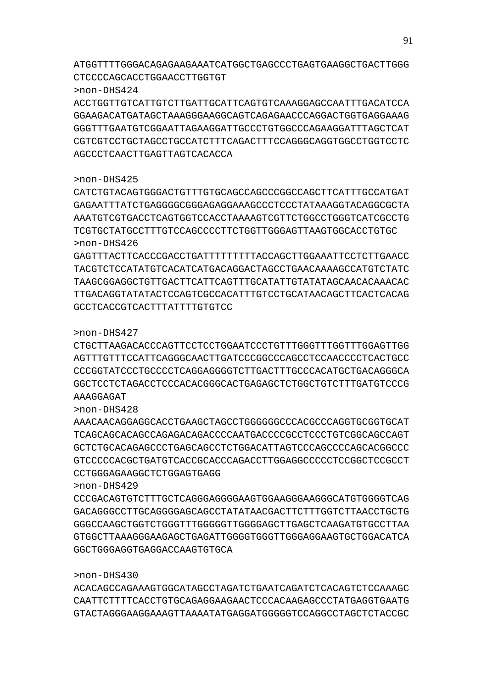>non-DHS430 ACACAGCCAGAAAGTGGCATAGCCTAGATCTGAATCAGATCTCACAGTCTCCAAAGC CAATTCTTTTCACCTGTGCAGAGGAAGAACTCCCACAAGAGCCCTATGAGGTGAATG GTACTAGGGAAGGAAAGTTAAAATATGAGGATGGGGGTCCAGGCCTAGCTCTACCGC

# GGCTGGGAGGTGAGGACCAAGTGTGCA

>non-DHS429 CCCGACAGTGTCTTTGCTCAGGGAGGGGAAGTGGAAGGGAAGGGCATGTGGGGTCAG GACAGGGCCTTGCAGGGGAGCAGCCTATATAACGACTTCTTTGGTCTTAACCTGCTG GGGCCAAGCTGGTCTGGGTTTGGGGGTTGGGGAGCTTGAGCTCAAGATGTGCCTTAA GTGGCTTAAAGGGAAGAGCTGAGATTGGGGTGGGTTGGGAGGAAGTGCTGGACATCA

# CCTGGGAGAAGGCTCTGGAGTGAGG

>non-DHS428 AAACAACAGGAGGCACCTGAAGCTAGCCTGGGGGGCCCACGCCCAGGTGCGGTGCAT TCAGCAGCACAGCCAGAGACAGACCCCAATGACCCCGCCTCCCTGTCGGCAGCCAGT GCTCTGCACAGAGCCCTGAGCAGCCTCTGGACATTAGTCCCAGCCCCAGCACGGCCC GTCCCCCACGCTGATGTCACCGCACCCAGACCTTGGAGGCCCCCTCCGGCTCCGCCT

# AAAGGAGAT

>non-DHS427 CTGCTTAAGACACCCAGTTCCTCCTGGAATCCCTGTTTGGGTTTTGGTTTTGGAATTCG AGTTTGTTTCCATTCAGGGCAACTTGATCCCGGCCCAGCCTCCAACCCCTCACTGCC CCCGGTATCCCTGCCCCTCAGGAGGGGTCTTGACTTTGCCCACATGCTGACAGGGCA GGCTCCTCTAGACCTCCCACACGGGCACTGAGAGCTCTGGCTGTCTTTGATGTCCCG

# GCCTCACCGTCACTTTATTTTGTGTCC

>non-DHS426 GAGTTTACTTCACCCGACCTGATTTTTTTTTACCAGCTTGGAAATTCCTCTTGAACC TACGTCTCCATATGTCACATCATGACAGGACTAGCCTGAACAAAAGCCATGTCTATC TAAGCGGAGGCTGTTGACTTCATTCAGTTTGCATATTGTATATAGCAACACAAACAC TTGACAGGTATATACTCCAGTCGCCACATTTGTCCTGCATAACAGCTTCACTCACAG

>non-DHS425 CATCTGTACAGTGGGACTGTTTGTGCAGCCAGCCCGGCCAGCTTCATTTGCCATGAT GAGAATTTATCTGAGGGGCGGGAGAGGAAAGCCCTCCCTATAAAGGTACAGGCGCTA AAATGTCGTGACCTCAGTGGTCCACCTAAAAGTCGTTCTGGCCTGGGTCATCGCCTG TCGTGCTATGCCTTTGTCCAGCCCCTTCTGGTTGGGAGTTAAGTGGCACCTGTGC

### AGCCCTCAACTTGAGTTAGTCACACCA

>non-DHS424 ACCTGGTTGTCATTGTCTTGATTGCATTCAGTGTCAAAGGAGCCAATTTGACATCCA GGAAGACATGATAGCTAAAGGGAAGGCAGTCAGAGAACCCAGGACTGGTGAGGAAAG GGGTTTGAATGTCGGAATTAGAAGGATTGCCCTGTGGCCCAGAAGGATTTAGCTCAT CGTCGTCCTGCTAGCCTGCCATCTTTCAGACTTTCCAGGGCAGGTGGCCTGGTCCTC

CTCCCCAGCACCTGGAACCTTGGTGT

ATGGTTTTGGGACAGAGAAGAAATCATGGCTGAGCCCTGAGTGAAGGCTGACTTGGG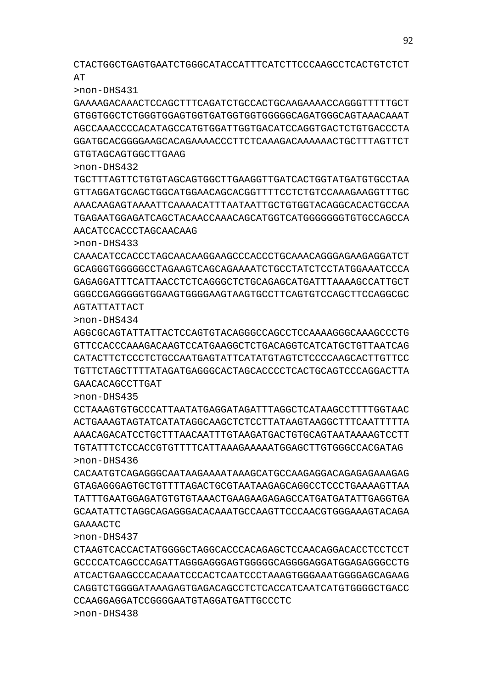CTACTGGCTGAGTGAATCTGGGCATACCATTTCATCTTCCCAAGCCTCACTGTCTCT **AT** 

>non-DHS431

GAAAAGACAAACTCCAGCTTTCAGATCTGCCACTGCAAGAAAACCAGGGTTTTTGCT GTGGTGGCTCTGGGTGGAGTGGTGATGGTGGTGGGGGCAGATGGGCAGTAAACAAAT AGCCAAACCCCACATAGCCATGTGGATTGGTGACATCCAGGTGACTCTGTGACCCTA GGATGCACGGGGAAGCACAGAAAACCCTTCTCAAAGACAAAAAACTGCTTTAGTTCT GTGTAGCAGTGGCTTGAAG

>non-DHS432

TGCTTTAGTTCTGTGTAGCAGTGGCTTGAAGGTTGATCACTGGTATGATGTGCCTAA GTTAGGATGCAGCTGGCATGGAACAGCACGGTTTTCCTCTGTCCAAAGAAGGTTTGC AAACAAGAGTAAAATTCAAAACATTTAATAATTGCTGTGGTACAGGCACACTGCCAA TGAGAATGGAGATCAGCTACAACCAAACAGCATGGTCATGGGGGGGTGTGCCAGCCA AACATCCACCCTAGCAACAAG

>non-DHS433

CAAACATCCACCCTAGCAACAAGGAAGCCCACCCTGCAAACAGGGAGAAGAGGATCT GCAGGGTGGGGGCCTAGAAGTCAGCAGAAAATCTGCCTATCTCCTATGGAAATCCCA GAGAGGATTTCATTAACCTCTCAGGGCTCTGCAGAGCATGATTTAAAAGCCATTGCT GGGCCGAGGGGGTGGAAGTGGGGAAGTAAGTGCCTTCAGTGTCCAGCTTCCAGGCGC AGTATTATTACT

>non-DHS434

AGGCGCAGTATTATTACTCCAGTGTACAGGGCCAGCCTCCAAAAGGGCAAAGCCCTG GTTCCACCCAAAGACAAGTCCATGAAGGCTCTGACAGGTCATCATGCTGTTAATCAG CATACTTCTCCCTCTGCCAATGAGTATTCATATGTAGTCTCCCCAAGCACTTGTTCC TGTTCTAGCTTTTATAGATGAGGGCACTAGCACCCCTCACTGCAGTCCCAGGACTTA GAACACAGCCTTGAT

>non-DHS435

CCTAAAGTGTGCCCATTAATATGAGGATAGATTTAGGCTCATAAGCCTTTTGGTAAC ACTGAAAGTAGTATCATATAGGCAAGCTCTCCTTATAAGTAAGGCTTTCAATTTTTA AAACAGACATCCTGCTTTAACAATTTGTAAGATGACTGTGCAGTAATAAAAGTCCTT TGTATTTCTCCACCGTGTTTTCATTAAAGAAAAATGGAGCTTGTGGGCCACGATAG >non-DHS436

CACAATGTCAGAGGGCAATAAGAAAATAAAGCATGCCAAGAGGACAGAGAGAAAGAG GTAGAGGGAGTGCTGTTTTAGACTGCGTAATAAGAGCAGGCCTCCCTGAAAAGTTAA TATTTGAATGGAGATGTGTGTAAACTGAAGAAGAGAGCCATGATGATATTGAGGTGA GCAATATTCTAGGCAGAGGGACACAAATGCCAAGTTCCCAACGTGGGAAAGTACAGA GAAAACTC

>non-DHS437

CTAAGTCACCACTATGGGGCTAGGCACCCACAGAGCTCCAACAGGACACCTCCTCCT GCCCCATCAGCCCAGATTAGGGAGGGAGTGGGGGCAGGGGAGGATGGAGAGGGCCTG ATCACTGAAGCCCACAAATCCCACTCAATCCCTAAAGTGGGAAATGGGGAGCAGAAG CAGGTCTGGGGATAAAGAGTGAGACAGCCTCTCACCATCAATCATGTGGGGCTGACC CCAAGGAGGATCCGGGGAATGTAGGATGATTGCCCTC >non-DHS438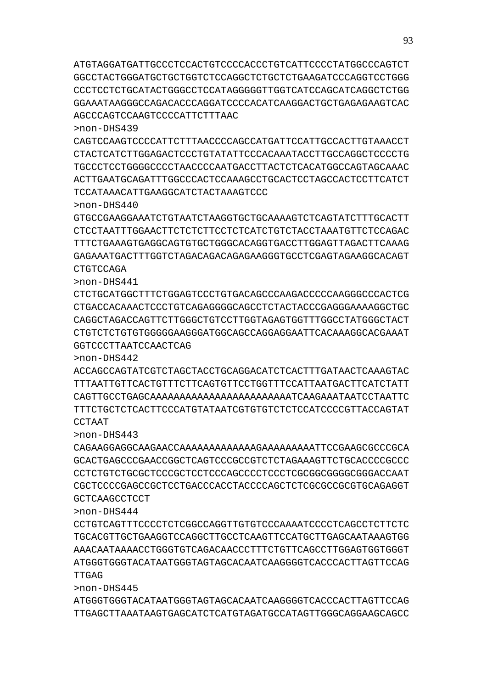ATGTAGGATGATTGCCCTCCACTGTCCCCACCCTGTCATTCCCCTATGGCCCAGTCT GGCCTACTGGGATGCTGCTGGTCTCCAGGCTCTGCTCTGAAGATCCCAGGTCCTGGG CCCTCCTCTGCATACTGGGCCTCCATAGGGGGTTGGTCATCCAGCATCAGGCTCTGG GGAAATAAGGGCCAGACACCCAGGATCCCCACATCAAGGACTGCTGAGAGAAGTCAC AGCCCAGTCCAAGTCCCCATTCTTTAAC

>non-DHS439

CAGTCCAAGTCCCCATTCTTTAACCCCAGCCATGATTCCATTGCCACTTGTAAACCT CTACTCATCTTGGAGACTCCCTGTATATTCCCACAAATACCTTGCCAGGCTCCCCTG TGCCCTCCTGGGGCCCCTAACCCCAATGACCTTACTCTCACATGGCCAGTAGCAAAC ACTTGAATGCAGATTTGGCCCACTCCAAAGCCTGCACTCCTAGCCACTCCTTCATCT TCCATAAACATTGAAGGCATCTACTAAAGTCCC

>non-DHS440

GTGCCGAAGGAAATCTGTAATCTAAGGTGCTGCAAAAGTCTCAGTATCTTTGCACTT CTCCTAATTTGGAACTTCTCTCTTCCTCTCATCTGTCTACCTAAATGTTCTCCAGAC TTTCTGAAAGTGAGGCAGTGTGCTGGGCACAGGTGACCTTGGAGTTAGACTTCAAAG GAGAAATGACTTTGGTCTAGACAGACAGAGAAGGGTGCCTCGAGTAGAAGGCACAGT **CTGTCCAGA** 

>non-DHS441

CTCTGCATGGCTTTCTGGAGTCCCTGTGACAGCCCAAGACCCCCAAGGGCCCACTCG CTGACCACAAACTCCCTGTCAGAGGGGCAGCCTCTACTACCCGAGGGAAAAGGCTGC CAGGCTAGACCAGTTCTTGGGCTGTCCTTGGTAGAGTGGTTTGGCCTATGGGCTACT CTGTCTCTGTGTGGGGGAAGGGATGGCAGCCAGGAGGAATTCACAAAGGCACGAAAT GGTCCCTTAATCCAACTCAG

>non-DHS442

ACCAGCCAGTATCGTCTAGCTACCTGCAGGACATCTCACTTTGATAACTCAAAGTAC TTTAATTGTTCACTGTTTCTTCAGTGTTCCTGGTTTCCATTAATGACTTCATCTATT CAGTTGCCTGAGCAAAAAAAAAAAAAAAAAAAAAAAATCAAGAAATAATCCTAATTC TTTCTGCTCTCACTTCCCATGTATAATCGTGTGTCTCTCCATCCCCGTTACCAGTAT CCTAAT

>non-DHS443

CAGAAGGAGGCAAGAACCAAAAAAAAAAAAAGAAAAAAAAATTCCGAAGCGCCCGCA GCACTGAGCCCGAACCGGCTCAGTCCCGCCGTCTCTAGAAAGTTCTGCACCCCGCCC CCTCTGTCTGCGCTCCCGCTCCTCCCAGCCCCTCCCTCGCGGCGGGGCGGGACCAAT CGCTCCCCGAGCCGCTCCTGACCCACCTACCCCAGCTCTCGCGCCGCGTGCAGAGGT GCTCAAGCCTCCT

>non-DHS444

CCTGTCAGTTTCCCCTCTCGGCCAGGTTGTGTCCCAAAATCCCCTCAGCCTCTTCTC TGCACGTTGCTGAAGGTCCAGGCTTGCCTCAAGTTCCATGCTTGAGCAATAAAGTGG AAACAATAAAACCTGGGTGTCAGACAACCCTTTCTGTTCAGCCTTGGAGTGGTGGGT ATGGGTGGGTACATAATGGGTAGTAGCACAATCAAGGGGTCACCCACTTAGTTCCAG TTGAG

>non-DHS445

ATGGGTGGGTACATAATGGGTAGTAGCACAATCAAGGGGTCACCCACTTAGTTCCAG TTGAGCTTAAATAAGTGAGCATCTCATGTAGATGCCATAGTTGGGCAGGAAGCAGCC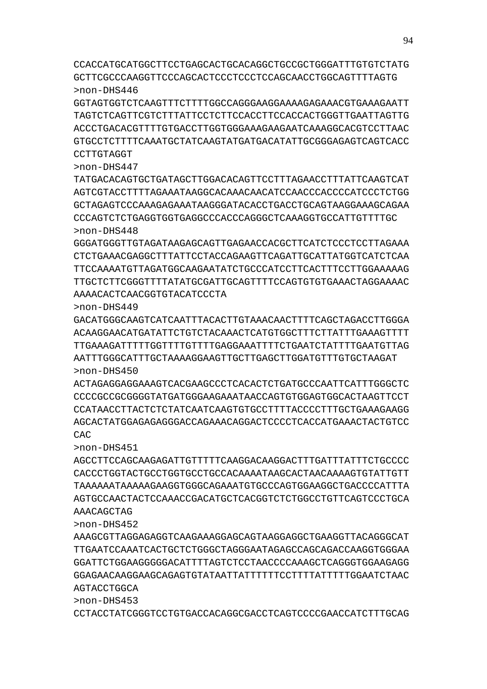CCTACCTATCGGGTCCTGTGACCACAGGCGACCTCAGTCCCCGAACCATCTTTGCAG

AGTACCTGGCA >non-DHS453

>non-DHS452 AAAGCGTTAGGAGAGGTCAAGAAAGGAGCAGTAAGGAGGCTGAAGGTTACAGGGCAT TTGAATCCAAATCACTGCTCTGGGCTAGGGAATAGAGCCAGCAGACCAAGGTGGGAA GGATTCTGGAAGGGGGACATTTTAGTCTCCTAACCCCAAAGCTCAGGGTGGAAGAGG GGAGAACAAGGAAGCAGAGTGTATAATTATTTTTTCCTTTTATTTTTGGAATCTAAC

AAACAGCTAG

>non-DHS451 AGCCTTCCAGCAAGAGATTGTTTTTCAAGGACAAGGACTTTGATTTATTTCTGCCCC CACCCTGGTACTGCCTGGTGCCTGCCACAAAATAAGCACTAACAAAAGTGTATTGTT TAAAAAATAAAAAGAAGGTGGGCAGAAATGTGCCCAGTGGAAGGCTGACCCCATTTA AGTGCCAACTACTCCAAACCGACATGCTCACGGTCTCTGGCCTGTTCAGTCCCTGCA

>non-DHS450 ACTAGAGGAGGAAAGTCACGAAGCCCTCACACTCTGATGCCCAATTCATTTGGGCTC CCCCGCCGCGGGGTATGATGGGAAGAAATAACCAGTGTGGAGTGGCACTAAGTTCCT CCATAACCTTACTCTCTATCAATCAAGTGTGCCTTTTACCCCTTTGCTGAAAGAAGG AGCACTATGGAGAGAGGGACCAGAAACAGGACTCCCCTCACCATGAAACTACTGTCC CAC

>non-DHS449 GACATGGGCAAGTCATCAATTTACACTTGTAAACAACTTTTCAGCTAGACCTTGGGA ACAAGGAACATGATATTCTGTCTACAAACTCATGTGGCTTTCTTATTTGAAAGTTTT TTGAAAGATTTTTGGTTTTGTTTTGAGGAAATTTTCTGAATCTATTTTGAATGTTAG AATTTGGGCATTTGCTAAAAGGAAGTTGCTTGAGCTTGGATGTTTGTGCTAAGAT

AAAACACTCAACGGTGTACATCCCTA

>non-DHS448 GGGATGGGTTGTAGATAAGAGCAGTTGAGAACCACGCTTCATCTCCCTCCTTAGAAA CTCTGAAACGAGGCTTTATTCCTACCAGAAGTTCAGATTGCATTATGGTCATCTCAA TTCCAAAATGTTAGATGGCAAGAATATCTGCCCATCCTTCACTTTCCTTGGAAAAAG TTGCTCTTCGGGTTTTATATGCGATTGCAGTTTTCCAGTGTGTGAAACTAGGAAAAC

>non-DHS447 TATGACACAGTGCTGATAGCTTGGACACAGTTCCTTTAGAACCTTTATTCAAGTCAT AGTCGTACCTTTTAGAAATAAGGCACAAACAACATCCAACCCACCCCATCCCTCTGG GCTAGAGTCCCAAAGAGAAATAAGGGATACACCTGACCTGCAGTAAGGAAAGCAGAA CCCAGTCTCTGAGGTGGTGAGGCCCACCCAGGGCTCAAAGGTGCCATTGTTTTGC

GGTAGTGGTCTCAAGTTTCTTTTGGCCAGGGAAGGAAAAGAGAAACGTGAAAGAATT TAGTCTCAGTTCGTCTTTATTCCTCTTCCACCTTCCACCACTGGGTTGAATTAGTTG ACCCTGACACGTTTTGTGACCTTGGTGGGAAAGAAGAATCAAAGGCACGTCCTTAAC GTGCCTCTTTTCAAATGCTATCAAGTATGATGACATATTGCGGGAGAGTCAGTCACC CCTTGTAGGT

CCACCATGCATGGCTTCCTGAGCACTGCACAGGCTGCCGCTGGGATTTGTGTCTATG GCTTCGCCCAAGGTTCCCAGCACTCCCTCCCTCCAGCAACCTGGCAGTTTTAGTG >non-DHS446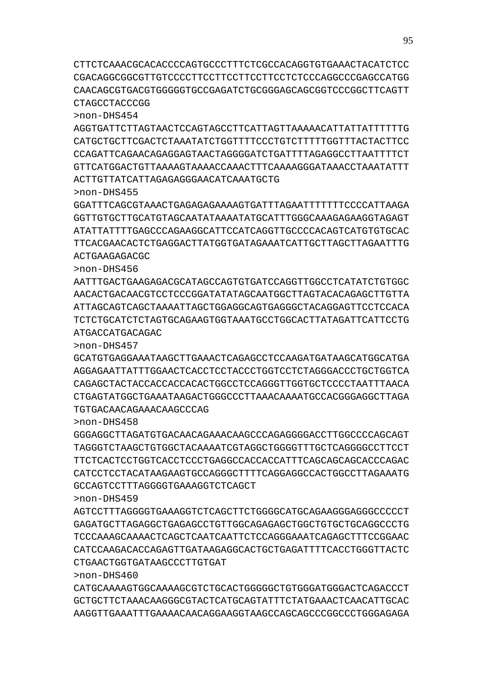>non-DHS460 CATGCAAAAGTGGCAAAAGCGTCTGCACTGGGGGCTGTGGGATGGGACTCAGACCCT GCTGCTTCTAAACAAGGGCGTACTCATGCAGTATTTCTATGAAACTCAACATTGCAC AAGGTTGAAATTTGAAAACAACAGGAAGGTAAGCCAGCAGCCCGGCCCTGGGAGAGA

CTGAACTGGTGATAAGCCCTTGTGAT

>non-DHS459 AGTCCTTTAGGGGTGAAAGGTCTCAGCTTCTGGGGCATGCAGAAGGGAGGGCCCCCT GAGATGCTTAGAGGCTGAGAGCCTGTTGGCAGAGAGCTGGCTGTGCTGCAGGCCCTG TCCCAAAGCAAAACTCAGCTCAATCAATTCTCCAGGGAAATCAGAGCTTTCCGGAAC CATCCAAGACACCAGAGTTGATAAGAGGCACTGCTGAGATTTTCACCTGGGTTACTC

GCCAGTCCTTTAGGGGTGAAAGGTCTCAGCT

>non-DHS458 GGGAGGCTTAGATGTGACAACAGAAACAAGCCCAGAGGGGACCTTGGCCCCAGCAGT TAGGGTCTAAGCTGTGGCTACAAAATCGTAGGCTGGGGTTTGCTCAGGGGCCTTCCT TTCTCACTCCTGGTCACCTCCCTGAGGCCACCACCATTTCAGCAGCAGCACCCAGAC CATCCTCCTACATAAGAAGTGCCAGGGCTTTTCAGGAGGCCACTGGCCTTAGAAATG

>non-DHS457 GCATGTGAGGAAATAAGCTTGAAACTCAGAGCCTCCAAGATGATAAGCATGGCATGA AGGAGAATTATTTGGAACTCACCTCCTACCCTGGTCCTCTAGGGACCCTGCTGGTCA CAGAGCTACTACCACCACCACACTGGCCTCCAGGGTTGGTGCTCCCCTAATTTAACA CTGAGTATGGCTGAAATAAGACTGGGCCCTTAAACAAAATGCCACGGGAGGCTTAGA TGTGACAACAGAAACAAGCCCAG

ATGACCATGACAGAC

>non-DHS456 AATTTGACTGAAGAGACGCATAGCCAGTGTGATCCAGGTTGGCCTCATATCTGTGGC AACACTGACAACGTCCTCCCGGATATATAGCAATGGCTTAGTACACAGAGCTTGTTA ATTAGCAGTCAGCTAAAATTAGCTGGAGGCAGTGAGGGCTACAGGAGTTCCTCCACA TCTCTGCATCTCTAGTGCAGAAGTGGTAAATGCCTGGCACTTATAGATTCATTCCTG

ACTGAAGAGACGC

>non-DHS455 GGATTTCAGCGTAAACTGAGAGAGAAAAGTGATTTAGAATTTTTTTCCCCATTAAGA GGTTGTGCTTGCATGTAGCAATATAAAATATGCATTTGGGCAAAGAGAAGGTAGAGT ATATTATTTTGAGCCCAGAAGGCATTCCATCAGGTTGCCCCACAGTCATGTGTGCAC TTCACGAACACTCTGAGGACTTATGGTGATAGAAATCATTGCTTAGCTTAGAATTTG

ACTTGTTATCATTAGAGAGGGAACATCAAATGCTG

>non-DHS454 AGGTGATTCTTAGTAACTCCAGTAGCCTTCATTAGTTAAAAACATTATTATTTTTTG CATGCTGCTTCGACTCTAAATATCTGGTTTTCCCTGTCTTTTTGGTTTACTACTTCC CCAGATTCAGAACAGAGGAGTAACTAGGGGATCTGATTTTAGAGGCCTTAATTTTCT GTTCATGGACTGTTAAAAGTAAAACCAAACTTTCAAAAGGGATAAACCTAAATATTT

CTAGCCTACCCGG

CTTCTCAAACGCACACCCCAGTGCCCTTTCTCGCCACAGGTGTGAAACTACATCTCC CGACAGGCGGCGTTGTCCCCTTCCTTCCTTCCTTCCTCTCCCAGGCCCGAGCCATGG CAACAGCGTGACGTGGGGGTGCCGAGATCTGCGGGAGCAGCGGTCCCGGCTTCAGTT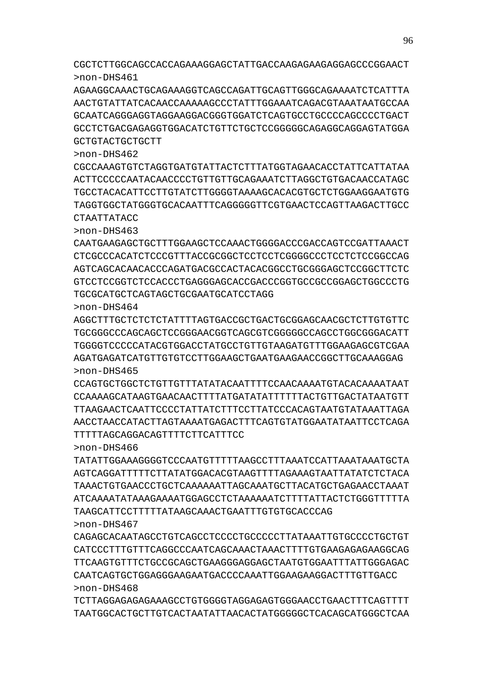TCTTAGGAGAGAGAAAGCCTGTGGGGTAGGAGAGTGGGAACCTGAACTTTCAGTTTT TAATGGCACTGCTTGTCACTAATATTAACACTATGGGGGCTCACAGCATGGGCTCAA

>non-DHS467 CAGAGCACAATAGCCTGTCAGCCTCCCCTGCCCCCTTATAAATTGTGCCCCTGCTGT CATCCCTTTGTTTCAGGCCCAATCAGCAAACTAAACTTTTGTGAAGAGAGAAGGCAG TTCAAGTGTTTCTGCCGCAGCTGAAGGGAGGAGCTAATGTGGAATTTATTGGGAGAC CAATCAGTGCTGGAGGGAAGAATGACCCCAAATTGGAAGAAGGACTTTGTTGACC >non-DHS468

>non-DHS466 TATATTGGAAAGGGGTCCCAATGTTTTTAAGCCTTTAAATCCATTAAATAAATGCTA AGTCAGGATTTTTCTTATATGGACACGTAAGTTTTAGAAAGTAATTATATCTCTACA TAAACTGTGAACCCTGCTCAAAAAATTAGCAAATGCTTACATGCTGAGAACCTAAAT ATCAAAATATAAAGAAAATGGAGCCTCTAAAAAATCTTTTATTACTCTGGGTTTTTA TAAGCATTCCTTTTTATAAGCAAACTGAATTTGTGTGCACCCAG

TTTTTAGCAGGACAGTTTTCTTCATTTCC

>non-DHS465 CCAGTGCTGGCTCTGTTGTTTATATACAATTTTCCAACAAAATGTACACAAAATAAT CCAAAAGCATAAGTGAACAACTTTTATGATATATTTTTTACTGTTGACTATAATGTT TTAAGAACTCAATTCCCCTATTATCTTTCCTTATCCCACAGTAATGTATAAATTAGA AACCTAACCATACTTAGTAAAATGAGACTTTCAGTGTATGGAATATAATTCCTCAGA

>non-DHS464 AGGCTTTGCTCTCTCTATTTTAGTGACCGCTGACTGCGGAGCAACGCTCTTGTGTTC TGCGGGCCCAGCAGCTCCGGGAACGGTCAGCGTCGGGGGCCAGCCTGGCGGGACATT TGGGGTCCCCCATACGTGGACCTATGCCTGTTGTAAGATGTTTGGAAGAGCGTCGAA AGATGAGATCATGTTGTGTCCTTGGAAGCTGAATGAAGAACCGGCTTGCAAAGGAG

TGCGCATGCTCAGTAGCTGCGAATGCATCCTAGG

>non-DHS463 CAATGAAGAGCTGCTTTGGAAGCTCCAAACTGGGGACCCGACCAGTCCGATTAAACT CTCGCCCACATCTCCCGTTTACCGCGGCTCCTCCTCGGGGCCCTCCTCTCCGGCCAG AGTCAGCACAACACCCAGATGACGCCACTACACGGCCTGCGGGAGCTCCGGCTTCTC GTCCTCCGGTCTCCACCCTGAGGGAGCACCGACCCGGTGCCGCCGGAGCTGGCCCTG

CTAATTATACC

GCTGTACTGCTGCTT

>non-DHS462 CGCCAAAGTGTCTAGGTGATGTATTACTCTTTATGGTAGAACACCTATTCATTATAA ACTTCCCCCAATACAACCCCTGTTGTTGCAGAAATCTTAGGCTGTGACAACCATAGC TGCCTACACATTCCTTGTATCTTGGGGTAAAAGCACACGTGCTCTGGAAGGAATGTG TAGGTGGCTATGGGTGCACAATTTCAGGGGGTTCGTGAACTCCAGTTAAGACTTGCC

CGCTCTTGGCAGCCACCAGAAAGGAGCTATTGACCAAGAGAAGAGGAGCCCGGAACT >non-DHS461 AGAAGGCAAACTGCAGAAAGGTCAGCCAGATTGCAGTTGGGCAGAAAATCTCATTTA AACTGTATTATCACAACCAAAAAGCCCTATTTGGAAATCAGACGTAAATAATGCCAA

GCAATCAGGGAGGTAGGAAGGACGGGTGGATCTCAGTGCCTGCCCCAGCCCCTGACT GCCTCTGACGAGAGGTGGACATCTGTTCTGCTCCGGGGGCAGAGGCAGGAGTATGGA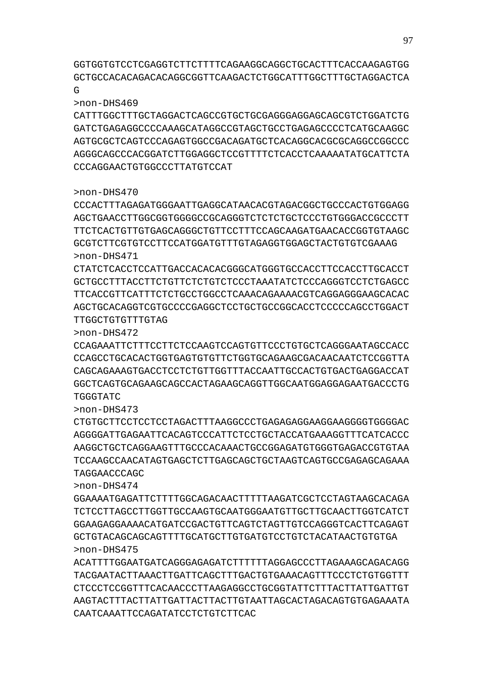ACATTTTGGAATGATCAGGGAGAGATCTTTTTTAGGAGCCCTTAGAAAGCAGACAGG TACGAATACTTAAACTTGATTCAGCTTTGACTGTGAAACAGTTTCCCTCTGTGGTTT CTCCCTCCGGTTTCACAACCCTTAAGAGGCCTGCGGTATTCTTTACTTATTGATTGT AAGTACTTTACTTATTGATTACTTACTTGTAATTAGCACTAGACAGTGTGAGAAATA CAATCAAATTCCAGATATCCTCTGTCTTCAC

>non-DHS474 GGAAAATGAGATTCTTTTGGCAGACAACTTTTTAAGATCGCTCCTAGTAAGCACAGA TCTCCTTAGCCTTGGTTGCCAAGTGCAATGGGAATGTTGCTTGCAACTTGGTCATCT GGAAGAGGAAAACATGATCCGACTGTTCAGTCTAGTTGTCCAGGGTCACTTCAGAGT GCTGTACAGCAGCAGTTTTGCATGCTTGTGATGTCCTGTCTACATAACTGTGTGA >non-DHS475

CTGTGCTTCCTCCTCCTAGACTTTAAGGCCCTGAGAGAGGAAGGAAGGGGTGGGGAC AGGGGATTGAGAATTCACAGTCCCATTCTCCTGCTACCATGAAAGGTTTCATCACCC AAGGCTGCTCAGGAAGTTTGCCCACAAACTGCCGGAGATGTGGGTGAGACCGTGTAA TCCAAGCCAACATAGTGAGCTCTTGAGCAGCTGCTAAGTCAGTGCCGAGAGCAGAAA TAGGAACCCAGC

>non-DHS472 CCAGAAATTCTTTCCTTCTCCAAGTCCAGTGTTCCCTGTGCTCAGGGAATAGCCACC CCAGCCTGCACACTGGTGAGTGTGTTCTGGTGCAGAAGCGACAACAATCTCCGGTTA CAGCAGAAAGTGACCTCCTCTGTTGGTTTACCAATTGCCACTGTGACTGAGGACCAT GGCTCAGTGCAGAAGCAGCCACTAGAAGCAGGTTGGCAATGGAGGAGAATGACCCTG TGGGTATC

GCGTCTTCGTGTCCTTCCATGGATGTTTGTAGAGGTGGAGCTACTGTGTCGAAAG >non-DHS471 CTATCTCACCTCCATTGACCACACACGGGCATGGGTGCCACCTTCCACCTTGCACCT GCTGCCTTTACCTTCTGTTCTCTGTCTCCCTAAATATCTCCCAGGGTCCTCTGAGCC TTCACCGTTCATTTCTCTGCCTGGCCTCAAACAGAAAACGTCAGGAGGGAAGCACAC

AGCTGCACAGGTCGTGCCCCGAGGCTCCTGCTGCCGGCACCTCCCCCAGCCTGGACT

>non-DHS470 CCCACTTTAGAGATGGGAATTGAGGCATAACACGTAGACGGCTGCCCACTGTGGAGG AGCTGAACCTTGGCGGTGGGGCCGCAGGGTCTCTCTGCTCCCTGTGGGACCGCCCTT TTCTCACTGTTGTGAGCAGGGCTGTTCCTTTCCAGCAAGATGAACACCGGTGTAAGC

# CCCAGGAACTGTGGCCCTTATGTCCAT

TTGGCTGTGTTTGTAG

>non-DHS473

>non-DHS469 CATTTGGCTTTGCTAGGACTCAGCCGTGCTGCGAGGGAGGAGCAGCGTCTGGATCTG GATCTGAGAGGCCCCAAAGCATAGGCCGTAGCTGCCTGAGAGCCCCTCATGCAAGGC AGTGCGCTCAGTCCCAGAGTGGCCGACAGATGCTCACAGGCACGCGCAGGCCGGCCC AGGGCAGCCCACGGATCTTGGAGGCTCCGTTTTCTCACCTCAAAAATATGCATTCTA

GGTGGTGTCCTCGAGGTCTTCTTTTCAGAAGGCAGGCTGCACTTTCACCAAGAGTGG GCTGCCACACAGACACAGGCGGTTCAAGACTCTGGCATTTGGCTTTGCTAGGACTCA  $\overline{G}$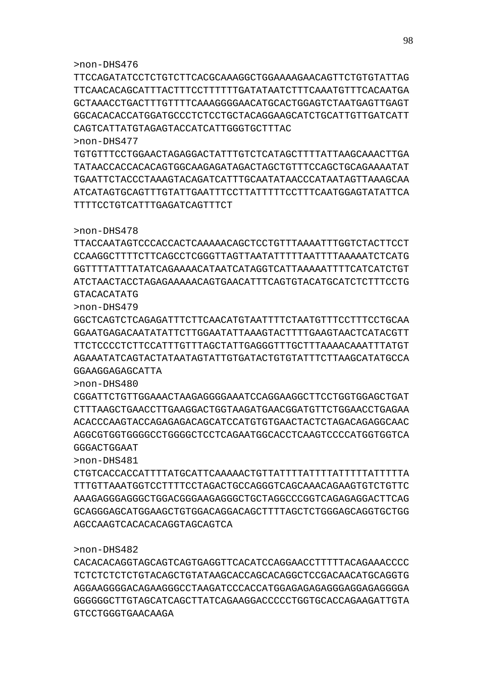#### 98

#### >non-DHS476

TTCCAGATATCCTCTGTCTTCACGCAAAGGCTGGAAAAGAACAGTTCTGTGTATTAG TTCAACACAGCATTTACTTTCCTTTTTTGATATAATCTTTCAAATGTTTCACAATGA GCTAAACCTGACTTTGTTTTCAAAGGGGAACATGCACTGGAGTCTAATGAGTTGAGT GGCACACACCATGGATGCCCTCTCCTGCTACAGGAAGCATCTGCATTGTTGATCATT CAGTCATTATGTAGAGTACCATCATTGGGTGCTTTAC >non-DHS477

TGTGTTTCCTGGAACTAGAGGACTATTTGTCTCATAGCTTTTATTAAGCAAACTTGA TATAACCACCACACAGTGGCAAGAGATAGACTAGCTGTTTCCAGCTGCAGAAAATAT TGAATTCTACCCTAAAGTACAGATCATTTGCAATATAACCCATAATAGTTAAAGCAA ATCATAGTGCAGTTTGTATTGAATTTCCTTATTTTTCCTTTCAATGGAGTATATTCA TTTTCCTGTCATTTGAGATCAGTTTCT

#### >non-DHS478

TTACCAATAGTCCCACCACTCAAAAACAGCTCCTGTTTAAAATTTGGTCTACTTCCT CCAAGGCTTTTCTTCAGCCTCGGGTTAGTTAATATTTTTAATTTTAAAAATCTCATG GGTTTTATTTATATCAGAAAACATAATCATAGGTCATTAAAAATTTTCATCATCTGT ATCTAACTACCTAGAGAAAAACAGTGAACATTTCAGTGTACATGCATCTCTTTCCTG GTACACATATG

>non-DHS479

GGCTCAGTCTCAGAGATTTCTTCAACATGTAATTTTCTAATGTTTCCTTTCCTGCAA GGAATGAGACAATATATTCTTGGAATATTAAAGTACTTTTGAAGTAACTCATACGTT TTCTCCCCTCTTCCATTTGTTTAGCTATTGAGGGTTTGCTTTAAAACAAATTTATGT AGAAATATCAGTACTATAATAGTATTGTGATACTGTGTATTTCTTAAGCATATGCCA GGAAGGAGAGCATTA

>non-DHS480

CGGATTCTGTTGGAAACTAAGAGGGGAAATCCAGGAAGGCTTCCTGGTGGAGCTGAT CTTTAAGCTGAACCTTGAAGGACTGGTAAGATGAACGGATGTTCTGGAACCTGAGAA ACACCCAAGTACCAGAGAGACAGCATCCATGTGTGAACTACTCTAGACAGAGGCAAC AGGCGTGGTGGGGCCTGGGGCTCCTCAGAATGGCACCTCAAGTCCCCATGGTGGTCA GGGACTGGAAT

>non-DHS481

CTGTCACCACCATTTTATGCATTCAAAAACTGTTATTTTATTTTATTTTTATTTTTA TTTGTTAAATGGTCCTTTTCCTAGACTGCCAGGGTCAGCAAACAGAAGTGTCTGTTC AAAGAGGGAGGGCTGGACGGGAAGAGGGCTGCTAGGCCCGGTCAGAGAGGACTTCAG GCAGGGAGCATGGAAGCTGTGGACAGGACAGCTTTTAGCTCTGGGAGCAGGTGCTGG AGCCAAGTCACACACAGGTAGCAGTCA

### >non-DHS482

CACACACAGGTAGCAGTCAGTGAGGTTCACATCCAGGAACCTTTTTACAGAAACCCC TCTCTCTCTCTGTACAGCTGTATAAGCACCAGCACAGGCTCCGACAACATGCAGGTG AGGAAGGGGACAGAAGGGCCTAAGATCCCACCATGGAGAGAGAGGGAGGAGAGGGGA GGGGGGCTTGTAGCATCAGCTTATCAGAAGGACCCCCTGGTGCACCAGAAGATTGTA GTCCTGGGTGAACAAGA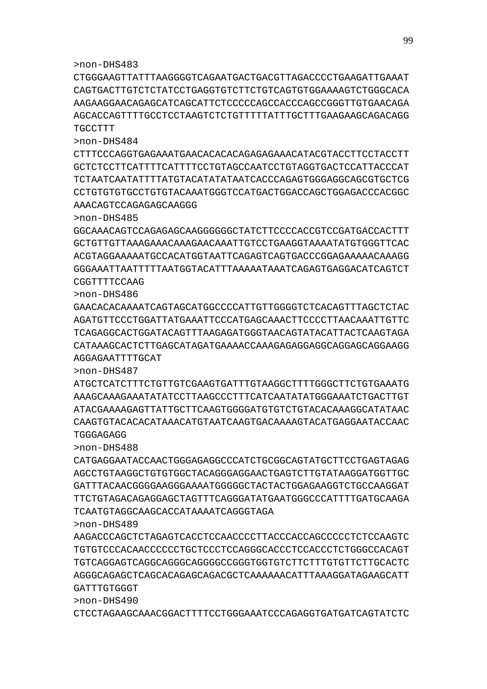>non-DHS483

CTGGGAAGTTATTTAAGGGGTCAGAATGACTGACGTTAGACCCCTGAAGATTGAAAT CAGTGACTTGTCTCTATCCTGAGGTGTCTTCTGTCAGTGTGGAAAAGTCTGGGCACA AAGAAGGAACAGAGCATCAGCATTCTCCCCCAGCCACCCAGCCGGGTTGTGAACAGA AGCACCAGTTTTGCCTCCTAAGTCTCTGTTTTTATTTGCTTTGAAGAAGCAGACAGG TGCCTTT

>non-DHS484 CTTTCCCAGGTGAGAAATGAACACACACAGAGAGAAACATACGTACCTTCCTACCTT GCTCTCCTTCATTTTCATTTTCCTGTAGCCAATCCTGTAGGTGACTCCATTACCCAT TCTAATCAATATTTTATGTACATATATAATCACCCAGAGTGGGAGGCAGCGTGCTCG CCTGTGTGTGCCTGTGTACAAATGGGTCCATGACTGGACCAGCTGGAGACCCACGGC

AAACAGTCCAGAGAGCAAGGG

>non-DHS485

GGCAAACAGTCCAGAGAGCAAGGGGGGCTATCTTCCCCACCGTCCGATGACCACTTT GCTGTTGTTAAAGAAACAAAGAACAAATTGTCCTGAAGGTAAAATATGTGGGTTCAC ACGTAGGAAAAATGCCACATGGTAATTCAGAGTCAGTGACCCGGAGAAAAACAAAGG GGGAAATTAATTTTTAATGGTACATTTAAAAATAAATCAGAGTGAGGACATCAGTCT CGGTTTTCCAAG

>non-DHS486 GAACACACAAAATCAGTAGCATGGCCCCATTGTTGGGGTCTCACAGTTTAGCTCTAC AGATGTTCCCTGGATTATGAAATTCCCATGAGCAAACTTCCCCTTAACAAATTGTTC TCAGAGGCACTGGATACAGTTTAAGAGATGGGTAACAGTATACATTACTCAAGTAGA CATAAAGCACTCTTGAGCATAGATGAAAACCAAAGAGAGGAGGCAGGAGCAGGAAGG

ATGCTCATCTTTCTGTTGTCGAAGTGATTTGTAAGGCTTTTGGGCTTCTGTGAAATG AAAGCAAAGAAATATATCCTTAAGCCCTTTCATCAATATATGGGAAATCTGACTTGT ATACGAAAAGAGTTATTGCTTCAAGTGGGGATGTGTCTGTACACAAAGGCATATAAC CAAGTGTACACACATAAACATGTAATCAAGTGACAAAAGTACATGAGGAATACCAAC

CATGAGGAATACCAACTGGGAGAGGCCCATCTGCGGCAGTATGCTTCCTGAGTAGAG AGCCTGTAAGGCTGTGTGGCTACAGGGAGGAACTGAGTCTTGTATAAGGATGGTTGC GATTTACAACGGGGAAGGGAAAATGGGGGCTACTACTGGAGAAGGTCTGCCAAGGAT TTCTGTAGACAGAGGAGCTAGTTTCAGGGATATGAATGGGCCCATTTTGATGCAAGA

AAGACCCAGCTCTAGAGTCACCTCCAACCCCTTACCCACCAGCCCCCTCTCCAAGTC TGTGTCCCACAACCCCCCTGCTCCCTCCAGGGCACCCTCCACCCTCTGGGCCACAGT TGTCAGGAGTCAGGCAGGGCAGGGGCCGGGTGGTGTCTTCTTTGTGTTCTTGCACTC AGGGCAGAGCTCAGCACAGAGCAGACGCTCAAAAAACATTTAAAGGATAGAAGCATT

CTCCTAGAAGCAAACGGACTTTTCCTGGGAAATCCCAGAGGTGATGATCAGTATCTC

TGGGAGAGG >non-DHS488

>non-DHS489

GATTTGTGGGT >non-DHS490

AGGAGAATTTTGCAT >non-DHS487

TCAATGTAGGCAAGCACCATAAAATCAGGGTAGA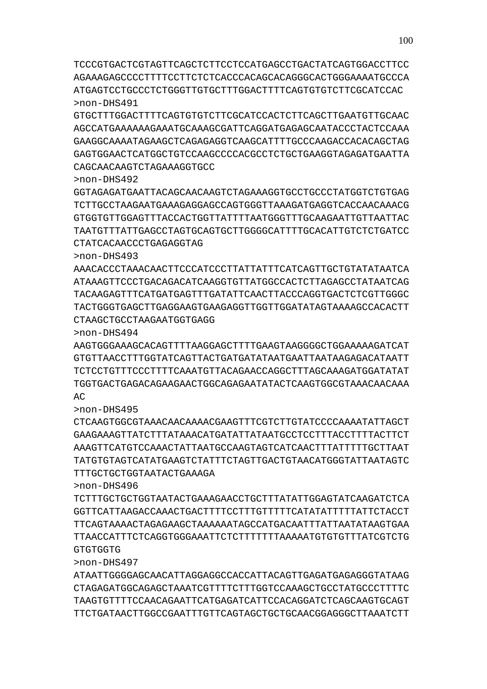ATAATTGGGGAGCAACATTAGGAGGCCACCATTACAGTTGAGATGAGAGGGTATAAG CTAGAGATGGCAGAGCTAAATCGTTTTCTTTGGTCCAAAGCTGCCTATGCCCTTTTC TAAGTGTTTTCCAACAGAATTCATGAGATCATTCCACAGGATCTCAGCAAGTGCAGT TTCTGATAACTTGGCCGAATTTGTTCAGTAGCTGCTGCAACGGAGGGCTTAAATCTT

>non-DHS496 TCTTTGCTGCTGGTAATACTGAAAGAACCTGCTTTATATTGGAGTATCAAGATCTCA GGTTCATTAAGACCAAACTGACTTTTCCTTTGTTTTTCATATATTTTTATTCTACCT TTCAGTAAAACTAGAGAAGCTAAAAAATAGCCATGACAATTTATTAATATAAGTGAA TTAACCATTTCTCAGGTGGGAAATTCTCTTTTTTTAAAAATGTGTGTTTATCGTCTG GTGTGGTG

>non-DHS495 CTCAAGTGGCGTAAACAACAAAACGAAGTTTCGTCTTGTATCCCCAAAATATTAGCT GAAGAAAGTTATCTTTATAAACATGATATTATAATGCCTCCTTTACCTTTTACTTCT AAAGTTCATGTCCAAACTATTAATGCCAAGTAGTCATCAACTTTATTTTTGCTTAAT TATGTGTAGTCATATGAAGTCTATTTCTAGTTGACTGTAACATGGGTATTAATAGTC TTTGCTGCTGGTAATACTGAAAGA

>non-DHS494 AAGTGGGAAAGCACAGTTTTAAGGAGCTTTTGAAGTAAGGGGCTGGAAAAAGATCAT GTGTTAACCTTTGGTATCAGTTACTGATGATATAATGAATTAATAAGAGACATAATT TCTCCTGTTTCCCTTTTCAAATGTTACAGAACCAGGCTTTAGCAAAGATGGATATAT TGGTGACTGAGACAGAAGAACTGGCAGAGAATATACTCAAGTGGCGTAAACAACAAA AC

>non-DHS493 AAACACCCTAAACAACTTCCCATCCCTTATTATTTCATCAGTTGCTGTATATAATCA ATAAAGTTCCCTGACAGACATCAAGGTGTTATGGCCACTCTTAGAGCCTATAATCAG TACAAGAGTTTCATGATGAGTTTGATATTCAACTTACCCAGGTGACTCTCGTTGGGC TACTGGGTGAGCTTGAGGAAGTGAAGAGGTTGGTTGGATATAGTAAAAGCCACACTT CTAAGCTGCCTAAGAATGGTGAGG

CTATCACAACCCTGAGAGGTAG

>non-DHS497

CAGCAACAAGTCTAGAAAGGTGCC >non-DHS492 GGTAGAGATGAATTACAGCAACAAGTCTAGAAAGGTGCCTGCCCTATGGTCTGTGAG TCTTGCCTAAGAATGAAAGAGGAGCCAGTGGGTTAAAGATGAGGTCACCAACAAACG GTGGTGTTGGAGTTTACCACTGGTTATTTTAATGGGTTTGCAAGAATTGTTAATTAC TAATGTTTATTGAGCCTAGTGCAGTGCTTGGGGCATTTTGCACATTGTCTCTGATCC

>non-DHS491 GTGCTTTGGACTTTTCAGTGTGTCTTCGCATCCACTCTTCAGCTTGAATGTTGCAAC AGCCATGAAAAAAGAAATGCAAAGCGATTCAGGATGAGAGCAATACCCTACTCCAAA GAAGGCAAAATAGAAGCTCAGAGAGGTCAAGCATTTTGCCCAAGACCACACAGCTAG GAGTGGAACTCATGGCTGTCCAAGCCCCACGCCTCTGCTGAAGGTAGAGATGAATTA

TCCCGTGACTCGTAGTTCAGCTCTTCCTCCATGAGCCTGACTATCAGTGGACCTTCC AGAAAGAGCCCCTTTTCCTTCTCTCACCCACAGCACAGGGCACTGGGAAAATGCCCA ATGAGTCCTGCCCTCTGGGTTGTGCTTTGGACTTTTCAGTGTGTCTTCGCATCCAC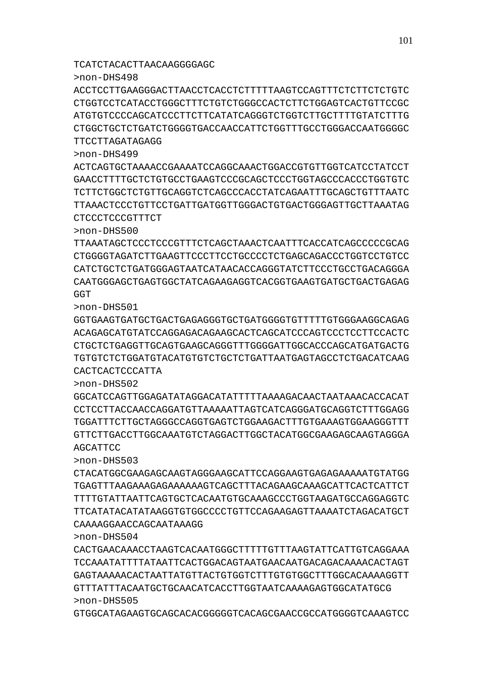GTGGCATAGAAGTGCAGCACACGGGGGTCACAGCGAACCGCCATGGGGTCAAAGTCC

CACTGAACAAACCTAAGTCACAATGGGCTTTTTGTTTAAGTATTCATTGTCAGGAAA TCCAAATATTTTATAATTCACTGGACAGTAATGAACAATGACAGACAAAACACTAGT GAGTAAAAACACTAATTATGTTACTGTGGTCTTTGTGTGGCTTTGGCACAAAAGGTT GTTTATTTACAATGCTGCAACATCACCTTGGTAATCAAAAGAGTGGCATATGCG >non-DHS505

CAAAAGGAACCAGCAATAAAGG

>non-DHS504

>non-DHS503 CTACATGGCGAAGAGCAAGTAGGGAAGCATTCCAGGAAGTGAGAGAAAAATGTATGG TGAGTTTAAGAAAGAGAAAAAAGTCAGCTTTACAGAAGCAAAGCATTCACTCATTCT TTTTGTATTAATTCAGTGCTCACAATGTGCAAAGCCCTGGTAAGATGCCAGGAGGTC TTCATATACATATAAGGTGTGGCCCCTGTTCCAGAAGAGTTAAAATCTAGACATGCT

>non-DHS502 GGCATCCAGTTGGAGATATAGGACATATTTTTAAAAGACAACTAATAAACACCACAT CCTCCTTACCAACCAGGATGTTAAAAATTAGTCAGGGATGCAGGTCTTTTGGAGG TGGATTTCTTGCTAGGGCCAGGTGAGTCTGGAAGACTTTGTGAAAGTGGAAGGGTTT GTTCTTGACCTTGGCAAATGTCTAGGACTTGGCTACATGGCGAAGAGCAAGTAGGGA AGCATTCC

>non-DHS501 GGTGAAGTGATGCTGACTGAGAGGGTGCTGATGGGGTGTTTTTGTGGGAAGGCAGAG ACAGAGCATGTATCCAGGAGACAGAAGCACTCAGCATCCCAGTCCCTCCTTCCACTC CTGCTCTGAGGTTGCAGTGAAGCAGGGTTTGGGGATTGGCACCCAGCATGATGACTG TGTGTCTCTGGATGTACATGTGTCTGCTCTGATTAATGAGTAGCCTCTGACATCAAG CACTCACTCCCATTA

>non-DHS500 TTAAATAGCTCCCTCCCGTTTCTCAGCTAAACTCAATTTCACCATCAGCCCCCGCAG CTGGGGTAGATCTTGAAGTTCCCTTCCTGCCCCTCTGAGCAGACCCTGGTCCTGTCC CATCTGCTCTGATGGGAGTAATCATAACACCAGGGTATCTTCCCTGCCTGACAGGGA CAATGGGAGCTGAGTGGCTATCAGAAGAGGTCACGGTGAAGTGATGCTGACTGAGAG **GGT** 

CTCCCTCCCGTTTCT

>non-DHS499 ACTCAGTGCTAAAACCGAAAATCCAGGCAAACTGGACCGTGTTGGTCATCCTATCCT GAACCTTTTGCTCTGTGCCTGAAGTCCCGCAGCTCCCTGGTAGCCCACCCTGGTGTC TCTTCTGGCTCTGTTGCAGGTCTCAGCCCACCTATCAGAATTTGCAGCTGTTTAATC TTAAACTCCCTGTTCCTGATTGATGGTTGGGACTGTGACTGGGAGTTGCTTAAATAG

TTCCTTAGATAGAGG

>non-DHS498 ACCTCCTTGAAGGGACTTAACCTCACCTCTTTTTAAGTCCAGTTTCTCTTCTCTGTC CTGGTCCTCATACCTGGGCTTTCTGTCTGGGCCACTCTTCTGGAGTCACTGTTCCGC ATGTGTCCCCAGCATCCCTTCTTCATATCAGGGTCTGGTCTTGCTTTTGTATCTTTG CTGGCTGCTCTGATCTGGGGTGACCAACCATTCTGGTTTGCCTGGGACCAATGGGGC

TCATCTACACTTAACAAGGGGAGC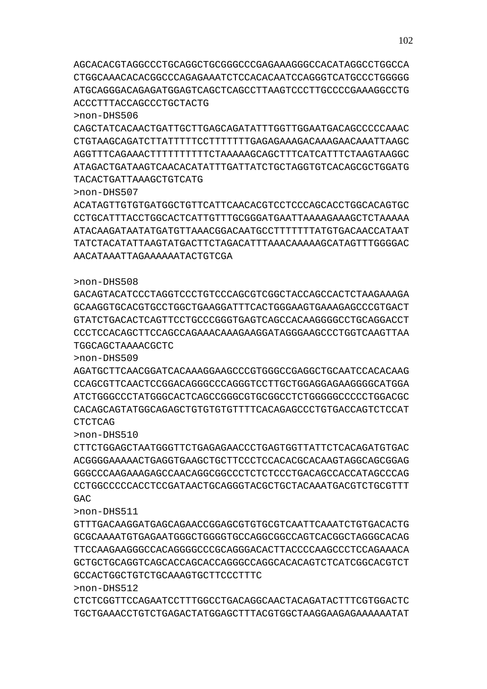>non-DHS512 CTCTCGGTTCCAGAATCCTTTGGCCTGACAGGCAACTACAGATACTTTCGTGGACTC TGCTGAAACCTGTCTGAGACTATGGAGCTTTACGTGGCTAAGGAAGAGAAAAAATAT

GCCACTGGCTGTCTGCAAAGTGCTTCCCTTTC

>non-DHS511 GTTTGACAAGGATGAGCAGAACCGGAGCGTGTGCGTCAATTCAAATCTGTGACACTG GCGCAAAATGTGAGAATGGGCTGGGGTGCCAGGCGGCCAGTCACGGCTAGGGCACAG TTCCAAGAAGGGCCACAGGGGCCCGCAGGGACACTTACCCCAAGCCCTCCAGAAACA GCTGCTGCAGGTCAGCACCAGCACCAGGGCCAGGCACACAGTCTCATCGGCACGTCT

CTTCTGGAGCTAATGGGTTCTGAGAGAACCCTGAGTGGTTATTCTCACAGATGTGAC ACGGGGAAAAACTGAGGTGAAGCTGCTTCCCTCCACACGCACAAGTAGGCAGCGGAG GGGCCCAAGAAAGAGCCAACAGGCGGCCCTCTCTCCCTGACAGCCACCATAGCCCAG CCTGGCCCCCACCTCCGATAACTGCAGGGTACGCTGCTACAAATGACGTCTGCGTTT GAC.

CTCTCAG >non-DHS510

>non-DHS509 AGATGCTTCAACGGATCACAAAGGAAGCCCGTGGGCCGAGGCTGCAATCCACACAAG CCAGCGTTCAACTCCGGACAGGGCCCAGGGTCCTTGCTGGAGGAGAAGGGGCATGGA ATCTGGGCCCTATGGGCACTCAGCCGGGCGTGCGGCCTCTGGGGGCCCCCTGGACGC CACAGCAGTATGGCAGAGCTGTGTGTGTTTTCACAGAGCCCTGTGACCAGTCTCCAT

TGGCAGCTAAAACGCTC

>non-DHS508 GACAGTACATCCCTAGGTCCCTGTCCCAGCGTCGGCTACCAGCCACTCTAAGAAAGA GCAAGGTGCACGTGCCTGGCTGAAGGATTTCACTGGGAAGTGAAAGAGCCCGTGACT GTATCTGACACTCAGTTCCTGCCCGGGTGAGTCAGCCACAAGGGGCCTGCAGGACCT CCCTCCACAGCTTCCAGCCAGAAACAAAGAAGGATAGGGAAGCCCTGGTCAAGTTAA

AACATAAATTAGAAAAAATACTGTCGA

>non-DHS507 ACATAGTTGTGTGATGGCTGTTCATTCAACACGTCCTCCCAGCACCTGGCACAGTGC CCTGCATTTACCTGGCACTCATTGTTTGCGGGATGAATTAAAAGAAAGCTCTAAAAA ATACAAGATAATATGATGTTAAACGGACAATGCCTTTTTTTATGTGACAACCATAAT TATCTACATATTAAGTATGACTTCTAGACATTTAAACAAAAAGCATAGTTTGGGGAC

>non-DHS506 CAGCTATCACAACTGATTGCTTGAGCAGATATTTGGTTGGAATGACAGCCCCCAAAC CTGTAAGCAGATCTTATTTTTCCTTTTTTTGAGAGAAAGACAAAGAACAAATTAAGC AGGTTTCAGAAACTTTTTTTTTTCTAAAAAGCAGCTTTCATCATTTCTAAGTAAGGC ATAGACTGATAAGTCAACACATATTTGATTATCTGCTAGGTGTCACAGCGCTGGATG TACACTGATTAAAGCTGTCATG

AGCACACGTAGGCCCTGCAGGCTGCGGGCCCGAGAAAGGGCCACATAGGCCTGGCCA CTGGCAAACACACGGCCCAGAGAAATCTCCACACAATCCAGGGTCATGCCCTGGGGG ATGCAGGGACAGAGATGGAGTCAGCTCAGCCTTAAGTCCCTTGCCCCGAAAGGCCTG ACCCTTTACCAGCCCTGCTACTG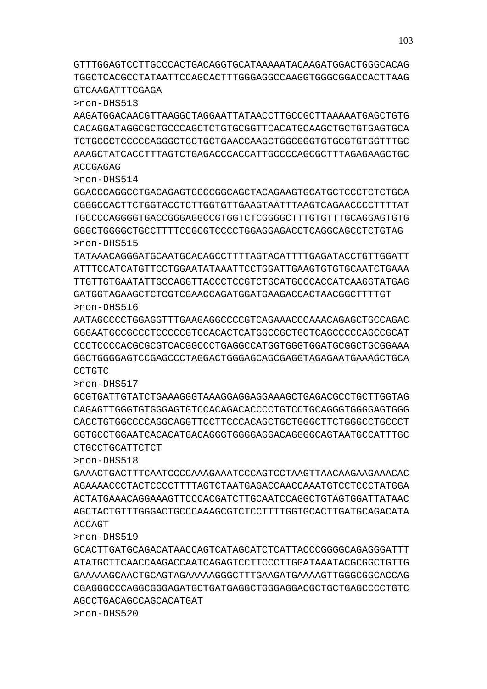GTTTGGAGTCCTTGCCCACTGACAGGTGCATAAAAATACAAGATGGACTGGGCACAG TGGCTCACGCCTATAATTCCAGCACTTTGGGAGGCCAAGGTGGGCGGACCACTTAAG GTCAAGATTTCGAGA

>non-DHS513

AAGATGGACAACGTTAAGGCTAGGAATTATAACCTTGCCGCTTAAAAATGAGCTGTG CACAGGATAGGCGCTGCCCAGCTCTGTGCGGTTCACATGCAAGCTGCTGTGAGTGCA TCTGCCCTCCCCCAGGGCTCCTGCTGAACCAAGCTGGCGGGTGTGCGTGTGGTTTGC AAAGCTATCACCTTTAGTCTGAGACCCACCATTGCCCCAGCGCTTTAGAGAAGCTGC ACCGAGAG

>non-DHS514

GGACCCAGGCCTGACAGAGTCCCCGGCAGCTACAGAAGTGCATGCTCCCTCTCTGCA CGGGCCACTTCTGGTACCTCTTGGTGTTGAAGTAATTTAAGTCAGAACCCCTTTTAT TGCCCCAGGGGTGACCGGGAGGCCGTGGTCTCGGGGCTTTGTGTTTGCAGGAGTGTG GGGCTGGGGCTGCCTTTTCCGCGTCCCCTGGAGGAGACCTCAGGCAGCCTCTGTAG >non-DHS515

TATAAACAGGGATGCAATGCACAGCCTTTTAGTACATTTTGAGATACCTGTTGGATT ATTTCCATCATGTTCCTGGAATATAAATTCCTGGATTGAAGTGTGTGCAATCTGAAA TTGTTGTGAATATTGCCAGGTTACCCTCCGTCTGCATGCCCACCATCAAGGTATGAG GATGGTAGAAGCTCTCGTCGAACCAGATGGATGAAGACCACTAACGGCTTTTGT >non-DHS516

AATAGCCCCTGGAGGTTTGAAGAGGCCCCGTCAGAAACCCAAACAGAGCTGCCAGAC GGGAATGCCGCCCTCCCCCGTCCACACTCATGGCCGCTGCTCAGCCCCCAGCCGCAT CCCTCCCCACGCGCGTCACGGCCCTGAGGCCATGGTGGGTGGATGCGGCTGCGGAAA GGCTGGGGAGTCCGAGCCCTAGGACTGGGAGCAGCGAGGTAGAGAATGAAAGCTGCA CCTGTC

>non-DHS517

GCGTGATTGTATCTGAAAGGGTAAAGGAGGAGGAAAGCTGAGACGCCTGCTTGGTAG CAGAGTTGGGTGTGGGAGTGTCCACAGACACCCCTGTCCTGCAGGGTGGGGAGTGGG CACCTGTGGCCCCAGGCAGGTTCCTTCCCACAGCTGCTGGGCTTCTGGGCCTGCCCT GGTGCCTGGAATCACACATGACAGGGTGGGGAGGACAGGGGCAGTAATGCCATTTGC CTGCCTGCATTCTCT

>non-DHS518

GAAACTGACTTTCAATCCCCAAAGAAATCCCAGTCCTAAGTTAACAAGAAGAAACAC AGAAAACCCTACTCCCCTTTTAGTCTAATGAGACCAACCAAATGTCCTCCCTATGGA ACTATGAAACAGGAAAGTTCCCACGATCTTGCAATCCAGGCTGTAGTGGATTATAAC AGCTACTGTTTGGGACTGCCCAAAGCGTCTCCTTTTGGTGCACTTGATGCAGACATA ACCAGT

>non-DHS519

GCACTTGATGCAGACATAACCAGTCATAGCATCTCATTACCCGGGGCAGAGGGATTT ATATGCTTCAACCAAGACCAATCAGAGTCCTTCCCTTGGATAAATACGCGGCTGTTG GAAAAAGCAACTGCAGTAGAAAAAGGGCTTTGAAGATGAAAAGTTGGGCGGCACCAG CGAGGGCCCAGGCGGGAGATGCTGATGAGGCTGGGAGGACGCTGCTGAGCCCCTGTC AGCCTGACAGCCAGCACATGAT

>non-DHS520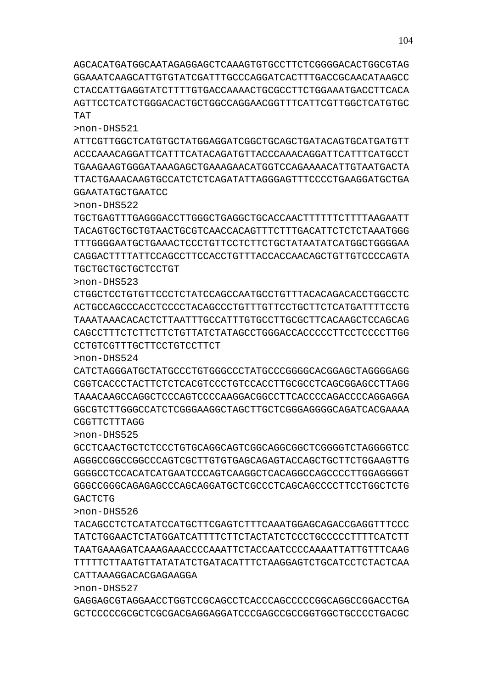GAGGAGCGTAGGAACCTGGTCCGCAGCCTCACCCAGCCCCCGGCAGGCCGGACCTGA GCTCCCCCGCGCTCGCGACGAGGAGGATCCCGAGCCGCCGGTGGCTGCCCCTGACGC

TACAGCCTCTCATATCCATGCTTCGAGTCTTTCAAATGGAGCAGACCGAGGTTTCCC TATCTGGAACTCTATGGATCATTTTCTTCTACTATCTCCCTGCCCCCTTTTCATCTT TAATGAAAGATCAAAGAAACCCCAAATTCTACCAATCCCCAAAATTATTGTTTCAAG TTTTTCTTAATGTTATATATCTGATACATTTCTAAGGAGTCTGCATCCTCTACTCAA CATTAAAGGACACGAGAAGGA

>non-DHS525 GCCTCAACTGCTCTCCCTGTGCAGGCAGTCGGCAGGCGGCTCGGGGTCTAGGGGTCC AGGGCCGGCCGGCCCAGTCGCTTGTGTGAGCAGAGTACCAGCTGCTTCTGGAAGTTG GGGGCCTCCACATCATGAATCCCAGTCAAGGCTCACAGGCCAGCCCCTTGGAGGGGT GGGCCGGGCAGAGAGCCCAGCAGGATGCTCGCCCTCAGCAGCCCCTTCCTGGCTCTG **GACTCTG** 

CGGTTCTTTAGG

>non-DHS526

>non-DHS527

>non-DHS524 CATCTAGGGATGCTATGCCCTGTGGGCCCTATGCCCGGGGCACGGAGCTAGGGGAGG CGGTCACCCTACTTCTCTCACGTCCCTGTCCACCTTGCGCCTCAGCGGAGCCTTAGG TAAACAAGCCAGGCTCCCAGTCCCCAAGGACGGCCTTCACCCCAGACCCCAGGAGGA GGCGTCTTGGGCCATCTCGGGAAGGCTAGCTTGCTCGGGAGGGGCAGATCACGAAAA

CCTGTCGTTTGCTTCCTGTCCTTCT

TGCTGCTGCTGCTCCTGT >non-DHS523 CTGGCTCCTGTGTTCCCTCTATCCAGCCAATGCCTGTTTACACAGACACCTGGCCTC ACTGCCAGCCCACCTCCCCTACAGCCCTGTTTGTTCCTGCTTCTCATGATTTTCCTG TAAATAAACACACTCTTAATTTGCCATTTGTGCCTTGCGCTTCACAAGCTCCAGCAG CAGCCTTTCTCTTCTTCTGTTATCTATAGCCTGGGACCACCCCCTTCCTCCCCTTGG

GGAATATGCTGAATCC >non-DHS522 TGCTGAGTTTGAGGGACCTTGGGCTGAGGCTGCACCAACTTTTTTCTTTTAAGAATT TACAGTGCTGCTGTAACTGCGTCAACCACAGTTTCTTTGACATTCTCTCTAAATGGG TTTGGGGAATGCTGAAACTCCCTGTTCCTCTTCTGCTATAATATCATGGCTGGGGAA

CAGGACTTTTATTCCAGCCTTCCACCTGTTTACCACCAACAGCTGTTGTCCCCAGTA

>non-DHS521 ATTCGTTGGCTCATGTGCTATGGAGGATCGGCTGCAGCTGATACAGTGCATGATGTT ACCCAAACAGGATTCATTTCATACAGATGTTACCCAAACAGGATTCATTTCATGCCT TGAAGAAGTGGGATAAAGAGCTGAAAGAACATGGTCCAGAAAACATTGTAATGACTA TTACTGAAACAAGTGCCATCTCTCAGATATTAGGGAGTTTCCCCTGAAGGATGCTGA

AGCACATGATGGCAATAGAGGAGCTCAAAGTGTGCCTTCTCGGGGACACTGGCGTAG GGAAATCAAGCATTGTGTATCGATTTGCCCAGGATCACTTTGACCGCAACATAAGCC CTACCATTGAGGTATCTTTTGTGACCAAAACTGCGCCTTCTGGAAATGACCTTCACA AGTTCCTCATCTGGGACACTGCTGGCCAGGAACGGTTTCATTCGTTGGCTCATGTGC TAT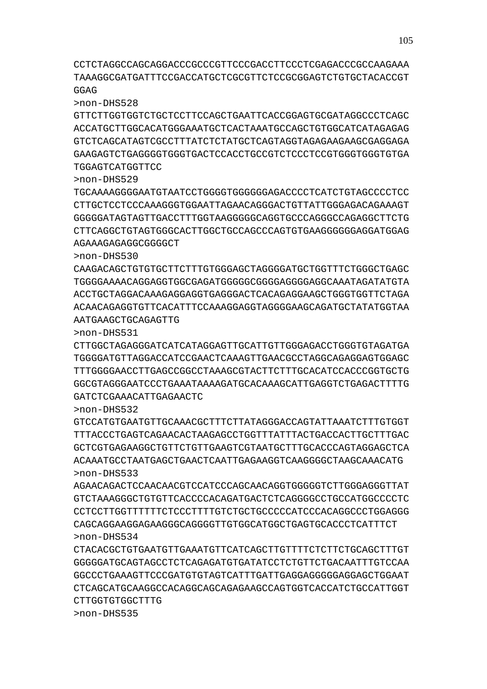CCTCTAGGCCAGCAGGACCCGCCCGTTCCCGACCTTCCCTCGAGACCCGCCAAGAAA TAAAGGCGATGATTTCCGACCATGCTCGCGTTCTCCGCGGAGTCTGTGCTACACCGT GGAG

>non-DHS528

GTTCTTGGTGGTCTGCTCCTTCCAGCTGAATTCACCGGAGTGCGATAGGCCCTCAGC ACCATGCTTGGCACATGGGAAATGCTCACTAAATGCCAGCTGTGGCATCATAGAGAG GTCTCAGCATAGTCGCCTTTATCTCTATGCTCAGTAGGTAGAGAAGAAGCGAGGAGA GAAGAGTCTGAGGGGTGGGTGACTCCACCTGCCGTCTCCCTCCGTGGGTGGGTGTGA TGGAGTCATGGTTCC

>non-DHS529

TGCAAAAGGGGAATGTAATCCTGGGGTGGGGGGAGACCCCTCATCTGTAGCCCCTCC CTTGCTCCTCCCAAAGGGTGGAATTAGAACAGGGACTGTTATTGGGAGACAGAAAGT GGGGGATAGTAGTTGACCTTTGGTAAGGGGGCAGGTGCCCAGGGCCAGAGGCTTCTG CTTCAGGCTGTAGTGGGCACTTGGCTGCCAGCCCAGTGTGAAGGGGGGAGGATGGAG AGAAAGAGAGGCGGGGCT

>non-DHS530

CAAGACAGCTGTGTGCTTCTTTGTGGGAGCTAGGGGATGCTGGTTTCTGGGCTGAGC TGGGGAAAACAGGAGGTGGCGAGATGGGGGCGGGGAGGGGAGGCAAATAGATATGTA ACCTGCTAGGACAAAGAGGAGGTGAGGGACTCACAGAGGAAGCTGGGTGGTTCTAGA ACAACAGAGGTGTTCACATTTCCAAAGGAGGTAGGGGAAGCAGATGCTATATGGTAA AATGAAGCTGCAGAGTTG

>non-DHS531

CTTGGCTAGAGGGATCATCATAGGAGTTGCATTGTTGGGAGACCTGGGTGTAGATGA TGGGGATGTTAGGACCATCCGAACTCAAAGTTGAACGCCTAGGCAGAGGAGTGGAGC TTTGGGGAACCTTGAGCCGGCCTAAAGCGTACTTCTTTGCACATCCACCCGGTGCTG GGCGTAGGGAATCCCTGAAATAAAAGATGCACAAAGCATTGAGGTCTGAGACTTTTG GATCTCGAAACATTGAGAACTC

>non-DHS532

GTCCATGTGAATGTTGCAAACGCTTTCTTATAGGGACCAGTATTAAATCTTTGTGGT TTTACCCTGAGTCAGAACACTAAGAGCCTGGTTTATTTACTGACCACTTGCTTTGAC GCTCGTGAGAAGGCTGTTCTGTTGAAGTCGTAATGCTTTGCACCCAGTAGGAGCTCA ACAAATGCCTAATGAGCTGAACTCAATTGAGAAGGTCAAGGGGCTAAGCAAACATG >non-DHS533

AGAACAGACTCCAACAACGTCCATCCCAGCAACAGGTGGGGGTCTTGGGAGGGTTAT GTCTAAAGGGCTGTGTTCACCCCACAGATGACTCTCAGGGGCCTGCCATGGCCCCTC CCTCCTTGGTTTTTTCTCCCTTTTGTCTGCTGCCCCCATCCCACAGGCCCTGGAGGG CAGCAGGAAGGAGAAGGGCAGGGGTTGTGGCATGGCTGAGTGCACCCTCATTTCT >non-DHS534

CTACACGCTGTGAATGTTGAAATGTTCATCAGCTTGTTTTCTCTTCTGCAGCTTTGT GGGGGATGCAGTAGCCTCTCAGAGATGTGATATCCTCTGTTCTGACAATTTGTCCAA GGCCCTGAAAGTTCCCGATGTGTAGTCATTTGATTGAGGAGGGGGAGGAGCTGGAAT CTCAGCATGCAAGGCCACAGGCAGCAGAGAAGCCAGTGGTCACCATCTGCCATTGGT CTTGGTGTGGCTTTG

>non-DHS535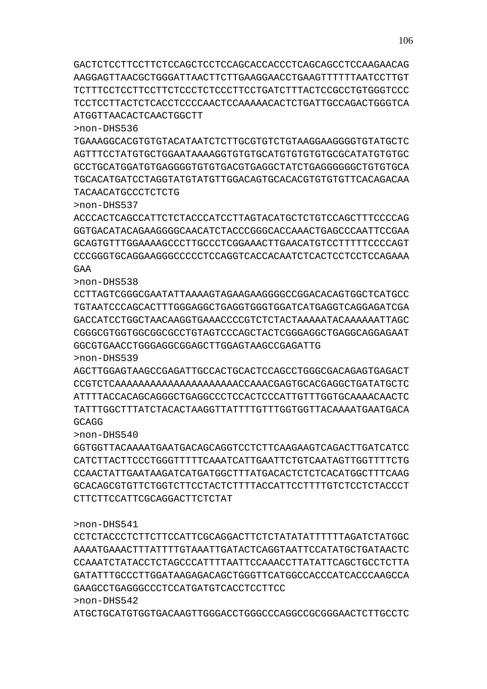>non-DHS541 CCTCTACCCTCTTCTTCCATTCGCAGGACTTCTCTATATATTTTTTAGATCTATGGC AAAATGAAACTTTATTTTGTAAATTGATACTCAGGTAATTCCATATGCTGATAACTC CCAAATCTATACCTCTAGCCCATTTTAATTCCAAACCTTATATTCAGCTGCCTCTTA

GATATTTGCCCTTGGATAAGAGACAGCTGGGTTCATGGCCACCCATCACCCAAGCCA

ATGCTGCATGTGGTGACAAGTTGGGACCTGGGCCCAGGCCGCGGGAACTCTTGCCTC

GAAGCCTGAGGGCCCTCCATGATGTCACCTCCTTCC

>non-DHS542

TACAACATGCCCTCTCTG

>non-DHS540 GGTGGTTACAAAATGAATGACAGCAGGTCCTCTTCAAGAAGTCAGACTTGATCATCC CATCTTACTTCCCTGGGTTTTTCAAATCATTGAATTCTGTCAATAGTTGGTTTTCTG CCAACTATTGAATAAGATCATGATGGCTTTATGACACTCTCTCACATGGCTTTCAAG GCACAGCGTGTTCTGGTCTTCCTACTCTTTTACCATTCCTTTTGTCTCCTCTACCCT CTTCTTCCATTCGCAGGACTTCTCTAT

# AGCTTGGAGTAAGCCGAGATTGCCACTGCACTCCAGCCTGGGCGACAGAGTGAGACT CCGTCTCAAAAAAAAAAAAAAAAAAAAACCAAACGAGTGCACGAGGCTGATATGCTC ATTTTACCACAGCAGGGCTGAGGCCCTCCACTCCCATTGTTTGGTGCAAAACAACTC TATTTGGCTTTATCTACACTAAGGTTATTTTGTTTGGTGGTTACAAAATGAATGACA GCAGG

>non-DHS538 CCTTAGTCGGGCGAATATTAAAAGTAGAAGAAGGGGCCGGACACAGTGGCTCATGCC TGTAATCCCAGCACTTTGGGAGGCTGAGGTGGGTGGATCATGAGGTCAGGAGATCGA GACCATCCTGGCTAACAAGGTGAAACCCCGTCTCTACTAAAAATACAAAAAATTAGC CGGGCGTGGTGGCGGCGCCTGTAGTCCCAGCTACTCGGGAGGCTGAGGCAGGAGAAT GGCGTGAACCTGGGAGGCGGAGCTTGGAGTAAGCCGAGATTG >non-DHS539

>non-DHS537 ACCCACTCAGCCATTCTCTACCCATCCTTAGTACATGCTCTGTCCAGCTTTCCCCAG GGTGACATACAGAAGGGGCAACATCTACCCGGGCACCAAACTGAGCCCAATTCCGAA GCAGTGTTTGGAAAAGCCCTTGCCCTCGGAAACTTGAACATGTCCTTTTTCCCCAGT CCCGGGTGCAGGAAGGGCCCCCTCCAGGTCACCACAATCTCACTCCTCCTCCAGAAA GAA

>non-DHS536 TGAAAGGCACGTGTGTACATAATCTCTTGCGTGTCTGTAAGGAAGGGGTGTATGCTC AGTTTCCTATGTGCTGGAATAAAAGGTGTGTGCATGTGTGTGTGCGCATATGTGTGC GCCTGCATGGATGTGAGGGGTGTGTGACGTGAGGCTATCTGAGGGGGGCTGTGTGCA TGCACATGATCCTAGGTATGTATGTTGGACAGTGCACACGTGTGTGTTCACAGACAA

GACTCTCCTTCCTTCTCCAGCTCCTCCAGCACCACCCTCAGCAGCCTCCAAGAACAG AAGGAGTTAACGCTGGGATTAACTTCTTGAAGGAACCTGAAGTTTTTTAATCCTTGT TCTTTCCTCCTTCCTTCTCCCTCTCCCTTCCTGATCTTTACTCCGCCTGTGGGTCCC TCCTCCTTACTCTCACCTCCCCAACTCCAAAAACACTCTGATTGCCAGACTGGGTCA ATGGTTAACACTCAACTGGCTT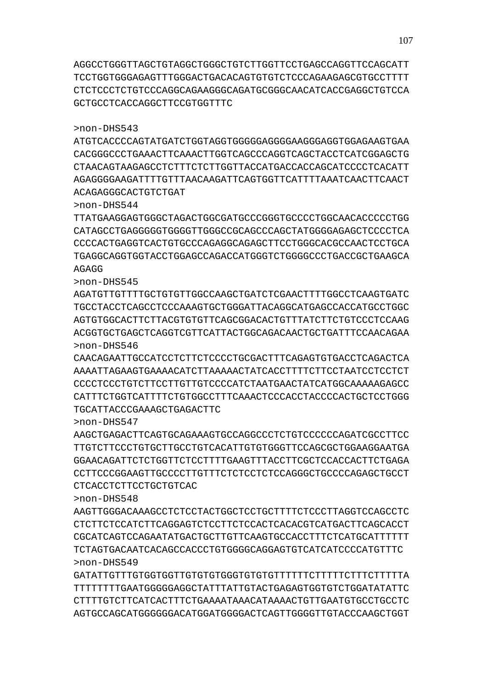GATATTGTTTGTGGTGGTTGTGTGTGGGTGTGTGTTTTTTCTTTTTCTTTCTTTTTA TTTTTTTTGAATGGGGGAGGCTATTTATTGTACTGAGAGTGGTGTCTGGATATATTC CTTTTGTCTTCATCACTTTCTGAAAATAAACATAAAACTGTTGAATGTGCCTGCCTC AGTGCCAGCATGGGGGGACATGGATGGGGACTCAGTTGGGGTTGTACCCAAGCTGGT

>non-DHS548 AAGTTGGGACAAAGCCTCTCCTACTGGCTCCTGCTTTTCTCCCTTAGGTCCAGCCTC CTCTTCTCCATCTTCAGGAGTCTCCTTCTCCACTCACACGTCATGACTTCAGCACCT CGCATCAGTCCAGAATATGACTGCTTGTTCAAGTGCCACCTTTCTCATGCATTTTTT TCTAGTGACAATCACAGCCACCCTGTGGGGCAGGAGTGTCATCATCCCCATGTTTC >non-DHS549

#### CTCACCTCTTCCTGCTGTCAC

>non-DHS547 AAGCTGAGACTTCAGTGCAGAAAGTGCCAGGCCCTCTGTCCCCCCAGATCGCCTTCC TTGTCTTCCCTGTGCTTGCCTGTCACATTGTGTGGGTTCCAGCGCTGGAAGGAATGA GGAACAGATTCTCTGGTTCTCCTTTTGAAGTTTACCTTCGCTCCACCACTTCTGAGA CCTTCCCGGAAGTTGCCCCTTGTTTCTCTCCTCTCCAGGGCTGCCCCAGAGCTGCCT

# TGCATTACCCGAAAGCTGAGACTTC

>non-DHS546 CAACAGAATTGCCATCCTCTTCTCCCCTGCGACTTTCAGAGTGTGACCTCAGACTCA AAAATTAGAAGTGAAAACATCTTAAAAACTATCACCTTTTCTTCCTAATCCTCCTCT CCCCTCCCTGTCTTCCTTGTTGTCCCCATCTAATGAACTATCATGGCAAAAAGAGCC CATTTCTGGTCATTTTCTGTGGCCTTTCAAACTCCCACCTACCCCACTGCTCCTGGG

>non-DHS545 AGATGTTGTTTTGCTGTGTTGGCCAAGCTGATCTCGAACTTTTGGCCTCAAGTGATC TGCCTACCTCAGCCTCCCAAAGTGCTGGGATTACAGGCATGAGCCACCATGCCTGGC AGTGTGGCACTTCTTACGTGTGTTCAGCGGACACTGTTTATCTTCTGTCCCTCCAAG ACGGTGCTGAGCTCAGGTCGTTCATTACTGGCAGACAACTGCTGATTTCCAACAGAA

# AGAGG

TTATGAAGGAGTGGGCTAGACTGGCGATGCCCGGGTGCCCCTGGCAACACCCCCTGG CATAGCCTGAGGGGGTGGGGTTGGGCCGCAGCCCAGCTATGGGGAGAGCTCCCCTCA CCCCACTGAGGTCACTGTGCCCAGAGGCAGAGCTTCCTGGGCACGCCAACTCCTGCA TGAGGCAGGTGGTACCTGGAGCCAGACCATGGGTCTGGGGCCCTGACCGCTGAAGCA

# ACAGAGGGCACTGTCTGAT

>non-DHS544

>non-DHS543

ATGTCACCCCAGTATGATCTGGTAGGTGGGGGAGGGGAAGGGAGGTGGAGAAGTGAA CACGGGCCCTGAAACTTCAAACTTGGTCAGCCCAGGTCAGCTACCTCATCGGAGCTG CTAACAGTAAGAGCCTCTTTCTCTTGGTTACCATGACCACCAGCATCCCCTCACATT AGAGGGGAAGATTTTGTTTAACAAGATTCAGTGGTTCATTTTAAATCAACTTCAACT

AGGCCTGGGTTAGCTGTAGGCTGGGCTGTCTTGGTTCCTGAGCCAGGTTCCAGCATT TCCTGGTGGGAGAGTTTGGGACTGACACAGTGTGTCTCCCAGAAGAGCGTGCCTTTT CTCTCCCTCTGTCCCAGGCAGAAGGGCAGATGCGGGCAACATCACCGAGGCTGTCCA GCTGCCTCACCAGGCTTCCGTGGTTTC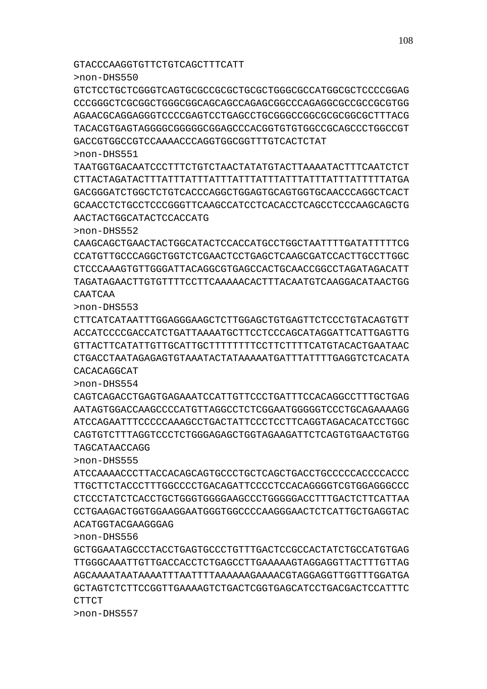>non-DHS557

CTTCT

>non-DHS556

>non-DHS555 ATCCAAAACCCTTACCACAGCAGTGCCCTGCTCAGCTGACCTGCCCCCACCCCACCC TTGCTTCTACCCTTTGGCCCCTGACAGATTCCCCTCCACAGGGGTCGTGGAGGGCCC CTCCCTATCTCACCTGCTGGGTGGGGAAGCCCTGGGGGACCTTTGACTCTTCATTAA CCTGAAGACTGGTGGAAGGAATGGGTGGCCCCAAGGGAACTCTCATTGCTGAGGTAC ACATGGTACGAAGGGAG

GCTGGAATAGCCCTACCTGAGTGCCCTGTTTGACTCCGCCACTATCTGCCATGTGAG TTGGGCAAATTGTTGACCACCTCTGAGCCTTGAAAAAGTAGGAGGTTACTTTGTTAG AGCAAAATAATAAAATTTAATTTTAAAAAAGAAAACGTAGGAGGTTGGTTTGGATGA GCTAGTCTCTTCCGGTTGAAAAGTCTGACTCGGTGAGCATCCTGACGACTCCATTTC

>non-DHS554 CAGTCAGACCTGAGTGAGAAATCCATTGTTCCCTGATTTCCACAGGCCTTTGCTGAG AATAGTGGACCAAGCCCCATGTTAGGCCTCTCGGAATGGGGGTCCCTGCAGAAAAGG ATCCAGAATTTCCCCCAAAGCCTGACTATTCCCTCCTTCAGGTAGACACATCCTGGC CAGTGTCTTTAGGTCCCTCTGGGAGAGCTGGTAGAAGATTCTCAGTGTGAACTGTGG TAGCATAACCAGG

>non-DHS553 CTTCATCATAATTTGGAGGGAAGCTCTTGGAGCTGTGAGTTCTCCCTGTACAGTGTT ACCATCCCCGACCATCTGATTAAAATGCTTCCTCCCAGCATAGGATTCATTGAGTTG GTTACTTCATATTGTTGCATTGCTTTTTTTTCCTTCTTTTCATGTACACTGAATAAC CTGACCTAATAGAGAGTGTAAATACTATAAAAATGATTTATTTTGAGGTCTCACATA CACACAGGCAT

>non-DHS552 CAAGCAGCTGAACTACTGGCATACTCCACCATGCCTGGCTAATTTTGATATTTTTCG CCATGTTGCCCAGGCTGGTCTCGAACTCCTGAGCTCAAGCGATCCACTTGCCTTGGC CTCCCAAAGTGTTGGGATTACAGGCGTGAGCCACTGCAACCGGCCTAGATAGACATT TAGATAGAACTTGTGTTTTCCTTCAAAAACACTTTACAATGTCAAGGACATAACTGG CAATCAA

AACTACTGGCATACTCCACCATG

>non-DHS551 TAATGGTGACAATCCCTTTCTGTCTAACTATATGTACTTAAAATACTTTCAATCTCT CTTACTAGATACTTTATTTATTTATTTATTTATTTATTTATTTATTTATTTTTATGA GACGGGATCTGGCTCTGTCACCCAGGCTGGAGTGCAGTGGTGCAACCCAGGCTCACT GCAACCTCTGCCTCCCGGGTTCAAGCCATCCTCACACCTCAGCCTCCCAAGCAGCTG

>non-DHS550 GTCTCCTGCTCGGGTCAGTGCGCCGCGCTGCGCTGGGCGCCATGGCGCTCCCCGGAG CCCGGGCTCGCGGCTGGGCGGCAGCAGCCAGAGCGGCCCAGAGGCGCCGCCGCGTGG AGAACGCAGGAGGGTCCCCGAGTCCTGAGCCTGCGGGCCGGCGCGCGGCGCTTTACG TACACGTGAGTAGGGGCGGGGGCGGAGCCCACGGTGTGTGGCCGCAGCCCTGGCCGT GACCGTGGCCGTCCAAAACCCAGGTGGCGGTTTGTCACTCTAT

GTACCCAAGGTGTTCTGTCAGCTTTCATT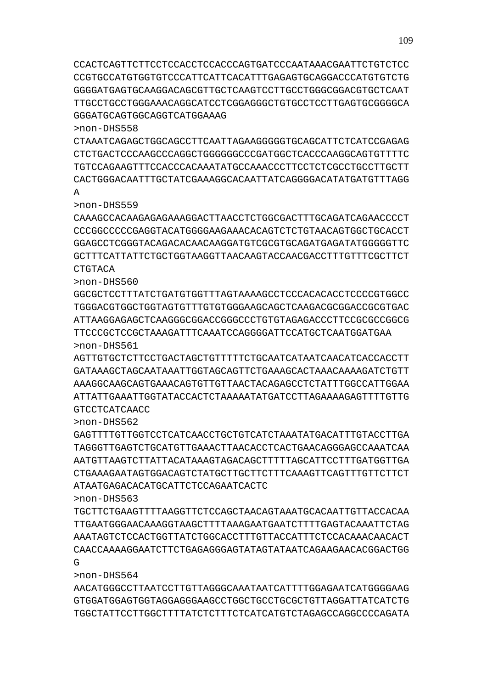>non-DHS564 AACATGGGCCTTAATCCTTGTTAGGGCAAATAATCATTTTGGAGAATCATGGGGAAG GTGGATGGAGTGGTAGGAGGGAAGCCTGGCTGCCTGCGCTGTTAGGATTATCATCTG TGGCTATTCCTTGGCTTTTATCTCTTTCTCATCATGTCTAGAGCCAGGCCCCAGATA

>non-DHS563 TGCTTCTGAAGTTTTAAGGTTCTCCAGCTAACAGTAAATGCACAATTGTTACCACAA TTGAATGGGAACAAAGGTAAGCTTTTAAAGAATGAATCTTTTGAGTACAAATTCTAG AAATAGTCTCCACTGGTTATCTGGCACCTTTGTTACCATTTCTCCACAAACAACACT CAACCAAAAGGAATCTTCTGAGAGGGAGTATAGTATAATCAGAAGAACACGGACTGG  $\mathsf{G}$ 

ATAATGAGACACATGCATTCTCCAGAATCACTC

A

>non-DHS562 GAGTTTTGTTGGTCCTCATCAACCTGCTGTCATCTAAATATGACATTTGTACCTTGA TAGGGTTGAGTCTGCATGTTGAAACTTAACACCTCACTGAACAGGGAGCCAAATCAA AATGTTAAGTCTTATTACATAAAGTAGACAGCTTTTTAGCATTCCTTTGATGGTTGA CTGAAAGAATAGTGGACAGTCTATGCTTGCTTCTTTCAAAGTTCAGTTTGTTCTTCT

AGTTGTGCTCTTCCTGACTAGCTGTTTTTCTGCAATCATAATCAACATCACCACCTT GATAAAGCTAGCAATAAATTGGTAGCAGTTCTGAAAGCACTAAACAAAAGATCTGTT AAAGGCAAGCAGTGAAACAGTGTTGTTAACTACAGAGCCTCTATTTGGCCATTGGAA ATTATTGAAATTGGTATACCACTCTAAAAATATGATCCTTAGAAAAGAGTTTTGTTG GTCCTCATCAACC

>non-DHS560 GGCGCTCCTTTATCTGATGTGGTTTAGTAAAAGCCTCCCACACACCTCCCCGTGGCC TGGGACGTGGCTGGTAGTGTTTGTGTGGGAAGCAGCTCAAGACGCGGACCGCGTGAC ATTAAGGAGAGCTCAAGGGCGGACCGGGCCCTGTGTAGAGACCCTTCCGCGCCGGCG TTCCCGCTCCGCTAAAGATTTCAAATCCAGGGGATTCCATGCTCAATGGATGAA >non-DHS561

>non-DHS559 CAAAGCCACAAGAGAGAAAGGACTTAACCTCTGGCGACTTTGCAGATCAGAACCCCT CCCGGCCCCCGAGGTACATGGGGAAGAAACACAGTCTCTGTAACAGTGGCTGCACCT GGAGCCTCGGGTACAGACACAACAAGGATGTCGCGTGCAGATGAGATATGGGGGTTC GCTTTCATTATTCTGCTGGTAAGGTTAACAAGTACCAACGACCTTTGTTTCGCTTCT **CTGTACA** 

>non-DHS558 CTAAATCAGAGCTGGCAGCCTTCAATTAGAAGGGGGTGCAGCATTCTCATCCGAGAG CTCTGACTCCCAAGCCCAGGCTGGGGGGCCCGATGGCTCACCCAAGGCAGTGTTTTC TGTCCAGAAGTTTCCACCCACAAATATGCCAAACCCTTCCTCTCGCCTGCCTTGCTT CACTGGGACAATTTGCTATCGAAAGGCACAATTATCAGGGGACATATGATGTTTAGG

CCACTCAGTTCTTCCTCCACCTCCACCCAGTGATCCCAATAAACGAATTCTGTCTCC CCGTGCCATGTGGTGTCCCATTCATTCACATTTGAGAGTGCAGGACCCATGTGTCTG GGGGATGAGTGCAAGGACAGCGTTGCTCAAGTCCTTGCCTGGGCGGACGTGCTCAAT TTGCCTGCCTGGGAAACAGGCATCCTCGGAGGGCTGTGCCTCCTTGAGTGCGGGGCA GGGATGCAGTGGCAGGTCATGGAAAG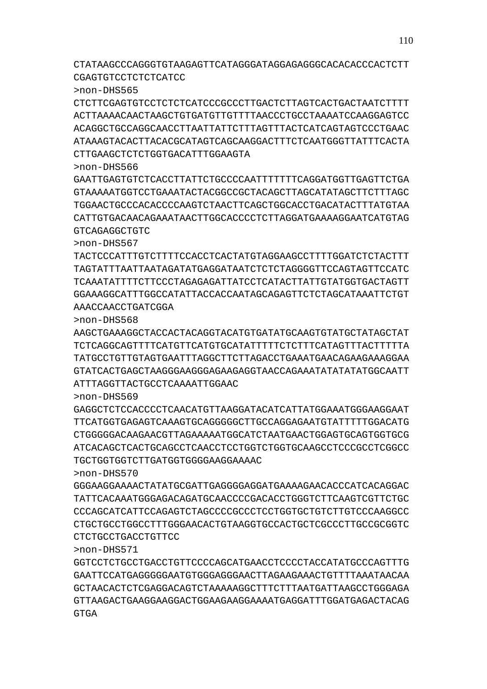**GTGA** 

>non-DHS571 GGTCCTCTGCCTGACCTGTTCCCCAGCATGAACCTCCCCTACCATATGCCCAGTTTG GAATTCCATGAGGGGGAATGTGGGAGGGAACTTAGAAGAAACTGTTTTAAATAACAA GCTAACACTCTCGAGGACAGTCTAAAAAGGCTTTCTTTAATGATTAAGCCTGGGAGA GTTAAGACTGAAGGAAGGACTGGAAGAAGGAAAATGAGGATTTGGATGAGACTACAG

CTCTGCCTGACCTGTTCC

>non-DHS570 GGGAAGGAAAACTATATGCGATTGAGGGGAGGATGAAAAGAACACCCATCACAGGAC TATTCACAAATGGGAGACAGATGCAACCCCGACACCTGGGTCTTCAAGTCGTTCTGC CCCAGCATCATTCCAGAGTCTAGCCCCGCCCTCCTGGTGCTGTCTTGTCCCAAGGCC CTGCTGCCTGGCCTTTGGGAACACTGTAAGGTGCCACTGCTCGCCCTTGCCGCGGTC

TTCATGGTGAGAGTCAAAGTGCAGGGGGCTTGCCAGGAGAATGTATTTTTGGACATG CTGGGGGACAAGAACGTTAGAAAAATGGCATCTAATGAACTGGAGTGCAGTGGTGCG ATCACAGCTCACTGCAGCCTCAACCTCCTGGTCTGGTGCAAGCCTCCCGCCTCGGCC TGCTGGTGGTCTTGATGGTGGGGAAGGAAAAC

ATTTAGGTTACTGCCTCAAAATTGGAAC

>non-DHS568 AAGCTGAAAGGCTACCACTACAGGTACATGTGATATGCAAGTGTATGCTATAGCTAT TCTCAGGCAGTTTTCATGTTCATGTGCATATTTTTCTCTTTCATAGTTTACTTTTTA TATGCCTGTTGTAGTGAATTTAGGCTTCTTAGACCTGAAATGAACAGAAGAAAGGAA GTATCACTGAGCTAAGGGAAGGGAGAAGAGGTAACCAGAAATATATATATGGCAATT

GAGGCTCTCCACCCTCAACATGTTAAGGATACATTATGGAAAATGGAAAGGAAT

AAACCAACCTGATCGGA

>non-DHS569

>non-DHS567 TACTCCCATTTGTCTTTTCCACCTCACTATGTAGGAAGCCTTTTGGATCTCTACTTT TAGTATTTAATTAATAGATATGAGGATAATCTCTCTAGGGGTTCCAGTAGTTCCATC TCAAATATTTTCTTCCCTAGAGAGATTATCCTCATACTTATTGTATGGTGACTAGTT GGAAAGGCATTTGGCCATATTACCACCAATAGCAGAGTTCTCTAGCATAAATTCTGT

>non-DHS566 GAATTGAGTGTCTCACCTTATTCTGCCCCAATTTTTTTCAGGATGGTTGAGTTCTGA GTAAAAATGGTCCTGAAATACTACGGCCGCTACAGCTTAGCATATAGCTTCTTTAGC TGGAACTGCCCACACCCCAAGTCTAACTTCAGCTGGCACCTGACATACTTTATGTAA CATTGTGACAACAGAAATAACTTGGCACCCCTCTTAGGATGAAAAGGAATCATGTAG GTCAGAGGCTGTC

CTTGAAGCTCTCTGGTGACATTTGGAAGTA

>non-DHS565 CTCTTCGAGTGTCCTCTCTCATCCCGCCCTTGACTCTTAGTCACTGACTAATCTTTT ACTTAAAACAACTAAGCTGTGATGTTGTTTTAACCCTGCCTAAAATCCAAGGAGTCC ACAGGCTGCCAGGCAACCTTAATTATTCTTTAGTTTACTCATCAGTAGTCCCTGAAC ATAAAGTACACTTACACGCATAGTCAGCAAGGACTTTCTCAATGGGTTATTTCACTA

CTATAAGCCCAGGGTGTAAGAGTTCATAGGGATAGGAGAGGGCACACACCCACTCTT CGAGTGTCCTCTCTCATCC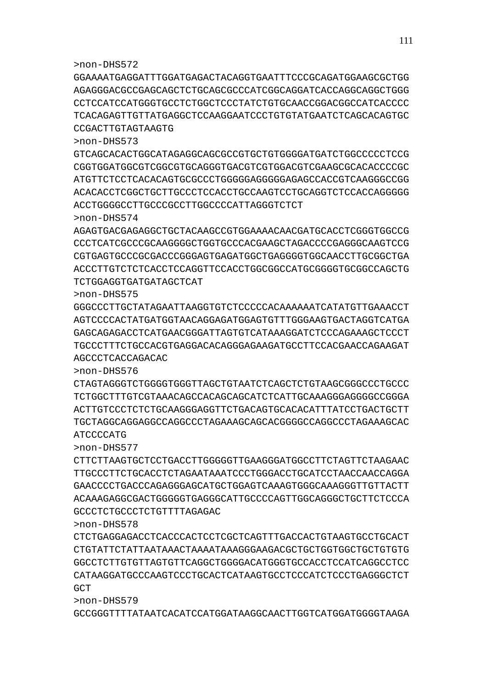>non-DHS579 GCCGGGTTTTATAATCACATCCATGGATAAGGCAACTTGGTCATGGATGGGGTAAGA

>non-DHS578 CTCTGAGGAGACCTCACCCACTCCTCGCTCAGTTTGACCACTGTAAGTGCCTGCACT CTGTATTCTATTAATAAACTAAAATAAAGGGAAGACGCTGCTGGTGGCTGCTGTGTG GGCCTCTTGTGTTAGTGTTCAGGCTGGGGACATGGGTGCCACCTCCATCAGGCCTCC CATAAGGATGCCCAAGTCCCTGCACTCATAAGTGCCTCCCATCTCCCTGAGGGCTCT GCT

CTTCTTAAGTGCTCCTGACCTTGGGGGTTGAAGGGATGGCCTTCTAGTTCTAAGAAC TTGCCCTTCTGCACCTCTAGAATAAATCCCTGGGACCTGCATCCTAACCAACCAGGA GAACCCCTGACCCAGAGGGAGCATGCTGGAGTCAAAGTGGGCAAAGGGTTGTTACTT ACAAAGAGGCGACTGGGGGTGAGGGCATTGCCCCAGTTGGCAGGGCTGCTTCTCCCA GCCCTCTGCCCTCTGTTTTAGAGAC

>non-DHS577

ATCCCCATG

>non-DHS576 CTAGTAGGGTCTGGGGTGGGTTAGCTGTAATCTCAGCTCTGTAAGCGGGCCCTGCCC TCTGGCTTTGTCGTAAACAGCCACAGCAGCATCTCATTGCAAAGGGAGGGGCCGGGA ACTTGTCCCTCTCTGCAAGGGAGTTTCTGACAGTGCACACATTATTATCCTGACTGCTGCTGACTGCTGACTGCTGG TGCTAGGCAGGAGGCCAGGCCCTAGAAAGCAGCACGGGGCCAGGCCCTAGAAAGCAC

AGCCCTCACCAGACAC

>non-DHS575 GGGCCCTTGCTATAGAATTAAGGTGTCTCCCCCACAAAAAATCATATGTTGAAACCT AGTCCCCACTATGATGGTAACAGGAGATGGAGTGTTTGGGAAGTGACTAGGTCATGA GAGCAGAGACCTCATGAACGGGATTAGTGTCATAAAGGATCTCCCAGAAAGCTCCCT TGCCCTTTCTGCCACGTGAGGACACAGGGAGAAGATGCCTTCCACGAACCAGAAGAT

TCTGGAGGTGATGATAGCTCAT

>non-DHS574 AGAGTGACGAGAGGCTGCTACAAGCCGTGGAAAACAACGATGCACCTCGGGTGGCCG CCCTCATCGCCCGCAAGGGGCTGGTGCCCACGAAGCTAGACCCCGAGGGCAAGTCCG CGTGAGTGCCCGCGACCCGGGAGTGAGATGGCTGAGGGGTGGCAACCTTGCGGCTGA ACCCTTGTCTCTCACCTCCAGGTTCCACCTGGCGGCCATGCGGGGTGCGGCCAGCTG

ACCTGGGGCCTTGCCCGCCTTGGCCCCATTAGGGTCTCT

>non-DHS573 GTCAGCACACTGGCATAGAGGCAGCGCCGTGCTGTGGGGATGATCTGGCCCCCTCCG CGGTGGATGGCGTCGGCGTGCAGGGTGACGTCGTGGACGTCGAAGCGCACACCCCGC ATGTTCTCCTCACACAGTGCGCCCTGGGGGAGGGGGAGAGCCACCGTCAAGGGCCGG ACACACCTCGGCTGCTTGCCCTCCACCTGCCAAGTCCTGCAGGTCTCCACCAGGGGG

CCGACTTGTAGTAAGTG

>non-DHS572 GGAAAATGAGGATTTGGATGAGACTACAGGTGAATTTCCCGCAGATGGAAGCGCTGG AGAGGGACGCCGAGCAGCTCTGCAGCGCCCATCGGCAGGATCACCAGGCAGGCTGGG CCTCCATCCATGGGTGCCTCTGGCTCCCTATCTGTGCAACCGGACGGCCATCACCCC TCACAGAGTTGTTATGAGGCTCCAAGGAATCCCTGTGTATGAATCTCAGCACAGTGC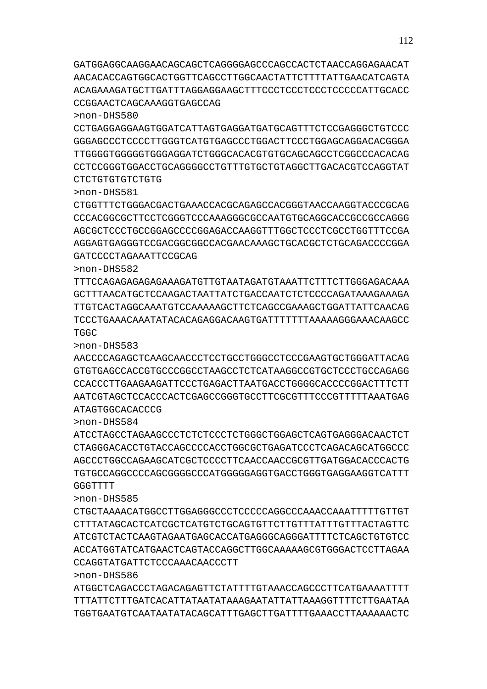ATGGCTCAGACCCTAGACAGAGTTCTATTTTGTAAACCAGCCCTTCATGAAAATTTT TTTATTCTTTGATCACATTATAATATAAAGAATATTATTAAAGGTTTTCTTGAATAA TGGTGAATGTCAATAATATACAGCATTTGAGCTTGATTTTGAAACCTTAAAAAACTC

# CCAGGTATGATTCTCCCAAACAACCCTT

>non-DHS586

**GGGTTTT** >non-DHS585 CTGCTAAAACATGGCCTTGGAGGGCCCTCCCCCAGGCCCAAACCAAATTTTTGTTGT CTTTATAGCACTCATCGCTCATGTCTGCAGTGTTCTTGTTTATTTGTTTACTAGTTC

ATCGTCTACTCAAGTAGAATGAGCACCATGAGGGCAGGGATTTTCTCAGCTGTGTCC ACCATGGTATCATGAACTCAGTACCAGGCTTGGCAAAAAGCGTGGGACTCCTTAGAA

>non-DHS584 ATCCTAGCCTAGAAGCCCTCTCTCCCTCTGGGCTGGAGCTCAGTGAGGGACAACTCT CTAGGGACACCTGTACCAGCCCCACCTGGCGCTGAGATCCCTCAGACAGCATGGCCC AGCCCTGGCCAGAAGCATCGCTCCCCTTCAACCAACCGCGTTGATGGACACCCACTG TGTGCCAGGCCCCAGCGGGGCCCATGGGGGAGGTGACCTGGGTGAGGAAGGTCATTT

>non-DHS583 AACCCCAGAGCTCAAGCAACCCTCCTGCCTGGGCCTCCCGAAGTGCTGGGATTACAG GTGTGAGCCACCGTGCCCGGCCTAAGCCTCTCATAAGGCCGTGCTCCCTGCCAGAGG CCACCCTTGAAGAAGATTCCCTGAGACTTAATGACCTGGGGCACCCCGGACTTTCTT AATCGTAGCTCCACCCACTCGAGCCGGGTGCCTTCGCGTTTCCCGTTTTTAAATGAG ATAGTGGCACACCCG

>non-DHS582 TTTCCAGAGAGAGAGAAAGATGTTGTAATAGATGTAAATTCTTTCTTGGGAGACAAA GCTTTAACATGCTCCAAGACTAATTATCTGACCAATCTCTCCCCAGATAAAGAAAGA TTGTCACTAGGCAAATGTCCAAAAAGCTTCTCAGCCGAAAGCTGGATTATTCAACAG TCCCTGAAACAAATATACACAGAGGACAAGTGATTTTTTTAAAAAGGGAAACAAGCC TGGC

>non-DHS581 CTGGTTTCTGGGACGACTGAAACCACGCAGAGCCACGGGTAACCAAGGTACCCGCAG CCCACGGCGCTTCCTCGGGTCCCAAAGGGCGCCAATGTGCAGGCACCGCCGCCAGGG AGCGCTCCCTGCCGGAGCCCCGGAGACCAAGGTTTGGCTCCCTCGCCTGGTTTCCGA AGGAGTGAGGGTCCGACGGCGGCCACGAACAAAGCTGCACGCTCTGCAGACCCCGGA GATCCCCTAGAAATTCCGCAG

>non-DHS580 CCTGAGGAGGAAGTGGATCATTAGTGAGGATGATGCAGTTTCTCCGAGGGCTGTCCC GGGAGCCCTCCCCTTGGGTCATGTGAGCCCTGGACTTCCCTGGAGCAGGACACGGGA TTGGGGTGGGGGTGGGAGGATCTGGGCACACGTGTGCAGCAGCCTCGGCCCACACAG CCTCCGGGTGGACCTGCAGGGGCCTGTTTGTGCTGTAGGCTTGACACGTCCAGGTAT CTCTGTGTGTCTGTG

GATGGAGGCAAGGAACAGCAGCTCAGGGGAGCCCAGCCACTCTAACCAGGAGAACAT AACACACCAGTGGCACTGGTTCAGCCTTGGCAACTATTCTTTTATTGAACATCAGTA ACAGAAAGATGCTTGATTTAGGAGGAAGCTTTCCCTCCCTCCCTCCCCCATTGCACC CCGGAACTCAGCAAAGGTGAGCCAG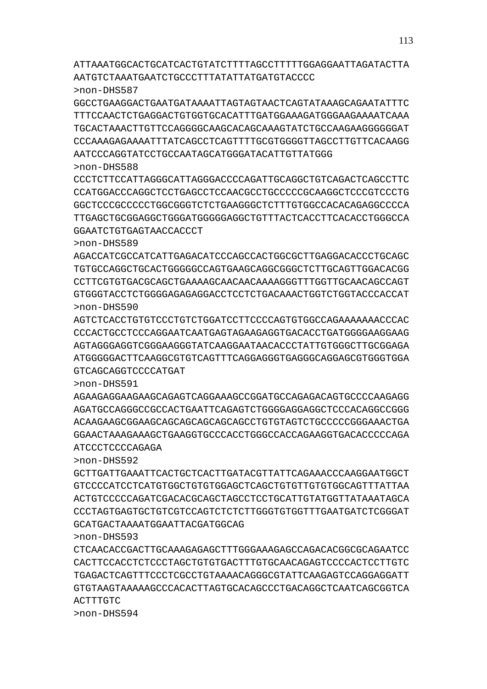ATTAAATGGCACTGCATCACTGTATCTTTTAGCCTTTTTGGAGGAATTAGATACTTA AATGTCTAAATGAATCTGCCCTTTATATTATGATGTACCCC

>non-DHS587

GGCCTGAAGGACTGAATGATAAAATTAGTAGTAACTCAGTATAAAGCAGAATATTTC TTTCCAACTCTGAGGACTGTGGTGCACATTTGATGGAAAGATGGGAAGAAAATCAAA TGCACTAAACTTGTTCCAGGGGCAAGCACAGCAAAGTATCTGCCAAGAAGGGGGGAT CCCAAAGAGAAAATTTATCAGCCTCAGTTTTGCGTGGGGTTAGCCTTGTTCACAAGG AATCCCAGGTATCCTGCCAATAGCATGGGATACATTGTTATGGG

### >non-DHS588

CCCTCTTCCATTAGGGCATTAGGGACCCCAGATTGCAGGCTGTCAGACTCAGCCTTC CCATGGACCCAGGCTCCTGAGCCTCCAACGCCTGCCCCCGCAAGGCTCCCGTCCCTG GGCTCCCGCCCCCTGGCGGGTCTCTGAAGGGCTCTTTGTGGCCACACAGAGGCCCCA TTGAGCTGCGGAGGCTGGGATGGGGGAGGCTGTTTACTCACCTTCACACCTGGGCCA GGAATCTGTGAGTAACCACCCT

## >non-DHS589

AGACCATCGCCATCATTGAGACATCCCAGCCACTGGCGCTTGAGGACACCCTGCAGC TGTGCCAGGCTGCACTGGGGGCCAGTGAAGCAGGCGGGCTCTTGCAGTTGGACACGG CCTTCGTGTGACGCAGCTGAAAAGCAACAACAAAAGGGTTTGGTTGCAACAGCCAGT GTGGGTACCTCTGGGGAGAGAGGACCTCCTCTGACAAACTGGTCTGGTACCCACCAT >non-DHS590

AGTCTCACCTGTGTCCCTGTCTGGATCCTTCCCCAGTGTGGCCAGAAAAAAACCCAC CCCACTGCCTCCCAGGAATCAATGAGTAGAAGAGGTGACACCTGATGGGGAAGGAAG AGTAGGGAGGTCGGGAAGGGTATCAAGGAATAACACCCTATTGTGGGCTTGCGGAGA ATGGGGGACTTCAAGGCGTGTCAGTTTCAGGAGGGTGAGGGCAGGAGCGTGGGTGGA GTCAGCAGGTCCCCATGAT

>non-DHS591

AGAAGAGGAAGAAGCAGAGTCAGGAAAGCCGGATGCCAGAGACAGTGCCCCAAGAGG AGATGCCAGGGCCGCCACTGAATTCAGAGTCTGGGGAGGAGGCTCCCACAGGCCGGG ACAAGAAGCGGAAGCAGCAGCAGCAGCAGCCTGTGTAGTCTGCCCCCGGGAAACTGA GGAACTAAAGAAAGCTGAAGGTGCCCACCTGGGCCACCAGAAGGTGACACCCCCAGA ATCCCTCCCCAGAGA

>non-DHS592

GCTTGATTGAAATTCACTGCTCACTTGATACGTTATTCAGAAACCCAAGGAATGGCT GTCCCCATCCTCATGTGGCTGTGTGGAGCTCAGCTGTGTTGTGTGGCAGTTTATTAA ACTGTCCCCCAGATCGACACGCAGCTAGCCTCCTGCATTGTATGGTTATAAATAGCA CCCTAGTGAGTGCTGTCGTCCAGTCTCTCTTGGGTGTGGTTTGAATGATCTCGGGAT GCATGACTAAAATGGAATTACGATGGCAG

>non-DHS593

CTCAACACCGACTTGCAAAGAGAGCTTTGGGAAAGAGCCAGACACGGCGCAGAATCC CACTTCCACCTCTCCCTAGCTGTGTGACTTTGTGCAACAGAGTCCCCACTCCTTGTC TGAGACTCAGTTTCCCTCGCCTGTAAAACAGGGCGTATTCAAGAGTCCAGGAGGATT GTGTAAGTAAAAAGCCCACACTTAGTGCACAGCCCTGACAGGCTCAATCAGCGGTCA ACTTTGTC

>non-DHS594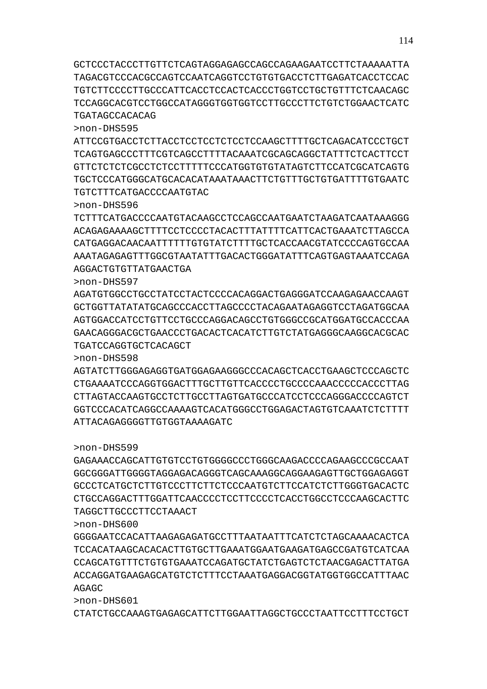>non-DHS601 CTATCTGCCAAAGTGAGAGCATTCTTGGAATTAGGCTGCCCTAATTCCTTTCCTGCT

AGAGC

>non-DHS600 GGGGAATCCACATTAAGAGAGATGCCTTTAATAATTTCATCTCTAGCAAAACACTCA TCCACATAAGCACACACTTGTGCTTGAAATGGAATGAAGATGAGCCGATGTCATCAA CCAGCATGTTTCTGTGTGAAATCCAGATGCTATCTGAGTCTCTAACGAGACTTATGA ACCAGGATGAAGAGCATGTCTCTTTCCTAAATGAGGACGGTATGGTGGCCATTTAAC

TAGGCTTGCCCTTCCTAAACT

>non-DHS599 GAGAAACCAGCATTGTGTCCTGTGGGGCCCTGGGCAAGACCCCAGAAGCCCGCCAAT GGCGGGATTGGGGTAGGAGACAGGGTCAGCAAAGGCAGGAAGAGTTGCTGGAGAGGT GCCCTCATGCTCTTGTCCCTTCTTCTCCCAATGTCTTCCATCTCTTGGGTGACACTC CTGCCAGGACTTTGGATTCAACCCCTCCTTCCCCTCACCTGGCCTCCCAAGCACTTC

# ATTACAGAGGGGTTGTGGTAAAAGATC

>non-DHS598 AGTATCTTGGGAGAGGTGATGGAGAAGGGCCCACAGCTCACCTGAAGCTCCCAGCTC CTGAAAATCCCAGGTGGACTTTGCTTGTTCACCCCTGCCCCAAACCCCCACCCTTAG CTTAGTACCAAGTGCCTCTTGCCTTAGTGATGCCCATCCTCCCAGGGACCCCAGTCT GGTCCCACATCAGGCCAAAAGTCACATGGGCCTGGAGACTAGTGTCAAATCTCTTTT

TGATCCAGGTGCTCACAGCT

>non-DHS597 AGATGTGGCCTGCCTATCCTACTCCCCACAGGACTGAGGGATCCAAGAGAACCAAGT GCTGGTTATATATGCAGCCCACCTTAGCCCCTACAGAATAGAGGTCCTAGATGGCAA AGTGGACCATCCTGTTCCTGCCCAGGACAGCCTGTGGGCCGCATGGATGCCACCCAA GAACAGGGACGCTGAACCCTGACACTCACATCTTGTCTATGAGGGCAAGGCACGCAC

AGGACTGTGTTATGAACTGA

>non-DHS596 TCTTTCATGACCCCAATGTACAAGCCTCCAGCCAATGAATCTAAGATCAATAAAGGG ACAGAGAAAAGCTTTTCCTCCCCTACACTTTATTTTCATTCACTGAAATCTTAGCCA CATGAGGACAACAATTTTTTGTGTATCTTTTGCTCACCAACGTATCCCCAGTGCCAA AAATAGAGAGTTTGGCGTAATATTTGACACTGGGATATTTCAGTGAGTAAATCCAGA

TGTCTTTCATGACCCCAATGTAC

>non-DHS595 ATTCCGTGACCTCTTACCTCCTCCTCTCCTCCAAGCTTTTGCTCAGACATCCCTGCT TCAGTGAGCCCTTTCGTCAGCCTTTTACAAATCGCAGCAGGCTATTTCTCACTTCCT GTTCTCTCTCGCCTCTCCTTTTTCCCATGGTGTGTATAGTCTTCCATCGCATCAGTG TGCTCCCATGGGCATGCACACATAAATAAACTTCTGTTTGCTGTGATTTTGTGAATC

GCTCCCTACCCTTGTTCTCAGTAGGAGAGCCAGCCAGAAGAATCCTTCTAAAAATTA TAGACGTCCCACGCCAGTCCAATCAGGTCCTGTGTGACCTCTTGAGATCACCTCCAC TGTCTTCCCCTTGCCCATTCACCTCCACTCACCCTGGTCCTGCTGTTTCTCAACAGC TCCAGGCACGTCCTGGCCATAGGGTGGTGGTCCTTGCCCTTCTGTCTGGAACTCATC TGATAGCCACACAG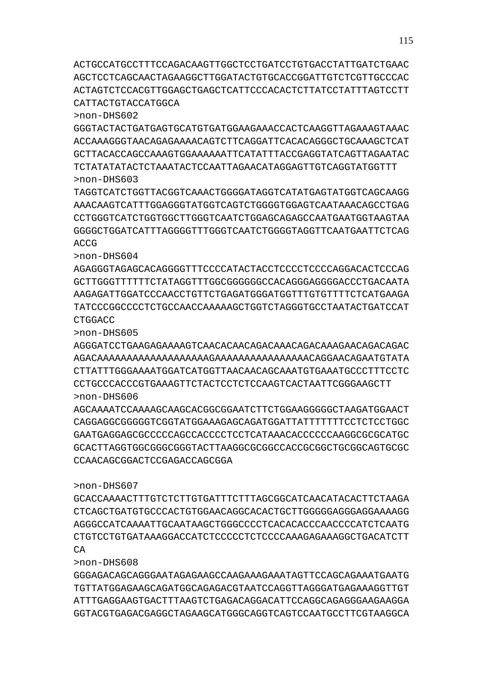GGGAGACAGCAGGGAATAGAGAAGCCAAGAAAGAAATAGTTCCAGCAGAAATGAATG TGTTATGGAGAAGCAGATGGCAGAGACGTAATCCAGGTTAGGGATGAGAAAGGTTGT ATTTGAGGAAGTGACTTTAAGTCTGAGACAGGACATTCCAGGCAGAGGGAAGAAGGA GGTACGTGAGACGAGGCTAGAAGCATGGGCAGGTCAGTCCAATGCCTTCGTAAGGCA

>non-DHS608

>non-DHS607 GCACCAAAACTTTGTCTCTTGTGATTTCTTTAGCGGCATCAACATACACTTCTAAGA CTCAGCTGATGTGCCCACTGTGGAACAGGCACACTGCTTGGGGGAGGGAGGAAAAGG AGGGCCATCAAAATTGCAATAAGCTGGGCCCCTCACACACCCAACCCCATCTCAATG CTGTCCTGTGATAAAGGACCATCTCCCCCTCTCCCCAAAGAGAAAGGCTGACATCTT CA

AGCAAAATCCAAAAGCAAGCACGGCGGAATCTTCTGGAAGGGGGCTAAGATGGAACT CAGGAGGCGGGGGTCGGTATGGAAAGAGCAGATGGATTATTTTTTTCCTCTCCTGGC GAATGAGGAGCGCCCCCAGCCACCCCTCCTCATAAACACCCCCCAAGGCGCGCATGC GCACTTAGGTGGCGGGCGGGTACTTAAGGCGCGGCCACCGCGGCTGCGGCAGTGCGC CCAACAGCGGACTCCGAGACCAGCGGA

>non-DHS605 AGGGATCCTGAAGAGAAAAGTCAACACAACAGACAAACAGACAAAGAACAGACAGAC AGACAAAAAAAAAAAAAAAAAAAGAAAAAAAAAAAAAAAACAGGAACAGAATGTATA CTTATTTGGGAAAATGGATCATGGTTAACAACAGCAAATGTGAAATGCCCTTTCCTC CCTGCCCACCCGTGAAAGTTCTACTCCTCTCCAAGTCACTAATTCGGGAAGCTT >non-DHS606

>non-DHS604 AGAGGGTAGAGCACAGGGGTTTCCCCATACTACCTCCCCTCCCCAGGACACTCCCAG GCTTGGGTTTTTTCTATAGGTTTGGCGGGGGGCCACAGGGAGGGGACCCTGACAATA AAGAGATTGGATCCCAACCTGTTCTGAGATGGGATGGTTTGTGTTTTCTCATGAAGA TATCCCGGCCCCTCTGCCAACCAAAAAGCTGGTCTAGGGTGCCTAATACTGATCCAT CTGGACC

>non-DHS603 TAGGTCATCTGGTTACGGTCAAACTGGGGATAGGTCATATGAGTATGGTCAGCAAGG AAACAAGTCATTTGGAGGGTATGGTCAGTCTGGGGTGGAGTCAATAAACAGCCTGAG CCTGGGTCATCTGGTGGCTTGGGTCAATCTGGAGCAGAGCCAATGAATGGTAAGTAA GGGGCTGGATCATTTAGGGGTTTGGGTCAATCTGGGGTAGGTTCAATGAATTCTCAG ACCG

>non-DHS602 GGGTACTACTGATGAGTGCATGTGATGGAAGAAACCACTCAAGGTTAGAAAGTAAAC ACCAAAGGGTAACAGAGAAAACAGTCTTCAGGATTCACACAGGGCTGCAAAGCTCAT GCTTACACCAGCCAAAGTGGAAAAAATTCATATTTACCGAGGTATCAGTTAGAATAC TCTATATATACTCTAAATACTCCAATTAGAACATAGGAGTTGTCAGGTATGGTTT

ACTGCCATGCCTTTCCAGACAAGTTGGCTCCTGATCCTGTGACCTATTGATCTGAAC AGCTCCTCAGCAACTAGAAGGCTTGGATACTGTGCACCGGATTGTCTCGTTGCCCAC ACTAGTCTCCACGTTGGAGCTGAGCTCATTCCCACACTCTTATCCTATTTAGTCCTT CATTACTGTACCATGGCA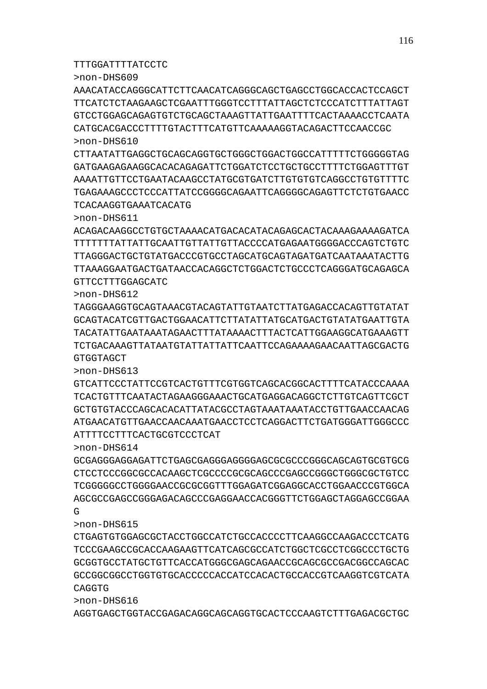>non-DHS616 AGGTGAGCTGGTACCGAGACAGGCAGCAGGTGCACTCCCAAGTCTTTGAGACGCTGC

>non-DHS615 CTGAGTGTGGAGCGCTACCTGGCCATCTGCCACCCCTTCAAGGCCAAGACCCTCATG TCCCGAAGCCGCACCAAGAAGTTCATCAGCGCCATCTGGCTCGCCTCGGCCCTGCTG GCGGTGCCTATGCTGTTCACCATGGGCGAGCAGAACCGCAGCGCCGACGGCCAGCAC GCCGGCGGCCTGGTGTGCACCCCCACCATCCACACTGCCACCGTCAAGGTCGTCATA CAGGTG

>non-DHS614 GCGAGGGAGGAGATTCTGAGCGAGGGAGGGGAGCGCGCCCGGGCAGCAGTGCGTGCG CTCCTCCCGGCGCCACAAGCTCGCCCCGCGCAGCCCGAGCCGGGCTGGGCGCTGTCC TCGGGGGCCTGGGGAACCGCGCGGTTTGGAGATCGGAGGCACCTGGAACCCGTGGCA AGCGCCGAGCCGGGAGACAGCCCGAGGAACCACGGGTTCTGGAGCTAGGAGCCGGAA G

ATTTTCCTTTCACTGCGTCCCTCAT

>non-DHS613 GTCATTCCCTATTCCGTCACTGTTTCGTGGTCAGCACGGCACTTTTCATACCCAAAA TCACTGTTTCAATACTAGAAGGGAAACTGCATGAGGACAGGCTCTTGTCAGTTCGCT GCTGTGTACCCAGCACACATTATACGCCTAGTAAATAAATACCTGTTGAACCAACAG ATGAACATGTTGAACCAACAAATGAACCTCCTCAGGACTTCTGATGGGATTGGGCCC

>non-DHS612 TAGGGAAGGTGCAGTAAACGTACAGTATTGTAATCTTATGAGACCACAGTTGTATAT GCAGTACATCGTTGACTGGAACATTCTTATATTATGCATGACTGTATATGAATTGTA TACATATTGAATAAATAGAACTTTATAAAACTTTACTCATTGGAAGGCATGAAAGTT TCTGACAAAGTTATAATGTATTATTATTCAATTCCAGAAAAGAACAATTAGCGACTG GTGGTAGCT

GTTCCTTTGGAGCATC

>non-DHS611 ACAGACAAGGCCTGTGCTAAAACATGACACATACAGAGCACTACAAAGAAAAGATCA TTTTTTTATTATTGCAATTGTTATTGTTACCCCATGAGAATGGGGACCCAGTCTGTC TTAGGGACTGCTGTATGACCCGTGCCTAGCATGCAGTAGATGATCAATAAATACTTG TTAAAGGAATGACTGATAACCACAGGCTCTGGACTCTGCCCTCAGGGATGCAGAGCA

TCACAAGGTGAAATCACATG

TTTGGATTTTATCCTC

>non-DHS610 CTTAATATTGAGGCTGCAGCAGGTGCTGGGCTGGACTGGCCATTTTTCTGGGGGTAG GATGAAGAGAAGGCACACAGAGATTCTGGATCTCCTGCTGCCTTTTCTGGAGTTTGT AAAATTGTTCCTGAATACAAGCCTATGCGTGATCTTGTGTGTCAGGCCTGTGTTTTC TGAGAAAGCCCTCCCATTATCCGGGGCAGAATTCAGGGGCAGAGTTCTCTGTGAACC

>non-DHS609 AAACATACCAGGGCATTCTTCAACATCAGGGCAGCTGAGCCTGGCACCACTCCAGCT TTCATCTCTAAGAAGCTCGAATTTGGGTCCTTTATTAGCTCTCCCATCTTTATTAGT GTCCTGGAGCAGAGTGTCTGCAGCTAAAGTTATTGAATTTTCACTAAAACCTCAATA CATGCACGACCCTTTTGTACTTTCATGTTCAAAAAGGTACAGACTTCCAACCGC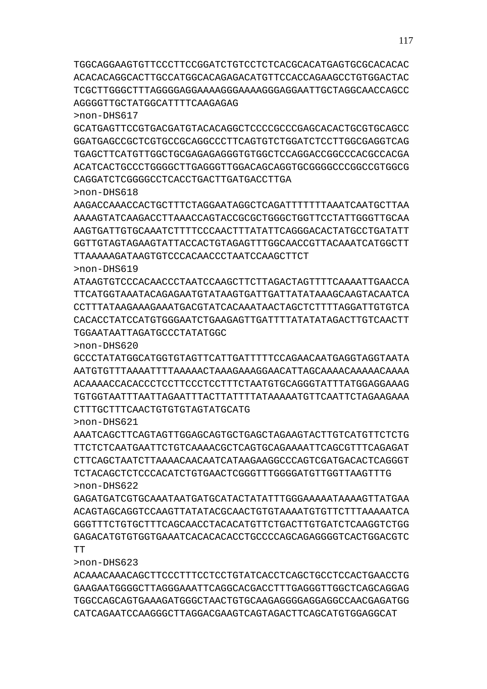ACAAACAAACAGCTTCCCTTTCCTCCTGTATCACCTCAGCTGCCTCCACTGAACCTG GAAGAATGGGGCTTAGGGAAATTCAGGCACGACCTTTGAGGGTTGGCTCAGCAGGAG TGGCCAGCAGTGAAAGATGGGCTAACTGTGCAAGAGGGGAGGAGGCCAACGAGATGG CATCAGAATCCAAGGGCTTAGGACGAAGTCAGTAGACTTCAGCATGTGGAGGCAT

>non-DHS623

>non-DHS622 GAGATGATCGTGCAAATAATGATGCATACTATATTTGGGAAAAATAAAAGTTATGAA ACAGTAGCAGGTCCAAGTTATATACGCAACTGTGTAAAATGTGTTCTTTAAAAATCA GGGTTTCTGTGCTTTCAGCAACCTACACATGTTCTGACTTGTGATCTCAAGGTCTGG GAGACATGTGTGGTGAAATCACACACACCTGCCCCAGCAGAGGGGTCACTGGACGTC TT

>non-DHS621 AAATCAGCTTCAGTAGTTGGAGCAGTGCTGAGCTAGAAGTACTTGTCATGTTCTCTG TTCTCTCAATGAATTCTGTCAAAACGCTCAGTGCAGAAAATTCAGCGTTTCAGAGAT CTTCAGCTAATCTTAAAACAACAATCATAAGAAGGCCCAGTCGATGACACTCAGGGT TCTACAGCTCTCCCACATCTGTGAACTCGGGTTTGGGGATGTTGGTTAAGTTTG

>non-DHS620 GCCCTATATGGCATGGTGTAGTTCATTGATTTTTCCAGAACAATGAGGTAGGTAATA AATGTGTTTAAAATTTTAAAAACTAAAGAAAGGAACATTAGCAAAACAAAAACAAAA ACAAAACCACACCCTCCTTCCCTCCTTTCTAATGTGCAGGGTATTTATGGAGGAAAG TGTGGTAATTTAATTAGAATTTACTTATTTTATAAAAATGTTCAATTCTAGAAGAAA CTTTTGCTTTCAACTGTGTGTAGTATGCATG

>non-DHS619 ATAAGTGTCCCACAACCCTAATCCAAGCTTCTTAGACTAGTTTTCAAAATTGAACCA TTCATGGTAAATACAGAGAATGTATAAGTGATTGATTATATAAAGCAAGTACAATCA CCTTTATAAGAAAGAAATGACGTATCACAAATAACTAGCTCTTTTAGGATTGTGTCA CACACCTATCCATGTGGGAATCTGAAGAGTTGATTTTATATATAGACTTGTCAACTT TGGAATAATTAGATGCCCTATATGGC

>non-DHS618 AAGACCAAACCACTGCTTTCTAGGAATAGGCTCAGATTTTTTTAAATCAATGCTTAA AAAAGTATCAAGACCTTAAACCAGTACCGCGCTGGGCTGGTTCCTATTGGGTTGCAA AAGTGATTGTGCAAATCTTTTCCCAACTTTATATTCAGGGACACTATGCCTGATATT GGTTGTAGTAGAAGTATTACCACTGTAGAGTTTGGCAACCGTTACAAATCATGGCTT TTAAAAAGATAAGTGTCCCACAACCCTAATCCAAGCTTCT

>non-DHS617 GCATGAGTTCCGTGACGATGTACACAGGCTCCCCGCCCGAGCACACTGCGTGCAGCC GGATGAGCCGCTCGTGCCGCAGGCCCTTCAGTGTCTGGATCTCCTTGGCGAGGTCAG TGAGCTTCATGTTGGCTGCGAGAGAGGGTGTGGCTCCAGGACCGGCCCACGCCACGA ACATCACTGCCCTGGGGCTTGAGGGTTGGACAGCAGGTGCGGGGCCCGGCCGTGGCG CAGGATCTCGGGGCCTCACCTGACTTGATGACCTTGA

TGGCAGGAAGTGTTCCCTTCCGGATCTGTCCTCTCACGCACATGAGTGCGCACACAC ACACACAGGCACTTGCCATGGCACAGAGACATGTTCCACCAGAAGCCTGTGGACTAC TCGCTTGGGCTTTAGGGGAGGAAAAGGGAAAAGGGAGGAATTGCTAGGCAACCAGCC AGGGGTTGCTATGGCATTTTCAAGAGAG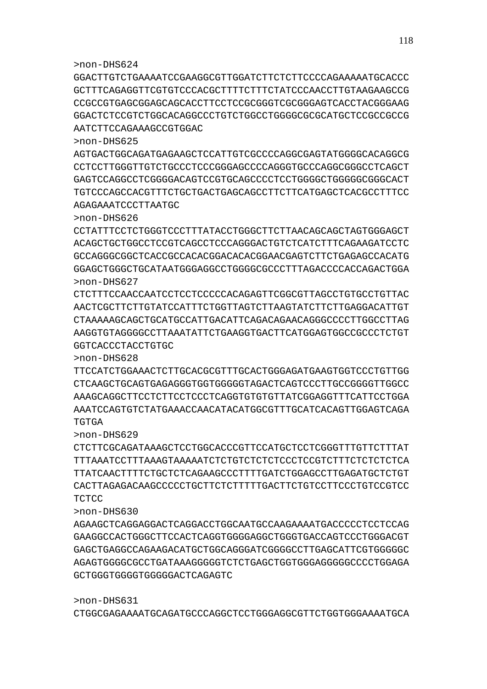>non-DHS624

GGACTTGTCTGAAAATCCGAAGGCGTTGGATCTTCTCTTCCCCAGAAAAATGCACCC GCTTTCAGAGGTTCGTGTCCCACGCTTTTCTTTCTATCCCAACCTTGTAAGAAGCCG CCGCCGTGAGCGGAGCAGCACCTTCCTCCGCGGGTCGCGGGAGTCACCTACGGGAAG GGACTCTCCGTCTGGCACAGGCCCTGTCTGGCCTGGGGCGCGCATGCTCCGCCGCCG AATCTTCCAGAAAGCCGTGGAC

>non-DHS625

AGTGACTGGCAGATGAGAAGCTCCATTGTCGCCCCAGGCGAGTATGGGGCACAGGCG CCTCCTTGGGTTGTCTGCCCTCCCGGGAGCCCCAGGGTGCCCAGGCGGGCCTCAGCT GAGTCCAGGCCTCGGGGACAGTCCGTGCAGCCCCTCCTGGGGCTGGGGGCGGGCACT TGTCCCAGCCACGTTTCTGCTGACTGAGCAGCCTTCTTCATGAGCTCACGCCTTTCC AGAGAAATCCCTTAATGC

>non-DHS626

CCTATTTCCTCTGGGTCCCTTTATACCTGGGCTTCTTAACAGCAGCTAGTGGGAGCT ACAGCTGCTGGCCTCCGTCAGCCTCCCAGGGACTGTCTCATCTTTCAGAAGATCCTC GCCAGGGCGGCTCACCGCCACACGGACACACGGAACGAGTCTTCTGAGAGCCACATG GGAGCTGGGCTGCATAATGGGAGGCCTGGGGCGCCCTTTAGACCCCACCAGACTGGA >non-DHS627

CTCTTTCCAACCAATCCTCCTCCCCCACAGAGTTCGGCGTTAGCCTGTGCCTGTTAC AACTCGCTTCTTGTATCCATTTCTGGTTAGTCTTAAGTATCTTCTTGAGGACATTGT CTAAAAAGCAGCTGCATGCCATTGACATTCAGACAGAACAGGGCCCCTTGGCCTTAG AAGGTGTAGGGGCCTTAAATATTCTGAAGGTGACTTCATGGAGTGGCCGCCCTCTGT GGTCACCCTACCTGTGC

>non-DHS628

TTCCATCTGGAAACTCTTGCACGCGTTTGCACTGGGAGATGAAGTGGTCCCTGTTGG CTCAAGCTGCAGTGAGAGGGTGGTGGGGGTAGACTCAGTCCCTTGCCGGGGTTGGCC AAAGCAGGCTTCCTCTTCCTCCCTCAGGTGTGTGTTATCGGAGGTTTCATTCCTGGA AAATCCAGTGTCTATGAAACCAACATACATGGCGTTTGCATCACAGTTGGAGTCAGA TGTGA

>non-DHS629

CTCTTCGCAGATAAAGCTCCTGGCACCCGTTCCATGCTCCTCGGGTTTGTTCTTTAT TTTAAATCCTTTAAAGTAAAAATCTCTGTCTCTCTCCCTCCGTCTTTCTCTCTCTCA TTATCAACTTTTCTGCTCTCAGAAGCCCTTTTGATCTGGAGCCTTGAGATGCTCTGT CACTTAGAGACAAGCCCCCTGCTTCTCTTTTTGACTTCTGTCCTTCCCTGTCCGTCC **TCTCC** 

>non-DHS630

AGAAGCTCAGGAGGACTCAGGACCTGGCAATGCCAAGAAAATGACCCCCTCCTCCAG GAAGGCCACTGGGCTTCCACTCAGGTGGGGAGGCTGGGTGACCAGTCCCTGGGACGT GAGCTGAGGCCAGAAGACATGCTGGCAGGGATCGGGGCCTTGAGCATTCGTGGGGGC AGAGTGGGGCGCCTGATAAAGGGGGTCTCTGAGCTGGTGGGAGGGGGCCCCTGGAGA GCTGGGTGGGGTGGGGGACTCAGAGTC

>non-DHS631

CTGGCGAGAAAATGCAGATGCCCAGGCTCCTGGGAGGCGTTCTGGTGGGAAAATGCA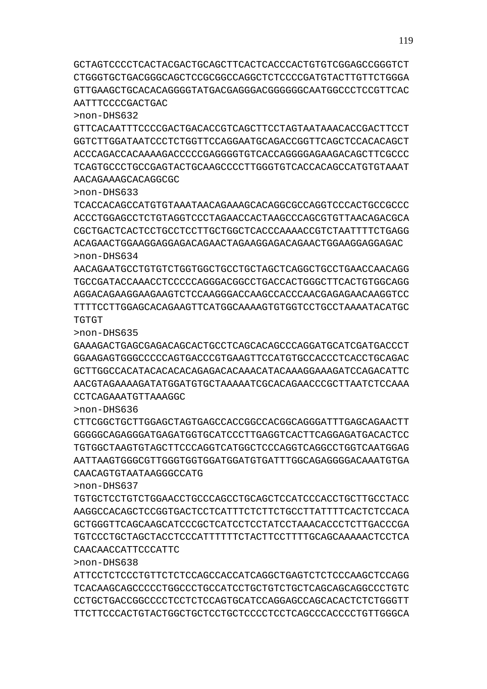>non-DHS638 ATTCCTCTCCCTGTTCTCTCCAGCCACCATCAGGCTGAGTCTCTCCCAAGCTCCAGG TCACAAGCAGCCCCCTGGCCCTGCCATCCTGCTGTCTGCTCAGCAGCAGGCCCTGTC CCTGCTGACCGGCCCCTCCTCTCCAGTGCATCCAGGAGCCAGCACACTCTCTGGGTT TTCTTCCCACTGTACTGGCTGCTCCTGCTCCCCTCCTCAGCCCACCCCTGTTGGGCA

CAACAACCATTCCCATTC

>non-DHS632

>non-DHS633

TGTGT

>non-DHS637 TGTGCTCCTGTCTGGAACCTGCCCAGCCTGCAGCTCCATCCCACCTGCTTGCCTACC AAGGCCACAGCTCCGGTGACTCCTCATTTCTCTTCTGCCTTATTTTCACTCTCCACA GCTGGGTTCAGCAAGCATCCCGCTCATCCTCCTATCCTAAACACCCTCTTGACCCGA TGTCCCTGCTAGCTACCTCCCATTTTTTCTACTTCCTTTTGCAGCAAAAACTCCTCA

CAACAGTGTAATAAGGGCCATG

>non-DHS636 CTTCGGCTGCTTGGAGCTAGTGAGCCACCGGCCACGGCAGGGATTTGAGCAGAACTT GGGGGCAGAGGGATGAGATGGTGCATCCCTTGAGGTCACTTCAGGAGATGACACTCC TGTGGCTAAGTGTAGCTTCCCAGGTCATGGCTCCCAGGTCAGGCCTGGTCAATGGAG AATTAAGTGGGCGTTGGGTGGTGGATGGATGTGATTTGGCAGAGGGGACAAATGTGA

>non-DHS635 GAAAGACTGAGCGAGACAGCACTGCCTCAGCACAGCCCAGGATGCATCGATGACCCT GGAAGAGTGGGCCCCCAGTGACCCGTGAAGTTCCATGTGCCACCCTCACCTGCAGAC GCTTGGCCACATACACACACAGAGACACAAACATACAAAGGAAAGATCCAGACATTC AACGTAGAAAAGATATGGATGTGCTAAAAATCGCACAGAACCCGCTTAATCTCCAAA CCTCAGAAATGTTAAAGGC

TCACCACAGCCATGTGTAAATAACAGAAAGCACAGGCGCCAGGTCCCACTGCCGCCC ACCCTGGAGCCTCTGTAGGTCCCTAGAACCACTAAGCCCAGCGTGTTAACAGACGCA CGCTGACTCACTCCTGCCTCCTTGCTGGCTCACCCAAAACCGTCTAATTTTCTGAGG ACAGAACTGGAAGGAGGAGACAGAACTAGAAGGAGACAGAACTGGAAGGAGGAGAC >non-DHS634 AACAGAATGCCTGTGTCTGGTGGCTGCCTGCTAGCTCAGGCTGCCTGAACCAACAGG

TGCCGATACCAAACCTCCCCCAGGGACGGCCTGACCACTGGGCTTCACTGTGGCAGG AGGACAGAAGGAAGAAGTCTCCAAGGGACCAAGCCACCCAACGAGAGAACAAGGTCC TTTTCCTTGGAGCACAGAAGTTCATGGCAAAAGTGTGGTCCTGCCTAAAATACATGC

GTTCACAATTTCCCCGACTGACACCGTCAGCTTCCTAGTAATAAACACCGACTTCCT GGTCTTGGATAATCCCTCTGGTTCCAGGAATGCAGACCGGTTCAGCTCCACACAGCT ACCCAGACCACAAAAGACCCCCGAGGGGTGTCACCAGGGGAGAAGACAGCTTCGCCC TCAGTGCCCTGCCGAGTACTGCAAGCCCCTTGGGTGTCACCACAGCCATGTGTAAAT AACAGAAAGCACAGGCGC

GCTAGTCCCCTCACTACGACTGCAGCTTCACTCACCCACTGTGTCGGAGCCGGGTCT CTGGGTGCTGACGGGCAGCTCCGCGGCCAGGCTCTCCCCGATGTACTTGTTCTGGGA GTTGAAGCTGCACACAGGGGTATGACGAGGGACGGGGGGCAATGGCCCTCCGTTCAC AATTTCCCCGACTGAC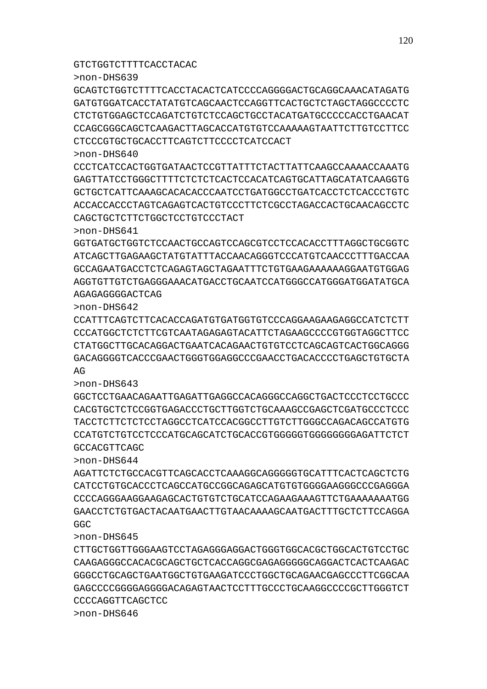>non-DHS646

>non-DHS645

>non-DHS643

CTTGCTGGTTGGGAAGTCCTAGAGGGAGGACTGGGTGGCACGCTGGCACTGTCCTGC CAAGAGGGCCACACGCAGCTGCTCACCAGGCGAGAGGGGGCAGGACTCACTCAAGAC GGGCCTGCAGCTGAATGGCTGTGAAGATCCCTGGCTGCAGAACGAGCCCTTCGGCAA GAGCCCCGGGGAGGGGACAGAGTAACTCCTTTGCCCTGCAAGGCCCCGCTTGGGTCT CCCCAGGTTCAGCTCC

>non-DHS644 AGATTCTCTGCCACGTTCAGCACCTCAAAGGCAGGGGGTGCATTTCACTCAGCTCTG CATCCTGTGCACCCTCAGCCATGCCGGCAGAGCATGTGTGGGGAAGGGCCCGAGGGA CCCCAGGGAAGGAAGAGCACTGTGTCTGCATCCAGAAGAAAGTTCTGAAAAAAATGG GAACCTCTGTGACTACAATGAACTTGTAACAAAAGCAATGACTTTGCTCTTCCAGGA GGC

GGCTCCTGAACAGAATTGAGATTGAGGCCACAGGGCCAGGCTGACTCCCTCCTGCCC CACGTGCTCTCCGGTGAGACCCTGCTTGGTCTGCAAAGCCGAGCTCGATGCCCTCCC TACCTCTTCTCTCCTAGGCCTCATCCACGGCCTTGTCTTGGGCCAGACAGCCATGTG CCATGTCTGTCCTCCCATGCAGCATCTGCACCGTGGGGGTGGGGGGGGAGATTCTCT GCCACGTTCAGC

>non-DHS642 CCATTTCAGTCTTCACACCAGATGTGATGGTGTCCCAGGAAGAAGAGGCCATCTCTT CCCATGGCTCTCTTCGTCAATAGAGAGTACATTCTAGAAGCCCCGTGGTAGGCTTCC CTATGGCTTGCACAGGACTGAATCACAGAACTGTGTCCTCAGCAGTCACTGGCAGGG GACAGGGGTCACCCGAACTGGGTGGAGGCCCGAACCTGACACCCCTGAGCTGTGCTA AG

>non-DHS641 GGTGATGCTGGTCTCCAACTGCCAGTCCAGCGTCCTCCACACCTTTAGGCTGCGGTC ATCAGCTTGAGAAGCTATGTATTTACCAACAGGGTCCCATGTCAACCCTTTGACCAA GCCAGAATGACCTCTCAGAGTAGCTAGAATTTCTGTGAAGAAAAAAGGAATGTGGAG AGGTGTTGTCTGAGGGAAACATGACCTGCAATCCATGGGCCATGGGATGGATATGCA AGAGAGGGGACTCAG

>non-DHS640 CCCTCATCCACTGGTGATAACTCCGTTATTTCTACTTATTCAAGCCAAAACCAAATG GAGTTATCCTGGGCTTTTCTCTCTCACTCCACATCAGTGCATTAGCATATCAAGGTG GCTGCTCATTCAAAGCACACACCCAATCCTGATGGCCTGATCACCTCTCACCCTGTC ACCACCACCCTAGTCAGAGTCACTGTCCCTTCTCGCCTAGACCACTGCAACAGCCTC CAGCTGCTCTTCTGGCTCCTGTCCCTACT

>non-DHS639 GCAGTCTGGTCTTTTCACCTACACTCATCCCCAGGGGACTGCAGGCAAACATAGATG GATGTGGATCACCTATATGTCAGCAACTCCAGGTTCACTGCTCTAGCTAGGCCCCTC CTCTGTGGAGCTCCAGATCTGTCTCCAGCTGCCTACATGATGCCCCCACCTGAACAT CCAGCGGGCAGCTCAAGACTTAGCACCATGTGTCCAAAAAGTAATTCTTGTCCTTCC CTCCCGTGCTGCACCTTCAGTCTTCCCCTCATCCACT

GTCTGGTCTTTTCACCTACAC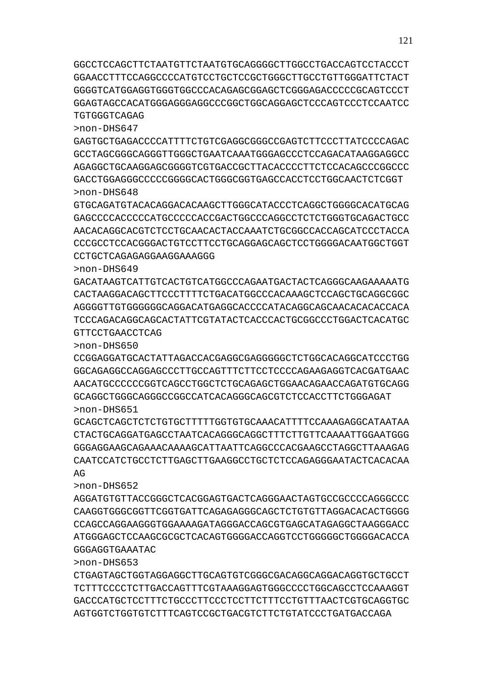CTGAGTAGCTGGTAGGAGGCTTGCAGTGTCGGGCGACAGGCAGGACAGGTGCTGCCT TCTTTCCCCTCTTGACCAGTTTCGTAAAGGAGTGGGCCCCTGGCAGCCTCCAAAGGT GACCCATGCTCCTTTCTGCCCTTCCCTCCTTCTTTCCTGTTTAACTCGTGCAGGTGC AGTGGTCTGGTGTCTTTCAGTCCGCTGACGTCTTCTGTATCCCTGATGACCAGA

GGGAGGTGAAATAC >non-DHS653

>non-DHS652 AGGATGTGTTACCGGGCTCACGGAGTGACTCAGGGAACTAGTGCCGCCCCAGGGCCC CAAGGTGGGCGGTTCGGTGATTCAGAGAGGGCAGCTCTGTGTTAGGACACACTGGGG CCAGCCAGGAAGGGTGGAAAAGATAGGGACCAGCGTGAGCATAGAGGCTAAGGGACC ATGGGAGCTCCAAGCGCGCTCACAGTGGGGACCAGGTCCTGGGGGCTGGGGACACCA

GCAGCTCAGCTCTCTGTGCTTTTTGGTGTGCAAACATTTTCCAAAGAGGCATAATAA CTACTGCAGGATGAGCCTAATCACAGGGCAGGCTTTCTTGTTCAAAATTGGAATGGG GGGAGGAAGCAGAAACAAAAGCATTAATTCAGGCCCACGAAGCCTAGGCTTAAAGAG CAATCCATCTGCCTCTTGAGCTTGAAGGCCTGCTCTCCAGAGGGAATACTCACACAA  $\Delta$  $\sim$ 

>non-DHS650 CCGGAGGATGCACTATTAGACCACGAGGCGAGGGGGCTCTGGCACAGGCATCCCTGG GGCAGAGGCCAGGAGCCCTTGCCAGTTTCTTCCTCCCCAGAAGAGGTCACGATGAAC AACATGCCCCCCGGTCAGCCTGGCTCTGCAGAGCTGGAACAGAACCAGATGTGCAGG GCAGGCTGGGCAGGGCCGGCCATCACAGGGCAGCGTCTCCACCTTCTGGGAGAT >non-DHS651

GTTCCTGAACCTCAG

>non-DHS649 GACATAAGTCATTGTCACTGTCATGGCCCAGAATGACTACTCAGGGCAAGAAAAATG CACTAAGGACAGCTTCCCTTTTCTGACATGGCCCACAAAGCTCCAGCTGCAGGCGGC AGGGGTTGTGGGGGGCAGGACATGAGGCACCCCATACAGGCAGCAACACACACCACA TCCCAGACAGGCAGCACTATTCGTATACTCACCCACTGCGGCCCTGGACTCACATGC

>non-DHS648 GTGCAGATGTACACAGGACACAAGCTTGGGCATACCCTCAGGCTGGGGCACATGCAG GAGCCCCACCCCCATGCCCCCACCGACTGGCCCAGGCCTCTCTGGGTGCAGACTGCC AACACAGGCACGTCTCCTGCAACACTACCAAATCTGCGGCCACCAGCATCCCTACCA CCCGCCTCCACGGGACTGTCCTTCCTGCAGGAGCAGCTCCTGGGGACAATGGCTGGT CCTGCTCAGAGAGGAAGGAAAGGG

>non-DHS647 GAGTGCTGAGACCCCATTTTCTGTCGAGGCGGGCCGAGTCTTCCCTTATCCCCAGAC GCCTAGCGGGCAGGGTTGGGCTGAATCAAATGGGAGCCCTCCAGACATAAGGAGGCC AGAGGCTGCAAGGAGCGGGGTCGTGACCGCTTACACCCCTTCTCCACAGCCCGGCCC GACCTGGAGGGCCCCCGGGGCACTGGGCGGTGAGCCACCTCCTGGCAACTCTCGGT

GGCCTCCAGCTTCTAATGTTCTAATGTGCAGGGGCTTGGCCTGACCAGTCCTACCCT GGAACCTTTCCAGGCCCCATGTCCTGCTCCGCTGGGCTTGCCTGTTGGGATTCTACT GGGGTCATGGAGGTGGGTGGCCCACAGAGCGGAGCTCGGGAGACCCCCGCAGTCCCT GGAGTAGCCACATGGGAGGGAGGCCCGGCTGGCAGGAGCTCCCAGTCCCTCCAATCC TGTGGGTCAGAG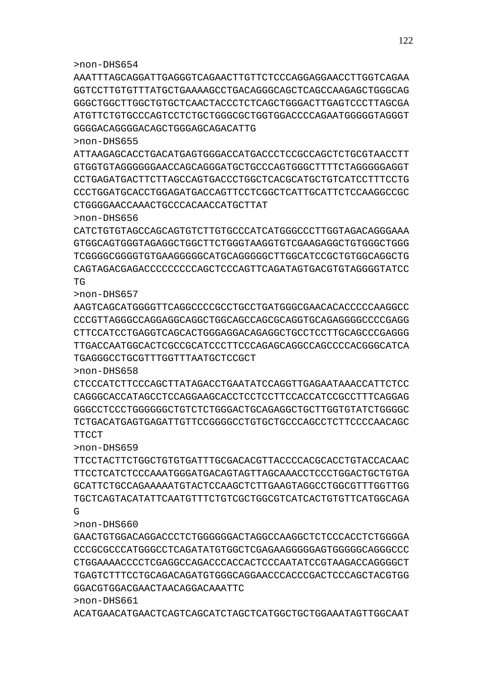>non-DHS661 ACATGAACATGAACTCAGTCAGCATCTAGCTCATGGCTGCTGGAAATAGTTGGCAAT

## GGACGTGGACGAACTAACAGGACAAATTC

>non-DHS660 GAACTGTGGACAGGACCCTCTGGGGGGACTAGGCCAAGGCTCTCCCACCTCTGGGGA CCCGCGCCCATGGGCCTCAGATATGTGGCTCGAGAAGGGGGAGTGGGGGCAGGGCCC CTGGAAAACCCCTCGAGGCCAGACCCACCACTCCCAATATCCGTAAGACCAGGGGCT TGAGTCTTTCCTGCAGACAGATGTGGGCAGGAACCCACCCGACTCCCAGCTACGTGG

>non-DHS659 TTCCTACTTCTGGCTGTGTGATTTGCGACACGTTACCCCACGCACCTGTACCACAAC TTCCTCATCTCCCAAATGGGATGACAGTAGTTAGCAAACCTCCCTGGACTGCTGTGA GCATTCTGCCAGAAAAATGTACTCCAAGCTCTTGAAGTAGGCCTGGCGTTTGGTTGG TGCTCAGTACATATTCAATGTTTCTGTCGCTGGCGTCATCACTGTGTTCATGGCAGA G

CTCCCATCTTCCCAGCTTATAGACCTGAATATCCAGGTTGAGAATAAACCATTCTCC CAGGGCACCATAGCCTCCAGGAAGCACCTCCTCCTTCCACCATCCGCCTTTCAGGAG GGGCCTCCTGGGGGGGCTGTCTCTCTGGGACTGCAGAGGCTGCTGCTGTGTGTATCTGGGGC TCTGACATGAGTGAGATTGTTCCGGGGCCTGTGCTGCCCAGCCTCTTCCCCAACAGC **TTCCT** 

AAGTCAGCATGGGGTTCAGGCCCCGCCTGCCTGATGGGCGAACACACCCCCAAGGCC CCCGTTAGGGCCAGGAGGCAGGCTGGCAGCCAGCGCAGGTGCAGAGGGGCCCCGAGG CTTCCATCCTGAGGTCAGCACTGGGAGGACAGAGGCTGCCTCCTTGCAGCCCGAGGG TTGACCAATGGCACTCGCCGCATCCCTTCCCAGAGCAGGCCAGCCCCACGGGCATCA TGAGGGCCTGCGTTTGGTTTAATGCTCCGCT

>non-DHS656 CATCTGTGTAGCCAGCAGTGTCTTGTGCCCATCATGGGCCCTTGGTAGACAGGGAAA GTGGCAGTGGGTAGAGGCTGGCTTCTGGGTAAGGTGTCGAAGAGGCTGTGGGCTGGG TCGGGGCGGGGTGTGAAGGGGGCATGCAGGGGGCTTGGCATCCGCTGTGGCAGGCTG CAGTAGACGAGACCCCCCCCCAGCTCCCAGTTCAGATAGTGACGTGTAGGGGTATCC TG

>non-DHS655 ATTAAGAGCACCTGACATGAGTGGGACCATGACCCTCCGCCAGCTCTGCGTAACCTT GTGGTGTAGGGGGGAACCAGCAGGGATGCTGCCCAGTGGGCTTTTCTAGGGGGAGGT CCTGAGATGACTTCTTAGCCAGTGACCCTGGCTCACGCATGCTGTCATCCTTTCCTG CCCTGGATGCACCTGGAGATGACCAGTTCCTCGGCTCATTGCATTCTCCAAGGCCGC CTGGGGAACCAAACTGCCCACAACCATGCTTAT

GGGGACAGGGGACAGCTGGGAGCAGACATTG

>non-DHS657

>non-DHS658

>non-DHS654 AAATTTAGCAGGATTGAGGGTCAGAACTTGTTCTCCCAGGAGGAACCTTGGTCAGAA GGTCCTTGTGTTTATGCTGAAAAGCCTGACAGGGCAGCTCAGCCAAGAGCTGGGCAG GGGCTGGCTTGGCTGTGCTCAACTACCCTCTCAGCTGGGACTTGAGTCCCTTAGCGA ATGTTCTGTGCCCAGTCCTCTGCTGGGCGCTGGTGGACCCCAGAATGGGGGTAGGGT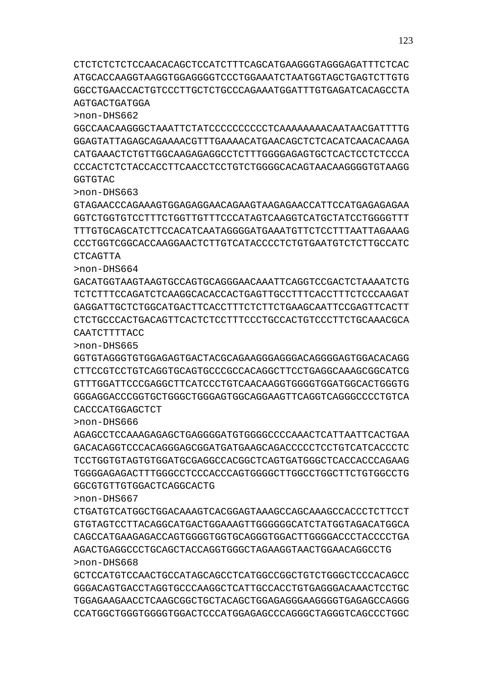CTCTCTCTCTCCAACACAGCTCCATCTTTCAGCATGAAGGGTAGGGAGATTTCTCAC ATGCACCAAGGTAAGGTGGAGGGGTCCCTGGAAATCTAATGGTAGCTGAGTCTTGTG GGCCTGAACCACTGTCCCTTGCTCTGCCCAGAAATGGATTTGTGAGATCACAGCCTA AGTGACTGATGGA

>non-DHS662

GGCCAACAAGGGCTAAATTCTATCCCCCCCCCCTCAAAAAAAACAATAACGATTTTG GGAGTATTAGAGCAGAAAACGTTTGAAAACATGAACAGCTCTCACATCAACACAAGA CATGAAACTCTGTTGGCAAGAGAGGCCTCTTTGGGGAGAGTGCTCACTCCTCTCCCA CCCACTCTCTACCACCTTCAACCTCCTGTCTGGGGCACAGTAACAAGGGGTGTAAGG **GGTGTAC** 

>non-DHS663

GTAGAACCCAGAAAGTGGAGAGGAACAGAAGTAAGAGAACCATTCCATGAGAGAGAA GGTCTGGTGTCCTTTCTGGTTGTTTCCCATAGTCAAGGTCATGCTATCCTGGGGTTT TTTGTGCAGCATCTTCCACATCAATAGGGGATGAAATGTTCTCCTTTAATTAGAAAG CCCTGGTCGGCACCAAGGAACTCTTGTCATACCCCTCTGTGAATGTCTCTTGCCATC CTCAGTTA

>non-DHS664

GACATGGTAAGTAAGTGCCAGTGCAGGGAACAAATTCAGGTCCGACTCTAAAATCTG TCTCTTTCCAGATCTCAAGGCACACCACTGAGTTGCCTTTCACCTTTCTCCCAAGAT GAGGATTGCTCTGGCATGACTTCACCTTTCTCTTCTGAAGCAATTCCGAGTTCACTT CTCTGCCCACTGACAGTTCACTCTCCTTTCCCTGCCACTGTCCCTTCTGCAAACGCA CAATCTTTTACC

>non-DHS665

GGTGTAGGGTGTGGAGAGTGACTACGCAGAAGGGAGGGACAGGGGAGTGGACACAGG CTTCCGTCCTGTCAGGTGCAGTGCCCGCCACAGGCTTCCTGAGGCAAAGCGGCATCG GTTTGGATTCCCGAGGCTTCATCCCTGTCAACAAGGTGGGGTGGATGGCACTGGGTG GGGAGGACCCGGTGCTGGGCTGGGAGTGGCAGGAAGTTCAGGTCAGGGCCCCTGTCA CACCCATGGAGCTCT

>non-DHS666

AGAGCCTCCAAAGAGAGCTGAGGGGATGTGGGGCCCCAAACTCATTAATTCACTGAA GACACAGGTCCCACAGGGAGCGGATGATGAAGCAGACCCCCTCCTGTCATCACCCTC TCCTGGTGTAGTGTGGATGCGAGGCCACGGCTCAGTGATGGGCTCACCACCCAGAAG TGGGGAGAGACTTTGGGCCTCCCACCCAGTGGGGCTTGGCCTGGCTTCTGTGGCCTG GGCGTGTTGTGGACTCAGGCACTG

>non-DHS667

CTGATGTCATGGCTGGACAAAGTCACGGAGTAAAGCCAGCAAAGCCACCCTCTTCCT GTGTAGTCCTTACAGGCATGACTGGAAAGTTGGGGGGCATCTATGGTAGACATGGCA CAGCCATGAAGAGACCAGTGGGGTGGTGCAGGGTGGACTTGGGGACCCTACCCCTGA AGACTGAGGCCCTGCAGCTACCAGGTGGGCTAGAAGGTAACTGGAACAGGCCTG >non-DHS668

GCTCCATGTCCAACTGCCATAGCAGCCTCATGGCCGGCTGTCTGGGCTCCCACAGCC GGGACAGTGACCTAGGTGCCCAAGGCTCATTGCCACCTGTGAGGGACAAACTCCTGC TGGAGAAGAACCTCAAGCGGCTGCTACAGCTGGAGAGGGAAGGGGTGAGAGCCAGGG CCATGGCTGGGTGGGGTGGACTCCCATGGAGAGCCCAGGGCTAGGGTCAGCCCTGGC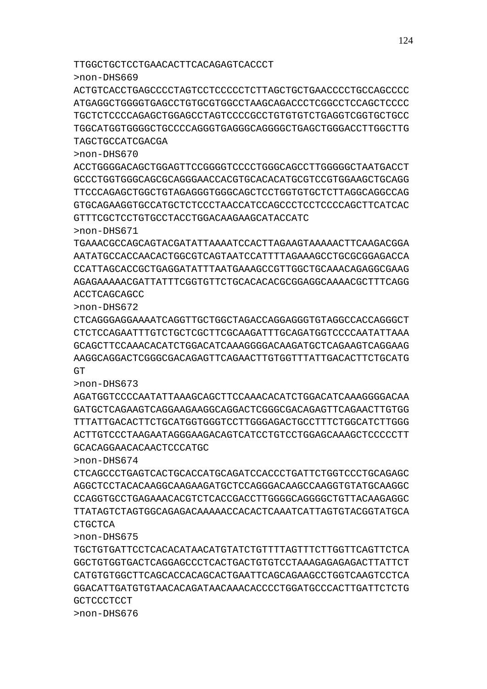TTGGCTGCTCCTGAACACTTCACAGAGTCACCCT

>non-DHS669

>non-DHS670

>non-DHS671

ACCTCAGCAGCC >non-DHS672

>non-DHS673

>non-DHS674

CTGCTCA

>non-DHS675

**GCTCCCTCCT** >non-DHS676

GCACAGGAACACAACTCCCATGC

GT

TAGCTGCCATCGACGA

GTTTCGCTCCTGTGCCTACCTGGACAAGAAGCATACCATC

ACTGTCACCTGAGCCCCTAGTCCTCCCCCTCTTAGCTGCTGAACCCCTGCCAGCCCC ATGAGGCTGGGGTGAGCCTGTGCGTGGCCTAAGCAGACCCTCGGCCTCCAGCTCCCC TGCTCTCCCCAGAGCTGGAGCCTAGTCCCCGCCTGTGTGTCTGAGGTCGGTGCTGCC TGGCATGGTGGGGCTGCCCCAGGGTGAGGGCAGGGGCTGAGCTGGGACCTTGGCTTG

ACCTGGGGACAGCTGGAGTTCCGGGGTCCCCTGGGCAGCCTTGGGGGCTAATGACCT GCCCTGGTGGGCAGCGCAGGGAACCACGTGCACACATGCGTCCGTGGAAGCTGCAGG TTCCCAGAGCTGGCTGTAGAGGGTGGGCAGCTCCTGGTGTGCTCTTAGGCAGGCCAG GTGCAGAAGGTGCCATGCTCTCCCTAACCATCCAGCCCTCCTCCCCAGCTTCATCAC

TGAAACGCCAGCAGTACGATATTAAAATCCACTTAGAAGTAAAAACTTCAAGACGGA AATATGCCACCAACACTGGCGTCAGTAATCCATTTTAGAAAGCCTGCGCGGAGACCA CCATTAGCACCGCTGAGGATATTTAATGAAAGCCGTTGGCTGCAAACAGAGGCGAAG AGAGAAAAACGATTATTTCGGTGTTCTGCACACACGCGGAGGCAAAACGCTTTCAGG

CTCAGGGAGGAAAATCAGGTTGCTGGCTAGACCAGGAGGGTGTAGGCCACCAGGGCT CTCTCCAGAATTTGTCTGCTCGCTTCGCAAGATTTGCAGATGGTCCCCAATATTAAA GCAGCTTCCAAACACATCTGGACATCAAAGGGGACAAGATGCTCAGAAGTCAGGAAG AAGGCAGGACTCGGGCGACAGAGTTCAGAACTTGTGGTTTATTGACACTTCTGCATG

AGATGGTCCCCAATATTAAAGCAGCTTCCAAACACATCTGGACATCAAAGGGGACAA GATGCTCAGAAGTCAGGAAGAAGGCAGGACTCGGGCGACAGAGTTCAGAACTTGTGG TTTATTGACACTTCTGCATGGTGGGTCCTTGGGAGACTGCCTTTCTGGCATCTTGGG ACTTGTCCCTAAGAATAGGGAAGACAGTCATCCTGTCCTGGAGCAAAGCTCCCCCTT

CTCAGCCCTGAGTCACTGCACCATGCAGATCCACCCTGATTCTGGTCCCTGCAGAGC AGGCTCCTACACAAGGCAAGAAGATGCTCCAGGGACAAGCCAAGGTGTATGCAAGGC CCAGGTGCCTGAGAAACACGTCTCACCGACCTTGGGGCAGGGGCTGTTACAAGAGGC TTATAGTCTAGTGGCAGAGACAAAAACCACACTCAAATCATTAGTGTACGGTATGCA

TGCTGTGATTCCTCACACATAACATGTATCTGTTTTAGTTTCTTGGTTCAGTTCTCA GGCTGTGGTGACTCAGGAGCCCTCACTGACTGTGTCCTAAAGAGAGAGACTTATTCT CATGTGTGGCTTCAGCACCACAGCACTGAATTCAGCAGAAGCCTGGTCAAGTCCTCA GGACATTGATGTGTAACACAGATAACAAACACCCCTGGATGCCCACTTGATTCTCTG

124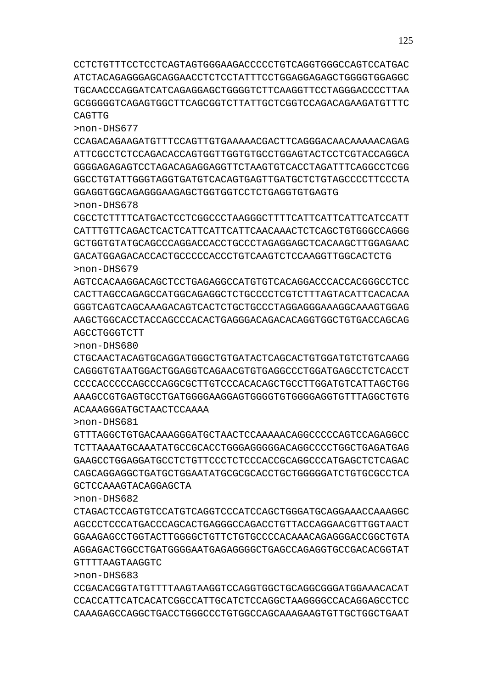CCTCTGTTTCCTCCTCAGTAGTGGGAAGACCCCCTGTCAGGTGGGCCAGTCCATGAC ATCTACAGAGGGAGCAGGAACCTCTCCTATTTCCTGGAGGAGAGCTGGGGTGGAGGC TGCAACCCAGGATCATCAGAGGAGCTGGGGTCTTCAAGGTTCCTAGGGACCCCTTAA GCGGGGGTCAGAGTGGCTTCAGCGGTCTTATTGCTCGGTCCAGACAGAAGATGTTTC CAGTTG

>non-DHS677

CCAGACAGAAGATGTTTCCAGTTGTGAAAAACGACTTCAGGGACAACAAAAACAGAG ATTCGCCTCTCCAGACACCAGTGGTTGGTGTGCCTGGAGTACTCCTCGTACCAGGCA GGGGAGAGAGTCCTAGACAGAGGAGGTTCTAAGTGTCACCTAGATTTCAGGCCTCGG GGCCTGTATTGGGTAGGTGATGTCACAGTGAGTTGATGCTCTGTAGCCCCTTCCCTA GGAGGTGGCAGAGGGAAGAGCTGGTGGTCCTCTGAGGTGTGAGTG >non-DHS678

CGCCTCTTTTCATGACTCCTCGGCCCTAAGGGCTTTTCATTCATTCATTCATCCATT CATTTGTTCAGACTCACTCATTCATTCATTCAACAAACTCTCAGCTGTGGGCCAGGG GCTGGTGTATGCAGCCCAGGACCACCTGCCCTAGAGGAGCTCACAAGCTTGGAGAAC GACATGGAGACACCACTGCCCCCACCCTGTCAAGTCTCCAAGGTTGGCACTCTG >non-DHS679

AGTCCACAAGGACAGCTCCTGAGAGGCCATGTGTCACAGGACCCACCACGGGCCTCC CACTTAGCCAGAGCCATGGCAGAGGCTCTGCCCCTCGTCTTTAGTACATTCACACAA GGGTCAGTCAGCAAAGACAGTCACTCTGCTGCCCTAGGAGGGAAAGGCAAAGTGGAG AAGCTGGCACCTACCAGCCCACACTGAGGGACAGACACAGGTGGCTGTGACCAGCAG AGCCTGGGTCTT

>non-DHS680 CTGCAACTACAGTGCAGGATGGGCTGTGATACTCAGCACTGTGGATGTCTGTCAAGG

CAGGGTGTAATGGACTGGAGGTCAGAACGTGTGAGGCCCTGGATGAGCCTCTCACCT CCCCACCCCCAGCCCAGGCGCTTGTCCCACACAGCTGCCTTGGATGTCATTAGCTGG AAAGCCGTGAGTGCCTGATGGGGAAGGAGTGGGGTGTGGGGAGGTGTTTAGGCTGTG ACAAAGGGATGCTAACTCCAAAA

>non-DHS681

GTTTAGGCTGTGACAAAGGGATGCTAACTCCAAAAACAGGCCCCCAGTCCAGAGGCC TCTTAAAATGCAAATATGCCGCACCTGGGAGGGGGACAGGCCCCTGGCTGAGATGAG GAAGCCTGGAGGATGCCTCTGTTCCCTCTCCCACCGCAGGCCCATGAGCTCTCAGAC CAGCAGGAGGCTGATGCTGGAATATGCGCGCACCTGCTGGGGGATCTGTGCGCCTCA GCTCCAAAGTACAGGAGCTA

>non-DHS682

CTAGACTCCAGTGTCCATGTCAGGTCCCATCCAGCTGGGATGCAGGAAACCAAAGGC AGCCCTCCCATGACCCAGCACTGAGGGCCAGACCTGTTACCAGGAACGTTGGTAACT GGAAGAGCCTGGTACTTGGGGCTGTTCTGTGCCCCACAAACAGAGGGACCGGCTGTA AGGAGACTGGCCTGATGGGGAATGAGAGGGGCTGAGCCAGAGGTGCCGACACGGTAT GTTTTAAGTAAGGTC

>non-DHS683

CCGACACGGTATGTTTTAAGTAAGGTCCAGGTGGCTGCAGGCGGGATGGAAACACAT CCACCATTCATCACATCGGCCATTGCATCTCCAGGCTAAGGGGCCACAGGAGCCTCC CAAAGAGCCAGGCTGACCTGGGCCCTGTGGCCAGCAAAGAAGTGTTGCTGGCTGAAT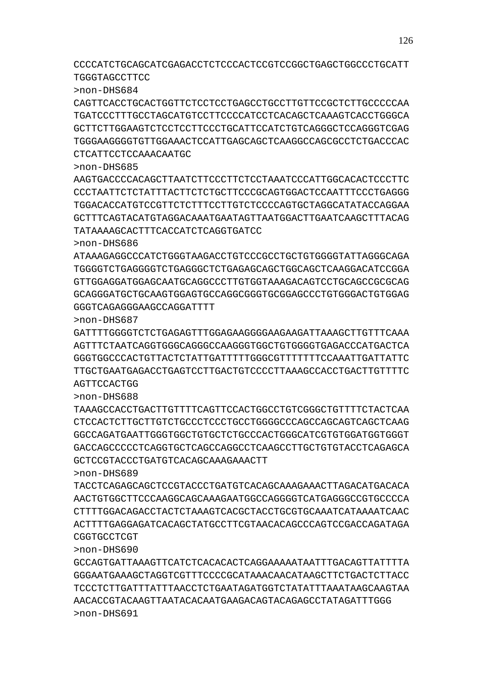CCCCATCTGCAGCATCGAGACCTCTCCCACTCCGTCCGGCTGAGCTGGCCCTGCATT TGGGTAGCCTTCC

>non-DHS684

CAGTTCACCTGCACTGGTTCTCCTCCTGAGCCTGCCTTGTTCCGCTCTTGCCCCCAA TGATCCCTTTGCCTAGCATGTCCTTCCCCATCCTCACAGCTCAAAGTCACCTGGGCA GCTTCTTGGAAGTCTCCTCCTTCCCTGCATTCCATCTGTCAGGGCTCCAGGGTCGAG TGGGAAGGGGTGTTGGAAACTCCATTGAGCAGCTCAAGGCCAGCGCCTCTGACCCAC CTCATTCCTCCAAACAATGC

>non-DHS685

AAGTGACCCCACAGCTTAATCTTCCCTTCTCCTAAATCCCATTGGCACACTCCCTTC CCCTAATTCTCTATTTACTTCTCTGCTTCCCGCAGTGGACTCCAATTTCCCTGAGGG TGGACACCATGTCCGTTCTCTTTCCTTGTCTCCCCAGTGCTAGGCATATACCAGGAA GCTTTCAGTACATGTAGGACAAATGAATAGTTAATGGACTTGAATCAAGCTTTACAG TATAAAAGCACTTTCACCATCTCAGGTGATCC

>non-DHS686

ATAAAGAGGCCCATCTGGGTAAGACCTGTCCCGCCTGCTGTGGGGTATTAGGGCAGA TGGGGTCTGAGGGGTCTGAGGGCTCTGAGAGCAGCTGGCAGCTCAAGGACATCCGGA GTTGGAGGATGGAGCAATGCAGGCCCTTGTGGTAAAGACAGTCCTGCAGCCGCGCAG GCAGGGATGCTGCAAGTGGAGTGCCAGGCGGGTGCGGAGCCCTGTGGGACTGTGGAG GGGTCAGAGGGAAGCCAGGATTTT

>non-DHS687

GATTTTGGGGTCTCTGAGAGTTTGGAGAAGGGGAAGAAGATTAAAGCTTGTTTCAAA AGTTTCTAATCAGGTGGGCAGGGCCAAGGGTGGCTGTGGGGTGAGACCCATGACTCA GGGTGGCCCACTGTTACTCTATTGATTTTTGGGCGTTTTTTTCCAAATTGATTATTC TTGCTGAATGAGACCTGAGTCCTTGACTGTCCCCTTAAAGCCACCTGACTTGTTTTC AGTTCCACTGG

>non-DHS688

TAAAGCCACCTGACTTGTTTTCAGTTCCACTGGCCTGTCGGGCTGTTTTCTACTCAA CTCCACTCTTGCTTGTCTGCCCTCCCTGCCTGGGGCCCAGCCAGCAGTCAGCTCAAG GGCCAGATGAATTGGGTGGCTGTGCTCTGCCCACTGGGCATCGTGTGGATGGTGGGT GACCAGCCCCCTCAGGTGCTCAGCCAGGCCTCAAGCCTTGCTGTGTACCTCAGAGCA GCTCCGTACCCTGATGTCACAGCAAAGAAACTT

>non-DHS689

TACCTCAGAGCAGCTCCGTACCCTGATGTCACAGCAAAGAAACTTAGACATGACACA AACTGTGGCTTCCCAAGGCAGCAAAGAATGGCCAGGGGTCATGAGGGCCGTGCCCCA CTTTTGGACAGACCTACTCTAAAGTCACGCTACCTGCGTGCAAATCATAAAATCAAC ACTTTTGAGGAGATCACAGCTATGCCTTCGTAACACAGCCCAGTCCGACCAGATAGA CGGTGCCTCGT

>non-DHS690

GCCAGTGATTAAAGTTCATCTCACACACTCAGGAAAAATAATTTGACAGTTATTTTA GGGAATGAAAGCTAGGTCGTTTCCCCGCATAAACAACATAAGCTTCTGACTCTTACC TCCCTCTTGATTTATTTAACCTCTGAATAGATGGTCTATATTTAAATAAGCAAGTAA AACACCGTACAAGTTAATACACAATGAAGACAGTACAGAGCCTATAGATTTGGG >non-DHS691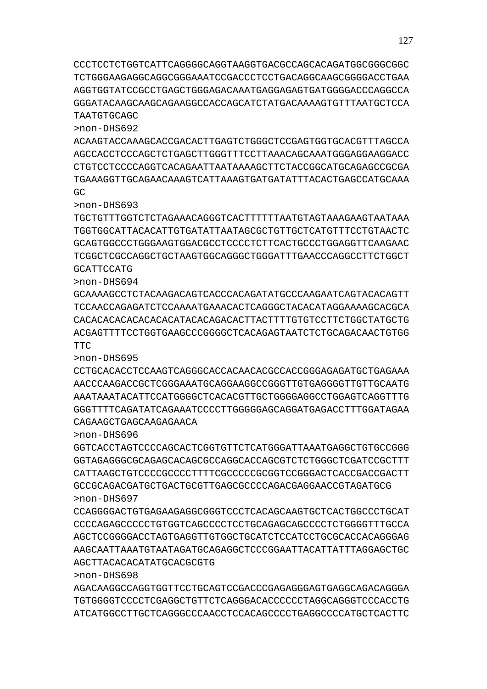CCCTCCTCTGGTCATTCAGGGGCAGGTAAGGTGACGCCAGCACAGATGGCGGGCGGC TCTGGGAAGAGGCAGGCGGGAAATCCGACCCTCCTGACAGGCAAGCGGGGACCTGAA AGGTGGTATCCGCCTGAGCTGGGAGACAAATGAGGAGAGTGATGGGGACCCAGGCCA GGGATACAAGCAAGCAGAAGGCCACCAGCATCTATGACAAAAGTGTTTAATGCTCCA TAATGTGCAGC

>non-DHS692

ACAAGTACCAAAGCACCGACACTTGAGTCTGGGCTCCGAGTGGTGCACGTTTAGCCA AGCCACCTCCCAGCTCTGAGCTTGGGTTTCCTTAAACAGCAAATGGGAGGAAGGACC CTGTCCTCCCCAGGTCACAGAATTAATAAAAGCTTCTACCGGCATGCAGAGCCGCGA TGAAAGGTTGCAGAACAAAGTCATTAAAGTGATGATATTTACACTGAGCCATGCAAA GC

>non-DHS693

TGCTGTTTGGTCTCTAGAAACAGGGTCACTTTTTTAATGTAGTAAAGAAGTAATAAA TGGTGGCATTACACATTGTGATATTAATAGCGCTGTTGCTCATGTTTCCTGTAACTC GCAGTGGCCCTGGGAAGTGGACGCCTCCCCTCTTCACTGCCCTGGAGGTTCAAGAAC TCGGCTCGCCAGGCTGCTAAGTGGCAGGGCTGGGATTTGAACCCAGGCCTTCTGGCT GCATTCCATG

>non-DHS694

GCAAAAGCCTCTACAAGACAGTCACCCACAGATATGCCCAAGAATCAGTACACAGTT TCCAACCAGAGATCTCCAAAATGAAACACTCAGGGCTACACATAGGAAAAGCACGCA CACACACACACACACACATACACAGACACTTACTTTTGTGTCCTTCTGGCTATGCTG ACGAGTTTTCCTGGTGAAGCCCGGGGCTCACAGAGTAATCTCTGCAGACAACTGTGG TTC

>non-DHS695

CCTGCACACCTCCAAGTCAGGGCACCACAACACGCCACCGGGAGAGATGCTGAGAAA AACCCAAGACCGCTCGGGAAATGCAGGAAGGCCGGGTTGTGAGGGGTTGTTGCAATG AAATAAATACATTCCATGGGGCTCACACGTTGCTGGGGAGGCCTGGAGTCAGGTTTG GGGTTTTCAGATATCAGAAATCCCCTTGGGGGAGCAGGATGAGACCTTTGGATAGAA CAGAAGCTGAGCAAGAGAACA

>non-DHS696

GGTCACCTAGTCCCCAGCACTCGGTGTTCTCATGGGATTAAATGAGGCTGTGCCGGG GGTAGAGGGCGCAGAGCACAGCGCCAGGCACCAGCGTCTCTGGGCTCGATCCGCTTT CATTAAGCTGTCCCCGCCCCTTTTCGCCCCCGCGGTCCGGGACTCACCGACCGACTT GCCGCAGACGATGCTGACTGCGTTGAGCGCCCCAGACGAGGAACCGTAGATGCG >non-DHS697

CCAGGGGACTGTGAGAAGAGGCGGGTCCCTCACAGCAAGTGCTCACTGGCCCTGCAT CCCCAGAGCCCCCTGTGGTCAGCCCCTCCTGCAGAGCAGCCCCTCTGGGGTTTGCCA AGCTCCGGGGACCTAGTGAGGTTGTGGCTGCATCTCCATCCTGCGCACCACAGGGAG AAGCAATTAAATGTAATAGATGCAGAGGCTCCCGGAATTACATTATTTAGGAGCTGC AGCTTACACACATATGCACGCGTG

>non-DHS698

AGACAAGGCCAGGTGGTTCCTGCAGTCCGACCCGAGAGGGAGTGAGGCAGACAGGGA TGTGGGGTCCCCTCGAGGCTGTTCTCAGGGACACCCCCCTAGGCAGGGTCCCACCTG ATCATGGCCTTGCTCAGGGCCCAACCTCCACAGCCCCTGAGGCCCCATGCTCACTTC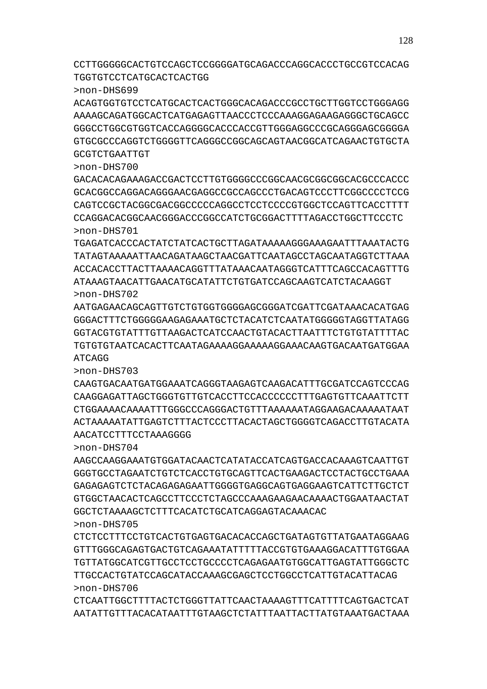CTCAATTGGCTTTTACTCTGGGTTATTCAACTAAAAGTTTCATTTTCAGTGACTCAT AATATTGTTTACACATAATTTGTAAGCTCTATTTAATTACTTATGTAAATGACTAAA

>non-DHS705 CTCTCCTTTCCTGTCACTGTGAGTGACACACCAGCTGATAGTGTTATGAATAGGAAG GTTTGGGCAGAGTGACTGTCAGAAATATTTTTACCGTGTGAAAGGACATTTGTGGAA TGTTATGGCATCGTTGCCTCCTGCCCCTCAGAGAATGTGGCATTGAGTATTGGGCTC TTGCCACTGTATCCAGCATACCAAAGCGAGCTCCTGGCCTCATTGTACATTACAG >non-DHS706

AAGCCAAGGAAATGTGGATACAACTCATATACCATCAGTGACCACAAAGTCAATTGT GGGTGCCTAGAATCTGTCTCACCTGTGCAGTTCACTGAAGACTCCTACTGCCTGAAA GAGAGAGTCTCTACAGAGAGAATTGGGGTGAGGCAGTGAGGAAGTCATTCTTGCTCT GTGGCTAACACTCAGCCTTCCCTCTAGCCCAAAGAAGAACAAAACTGGAATAACTAT GGCTCTAAAAGCTCTTTCACATCTGCATCAGGAGTACAAACAC

AACATCCTTTCCTAAAGGGG

>non-DHS704

>non-DHS703 CAAGTGACAATGATGGAAATCAGGGTAAGAGTCAAGACATTTGCGATCCAGTCCCAG CAAGGAGATTAGCTGGGTGTTGTCACCTTCCACCCCCCTTTGAGTGTTCAAATTCTT CTGGAAAACAAAATTTGGGCCCAGGGACTGTTTAAAAAATAGGAAGACAAAAATAAT ACTAAAAATATTGAGTCTTTACTCCCTTACACTAGCTGGGGTCAGACCTTGTACATA

>non-DHS702 AATGAGAACAGCAGTTGTCTGTGGTGGGGAGCGGGATCGATTCGATAAACACATGAG GGGACTTTCTGGGGGAAGAGAAATGCTCTACATCTCAATATGGGGGTAGGTTATAGG GGTACGTGTATTTGTTAAGACTCATCCAACTGTACACTTAATTTCTGTGTATTTTAC TGTGTGTAATCACACTTCAATAGAAAAGGAAAAAGGAAACAAGTGACAATGATGGAA ATCAGG

>non-DHS701 TGAGATCACCCACTATCTATCACTGCTTAGATAAAAAGGGAAAGAATTTAAATACTG TATAGTAAAAATTAACAGATAAGCTAACGATTCAATAGCCTAGCAATAGGTCTTAAA ACCACACCTTACTTAAAACAGGTTTATAAACAATAGGGTCATTTCAGCCACAGTTTG ATAAAGTAACATTGAACATGCATATTCTGTGATCCAGCAAGTCATCTACAAGGT

>non-DHS700 GACACACAGAAAGACCGACTCCTTGTGGGGCCCGGCAACGCGGCGGCACGCCCACCC GCACGGCCAGGACAGGGAACGAGGCCGCCAGCCCTGACAGTCCCTTCGGCCCCTCCG CAGTCCGCTACGGCGACGGCCCCCAGGCCTCCTCCCCGTGGCTCCAGTTCACCTTTT CCAGGACACGGCAACGGGACCCGGCCATCTGCGGACTTTTAGACCTGGCTTCCCTC

>non-DHS699 ACAGTGGTGTCCTCATGCACTCACTGGGCACAGACCCGCCTGCTTGGTCCTGGGAGG AAAAGCAGATGGCACTCATGAGAGTTAACCCTCCCAAAGGAGAAGAGGGCTGCAGCC GGGCCTGGCGTGGTCACCAGGGGCACCCACCGTTGGGAGGCCCGCAGGGAGCGGGGA GTGCGCCCAGGTCTGGGGTTCAGGGCCGGCAGCAGTAACGGCATCAGAACTGTGCTA GCGTCTGAATTGT

CCTTGGGGGCACTGTCCAGCTCCGGGGATGCAGACCCAGGCACCCTGCCGTCCACAG TGGTGTCCTCATGCACTCACTGG